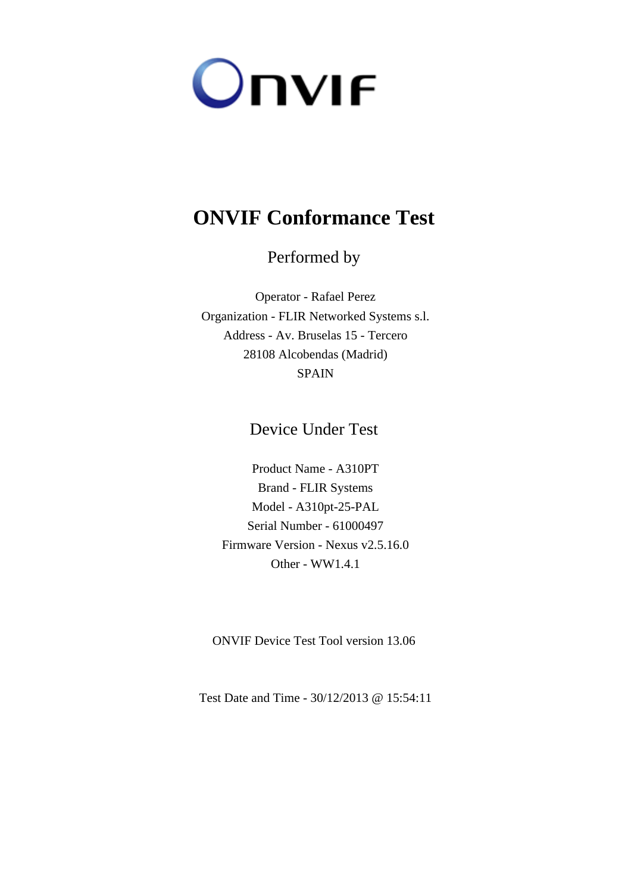

# **ONVIF Conformance Test**

Performed by

Operator - Rafael Perez Organization - FLIR Networked Systems s.l. Address - Av. Bruselas 15 - Tercero 28108 Alcobendas (Madrid) SPAIN

Device Under Test

Product Name - A310PT Brand - FLIR Systems Model - A310pt-25-PAL Serial Number - 61000497 Firmware Version - Nexus v2.5.16.0 Other - WW1.4.1

ONVIF Device Test Tool version 13.06

Test Date and Time - 30/12/2013 @ 15:54:11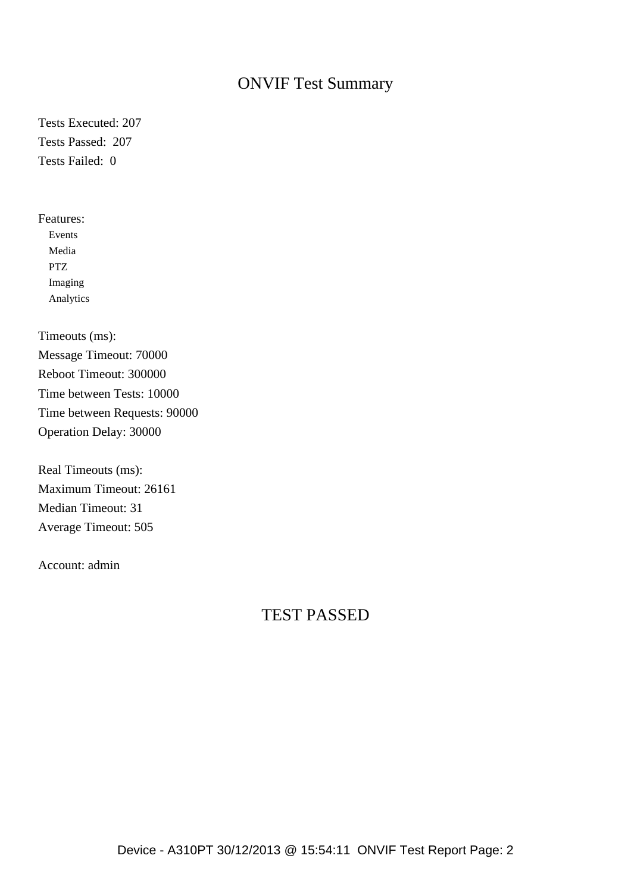## ONVIF Test Summary

Tests Executed: 207 Tests Passed: 207 Tests Failed: 0

Features: Events Media PTZ Imaging Analytics

Timeouts (ms): Message Timeout: 70000 Reboot Timeout: 300000 Time between Tests: 10000 Time between Requests: 90000 Operation Delay: 30000

Real Timeouts (ms): Maximum Timeout: 26161 Median Timeout: 31 Average Timeout: 505

Account: admin

## TEST PASSED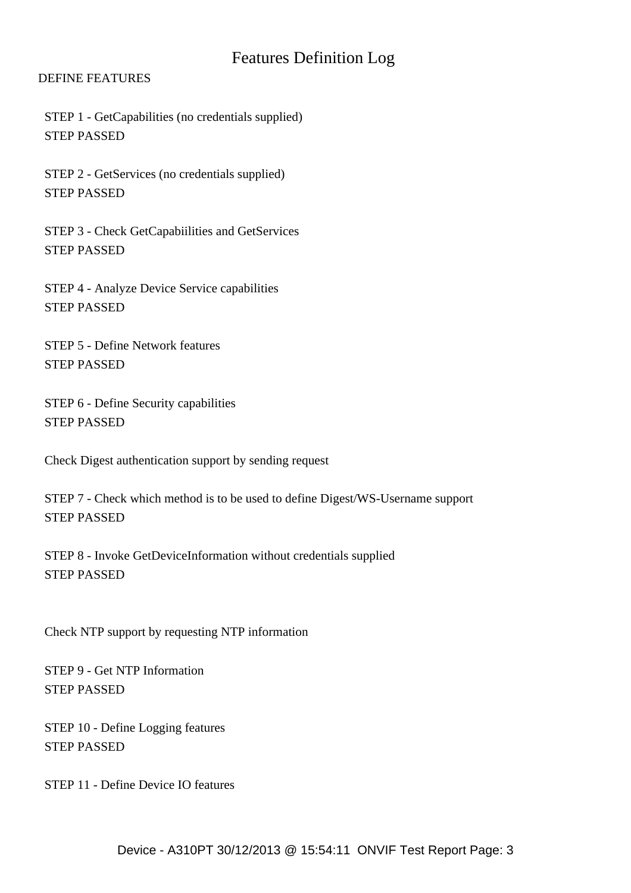## Features Definition Log

## DEFINE FEATURES

 STEP 1 - GetCapabilities (no credentials supplied) STEP PASSED

 STEP 2 - GetServices (no credentials supplied) STEP PASSED

 STEP 3 - Check GetCapabiilities and GetServices STEP PASSED

 STEP 4 - Analyze Device Service capabilities STEP PASSED

 STEP 5 - Define Network features STEP PASSED

 STEP 6 - Define Security capabilities STEP PASSED

Check Digest authentication support by sending request

 STEP 7 - Check which method is to be used to define Digest/WS-Username support STEP PASSED

 STEP 8 - Invoke GetDeviceInformation without credentials supplied STEP PASSED

Check NTP support by requesting NTP information

 STEP 9 - Get NTP Information STEP PASSED

 STEP 10 - Define Logging features STEP PASSED

STEP 11 - Define Device IO features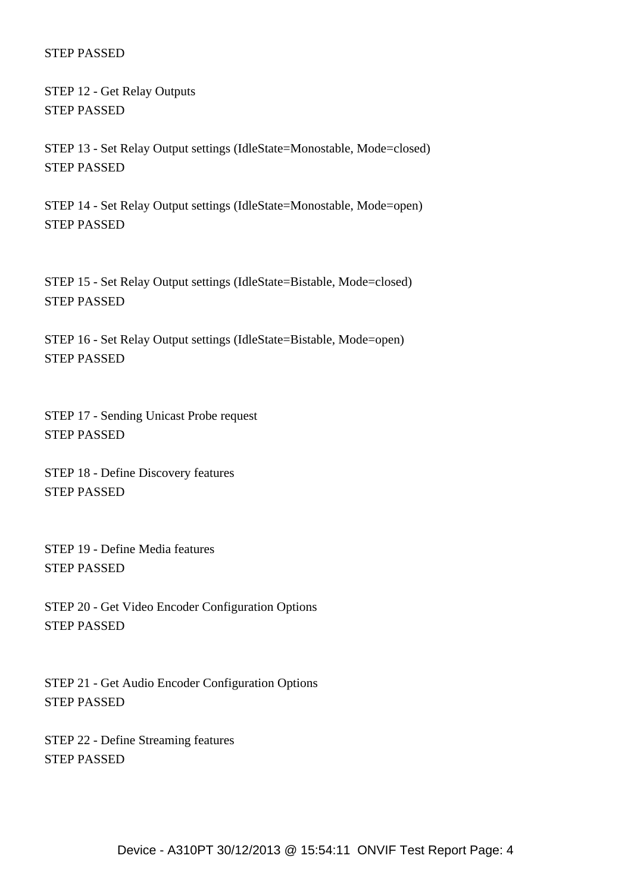STEP 12 - Get Relay Outputs STEP PASSED

 STEP 13 - Set Relay Output settings (IdleState=Monostable, Mode=closed) STEP PASSED

 STEP 14 - Set Relay Output settings (IdleState=Monostable, Mode=open) STEP PASSED

 STEP 15 - Set Relay Output settings (IdleState=Bistable, Mode=closed) STEP PASSED

 STEP 16 - Set Relay Output settings (IdleState=Bistable, Mode=open) STEP PASSED

 STEP 17 - Sending Unicast Probe request STEP PASSED

 STEP 18 - Define Discovery features STEP PASSED

 STEP 19 - Define Media features STEP PASSED

 STEP 20 - Get Video Encoder Configuration Options STEP PASSED

 STEP 21 - Get Audio Encoder Configuration Options STEP PASSED

 STEP 22 - Define Streaming features STEP PASSED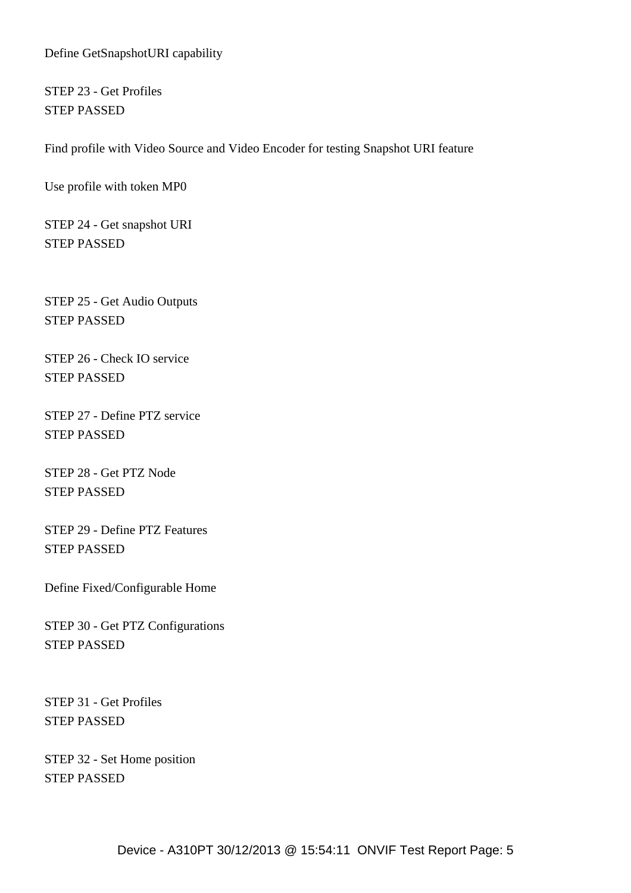Define GetSnapshotURI capability

 STEP 23 - Get Profiles STEP PASSED

Find profile with Video Source and Video Encoder for testing Snapshot URI feature

Use profile with token MP0

 STEP 24 - Get snapshot URI STEP PASSED

 STEP 25 - Get Audio Outputs STEP PASSED

 STEP 26 - Check IO service STEP PASSED

 STEP 27 - Define PTZ service STEP PASSED

 STEP 28 - Get PTZ Node STEP PASSED

 STEP 29 - Define PTZ Features STEP PASSED

Define Fixed/Configurable Home

 STEP 30 - Get PTZ Configurations STEP PASSED

 STEP 31 - Get Profiles STEP PASSED

 STEP 32 - Set Home position STEP PASSED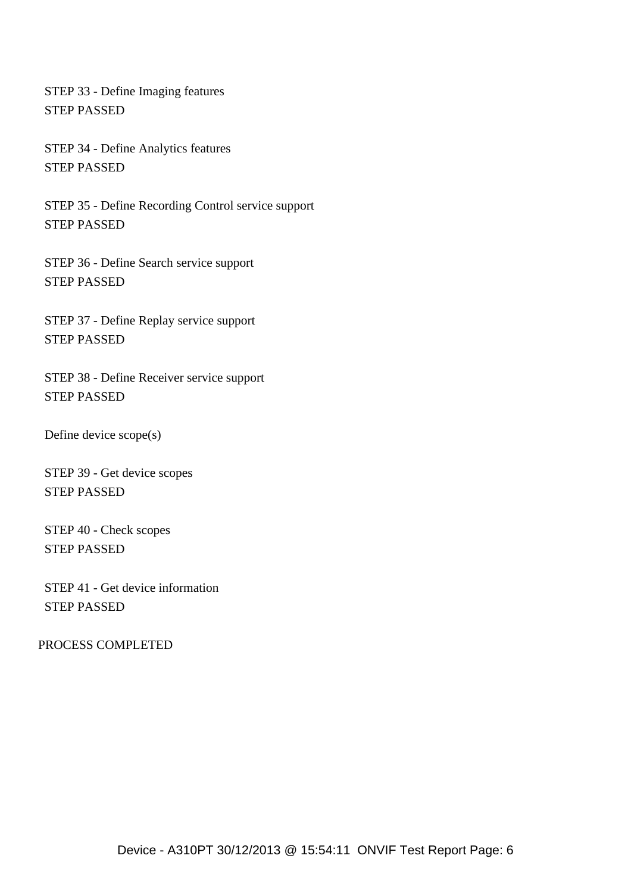STEP 33 - Define Imaging features STEP PASSED

 STEP 34 - Define Analytics features STEP PASSED

 STEP 35 - Define Recording Control service support STEP PASSED

 STEP 36 - Define Search service support STEP PASSED

 STEP 37 - Define Replay service support STEP PASSED

 STEP 38 - Define Receiver service support STEP PASSED

Define device scope(s)

 STEP 39 - Get device scopes STEP PASSED

 STEP 40 - Check scopes STEP PASSED

 STEP 41 - Get device information STEP PASSED

PROCESS COMPLETED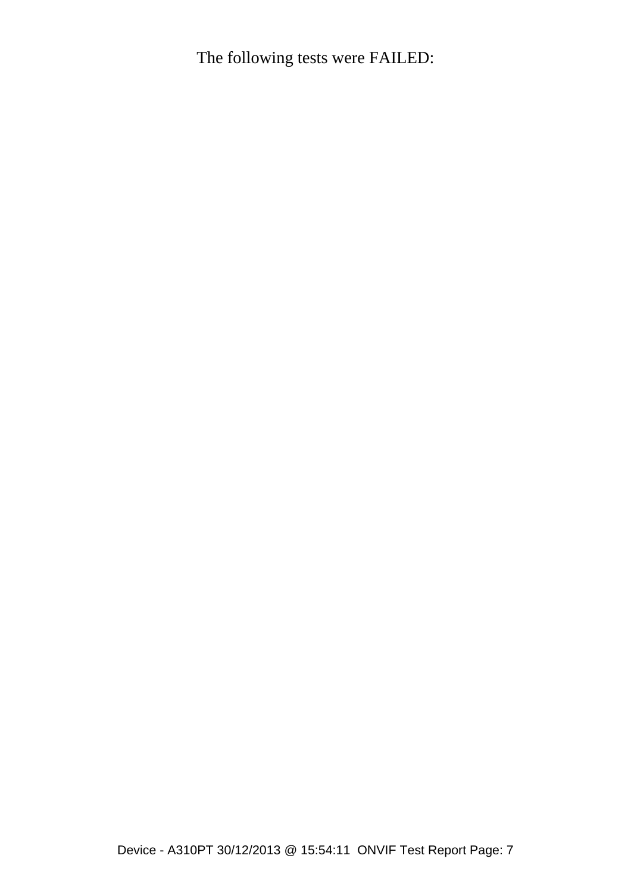The following tests were FAILED: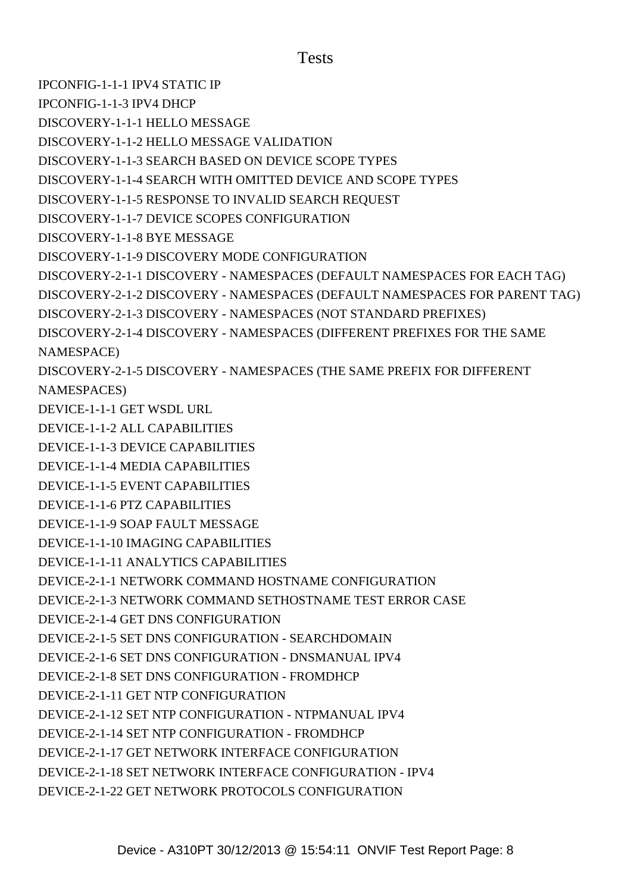## Tests

[IPCONFIG-1-1-1 IPV4 STATIC IP](#IPCONFIG-1-1-1 IPV4 STATIC IP) [IPCONFIG-1-1-3 IPV4 DHCP](#IPCONFIG-1-1-3 IPV4 DHCP) [DISCOVERY-1-1-1 HELLO MESSAGE](#DISCOVERY-1-1-1 HELLO MESSAGE) [DISCOVERY-1-1-2 HELLO MESSAGE VALIDATION](#DISCOVERY-1-1-2 HELLO MESSAGE VALIDATION) [DISCOVERY-1-1-3 SEARCH BASED ON DEVICE SCOPE TYPES](#DISCOVERY-1-1-3 SEARCH BASED ON DEVICE SCOPE TYPES) [DISCOVERY-1-1-4 SEARCH WITH OMITTED DEVICE AND SCOPE TYPES](#DISCOVERY-1-1-4 SEARCH WITH OMITTED DEVICE AND SCOPE TYPES) [DISCOVERY-1-1-5 RESPONSE TO INVALID SEARCH REQUEST](#DISCOVERY-1-1-5 RESPONSE TO INVALID SEARCH REQUEST) [DISCOVERY-1-1-7 DEVICE SCOPES CONFIGURATION](#DISCOVERY-1-1-7 DEVICE SCOPES CONFIGURATION) [DISCOVERY-1-1-8 BYE MESSAGE](#DISCOVERY-1-1-8 BYE MESSAGE) [DISCOVERY-1-1-9 DISCOVERY MODE CONFIGURATION](#DISCOVERY-1-1-9 DISCOVERY MODE CONFIGURATION) [DISCOVERY-2-1-1 DISCOVERY - NAMESPACES \(DEFAULT NAMESPACES FOR EACH TAG\)](#DISCOVERY-2-1-1 DISCOVERY - NAMESPACES (DEFAULT NAMESPACES FOR EACH TAG)) [DISCOVERY-2-1-2 DISCOVERY - NAMESPACES \(DEFAULT NAMESPACES FOR PARENT TAG\)](#DISCOVERY-2-1-2 DISCOVERY - NAMESPACES (DEFAULT NAMESPACES FOR PARENT TAG)) [DISCOVERY-2-1-3 DISCOVERY - NAMESPACES \(NOT STANDARD PREFIXES\)](#DISCOVERY-2-1-3 DISCOVERY - NAMESPACES (NOT STANDARD PREFIXES)) [DISCOVERY-2-1-4 DISCOVERY - NAMESPACES \(DIFFERENT PREFIXES FOR THE SAME](#DISCOVERY-2-1-4 DISCOVERY - NAMESPACES (DIFFERENT PREFIXES FOR THE SAME NAMESPACE)) [NAMESPACE\)](#DISCOVERY-2-1-4 DISCOVERY - NAMESPACES (DIFFERENT PREFIXES FOR THE SAME NAMESPACE)) [DISCOVERY-2-1-5 DISCOVERY - NAMESPACES \(THE SAME PREFIX FOR DIFFERENT](#DISCOVERY-2-1-5 DISCOVERY - NAMESPACES (THE SAME PREFIX FOR DIFFERENT NAMESPACES)) [NAMESPACES\)](#DISCOVERY-2-1-5 DISCOVERY - NAMESPACES (THE SAME PREFIX FOR DIFFERENT NAMESPACES)) [DEVICE-1-1-1 GET WSDL URL](#DEVICE-1-1-1 GET WSDL URL) [DEVICE-1-1-2 ALL CAPABILITIES](#DEVICE-1-1-2 ALL CAPABILITIES) [DEVICE-1-1-3 DEVICE CAPABILITIES](#DEVICE-1-1-3 DEVICE CAPABILITIES) [DEVICE-1-1-4 MEDIA CAPABILITIES](#DEVICE-1-1-4 MEDIA CAPABILITIES) [DEVICE-1-1-5 EVENT CAPABILITIES](#DEVICE-1-1-5 EVENT CAPABILITIES) [DEVICE-1-1-6 PTZ CAPABILITIES](#DEVICE-1-1-6 PTZ CAPABILITIES) [DEVICE-1-1-9 SOAP FAULT MESSAGE](#DEVICE-1-1-9 SOAP FAULT MESSAGE) [DEVICE-1-1-10 IMAGING CAPABILITIES](#DEVICE-1-1-10 IMAGING CAPABILITIES) [DEVICE-1-1-11 ANALYTICS CAPABILITIES](#DEVICE-1-1-11 ANALYTICS CAPABILITIES) [DEVICE-2-1-1 NETWORK COMMAND HOSTNAME CONFIGURATION](#DEVICE-2-1-1 NETWORK COMMAND HOSTNAME CONFIGURATION) [DEVICE-2-1-3 NETWORK COMMAND SETHOSTNAME TEST ERROR CASE](#DEVICE-2-1-3 NETWORK COMMAND SETHOSTNAME TEST ERROR CASE) [DEVICE-2-1-4 GET DNS CONFIGURATION](#DEVICE-2-1-4 GET DNS CONFIGURATION) [DEVICE-2-1-5 SET DNS CONFIGURATION - SEARCHDOMAIN](#DEVICE-2-1-5 SET DNS CONFIGURATION - SEARCHDOMAIN) [DEVICE-2-1-6 SET DNS CONFIGURATION - DNSMANUAL IPV4](#DEVICE-2-1-6 SET DNS CONFIGURATION - DNSMANUAL IPV4) [DEVICE-2-1-8 SET DNS CONFIGURATION - FROMDHCP](#DEVICE-2-1-8 SET DNS CONFIGURATION - FROMDHCP) [DEVICE-2-1-11 GET NTP CONFIGURATION](#DEVICE-2-1-11 GET NTP CONFIGURATION) [DEVICE-2-1-12 SET NTP CONFIGURATION - NTPMANUAL IPV4](#DEVICE-2-1-12 SET NTP CONFIGURATION - NTPMANUAL IPV4) [DEVICE-2-1-14 SET NTP CONFIGURATION - FROMDHCP](#DEVICE-2-1-14 SET NTP CONFIGURATION - FROMDHCP) [DEVICE-2-1-17 GET NETWORK INTERFACE CONFIGURATION](#DEVICE-2-1-17 GET NETWORK INTERFACE CONFIGURATION) [DEVICE-2-1-18 SET NETWORK INTERFACE CONFIGURATION - IPV4](#DEVICE-2-1-18 SET NETWORK INTERFACE CONFIGURATION - IPV4) [DEVICE-2-1-22 GET NETWORK PROTOCOLS CONFIGURATION](#DEVICE-2-1-22 GET NETWORK PROTOCOLS CONFIGURATION)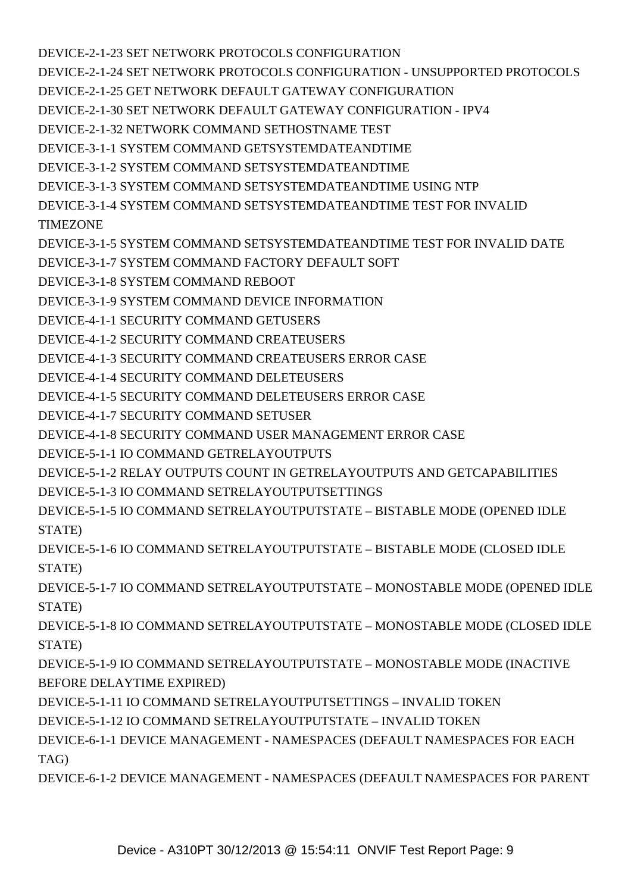[DEVICE-2-1-23 SET NETWORK PROTOCOLS CONFIGURATION](#DEVICE-2-1-23 SET NETWORK PROTOCOLS CONFIGURATION) [DEVICE-2-1-24 SET NETWORK PROTOCOLS CONFIGURATION - UNSUPPORTED PROTOCOLS](#DEVICE-2-1-24 SET NETWORK PROTOCOLS CONFIGURATION - UNSUPPORTED PROTOCOLS) [DEVICE-2-1-25 GET NETWORK DEFAULT GATEWAY CONFIGURATION](#DEVICE-2-1-25 GET NETWORK DEFAULT GATEWAY CONFIGURATION) [DEVICE-2-1-30 SET NETWORK DEFAULT GATEWAY CONFIGURATION - IPV4](#DEVICE-2-1-30 SET NETWORK DEFAULT GATEWAY CONFIGURATION - IPV4) [DEVICE-2-1-32 NETWORK COMMAND SETHOSTNAME TEST](#DEVICE-2-1-32 NETWORK COMMAND SETHOSTNAME TEST) [DEVICE-3-1-1 SYSTEM COMMAND GETSYSTEMDATEANDTIME](#DEVICE-3-1-1 SYSTEM COMMAND GETSYSTEMDATEANDTIME) [DEVICE-3-1-2 SYSTEM COMMAND SETSYSTEMDATEANDTIME](#DEVICE-3-1-2 SYSTEM COMMAND SETSYSTEMDATEANDTIME) [DEVICE-3-1-3 SYSTEM COMMAND SETSYSTEMDATEANDTIME USING NTP](#DEVICE-3-1-3 SYSTEM COMMAND SETSYSTEMDATEANDTIME USING NTP) [DEVICE-3-1-4 SYSTEM COMMAND SETSYSTEMDATEANDTIME TEST FOR INVALID](#DEVICE-3-1-4 SYSTEM COMMAND SETSYSTEMDATEANDTIME TEST FOR INVALID TIMEZONE) **[TIMEZONE](#DEVICE-3-1-4 SYSTEM COMMAND SETSYSTEMDATEANDTIME TEST FOR INVALID TIMEZONE)** [DEVICE-3-1-5 SYSTEM COMMAND SETSYSTEMDATEANDTIME TEST FOR INVALID DATE](#DEVICE-3-1-5 SYSTEM COMMAND SETSYSTEMDATEANDTIME TEST FOR INVALID DATE) [DEVICE-3-1-7 SYSTEM COMMAND FACTORY DEFAULT SOFT](#DEVICE-3-1-7 SYSTEM COMMAND FACTORY DEFAULT SOFT) [DEVICE-3-1-8 SYSTEM COMMAND REBOOT](#DEVICE-3-1-8 SYSTEM COMMAND REBOOT) [DEVICE-3-1-9 SYSTEM COMMAND DEVICE INFORMATION](#DEVICE-3-1-9 SYSTEM COMMAND DEVICE INFORMATION) [DEVICE-4-1-1 SECURITY COMMAND GETUSERS](#DEVICE-4-1-1 SECURITY COMMAND GETUSERS) [DEVICE-4-1-2 SECURITY COMMAND CREATEUSERS](#DEVICE-4-1-2 SECURITY COMMAND CREATEUSERS) [DEVICE-4-1-3 SECURITY COMMAND CREATEUSERS ERROR CASE](#DEVICE-4-1-3 SECURITY COMMAND CREATEUSERS ERROR CASE) [DEVICE-4-1-4 SECURITY COMMAND DELETEUSERS](#DEVICE-4-1-4 SECURITY COMMAND DELETEUSERS) [DEVICE-4-1-5 SECURITY COMMAND DELETEUSERS ERROR CASE](#DEVICE-4-1-5 SECURITY COMMAND DELETEUSERS ERROR CASE) [DEVICE-4-1-7 SECURITY COMMAND SETUSER](#DEVICE-4-1-7 SECURITY COMMAND SETUSER) [DEVICE-4-1-8 SECURITY COMMAND USER MANAGEMENT ERROR CASE](#DEVICE-4-1-8 SECURITY COMMAND USER MANAGEMENT ERROR CASE) [DEVICE-5-1-1 IO COMMAND GETRELAYOUTPUTS](#DEVICE-5-1-1 IO COMMAND GETRELAYOUTPUTS) [DEVICE-5-1-2 RELAY OUTPUTS COUNT IN GETRELAYOUTPUTS AND GETCAPABILITIES](#DEVICE-5-1-2 RELAY OUTPUTS COUNT IN GETRELAYOUTPUTS AND GETCAPABILITIES) [DEVICE-5-1-3 IO COMMAND SETRELAYOUTPUTSETTINGS](#DEVICE-5-1-3 IO COMMAND SETRELAYOUTPUTSETTINGS) [DEVICE-5-1-5 IO COMMAND SETRELAYOUTPUTSTATE – BISTABLE MODE \(OPENED IDLE](#DEVICE-5-1-5 IO COMMAND SETRELAYOUTPUTSTATE � BISTABLE MODE (OPENED IDLE STATE)) [STATE\)](#DEVICE-5-1-5 IO COMMAND SETRELAYOUTPUTSTATE � BISTABLE MODE (OPENED IDLE STATE)) [DEVICE-5-1-6 IO COMMAND SETRELAYOUTPUTSTATE – BISTABLE MODE \(CLOSED IDLE](#DEVICE-5-1-6 IO COMMAND SETRELAYOUTPUTSTATE � BISTABLE MODE (CLOSED IDLE STATE)) [STATE\)](#DEVICE-5-1-6 IO COMMAND SETRELAYOUTPUTSTATE � BISTABLE MODE (CLOSED IDLE STATE)) [DEVICE-5-1-7 IO COMMAND SETRELAYOUTPUTSTATE – MONOSTABLE MODE \(OPENED IDLE](#DEVICE-5-1-7 IO COMMAND SETRELAYOUTPUTSTATE � MONOSTABLE MODE (OPENED IDLE STATE)) [STATE\)](#DEVICE-5-1-7 IO COMMAND SETRELAYOUTPUTSTATE � MONOSTABLE MODE (OPENED IDLE STATE)) [DEVICE-5-1-8 IO COMMAND SETRELAYOUTPUTSTATE – MONOSTABLE MODE \(CLOSED IDLE](#DEVICE-5-1-8 IO COMMAND SETRELAYOUTPUTSTATE � MONOSTABLE MODE (CLOSED IDLE STATE)) [STATE\)](#DEVICE-5-1-8 IO COMMAND SETRELAYOUTPUTSTATE � MONOSTABLE MODE (CLOSED IDLE STATE)) [DEVICE-5-1-9 IO COMMAND SETRELAYOUTPUTSTATE – MONOSTABLE MODE \(INACTIVE](#DEVICE-5-1-9 IO COMMAND SETRELAYOUTPUTSTATE � MONOSTABLE MODE (INACTIVE BEFORE DELAYTIME EXPIRED)) [BEFORE DELAYTIME EXPIRED\)](#DEVICE-5-1-9 IO COMMAND SETRELAYOUTPUTSTATE � MONOSTABLE MODE (INACTIVE BEFORE DELAYTIME EXPIRED)) [DEVICE-5-1-11 IO COMMAND SETRELAYOUTPUTSETTINGS – INVALID TOKEN](#DEVICE-5-1-11 IO COMMAND SETRELAYOUTPUTSETTINGS � INVALID TOKEN) [DEVICE-5-1-12 IO COMMAND SETRELAYOUTPUTSTATE – INVALID TOKEN](#DEVICE-5-1-12 IO COMMAND SETRELAYOUTPUTSTATE � INVALID TOKEN) [DEVICE-6-1-1 DEVICE MANAGEMENT - NAMESPACES \(DEFAULT NAMESPACES FOR EACH](#DEVICE-6-1-1 DEVICE MANAGEMENT - NAMESPACES (DEFAULT NAMESPACES FOR EACH TAG)) [TAG\)](#DEVICE-6-1-1 DEVICE MANAGEMENT - NAMESPACES (DEFAULT NAMESPACES FOR EACH TAG)) [DEVICE-6-1-2 DEVICE MANAGEMENT - NAMESPACES \(DEFAULT NAMESPACES FOR PARENT](#DEVICE-6-1-2 DEVICE MANAGEMENT - NAMESPACES (DEFAULT NAMESPACES FOR PARENT TAG))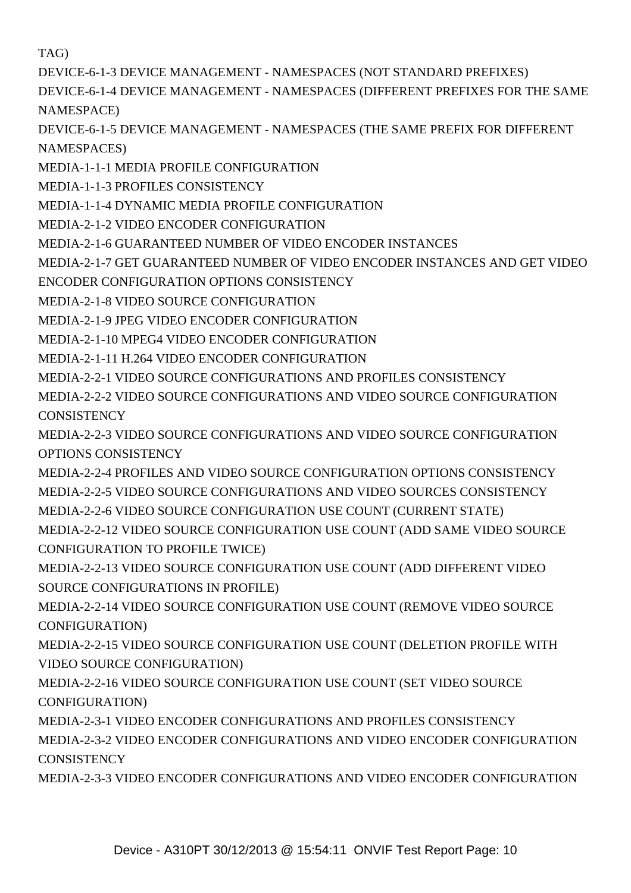[TAG\)](#DEVICE-6-1-2 DEVICE MANAGEMENT - NAMESPACES (DEFAULT NAMESPACES FOR PARENT TAG))

[DEVICE-6-1-3 DEVICE MANAGEMENT - NAMESPACES \(NOT STANDARD PREFIXES\)](#DEVICE-6-1-3 DEVICE MANAGEMENT - NAMESPACES (NOT STANDARD PREFIXES))

[DEVICE-6-1-4 DEVICE MANAGEMENT - NAMESPACES \(DIFFERENT PREFIXES FOR THE SAME](#DEVICE-6-1-4 DEVICE MANAGEMENT - NAMESPACES (DIFFERENT PREFIXES FOR THE SAME NAMESPACE)) [NAMESPACE\)](#DEVICE-6-1-4 DEVICE MANAGEMENT - NAMESPACES (DIFFERENT PREFIXES FOR THE SAME NAMESPACE))

[DEVICE-6-1-5 DEVICE MANAGEMENT - NAMESPACES \(THE SAME PREFIX FOR DIFFERENT](#DEVICE-6-1-5 DEVICE MANAGEMENT - NAMESPACES (THE SAME PREFIX FOR DIFFERENT NAMESPACES)) [NAMESPACES\)](#DEVICE-6-1-5 DEVICE MANAGEMENT - NAMESPACES (THE SAME PREFIX FOR DIFFERENT NAMESPACES))

[MEDIA-1-1-1 MEDIA PROFILE CONFIGURATION](#MEDIA-1-1-1 MEDIA PROFILE CONFIGURATION)

[MEDIA-1-1-3 PROFILES CONSISTENCY](#MEDIA-1-1-3 PROFILES CONSISTENCY)

[MEDIA-1-1-4 DYNAMIC MEDIA PROFILE CONFIGURATION](#MEDIA-1-1-4 DYNAMIC MEDIA PROFILE CONFIGURATION)

[MEDIA-2-1-2 VIDEO ENCODER CONFIGURATION](#MEDIA-2-1-2 VIDEO ENCODER CONFIGURATION)

[MEDIA-2-1-6 GUARANTEED NUMBER OF VIDEO ENCODER INSTANCES](#MEDIA-2-1-6 GUARANTEED NUMBER OF VIDEO ENCODER INSTANCES)

[MEDIA-2-1-7 GET GUARANTEED NUMBER OF VIDEO ENCODER INSTANCES AND GET VIDEO](#MEDIA-2-1-7 GET GUARANTEED NUMBER OF VIDEO ENCODER INSTANCES AND GET VIDEO ENCODER CONFIGURATION OPTIONS CONSISTENCY)

[ENCODER CONFIGURATION OPTIONS CONSISTENCY](#MEDIA-2-1-7 GET GUARANTEED NUMBER OF VIDEO ENCODER INSTANCES AND GET VIDEO ENCODER CONFIGURATION OPTIONS CONSISTENCY)

[MEDIA-2-1-8 VIDEO SOURCE CONFIGURATION](#MEDIA-2-1-8 VIDEO SOURCE CONFIGURATION)

[MEDIA-2-1-9 JPEG VIDEO ENCODER CONFIGURATION](#MEDIA-2-1-9 JPEG VIDEO ENCODER CONFIGURATION)

[MEDIA-2-1-10 MPEG4 VIDEO ENCODER CONFIGURATION](#MEDIA-2-1-10 MPEG4 VIDEO ENCODER CONFIGURATION)

[MEDIA-2-1-11 H.264 VIDEO ENCODER CONFIGURATION](#MEDIA-2-1-11 H.264 VIDEO ENCODER CONFIGURATION)

[MEDIA-2-2-1 VIDEO SOURCE CONFIGURATIONS AND PROFILES CONSISTENCY](#MEDIA-2-2-1 VIDEO SOURCE CONFIGURATIONS AND PROFILES CONSISTENCY)

[MEDIA-2-2-2 VIDEO SOURCE CONFIGURATIONS AND VIDEO SOURCE CONFIGURATION](#MEDIA-2-2-2 VIDEO SOURCE CONFIGURATIONS AND VIDEO SOURCE CONFIGURATION CONSISTENCY) **[CONSISTENCY](#MEDIA-2-2-2 VIDEO SOURCE CONFIGURATIONS AND VIDEO SOURCE CONFIGURATION CONSISTENCY)** 

[MEDIA-2-2-3 VIDEO SOURCE CONFIGURATIONS AND VIDEO SOURCE CONFIGURATION](#MEDIA-2-2-3 VIDEO SOURCE CONFIGURATIONS AND VIDEO SOURCE CONFIGURATION OPTIONS CONSISTENCY) [OPTIONS CONSISTENCY](#MEDIA-2-2-3 VIDEO SOURCE CONFIGURATIONS AND VIDEO SOURCE CONFIGURATION OPTIONS CONSISTENCY)

[MEDIA-2-2-4 PROFILES AND VIDEO SOURCE CONFIGURATION OPTIONS CONSISTENCY](#MEDIA-2-2-4 PROFILES AND VIDEO SOURCE CONFIGURATION OPTIONS CONSISTENCY) [MEDIA-2-2-5 VIDEO SOURCE CONFIGURATIONS AND VIDEO SOURCES CONSISTENCY](#MEDIA-2-2-5 VIDEO SOURCE CONFIGURATIONS AND VIDEO SOURCES CONSISTENCY) [MEDIA-2-2-6 VIDEO SOURCE CONFIGURATION USE COUNT \(CURRENT STATE\)](#MEDIA-2-2-6 VIDEO SOURCE CONFIGURATION USE COUNT (CURRENT STATE))

[MEDIA-2-2-12 VIDEO SOURCE CONFIGURATION USE COUNT \(ADD SAME VIDEO SOURCE](#MEDIA-2-2-12 VIDEO SOURCE CONFIGURATION USE COUNT (ADD SAME VIDEO SOURCE CONFIGURATION TO PROFILE TWICE)) [CONFIGURATION TO PROFILE TWICE\)](#MEDIA-2-2-12 VIDEO SOURCE CONFIGURATION USE COUNT (ADD SAME VIDEO SOURCE CONFIGURATION TO PROFILE TWICE))

[MEDIA-2-2-13 VIDEO SOURCE CONFIGURATION USE COUNT \(ADD DIFFERENT VIDEO](#MEDIA-2-2-13 VIDEO SOURCE CONFIGURATION USE COUNT (ADD DIFFERENT VIDEO SOURCE CONFIGURATIONS IN PROFILE)) [SOURCE CONFIGURATIONS IN PROFILE\)](#MEDIA-2-2-13 VIDEO SOURCE CONFIGURATION USE COUNT (ADD DIFFERENT VIDEO SOURCE CONFIGURATIONS IN PROFILE))

[MEDIA-2-2-14 VIDEO SOURCE CONFIGURATION USE COUNT \(REMOVE VIDEO SOURCE](#MEDIA-2-2-14 VIDEO SOURCE CONFIGURATION USE COUNT (REMOVE VIDEO SOURCE CONFIGURATION)) [CONFIGURATION\)](#MEDIA-2-2-14 VIDEO SOURCE CONFIGURATION USE COUNT (REMOVE VIDEO SOURCE CONFIGURATION))

[MEDIA-2-2-15 VIDEO SOURCE CONFIGURATION USE COUNT \(DELETION PROFILE WITH](#MEDIA-2-2-15 VIDEO SOURCE CONFIGURATION USE COUNT (DELETION PROFILE WITH VIDEO SOURCE CONFIGURATION)) [VIDEO SOURCE CONFIGURATION\)](#MEDIA-2-2-15 VIDEO SOURCE CONFIGURATION USE COUNT (DELETION PROFILE WITH VIDEO SOURCE CONFIGURATION))

[MEDIA-2-2-16 VIDEO SOURCE CONFIGURATION USE COUNT \(SET VIDEO SOURCE](#MEDIA-2-2-16 VIDEO SOURCE CONFIGURATION USE COUNT (SET VIDEO SOURCE CONFIGURATION)) [CONFIGURATION\)](#MEDIA-2-2-16 VIDEO SOURCE CONFIGURATION USE COUNT (SET VIDEO SOURCE CONFIGURATION))

[MEDIA-2-3-1 VIDEO ENCODER CONFIGURATIONS AND PROFILES CONSISTENCY](#MEDIA-2-3-1 VIDEO ENCODER CONFIGURATIONS AND PROFILES CONSISTENCY)

[MEDIA-2-3-2 VIDEO ENCODER CONFIGURATIONS AND VIDEO ENCODER CONFIGURATION](#MEDIA-2-3-2 VIDEO ENCODER CONFIGURATIONS AND VIDEO ENCODER CONFIGURATION CONSISTENCY) **[CONSISTENCY](#MEDIA-2-3-2 VIDEO ENCODER CONFIGURATIONS AND VIDEO ENCODER CONFIGURATION CONSISTENCY)** 

[MEDIA-2-3-3 VIDEO ENCODER CONFIGURATIONS AND VIDEO ENCODER CONFIGURATION](#MEDIA-2-3-3 VIDEO ENCODER CONFIGURATIONS AND VIDEO ENCODER CONFIGURATION OPTIONS CONSISTENCY)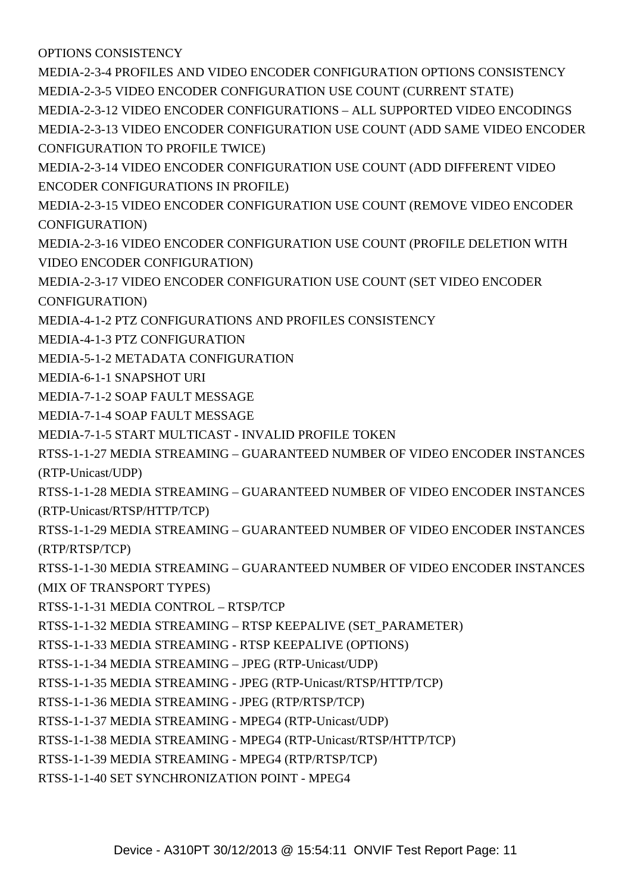[OPTIONS CONSISTENCY](#MEDIA-2-3-3 VIDEO ENCODER CONFIGURATIONS AND VIDEO ENCODER CONFIGURATION OPTIONS CONSISTENCY)

[MEDIA-2-3-4 PROFILES AND VIDEO ENCODER CONFIGURATION OPTIONS CONSISTENCY](#MEDIA-2-3-4 PROFILES AND VIDEO ENCODER CONFIGURATION OPTIONS CONSISTENCY) [MEDIA-2-3-5 VIDEO ENCODER CONFIGURATION USE COUNT \(CURRENT STATE\)](#MEDIA-2-3-5 VIDEO ENCODER CONFIGURATION USE COUNT (CURRENT STATE))

[MEDIA-2-3-12 VIDEO ENCODER CONFIGURATIONS – ALL SUPPORTED VIDEO ENCODINGS](#MEDIA-2-3-12 VIDEO ENCODER CONFIGURATIONS � ALL SUPPORTED VIDEO ENCODINGS) [MEDIA-2-3-13 VIDEO ENCODER CONFIGURATION USE COUNT \(ADD SAME VIDEO ENCODER](#MEDIA-2-3-13 VIDEO ENCODER CONFIGURATION USE COUNT (ADD SAME VIDEO ENCODER CONFIGURATION TO PROFILE TWICE)) [CONFIGURATION TO PROFILE TWICE\)](#MEDIA-2-3-13 VIDEO ENCODER CONFIGURATION USE COUNT (ADD SAME VIDEO ENCODER CONFIGURATION TO PROFILE TWICE))

[MEDIA-2-3-14 VIDEO ENCODER CONFIGURATION USE COUNT \(ADD DIFFERENT VIDEO](#MEDIA-2-3-14 VIDEO ENCODER CONFIGURATION USE COUNT (ADD DIFFERENT VIDEO ENCODER CONFIGURATIONS IN PROFILE)) [ENCODER CONFIGURATIONS IN PROFILE\)](#MEDIA-2-3-14 VIDEO ENCODER CONFIGURATION USE COUNT (ADD DIFFERENT VIDEO ENCODER CONFIGURATIONS IN PROFILE))

[MEDIA-2-3-15 VIDEO ENCODER CONFIGURATION USE COUNT \(REMOVE VIDEO ENCODER](#MEDIA-2-3-15 VIDEO ENCODER CONFIGURATION USE COUNT (REMOVE VIDEO ENCODER CONFIGURATION)) [CONFIGURATION\)](#MEDIA-2-3-15 VIDEO ENCODER CONFIGURATION USE COUNT (REMOVE VIDEO ENCODER CONFIGURATION))

[MEDIA-2-3-16 VIDEO ENCODER CONFIGURATION USE COUNT \(PROFILE DELETION WITH](#MEDIA-2-3-16 VIDEO ENCODER CONFIGURATION USE COUNT (PROFILE DELETION WITH VIDEO ENCODER CONFIGURATION)) [VIDEO ENCODER CONFIGURATION\)](#MEDIA-2-3-16 VIDEO ENCODER CONFIGURATION USE COUNT (PROFILE DELETION WITH VIDEO ENCODER CONFIGURATION))

[MEDIA-2-3-17 VIDEO ENCODER CONFIGURATION USE COUNT \(SET VIDEO ENCODER](#MEDIA-2-3-17 VIDEO ENCODER CONFIGURATION USE COUNT (SET VIDEO ENCODER CONFIGURATION)) [CONFIGURATION\)](#MEDIA-2-3-17 VIDEO ENCODER CONFIGURATION USE COUNT (SET VIDEO ENCODER CONFIGURATION))

[MEDIA-4-1-2 PTZ CONFIGURATIONS AND PROFILES CONSISTENCY](#MEDIA-4-1-2 PTZ CONFIGURATIONS AND PROFILES CONSISTENCY)

[MEDIA-4-1-3 PTZ CONFIGURATION](#MEDIA-4-1-3 PTZ CONFIGURATION)

[MEDIA-5-1-2 METADATA CONFIGURATION](#MEDIA-5-1-2 METADATA CONFIGURATION)

[MEDIA-6-1-1 SNAPSHOT URI](#MEDIA-6-1-1 SNAPSHOT URI)

[MEDIA-7-1-2 SOAP FAULT MESSAGE](#MEDIA-7-1-2 SOAP FAULT MESSAGE)

[MEDIA-7-1-4 SOAP FAULT MESSAGE](#MEDIA-7-1-4 SOAP FAULT MESSAGE)

[MEDIA-7-1-5 START MULTICAST - INVALID PROFILE TOKEN](#MEDIA-7-1-5 START MULTICAST - INVALID PROFILE TOKEN)

[RTSS-1-1-27 MEDIA STREAMING – GUARANTEED NUMBER OF VIDEO ENCODER INSTANCES](#RTSS-1-1-27 MEDIA STREAMING � GUARANTEED NUMBER OF VIDEO ENCODER INSTANCES (RTP-Unicast/UDP)) [\(RTP-Unicast/UDP\)](#RTSS-1-1-27 MEDIA STREAMING � GUARANTEED NUMBER OF VIDEO ENCODER INSTANCES (RTP-Unicast/UDP))

[RTSS-1-1-28 MEDIA STREAMING – GUARANTEED NUMBER OF VIDEO ENCODER INSTANCES](#RTSS-1-1-28 MEDIA STREAMING � GUARANTEED NUMBER OF VIDEO ENCODER INSTANCES (RTP-Unicast/RTSP/HTTP/TCP)) [\(RTP-Unicast/RTSP/HTTP/TCP\)](#RTSS-1-1-28 MEDIA STREAMING � GUARANTEED NUMBER OF VIDEO ENCODER INSTANCES (RTP-Unicast/RTSP/HTTP/TCP))

[RTSS-1-1-29 MEDIA STREAMING – GUARANTEED NUMBER OF VIDEO ENCODER INSTANCES](#RTSS-1-1-29 MEDIA STREAMING � GUARANTEED NUMBER OF VIDEO ENCODER INSTANCES (RTP/RTSP/TCP)) [\(RTP/RTSP/TCP\)](#RTSS-1-1-29 MEDIA STREAMING � GUARANTEED NUMBER OF VIDEO ENCODER INSTANCES (RTP/RTSP/TCP))

[RTSS-1-1-30 MEDIA STREAMING – GUARANTEED NUMBER OF VIDEO ENCODER INSTANCES](#RTSS-1-1-30 MEDIA STREAMING � GUARANTEED NUMBER OF VIDEO ENCODER INSTANCES (MIX OF TRANSPORT TYPES)) [\(MIX OF TRANSPORT TYPES\)](#RTSS-1-1-30 MEDIA STREAMING � GUARANTEED NUMBER OF VIDEO ENCODER INSTANCES (MIX OF TRANSPORT TYPES))

[RTSS-1-1-31 MEDIA CONTROL – RTSP/TCP](#RTSS-1-1-31 MEDIA CONTROL � RTSP/TCP)

[RTSS-1-1-32 MEDIA STREAMING – RTSP KEEPALIVE \(SET\\_PARAMETER\)](#RTSS-1-1-32 MEDIA STREAMING � RTSP KEEPALIVE (SET_PARAMETER))

[RTSS-1-1-33 MEDIA STREAMING - RTSP KEEPALIVE \(OPTIONS\)](#RTSS-1-1-33 MEDIA STREAMING - RTSP KEEPALIVE (OPTIONS))

[RTSS-1-1-34 MEDIA STREAMING – JPEG \(RTP-Unicast/UDP\)](#RTSS-1-1-34 MEDIA STREAMING � JPEG (RTP-Unicast/UDP))

[RTSS-1-1-35 MEDIA STREAMING - JPEG \(RTP-Unicast/RTSP/HTTP/TCP\)](#RTSS-1-1-35 MEDIA STREAMING - JPEG (RTP-Unicast/RTSP/HTTP/TCP))

[RTSS-1-1-36 MEDIA STREAMING - JPEG \(RTP/RTSP/TCP\)](#RTSS-1-1-36 MEDIA STREAMING - JPEG (RTP/RTSP/TCP))

[RTSS-1-1-37 MEDIA STREAMING - MPEG4 \(RTP-Unicast/UDP\)](#RTSS-1-1-37 MEDIA STREAMING - MPEG4 (RTP-Unicast/UDP))

[RTSS-1-1-38 MEDIA STREAMING - MPEG4 \(RTP-Unicast/RTSP/HTTP/TCP\)](#RTSS-1-1-38 MEDIA STREAMING - MPEG4 (RTP-Unicast/RTSP/HTTP/TCP))

[RTSS-1-1-39 MEDIA STREAMING - MPEG4 \(RTP/RTSP/TCP\)](#RTSS-1-1-39 MEDIA STREAMING - MPEG4 (RTP/RTSP/TCP))

[RTSS-1-1-40 SET SYNCHRONIZATION POINT - MPEG4](#RTSS-1-1-40 SET SYNCHRONIZATION POINT - MPEG4)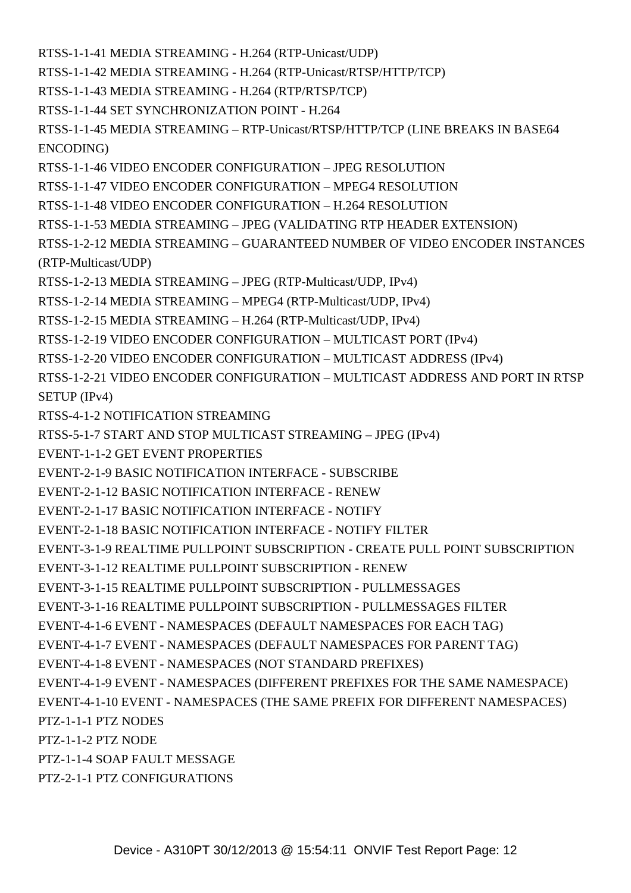[RTSS-1-1-41 MEDIA STREAMING - H.264 \(RTP-Unicast/UDP\)](#RTSS-1-1-41 MEDIA STREAMING - H.264 (RTP-Unicast/UDP))

[RTSS-1-1-42 MEDIA STREAMING - H.264 \(RTP-Unicast/RTSP/HTTP/TCP\)](#RTSS-1-1-42 MEDIA STREAMING - H.264 (RTP-Unicast/RTSP/HTTP/TCP))

[RTSS-1-1-43 MEDIA STREAMING - H.264 \(RTP/RTSP/TCP\)](#RTSS-1-1-43 MEDIA STREAMING - H.264 (RTP/RTSP/TCP))

[RTSS-1-1-44 SET SYNCHRONIZATION POINT - H.264](#RTSS-1-1-44 SET SYNCHRONIZATION POINT - H.264)

[RTSS-1-1-45 MEDIA STREAMING – RTP-Unicast/RTSP/HTTP/TCP \(LINE BREAKS IN BASE64](#RTSS-1-1-45 MEDIA STREAMING � RTP-Unicast/RTSP/HTTP/TCP (LINE BREAKS IN BASE64 ENCODING)) [ENCODING\)](#RTSS-1-1-45 MEDIA STREAMING � RTP-Unicast/RTSP/HTTP/TCP (LINE BREAKS IN BASE64 ENCODING))

[RTSS-1-1-46 VIDEO ENCODER CONFIGURATION – JPEG RESOLUTION](#RTSS-1-1-46 VIDEO ENCODER CONFIGURATION � JPEG RESOLUTION)

[RTSS-1-1-47 VIDEO ENCODER CONFIGURATION – MPEG4 RESOLUTION](#RTSS-1-1-47 VIDEO ENCODER CONFIGURATION � MPEG4 RESOLUTION)

[RTSS-1-1-48 VIDEO ENCODER CONFIGURATION – H.264 RESOLUTION](#RTSS-1-1-48 VIDEO ENCODER CONFIGURATION � H.264 RESOLUTION)

[RTSS-1-1-53 MEDIA STREAMING – JPEG \(VALIDATING RTP HEADER EXTENSION\)](#RTSS-1-1-53 MEDIA STREAMING � JPEG (VALIDATING RTP HEADER EXTENSION))

[RTSS-1-2-12 MEDIA STREAMING – GUARANTEED NUMBER OF VIDEO ENCODER INSTANCES](#RTSS-1-2-12 MEDIA STREAMING � GUARANTEED NUMBER OF VIDEO ENCODER INSTANCES (RTP-Multicast/UDP)) [\(RTP-Multicast/UDP\)](#RTSS-1-2-12 MEDIA STREAMING � GUARANTEED NUMBER OF VIDEO ENCODER INSTANCES (RTP-Multicast/UDP))

[RTSS-1-2-13 MEDIA STREAMING – JPEG \(RTP-Multicast/UDP, IPv4\)](#RTSS-1-2-13 MEDIA STREAMING � JPEG (RTP-Multicast/UDP, IPv4))

[RTSS-1-2-14 MEDIA STREAMING – MPEG4 \(RTP-Multicast/UDP, IPv4\)](#RTSS-1-2-14 MEDIA STREAMING � MPEG4 (RTP-Multicast/UDP, IPv4))

[RTSS-1-2-15 MEDIA STREAMING – H.264 \(RTP-Multicast/UDP, IPv4\)](#RTSS-1-2-15 MEDIA STREAMING � H.264 (RTP-Multicast/UDP, IPv4))

[RTSS-1-2-19 VIDEO ENCODER CONFIGURATION – MULTICAST PORT \(IPv4\)](#RTSS-1-2-19 VIDEO ENCODER CONFIGURATION � MULTICAST PORT (IPv4))

[RTSS-1-2-20 VIDEO ENCODER CONFIGURATION – MULTICAST ADDRESS \(IPv4\)](#RTSS-1-2-20 VIDEO ENCODER CONFIGURATION � MULTICAST ADDRESS (IPv4))

[RTSS-1-2-21 VIDEO ENCODER CONFIGURATION – MULTICAST ADDRESS AND PORT IN RTSP](#RTSS-1-2-21 VIDEO ENCODER CONFIGURATION � MULTICAST ADDRESS AND PORT IN RTSP SETUP (IPv4)) [SETUP \(IPv4\)](#RTSS-1-2-21 VIDEO ENCODER CONFIGURATION � MULTICAST ADDRESS AND PORT IN RTSP SETUP (IPv4))

[RTSS-4-1-2 NOTIFICATION STREAMING](#RTSS-4-1-2 NOTIFICATION STREAMING)

[RTSS-5-1-7 START AND STOP MULTICAST STREAMING – JPEG \(IPv4\)](#RTSS-5-1-7 START AND STOP MULTICAST STREAMING � JPEG (IPv4))

[EVENT-1-1-2 GET EVENT PROPERTIES](#EVENT-1-1-2 GET EVENT PROPERTIES)

[EVENT-2-1-9 BASIC NOTIFICATION INTERFACE - SUBSCRIBE](#EVENT-2-1-9 BASIC NOTIFICATION INTERFACE - SUBSCRIBE)

[EVENT-2-1-12 BASIC NOTIFICATION INTERFACE - RENEW](#EVENT-2-1-12 BASIC NOTIFICATION INTERFACE - RENEW)

[EVENT-2-1-17 BASIC NOTIFICATION INTERFACE - NOTIFY](#EVENT-2-1-17 BASIC NOTIFICATION INTERFACE - NOTIFY)

[EVENT-2-1-18 BASIC NOTIFICATION INTERFACE - NOTIFY FILTER](#EVENT-2-1-18 BASIC NOTIFICATION INTERFACE - NOTIFY FILTER)

[EVENT-3-1-9 REALTIME PULLPOINT SUBSCRIPTION - CREATE PULL POINT SUBSCRIPTION](#EVENT-3-1-9 REALTIME PULLPOINT SUBSCRIPTION - CREATE PULL POINT SUBSCRIPTION)

[EVENT-3-1-12 REALTIME PULLPOINT SUBSCRIPTION - RENEW](#EVENT-3-1-12 REALTIME PULLPOINT SUBSCRIPTION - RENEW)

[EVENT-3-1-15 REALTIME PULLPOINT SUBSCRIPTION - PULLMESSAGES](#EVENT-3-1-15 REALTIME PULLPOINT SUBSCRIPTION - PULLMESSAGES)

[EVENT-3-1-16 REALTIME PULLPOINT SUBSCRIPTION - PULLMESSAGES FILTER](#EVENT-3-1-16 REALTIME PULLPOINT SUBSCRIPTION - PULLMESSAGES FILTER)

[EVENT-4-1-6 EVENT - NAMESPACES \(DEFAULT NAMESPACES FOR EACH TAG\)](#EVENT-4-1-6 EVENT - NAMESPACES (DEFAULT NAMESPACES FOR EACH TAG))

[EVENT-4-1-7 EVENT - NAMESPACES \(DEFAULT NAMESPACES FOR PARENT TAG\)](#EVENT-4-1-7 EVENT - NAMESPACES (DEFAULT NAMESPACES FOR PARENT TAG))

[EVENT-4-1-8 EVENT - NAMESPACES \(NOT STANDARD PREFIXES\)](#EVENT-4-1-8 EVENT - NAMESPACES (NOT STANDARD PREFIXES))

[EVENT-4-1-9 EVENT - NAMESPACES \(DIFFERENT PREFIXES FOR THE SAME NAMESPACE\)](#EVENT-4-1-9 EVENT - NAMESPACES (DIFFERENT PREFIXES FOR THE SAME NAMESPACE))

[EVENT-4-1-10 EVENT - NAMESPACES \(THE SAME PREFIX FOR DIFFERENT NAMESPACES\)](#EVENT-4-1-10 EVENT - NAMESPACES (THE SAME PREFIX FOR DIFFERENT NAMESPACES))

[PTZ-1-1-1 PTZ NODES](#PTZ-1-1-1 PTZ NODES)

[PTZ-1-1-2 PTZ NODE](#PTZ-1-1-2 PTZ NODE)

[PTZ-1-1-4 SOAP FAULT MESSAGE](#PTZ-1-1-4 SOAP FAULT MESSAGE)

[PTZ-2-1-1 PTZ CONFIGURATIONS](#PTZ-2-1-1 PTZ CONFIGURATIONS)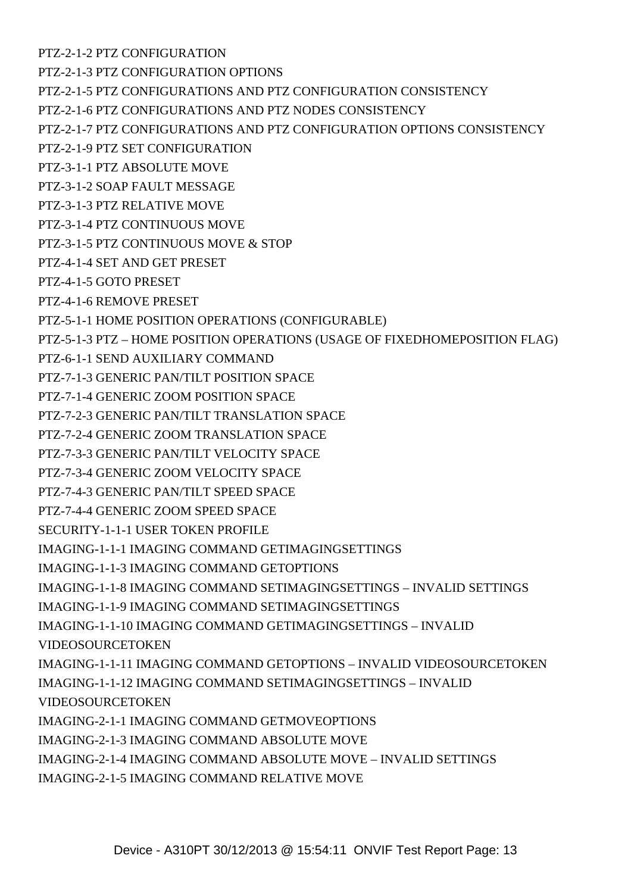[PTZ-2-1-2 PTZ CONFIGURATION](#PTZ-2-1-2 PTZ CONFIGURATION)

[PTZ-2-1-3 PTZ CONFIGURATION OPTIONS](#PTZ-2-1-3 PTZ CONFIGURATION OPTIONS)

[PTZ-2-1-5 PTZ CONFIGURATIONS AND PTZ CONFIGURATION CONSISTENCY](#PTZ-2-1-5 PTZ CONFIGURATIONS AND PTZ CONFIGURATION CONSISTENCY)

[PTZ-2-1-6 PTZ CONFIGURATIONS AND PTZ NODES CONSISTENCY](#PTZ-2-1-6 PTZ CONFIGURATIONS AND PTZ NODES CONSISTENCY)

[PTZ-2-1-7 PTZ CONFIGURATIONS AND PTZ CONFIGURATION OPTIONS CONSISTENCY](#PTZ-2-1-7 PTZ CONFIGURATIONS AND PTZ CONFIGURATION OPTIONS CONSISTENCY)

[PTZ-2-1-9 PTZ SET CONFIGURATION](#PTZ-2-1-9 PTZ SET CONFIGURATION)

[PTZ-3-1-1 PTZ ABSOLUTE MOVE](#PTZ-3-1-1 PTZ ABSOLUTE MOVE)

[PTZ-3-1-2 SOAP FAULT MESSAGE](#PTZ-3-1-2 SOAP FAULT MESSAGE)

[PTZ-3-1-3 PTZ RELATIVE MOVE](#PTZ-3-1-3 PTZ RELATIVE MOVE)

[PTZ-3-1-4 PTZ CONTINUOUS MOVE](#PTZ-3-1-4 PTZ CONTINUOUS MOVE)

[PTZ-3-1-5 PTZ CONTINUOUS MOVE & STOP](#PTZ-3-1-5 PTZ CONTINUOUS MOVE & STOP)

[PTZ-4-1-4 SET AND GET PRESET](#PTZ-4-1-4 SET AND GET PRESET)

[PTZ-4-1-5 GOTO PRESET](#PTZ-4-1-5 GOTO PRESET)

[PTZ-4-1-6 REMOVE PRESET](#PTZ-4-1-6 REMOVE PRESET)

[PTZ-5-1-1 HOME POSITION OPERATIONS \(CONFIGURABLE\)](#PTZ-5-1-1 HOME POSITION OPERATIONS (CONFIGURABLE))

[PTZ-5-1-3 PTZ – HOME POSITION OPERATIONS \(USAGE OF FIXEDHOMEPOSITION FLAG\)](#PTZ-5-1-3 PTZ � HOME POSITION OPERATIONS (USAGE OF FIXEDHOMEPOSITION FLAG))

[PTZ-6-1-1 SEND AUXILIARY COMMAND](#PTZ-6-1-1 SEND AUXILIARY COMMAND)

[PTZ-7-1-3 GENERIC PAN/TILT POSITION SPACE](#PTZ-7-1-3 GENERIC PAN/TILT POSITION SPACE)

[PTZ-7-1-4 GENERIC ZOOM POSITION SPACE](#PTZ-7-1-4 GENERIC ZOOM POSITION SPACE)

[PTZ-7-2-3 GENERIC PAN/TILT TRANSLATION SPACE](#PTZ-7-2-3 GENERIC PAN/TILT TRANSLATION SPACE)

[PTZ-7-2-4 GENERIC ZOOM TRANSLATION SPACE](#PTZ-7-2-4 GENERIC ZOOM TRANSLATION SPACE)

[PTZ-7-3-3 GENERIC PAN/TILT VELOCITY SPACE](#PTZ-7-3-3 GENERIC PAN/TILT VELOCITY SPACE)

[PTZ-7-3-4 GENERIC ZOOM VELOCITY SPACE](#PTZ-7-3-4 GENERIC ZOOM VELOCITY SPACE)

[PTZ-7-4-3 GENERIC PAN/TILT SPEED SPACE](#PTZ-7-4-3 GENERIC PAN/TILT SPEED SPACE)

[PTZ-7-4-4 GENERIC ZOOM SPEED SPACE](#PTZ-7-4-4 GENERIC ZOOM SPEED SPACE)

[SECURITY-1-1-1 USER TOKEN PROFILE](#SECURITY-1-1-1 USER TOKEN PROFILE)

[IMAGING-1-1-1 IMAGING COMMAND GETIMAGINGSETTINGS](#IMAGING-1-1-1 IMAGING COMMAND GETIMAGINGSETTINGS)

[IMAGING-1-1-3 IMAGING COMMAND GETOPTIONS](#IMAGING-1-1-3 IMAGING COMMAND GETOPTIONS)

[IMAGING-1-1-8 IMAGING COMMAND SETIMAGINGSETTINGS – INVALID SETTINGS](#IMAGING-1-1-8 IMAGING COMMAND SETIMAGINGSETTINGS � INVALID SETTINGS)

[IMAGING-1-1-9 IMAGING COMMAND SETIMAGINGSETTINGS](#IMAGING-1-1-9 IMAGING COMMAND SETIMAGINGSETTINGS)

[IMAGING-1-1-10 IMAGING COMMAND GETIMAGINGSETTINGS – INVALID](#IMAGING-1-1-10 IMAGING COMMAND GETIMAGINGSETTINGS � INVALID VIDEOSOURCETOKEN)

[VIDEOSOURCETOKEN](#IMAGING-1-1-10 IMAGING COMMAND GETIMAGINGSETTINGS � INVALID VIDEOSOURCETOKEN)

[IMAGING-1-1-11 IMAGING COMMAND GETOPTIONS – INVALID VIDEOSOURCETOKEN](#IMAGING-1-1-11 IMAGING COMMAND GETOPTIONS � INVALID VIDEOSOURCETOKEN)

[IMAGING-1-1-12 IMAGING COMMAND SETIMAGINGSETTINGS – INVALID](#IMAGING-1-1-12 IMAGING COMMAND SETIMAGINGSETTINGS � INVALID VIDEOSOURCETOKEN)

[VIDEOSOURCETOKEN](#IMAGING-1-1-12 IMAGING COMMAND SETIMAGINGSETTINGS � INVALID VIDEOSOURCETOKEN)

[IMAGING-2-1-1 IMAGING COMMAND GETMOVEOPTIONS](#IMAGING-2-1-1 IMAGING COMMAND GETMOVEOPTIONS)

[IMAGING-2-1-3 IMAGING COMMAND ABSOLUTE MOVE](#IMAGING-2-1-3 IMAGING COMMAND ABSOLUTE MOVE)

[IMAGING-2-1-4 IMAGING COMMAND ABSOLUTE MOVE – INVALID SETTINGS](#IMAGING-2-1-4 IMAGING COMMAND ABSOLUTE MOVE � INVALID SETTINGS)

[IMAGING-2-1-5 IMAGING COMMAND RELATIVE MOVE](#IMAGING-2-1-5 IMAGING COMMAND RELATIVE MOVE)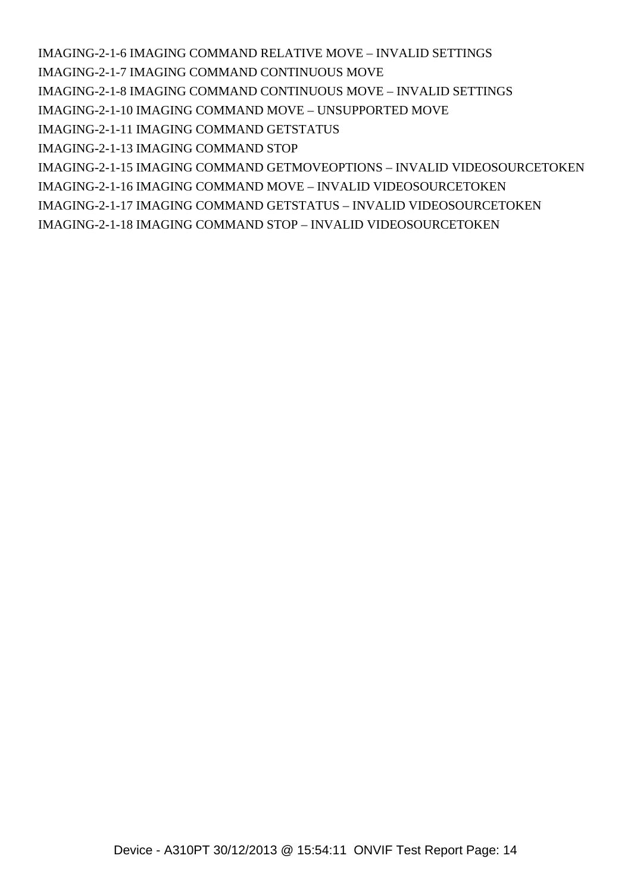[IMAGING-2-1-6 IMAGING COMMAND RELATIVE MOVE – INVALID SETTINGS](#IMAGING-2-1-6 IMAGING COMMAND RELATIVE MOVE � INVALID SETTINGS)

[IMAGING-2-1-7 IMAGING COMMAND CONTINUOUS MOVE](#IMAGING-2-1-7 IMAGING COMMAND CONTINUOUS MOVE)

[IMAGING-2-1-8 IMAGING COMMAND CONTINUOUS MOVE – INVALID SETTINGS](#IMAGING-2-1-8 IMAGING COMMAND CONTINUOUS MOVE � INVALID SETTINGS)

[IMAGING-2-1-10 IMAGING COMMAND MOVE – UNSUPPORTED MOVE](#IMAGING-2-1-10 IMAGING COMMAND MOVE � UNSUPPORTED MOVE)

[IMAGING-2-1-11 IMAGING COMMAND GETSTATUS](#IMAGING-2-1-11 IMAGING COMMAND GETSTATUS)

[IMAGING-2-1-13 IMAGING COMMAND STOP](#IMAGING-2-1-13 IMAGING COMMAND STOP)

[IMAGING-2-1-15 IMAGING COMMAND GETMOVEOPTIONS – INVALID VIDEOSOURCETOKEN](#IMAGING-2-1-15 IMAGING COMMAND GETMOVEOPTIONS � INVALID VIDEOSOURCETOKEN)

[IMAGING-2-1-16 IMAGING COMMAND MOVE – INVALID VIDEOSOURCETOKEN](#IMAGING-2-1-16 IMAGING COMMAND MOVE � INVALID VIDEOSOURCETOKEN)

[IMAGING-2-1-17 IMAGING COMMAND GETSTATUS – INVALID VIDEOSOURCETOKEN](#IMAGING-2-1-17 IMAGING COMMAND GETSTATUS � INVALID VIDEOSOURCETOKEN)

[IMAGING-2-1-18 IMAGING COMMAND STOP – INVALID VIDEOSOURCETOKEN](#IMAGING-2-1-18 IMAGING COMMAND STOP � INVALID VIDEOSOURCETOKEN)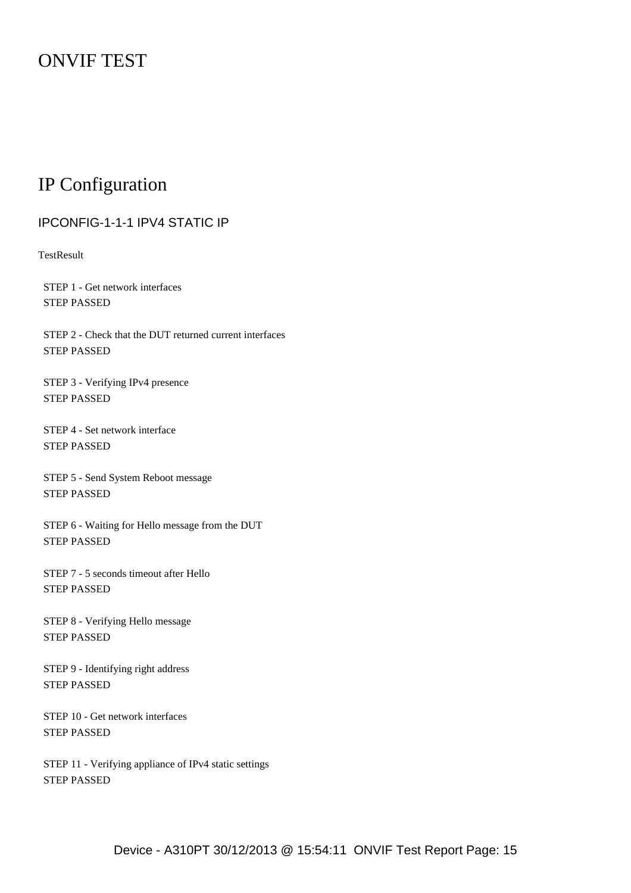# ONVIF TEST

# IP Configuration

## <span id="page-14-0"></span>IPCONFIG-1-1-1 IPV4 STATIC IP

**TestResult** 

 STEP 1 - Get network interfaces STEP PASSED

 STEP 2 - Check that the DUT returned current interfaces STEP PASSED

 STEP 3 - Verifying IPv4 presence STEP PASSED

 STEP 4 - Set network interface STEP PASSED

 STEP 5 - Send System Reboot message STEP PASSED

 STEP 6 - Waiting for Hello message from the DUT STEP PASSED

 STEP 7 - 5 seconds timeout after Hello STEP PASSED

 STEP 8 - Verifying Hello message STEP PASSED

 STEP 9 - Identifying right address STEP PASSED

 STEP 10 - Get network interfaces STEP PASSED

 STEP 11 - Verifying appliance of IPv4 static settings STEP PASSED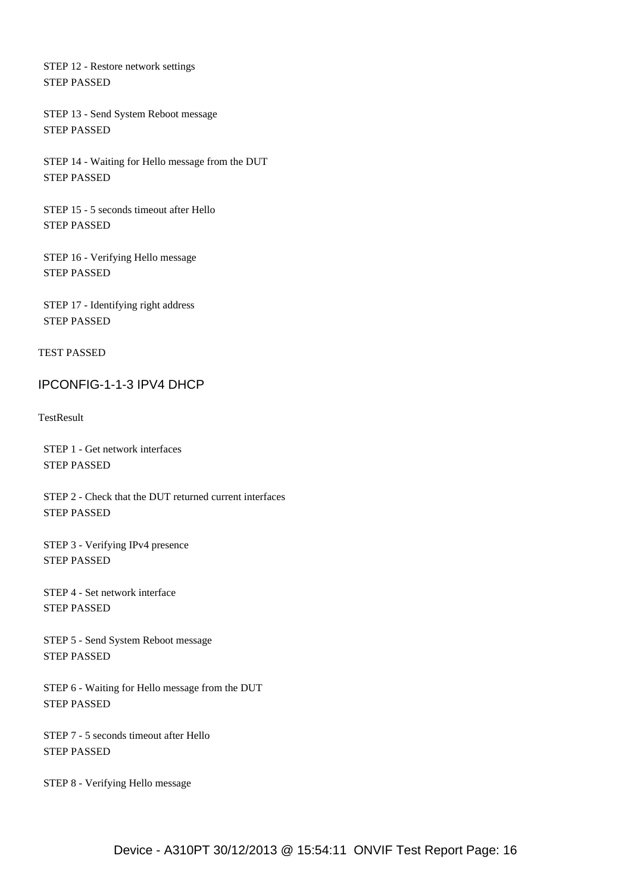STEP 12 - Restore network settings STEP PASSED

 STEP 13 - Send System Reboot message STEP PASSED

 STEP 14 - Waiting for Hello message from the DUT STEP PASSED

 STEP 15 - 5 seconds timeout after Hello STEP PASSED

 STEP 16 - Verifying Hello message STEP PASSED

 STEP 17 - Identifying right address STEP PASSED

TEST PASSED

### <span id="page-15-0"></span>IPCONFIG-1-1-3 IPV4 DHCP

**TestResult** 

 STEP 1 - Get network interfaces STEP PASSED

 STEP 2 - Check that the DUT returned current interfaces STEP PASSED

 STEP 3 - Verifying IPv4 presence STEP PASSED

 STEP 4 - Set network interface STEP PASSED

 STEP 5 - Send System Reboot message STEP PASSED

 STEP 6 - Waiting for Hello message from the DUT STEP PASSED

 STEP 7 - 5 seconds timeout after Hello STEP PASSED

STEP 8 - Verifying Hello message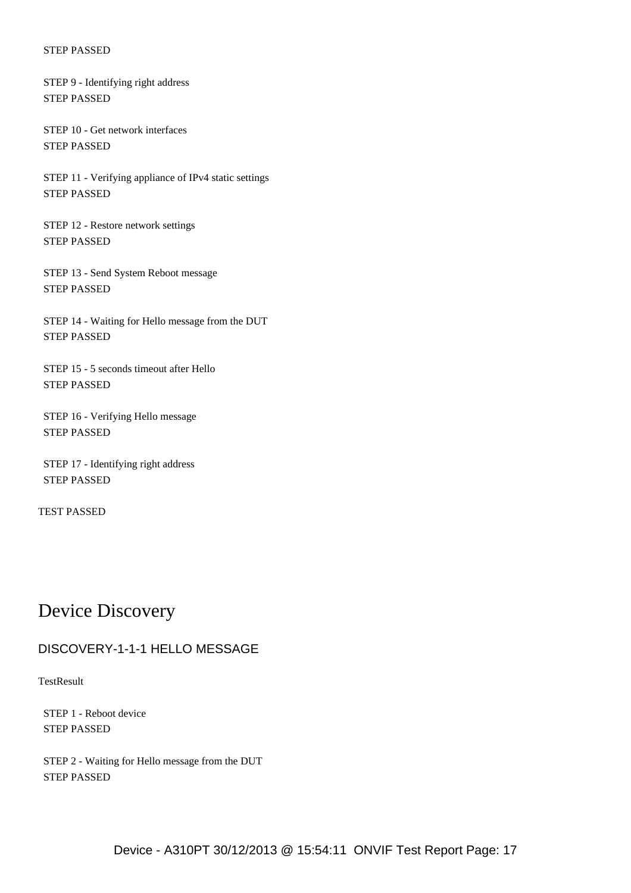STEP 9 - Identifying right address STEP PASSED

 STEP 10 - Get network interfaces STEP PASSED

 STEP 11 - Verifying appliance of IPv4 static settings STEP PASSED

 STEP 12 - Restore network settings STEP PASSED

 STEP 13 - Send System Reboot message STEP PASSED

 STEP 14 - Waiting for Hello message from the DUT STEP PASSED

 STEP 15 - 5 seconds timeout after Hello STEP PASSED

 STEP 16 - Verifying Hello message STEP PASSED

 STEP 17 - Identifying right address STEP PASSED

TEST PASSED

# Device Discovery

## <span id="page-16-0"></span>DISCOVERY-1-1-1 HELLO MESSAGE

**TestResult** 

 STEP 1 - Reboot device STEP PASSED

 STEP 2 - Waiting for Hello message from the DUT STEP PASSED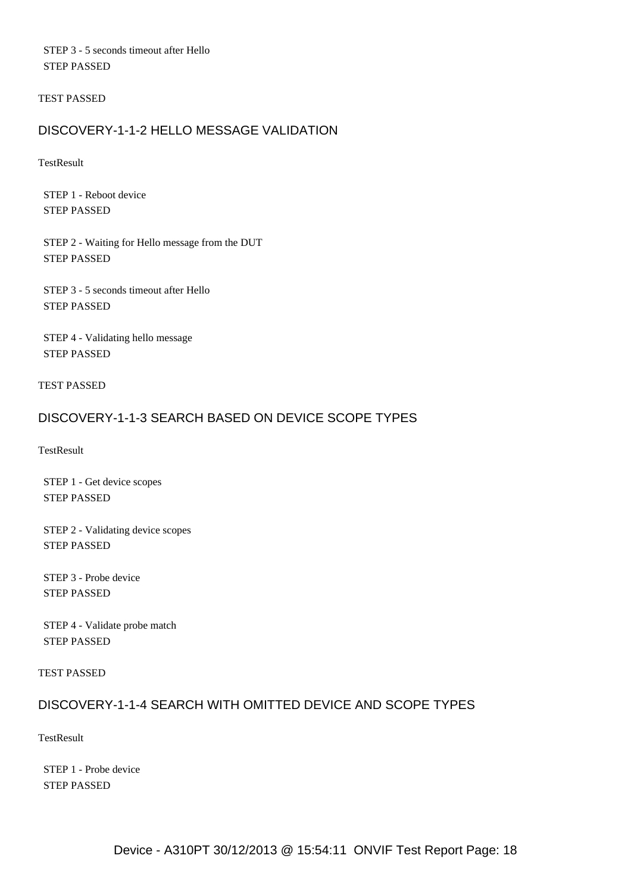STEP 3 - 5 seconds timeout after Hello STEP PASSED

TEST PASSED

## <span id="page-17-0"></span>DISCOVERY-1-1-2 HELLO MESSAGE VALIDATION

**TestResult** 

 STEP 1 - Reboot device STEP PASSED

 STEP 2 - Waiting for Hello message from the DUT STEP PASSED

 STEP 3 - 5 seconds timeout after Hello STEP PASSED

 STEP 4 - Validating hello message STEP PASSED

TEST PASSED

### <span id="page-17-1"></span>DISCOVERY-1-1-3 SEARCH BASED ON DEVICE SCOPE TYPES

**TestResult** 

 STEP 1 - Get device scopes STEP PASSED

 STEP 2 - Validating device scopes STEP PASSED

 STEP 3 - Probe device STEP PASSED

 STEP 4 - Validate probe match STEP PASSED

TEST PASSED

## <span id="page-17-2"></span>DISCOVERY-1-1-4 SEARCH WITH OMITTED DEVICE AND SCOPE TYPES

**TestResult** 

 STEP 1 - Probe device STEP PASSED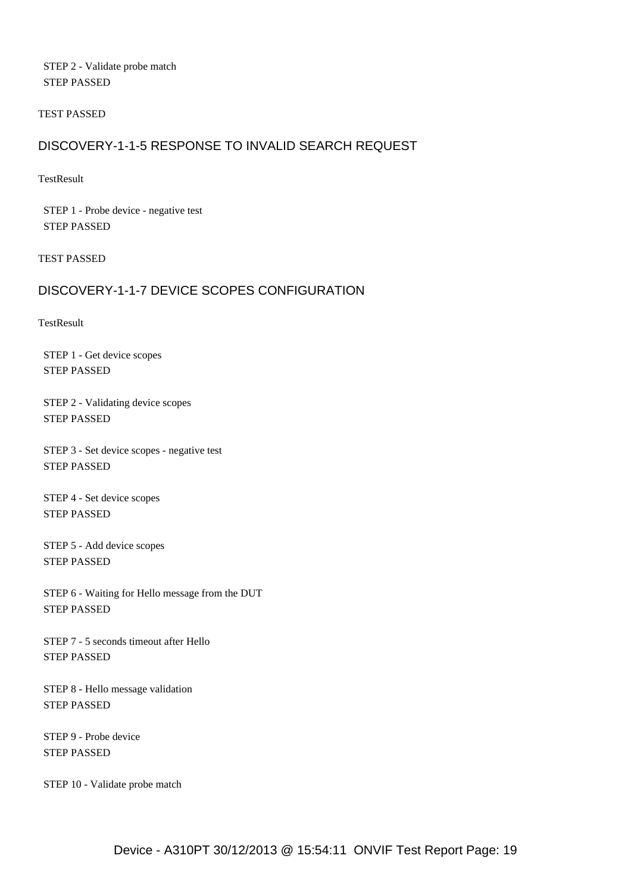STEP 2 - Validate probe match STEP PASSED

TEST PASSED

### <span id="page-18-0"></span>DISCOVERY-1-1-5 RESPONSE TO INVALID SEARCH REQUEST

**TestResult** 

 STEP 1 - Probe device - negative test STEP PASSED

TEST PASSED

## <span id="page-18-1"></span>DISCOVERY-1-1-7 DEVICE SCOPES CONFIGURATION

**TestResult** 

 STEP 1 - Get device scopes STEP PASSED

 STEP 2 - Validating device scopes STEP PASSED

 STEP 3 - Set device scopes - negative test STEP PASSED

 STEP 4 - Set device scopes STEP PASSED

 STEP 5 - Add device scopes STEP PASSED

 STEP 6 - Waiting for Hello message from the DUT STEP PASSED

 STEP 7 - 5 seconds timeout after Hello STEP PASSED

 STEP 8 - Hello message validation STEP PASSED

 STEP 9 - Probe device STEP PASSED

STEP 10 - Validate probe match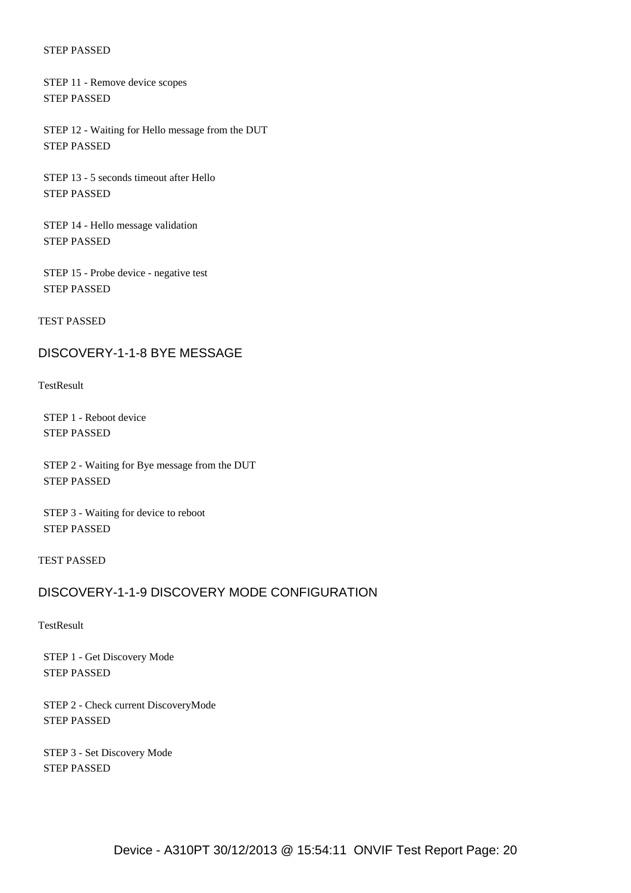STEP 11 - Remove device scopes STEP PASSED

 STEP 12 - Waiting for Hello message from the DUT STEP PASSED

 STEP 13 - 5 seconds timeout after Hello STEP PASSED

 STEP 14 - Hello message validation STEP PASSED

 STEP 15 - Probe device - negative test STEP PASSED

TEST PASSED

#### <span id="page-19-0"></span>DISCOVERY-1-1-8 BYE MESSAGE

**TestResult** 

 STEP 1 - Reboot device STEP PASSED

 STEP 2 - Waiting for Bye message from the DUT STEP PASSED

 STEP 3 - Waiting for device to reboot STEP PASSED

TEST PASSED

#### <span id="page-19-1"></span>DISCOVERY-1-1-9 DISCOVERY MODE CONFIGURATION

#### **TestResult**

 STEP 1 - Get Discovery Mode STEP PASSED

 STEP 2 - Check current DiscoveryMode STEP PASSED

 STEP 3 - Set Discovery Mode STEP PASSED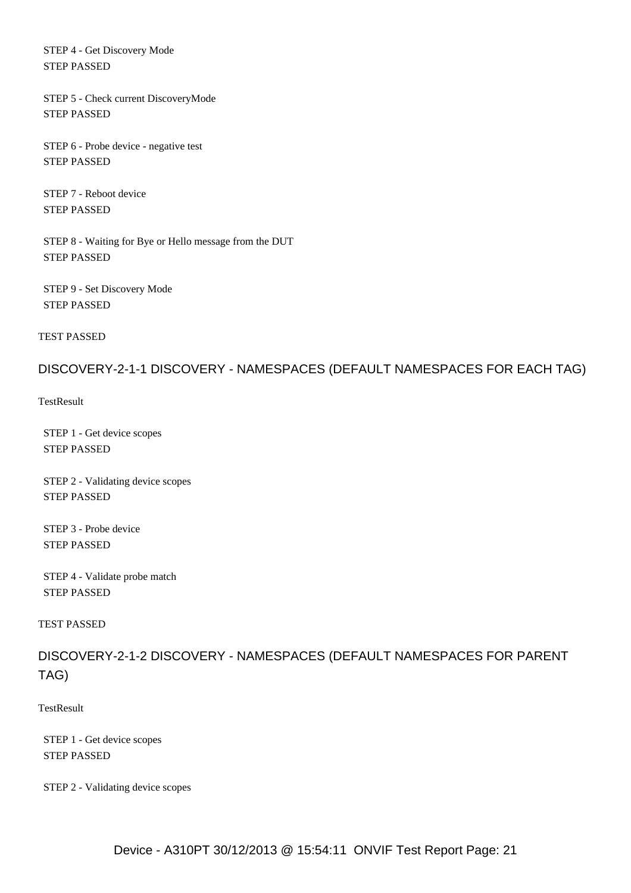STEP 4 - Get Discovery Mode STEP PASSED

 STEP 5 - Check current DiscoveryMode STEP PASSED

 STEP 6 - Probe device - negative test STEP PASSED

 STEP 7 - Reboot device STEP PASSED

 STEP 8 - Waiting for Bye or Hello message from the DUT STEP PASSED

 STEP 9 - Set Discovery Mode STEP PASSED

TEST PASSED

#### <span id="page-20-0"></span>DISCOVERY-2-1-1 DISCOVERY - NAMESPACES (DEFAULT NAMESPACES FOR EACH TAG)

**TestResult** 

 STEP 1 - Get device scopes STEP PASSED

 STEP 2 - Validating device scopes STEP PASSED

 STEP 3 - Probe device STEP PASSED

 STEP 4 - Validate probe match STEP PASSED

TEST PASSED

<span id="page-20-1"></span>DISCOVERY-2-1-2 DISCOVERY - NAMESPACES (DEFAULT NAMESPACES FOR PARENT TAG)

**TestResult** 

 STEP 1 - Get device scopes STEP PASSED

STEP 2 - Validating device scopes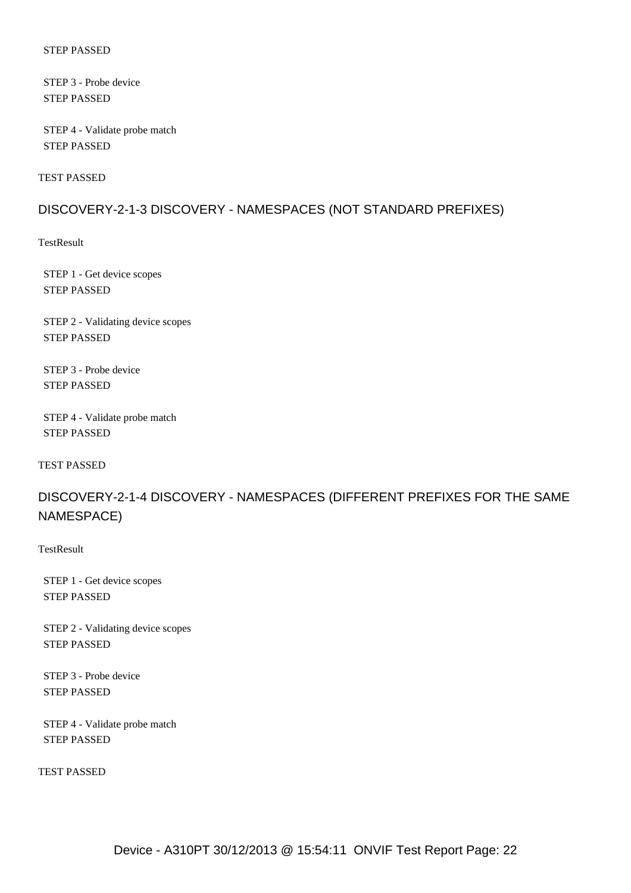STEP 3 - Probe device STEP PASSED

 STEP 4 - Validate probe match STEP PASSED

TEST PASSED

#### <span id="page-21-0"></span>DISCOVERY-2-1-3 DISCOVERY - NAMESPACES (NOT STANDARD PREFIXES)

**TestResult** 

 STEP 1 - Get device scopes STEP PASSED

 STEP 2 - Validating device scopes STEP PASSED

 STEP 3 - Probe device STEP PASSED

 STEP 4 - Validate probe match STEP PASSED

TEST PASSED

<span id="page-21-1"></span>DISCOVERY-2-1-4 DISCOVERY - NAMESPACES (DIFFERENT PREFIXES FOR THE SAME NAMESPACE)

**TestResult** 

 STEP 1 - Get device scopes STEP PASSED

 STEP 2 - Validating device scopes STEP PASSED

 STEP 3 - Probe device STEP PASSED

 STEP 4 - Validate probe match STEP PASSED

TEST PASSED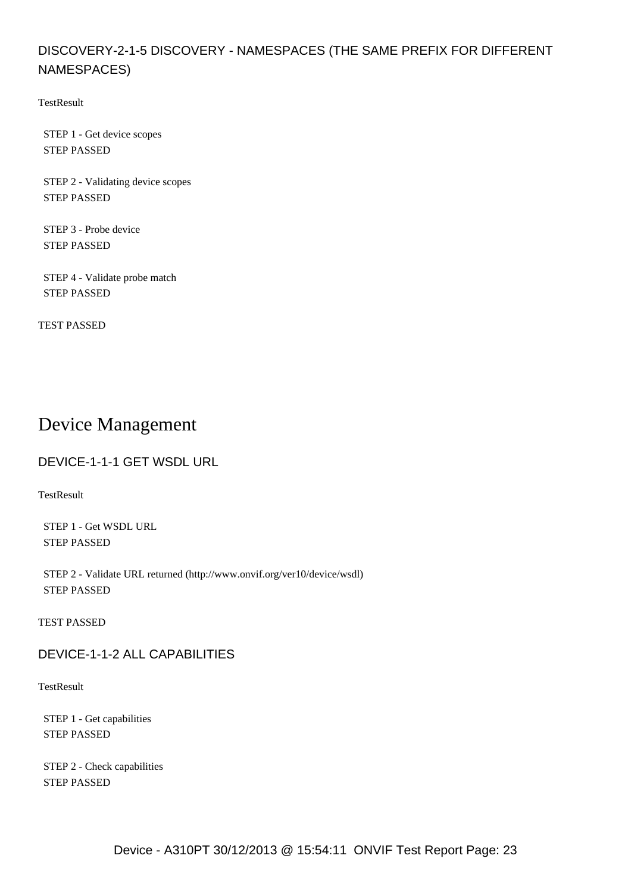## <span id="page-22-0"></span>DISCOVERY-2-1-5 DISCOVERY - NAMESPACES (THE SAME PREFIX FOR DIFFERENT NAMESPACES)

TestResult

 STEP 1 - Get device scopes STEP PASSED

 STEP 2 - Validating device scopes STEP PASSED

 STEP 3 - Probe device STEP PASSED

 STEP 4 - Validate probe match STEP PASSED

TEST PASSED

# Device Management

<span id="page-22-1"></span>DEVICE-1-1-1 GET WSDL URL

**TestResult** 

 STEP 1 - Get WSDL URL STEP PASSED

 STEP 2 - Validate URL returned (http://www.onvif.org/ver10/device/wsdl) STEP PASSED

TEST PASSED

<span id="page-22-2"></span>DEVICE-1-1-2 ALL CAPABILITIES

**TestResult** 

 STEP 1 - Get capabilities STEP PASSED

 STEP 2 - Check capabilities STEP PASSED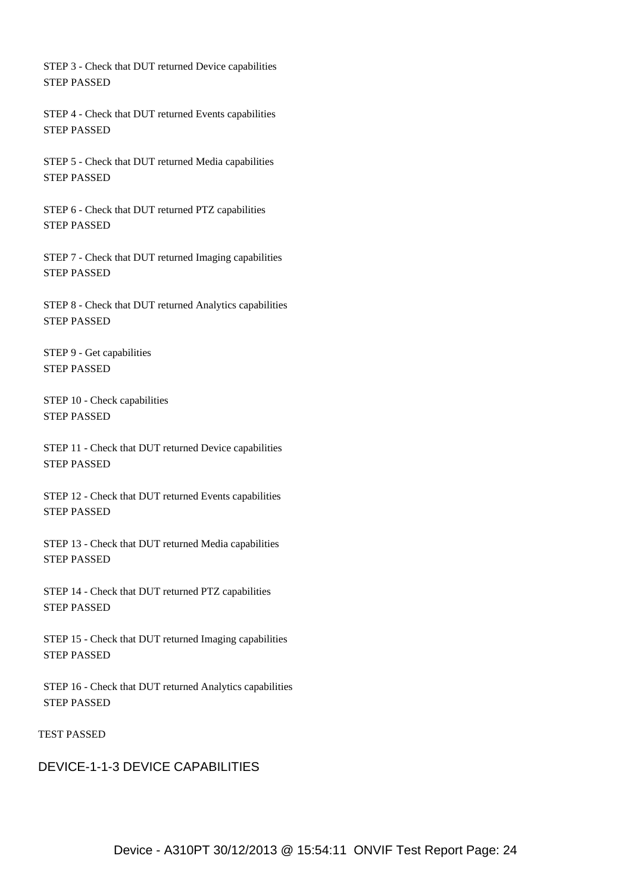STEP 3 - Check that DUT returned Device capabilities STEP PASSED

 STEP 4 - Check that DUT returned Events capabilities STEP PASSED

 STEP 5 - Check that DUT returned Media capabilities STEP PASSED

 STEP 6 - Check that DUT returned PTZ capabilities STEP PASSED

 STEP 7 - Check that DUT returned Imaging capabilities STEP PASSED

 STEP 8 - Check that DUT returned Analytics capabilities STEP PASSED

 STEP 9 - Get capabilities STEP PASSED

 STEP 10 - Check capabilities STEP PASSED

 STEP 11 - Check that DUT returned Device capabilities STEP PASSED

 STEP 12 - Check that DUT returned Events capabilities STEP PASSED

 STEP 13 - Check that DUT returned Media capabilities STEP PASSED

 STEP 14 - Check that DUT returned PTZ capabilities STEP PASSED

 STEP 15 - Check that DUT returned Imaging capabilities STEP PASSED

 STEP 16 - Check that DUT returned Analytics capabilities STEP PASSED

TEST PASSED

<span id="page-23-0"></span>DEVICE-1-1-3 DEVICE CAPABILITIES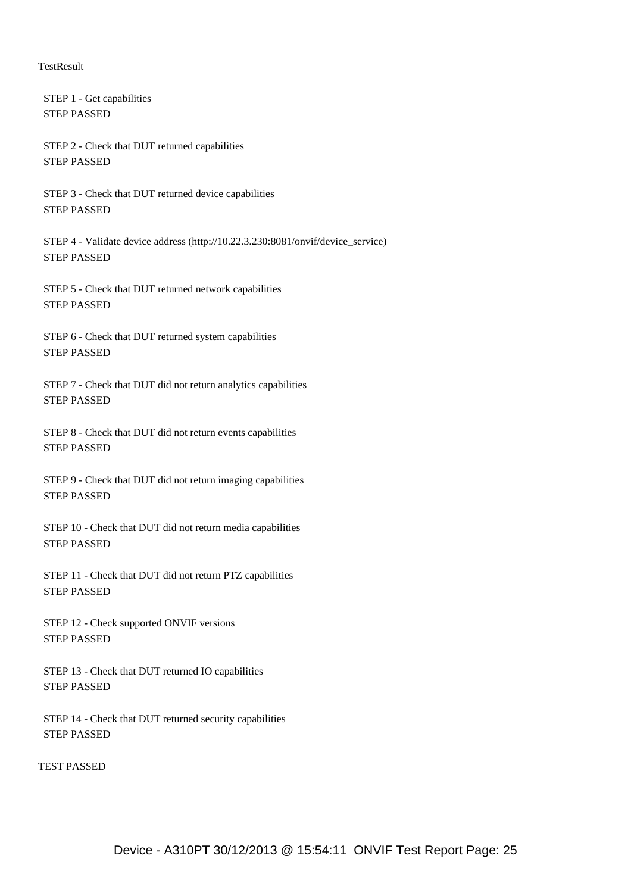#### **TestResult**

 STEP 1 - Get capabilities STEP PASSED

 STEP 2 - Check that DUT returned capabilities STEP PASSED

 STEP 3 - Check that DUT returned device capabilities STEP PASSED

 STEP 4 - Validate device address (http://10.22.3.230:8081/onvif/device\_service) STEP PASSED

 STEP 5 - Check that DUT returned network capabilities STEP PASSED

 STEP 6 - Check that DUT returned system capabilities STEP PASSED

 STEP 7 - Check that DUT did not return analytics capabilities STEP PASSED

 STEP 8 - Check that DUT did not return events capabilities STEP PASSED

 STEP 9 - Check that DUT did not return imaging capabilities STEP PASSED

 STEP 10 - Check that DUT did not return media capabilities STEP PASSED

 STEP 11 - Check that DUT did not return PTZ capabilities STEP PASSED

 STEP 12 - Check supported ONVIF versions STEP PASSED

 STEP 13 - Check that DUT returned IO capabilities STEP PASSED

 STEP 14 - Check that DUT returned security capabilities STEP PASSED

TEST PASSED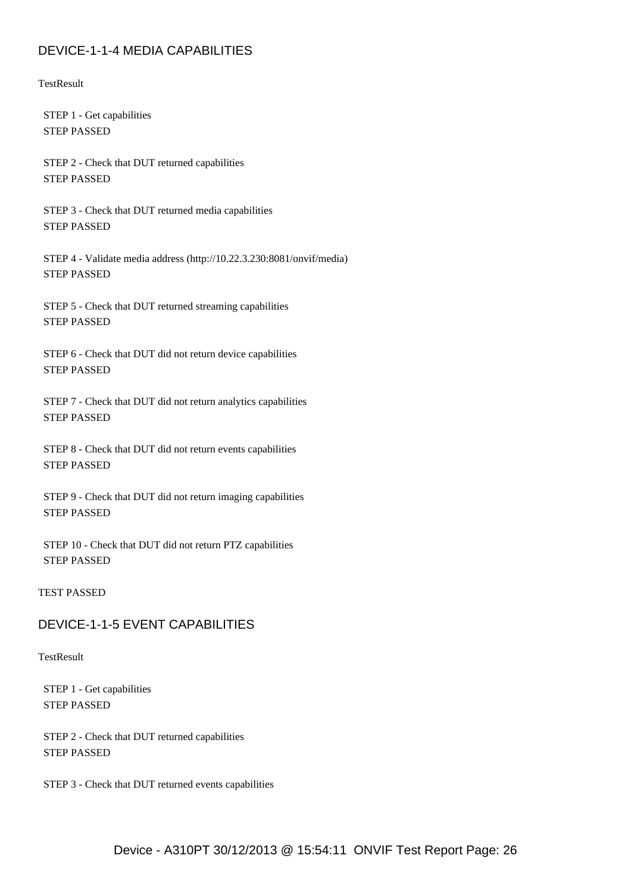## <span id="page-25-0"></span>DEVICE-1-1-4 MEDIA CAPABILITIES

**TestResult** 

 STEP 1 - Get capabilities STEP PASSED

 STEP 2 - Check that DUT returned capabilities STEP PASSED

 STEP 3 - Check that DUT returned media capabilities STEP PASSED

 STEP 4 - Validate media address (http://10.22.3.230:8081/onvif/media) STEP PASSED

 STEP 5 - Check that DUT returned streaming capabilities STEP PASSED

 STEP 6 - Check that DUT did not return device capabilities STEP PASSED

 STEP 7 - Check that DUT did not return analytics capabilities STEP PASSED

 STEP 8 - Check that DUT did not return events capabilities STEP PASSED

 STEP 9 - Check that DUT did not return imaging capabilities STEP PASSED

 STEP 10 - Check that DUT did not return PTZ capabilities STEP PASSED

#### TEST PASSED

## <span id="page-25-1"></span>DEVICE-1-1-5 EVENT CAPABILITIES

#### **TestResult**

 STEP 1 - Get capabilities STEP PASSED

 STEP 2 - Check that DUT returned capabilities STEP PASSED

STEP 3 - Check that DUT returned events capabilities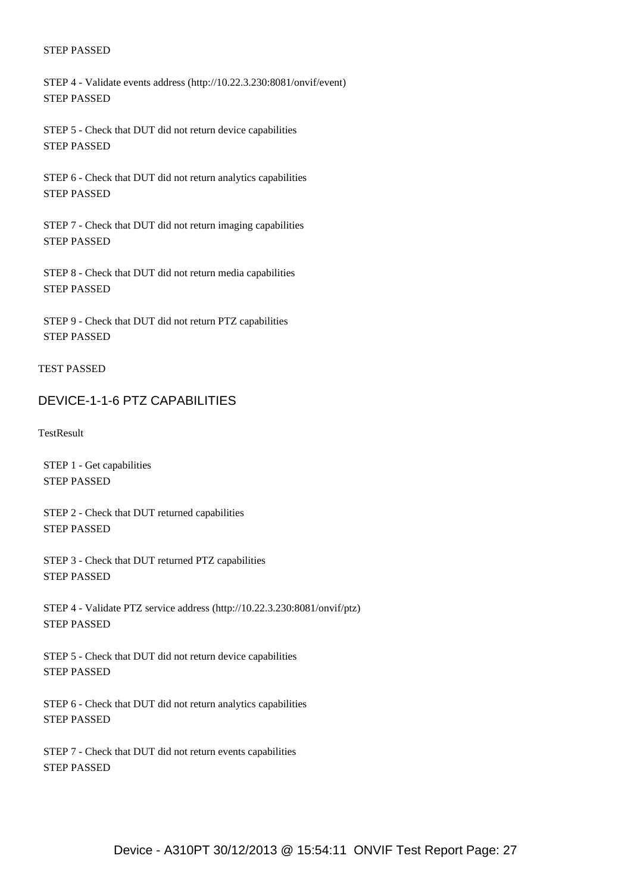STEP 4 - Validate events address (http://10.22.3.230:8081/onvif/event) STEP PASSED

 STEP 5 - Check that DUT did not return device capabilities STEP PASSED

 STEP 6 - Check that DUT did not return analytics capabilities STEP PASSED

 STEP 7 - Check that DUT did not return imaging capabilities STEP PASSED

 STEP 8 - Check that DUT did not return media capabilities STEP PASSED

 STEP 9 - Check that DUT did not return PTZ capabilities STEP PASSED

#### TEST PASSED

#### <span id="page-26-0"></span>DEVICE-1-1-6 PTZ CAPABILITIES

**TestResult** 

 STEP 1 - Get capabilities STEP PASSED

 STEP 2 - Check that DUT returned capabilities STEP PASSED

 STEP 3 - Check that DUT returned PTZ capabilities STEP PASSED

 STEP 4 - Validate PTZ service address (http://10.22.3.230:8081/onvif/ptz) STEP PASSED

 STEP 5 - Check that DUT did not return device capabilities STEP PASSED

 STEP 6 - Check that DUT did not return analytics capabilities STEP PASSED

 STEP 7 - Check that DUT did not return events capabilities STEP PASSED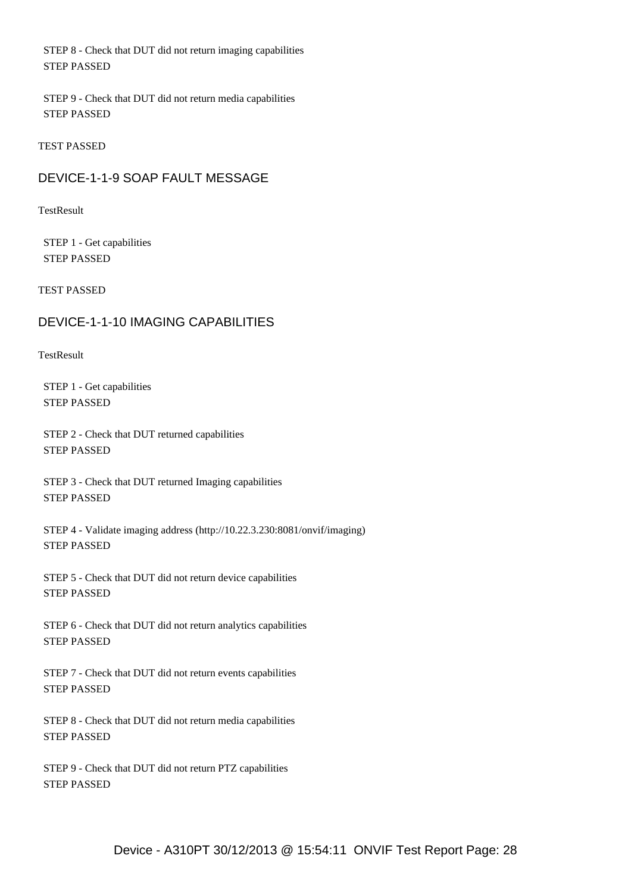STEP 8 - Check that DUT did not return imaging capabilities STEP PASSED

 STEP 9 - Check that DUT did not return media capabilities STEP PASSED

TEST PASSED

### <span id="page-27-0"></span>DEVICE-1-1-9 SOAP FAULT MESSAGE

**TestResult** 

 STEP 1 - Get capabilities STEP PASSED

TEST PASSED

### <span id="page-27-1"></span>DEVICE-1-1-10 IMAGING CAPABILITIES

**TestResult** 

 STEP 1 - Get capabilities STEP PASSED

 STEP 2 - Check that DUT returned capabilities STEP PASSED

 STEP 3 - Check that DUT returned Imaging capabilities STEP PASSED

 STEP 4 - Validate imaging address (http://10.22.3.230:8081/onvif/imaging) STEP PASSED

 STEP 5 - Check that DUT did not return device capabilities STEP PASSED

 STEP 6 - Check that DUT did not return analytics capabilities STEP PASSED

 STEP 7 - Check that DUT did not return events capabilities STEP PASSED

 STEP 8 - Check that DUT did not return media capabilities STEP PASSED

 STEP 9 - Check that DUT did not return PTZ capabilities STEP PASSED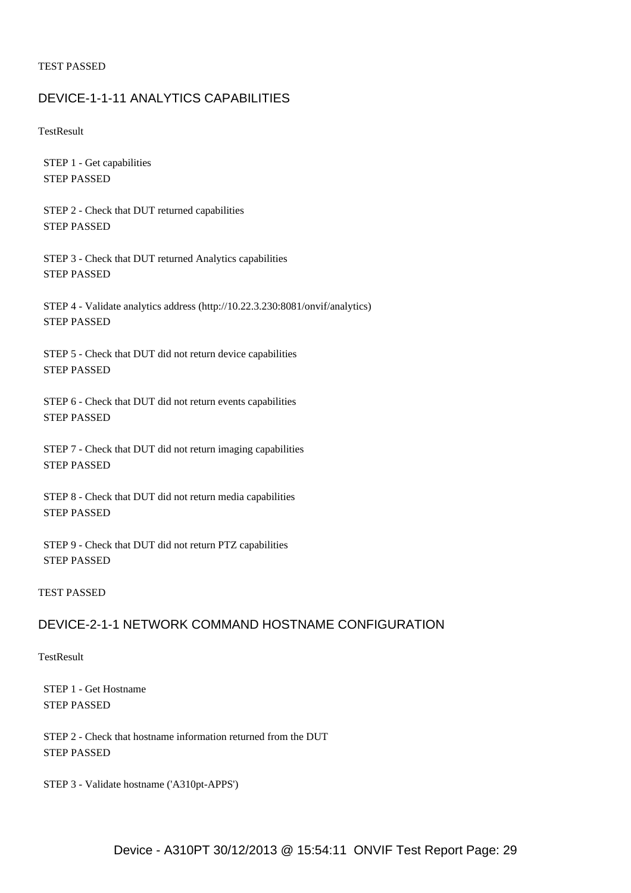#### TEST PASSED

#### <span id="page-28-0"></span>DEVICE-1-1-11 ANALYTICS CAPABILITIES

**TestResult** 

 STEP 1 - Get capabilities STEP PASSED

 STEP 2 - Check that DUT returned capabilities STEP PASSED

 STEP 3 - Check that DUT returned Analytics capabilities STEP PASSED

 STEP 4 - Validate analytics address (http://10.22.3.230:8081/onvif/analytics) STEP PASSED

 STEP 5 - Check that DUT did not return device capabilities STEP PASSED

 STEP 6 - Check that DUT did not return events capabilities STEP PASSED

 STEP 7 - Check that DUT did not return imaging capabilities STEP PASSED

 STEP 8 - Check that DUT did not return media capabilities STEP PASSED

 STEP 9 - Check that DUT did not return PTZ capabilities STEP PASSED

#### TEST PASSED

## <span id="page-28-1"></span>DEVICE-2-1-1 NETWORK COMMAND HOSTNAME CONFIGURATION

**TestResult** 

 STEP 1 - Get Hostname STEP PASSED

 STEP 2 - Check that hostname information returned from the DUT STEP PASSED

STEP 3 - Validate hostname ('A310pt-APPS')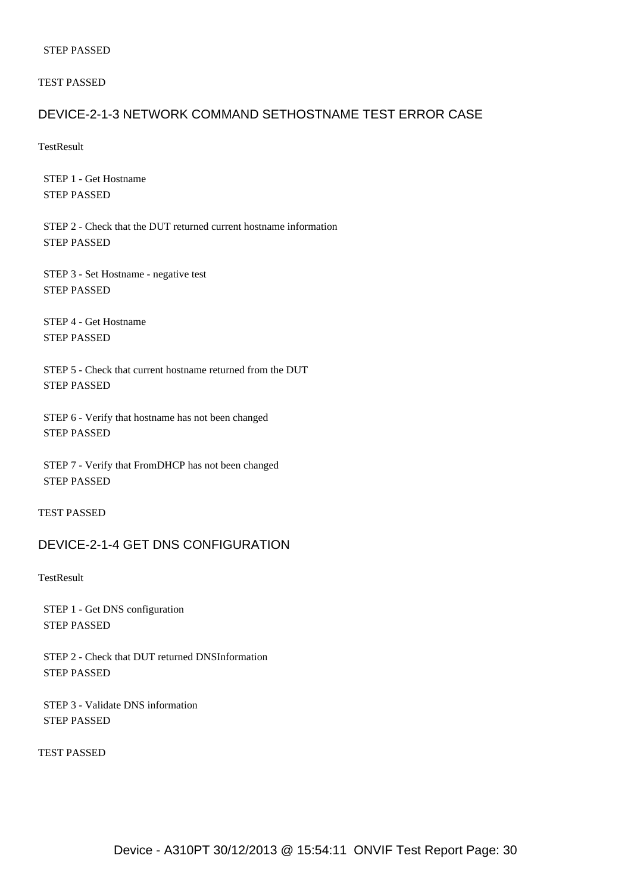TEST PASSED

#### <span id="page-29-0"></span>DEVICE-2-1-3 NETWORK COMMAND SETHOSTNAME TEST ERROR CASE

**TestResult** 

 STEP 1 - Get Hostname STEP PASSED

 STEP 2 - Check that the DUT returned current hostname information STEP PASSED

 STEP 3 - Set Hostname - negative test STEP PASSED

 STEP 4 - Get Hostname STEP PASSED

 STEP 5 - Check that current hostname returned from the DUT STEP PASSED

 STEP 6 - Verify that hostname has not been changed STEP PASSED

 STEP 7 - Verify that FromDHCP has not been changed STEP PASSED

TEST PASSED

#### <span id="page-29-1"></span>DEVICE-2-1-4 GET DNS CONFIGURATION

**TestResult** 

 STEP 1 - Get DNS configuration STEP PASSED

 STEP 2 - Check that DUT returned DNSInformation STEP PASSED

 STEP 3 - Validate DNS information STEP PASSED

TEST PASSED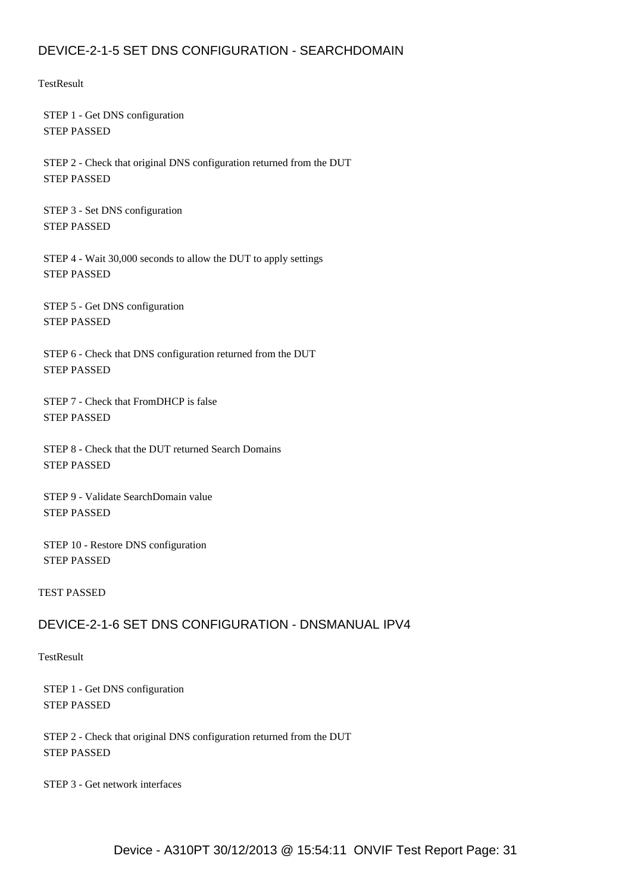## <span id="page-30-0"></span>DEVICE-2-1-5 SET DNS CONFIGURATION - SEARCHDOMAIN

**TestResult** 

 STEP 1 - Get DNS configuration STEP PASSED

 STEP 2 - Check that original DNS configuration returned from the DUT STEP PASSED

 STEP 3 - Set DNS configuration STEP PASSED

 STEP 4 - Wait 30,000 seconds to allow the DUT to apply settings STEP PASSED

 STEP 5 - Get DNS configuration STEP PASSED

 STEP 6 - Check that DNS configuration returned from the DUT STEP PASSED

 STEP 7 - Check that FromDHCP is false STEP PASSED

 STEP 8 - Check that the DUT returned Search Domains STEP PASSED

 STEP 9 - Validate SearchDomain value STEP PASSED

 STEP 10 - Restore DNS configuration STEP PASSED

TEST PASSED

## <span id="page-30-1"></span>DEVICE-2-1-6 SET DNS CONFIGURATION - DNSMANUAL IPV4

**TestResult** 

 STEP 1 - Get DNS configuration STEP PASSED

 STEP 2 - Check that original DNS configuration returned from the DUT STEP PASSED

STEP 3 - Get network interfaces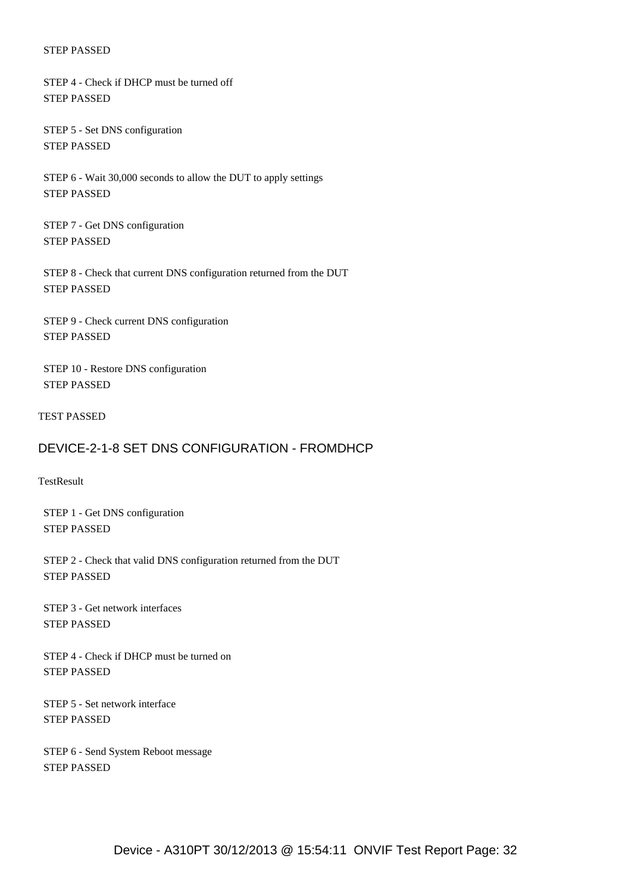STEP 4 - Check if DHCP must be turned off STEP PASSED

 STEP 5 - Set DNS configuration STEP PASSED

 STEP 6 - Wait 30,000 seconds to allow the DUT to apply settings STEP PASSED

 STEP 7 - Get DNS configuration STEP PASSED

 STEP 8 - Check that current DNS configuration returned from the DUT STEP PASSED

 STEP 9 - Check current DNS configuration STEP PASSED

 STEP 10 - Restore DNS configuration STEP PASSED

TEST PASSED

## <span id="page-31-0"></span>DEVICE-2-1-8 SET DNS CONFIGURATION - FROMDHCP

**TestResult** 

 STEP 1 - Get DNS configuration STEP PASSED

 STEP 2 - Check that valid DNS configuration returned from the DUT STEP PASSED

 STEP 3 - Get network interfaces STEP PASSED

 STEP 4 - Check if DHCP must be turned on STEP PASSED

 STEP 5 - Set network interface STEP PASSED

 STEP 6 - Send System Reboot message STEP PASSED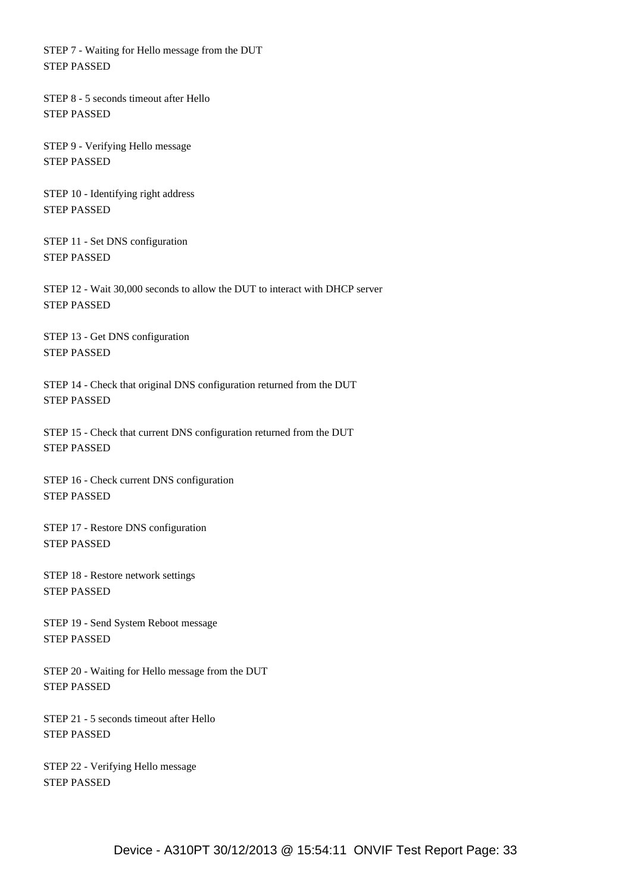STEP 7 - Waiting for Hello message from the DUT STEP PASSED

 STEP 8 - 5 seconds timeout after Hello STEP PASSED

 STEP 9 - Verifying Hello message STEP PASSED

 STEP 10 - Identifying right address STEP PASSED

 STEP 11 - Set DNS configuration STEP PASSED

 STEP 12 - Wait 30,000 seconds to allow the DUT to interact with DHCP server STEP PASSED

 STEP 13 - Get DNS configuration STEP PASSED

 STEP 14 - Check that original DNS configuration returned from the DUT STEP PASSED

 STEP 15 - Check that current DNS configuration returned from the DUT STEP PASSED

 STEP 16 - Check current DNS configuration STEP PASSED

 STEP 17 - Restore DNS configuration STEP PASSED

 STEP 18 - Restore network settings STEP PASSED

 STEP 19 - Send System Reboot message STEP PASSED

 STEP 20 - Waiting for Hello message from the DUT STEP PASSED

 STEP 21 - 5 seconds timeout after Hello STEP PASSED

 STEP 22 - Verifying Hello message STEP PASSED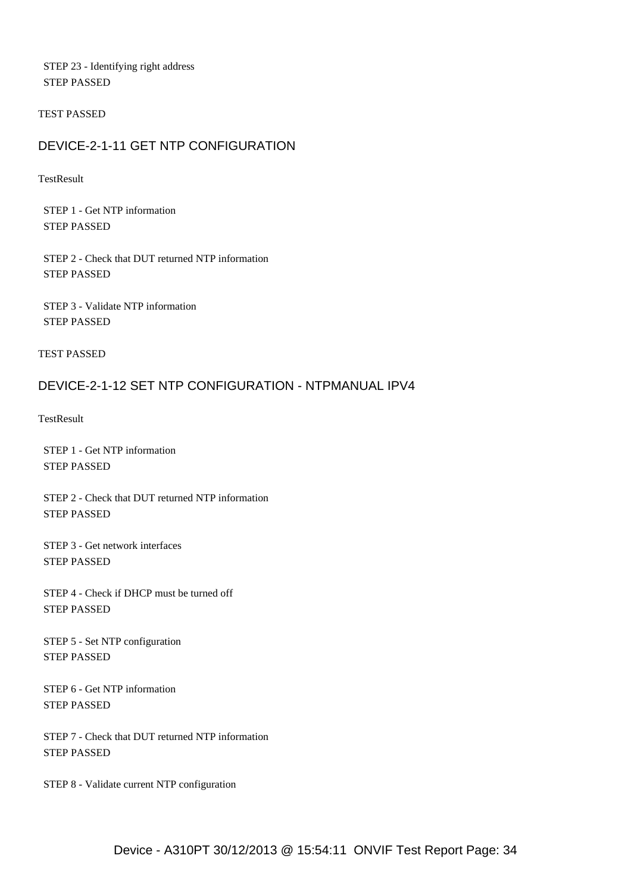STEP 23 - Identifying right address STEP PASSED

#### TEST PASSED

## <span id="page-33-0"></span>DEVICE-2-1-11 GET NTP CONFIGURATION

**TestResult** 

 STEP 1 - Get NTP information STEP PASSED

 STEP 2 - Check that DUT returned NTP information STEP PASSED

 STEP 3 - Validate NTP information STEP PASSED

TEST PASSED

## <span id="page-33-1"></span>DEVICE-2-1-12 SET NTP CONFIGURATION - NTPMANUAL IPV4

**TestResult** 

 STEP 1 - Get NTP information STEP PASSED

 STEP 2 - Check that DUT returned NTP information STEP PASSED

 STEP 3 - Get network interfaces STEP PASSED

 STEP 4 - Check if DHCP must be turned off STEP PASSED

 STEP 5 - Set NTP configuration STEP PASSED

 STEP 6 - Get NTP information STEP PASSED

 STEP 7 - Check that DUT returned NTP information STEP PASSED

STEP 8 - Validate current NTP configuration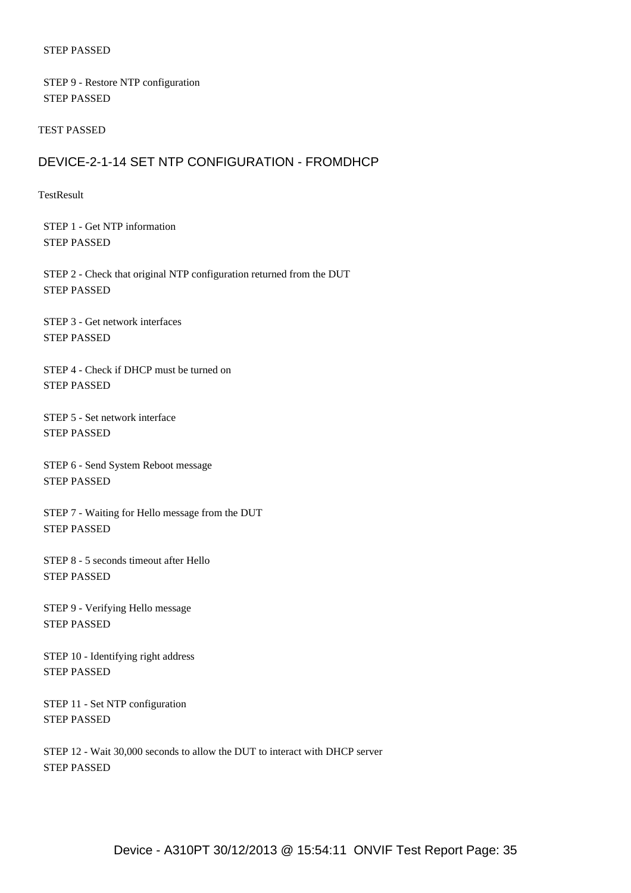STEP 9 - Restore NTP configuration STEP PASSED

#### TEST PASSED

### <span id="page-34-0"></span>DEVICE-2-1-14 SET NTP CONFIGURATION - FROMDHCP

#### TestResult

 STEP 1 - Get NTP information STEP PASSED

 STEP 2 - Check that original NTP configuration returned from the DUT STEP PASSED

 STEP 3 - Get network interfaces STEP PASSED

 STEP 4 - Check if DHCP must be turned on STEP PASSED

 STEP 5 - Set network interface STEP PASSED

 STEP 6 - Send System Reboot message STEP PASSED

 STEP 7 - Waiting for Hello message from the DUT STEP PASSED

 STEP 8 - 5 seconds timeout after Hello STEP PASSED

 STEP 9 - Verifying Hello message STEP PASSED

 STEP 10 - Identifying right address STEP PASSED

 STEP 11 - Set NTP configuration STEP PASSED

 STEP 12 - Wait 30,000 seconds to allow the DUT to interact with DHCP server STEP PASSED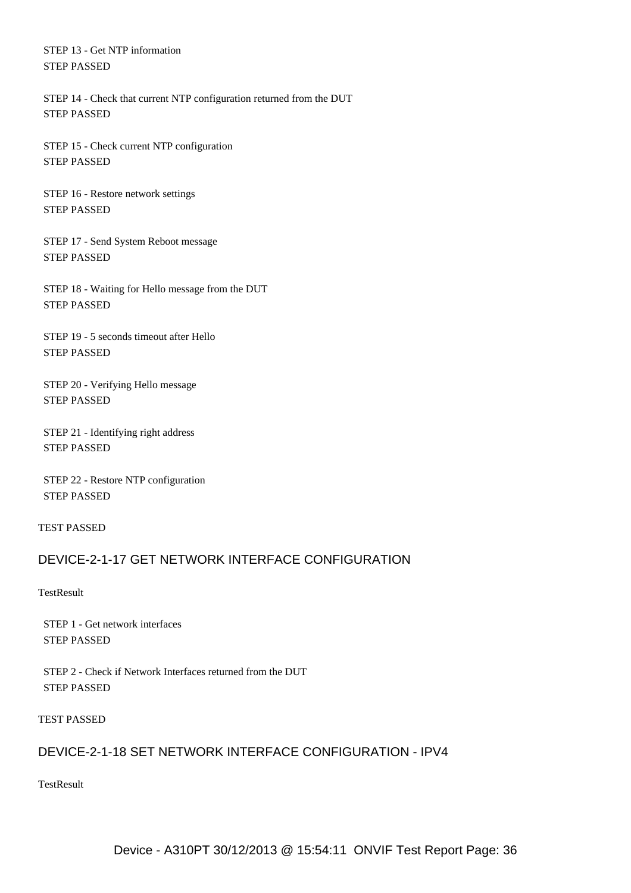STEP 13 - Get NTP information STEP PASSED

 STEP 14 - Check that current NTP configuration returned from the DUT STEP PASSED

 STEP 15 - Check current NTP configuration STEP PASSED

 STEP 16 - Restore network settings STEP PASSED

 STEP 17 - Send System Reboot message STEP PASSED

 STEP 18 - Waiting for Hello message from the DUT STEP PASSED

 STEP 19 - 5 seconds timeout after Hello STEP PASSED

 STEP 20 - Verifying Hello message STEP PASSED

 STEP 21 - Identifying right address STEP PASSED

 STEP 22 - Restore NTP configuration STEP PASSED

TEST PASSED

## <span id="page-35-0"></span>DEVICE-2-1-17 GET NETWORK INTERFACE CONFIGURATION

**TestResult** 

 STEP 1 - Get network interfaces STEP PASSED

 STEP 2 - Check if Network Interfaces returned from the DUT STEP PASSED

TEST PASSED

### <span id="page-35-1"></span>DEVICE-2-1-18 SET NETWORK INTERFACE CONFIGURATION - IPV4

**TestResult**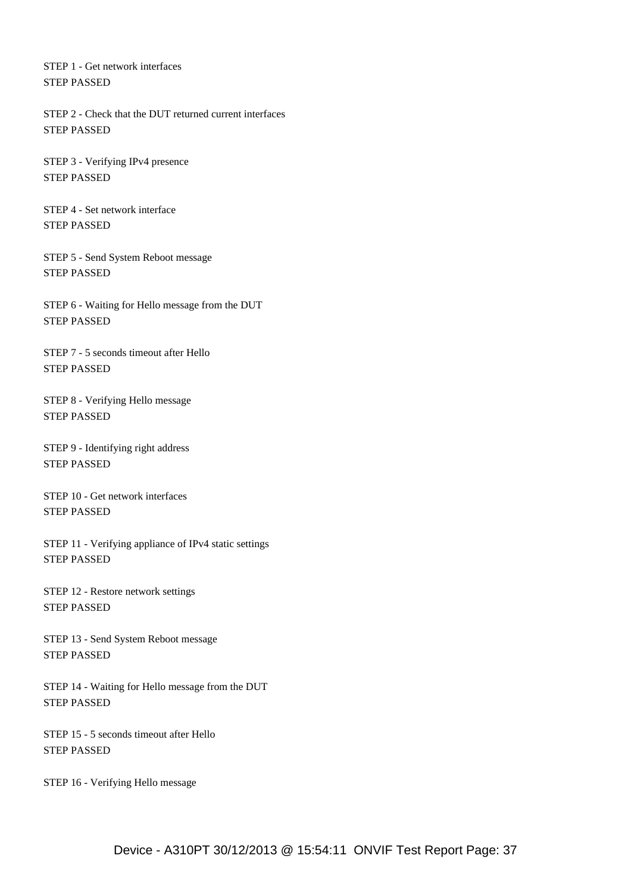STEP 1 - Get network interfaces STEP PASSED

 STEP 2 - Check that the DUT returned current interfaces STEP PASSED

 STEP 3 - Verifying IPv4 presence STEP PASSED

 STEP 4 - Set network interface STEP PASSED

 STEP 5 - Send System Reboot message STEP PASSED

 STEP 6 - Waiting for Hello message from the DUT STEP PASSED

 STEP 7 - 5 seconds timeout after Hello STEP PASSED

 STEP 8 - Verifying Hello message STEP PASSED

 STEP 9 - Identifying right address STEP PASSED

 STEP 10 - Get network interfaces STEP PASSED

 STEP 11 - Verifying appliance of IPv4 static settings STEP PASSED

 STEP 12 - Restore network settings STEP PASSED

 STEP 13 - Send System Reboot message STEP PASSED

 STEP 14 - Waiting for Hello message from the DUT STEP PASSED

 STEP 15 - 5 seconds timeout after Hello STEP PASSED

STEP 16 - Verifying Hello message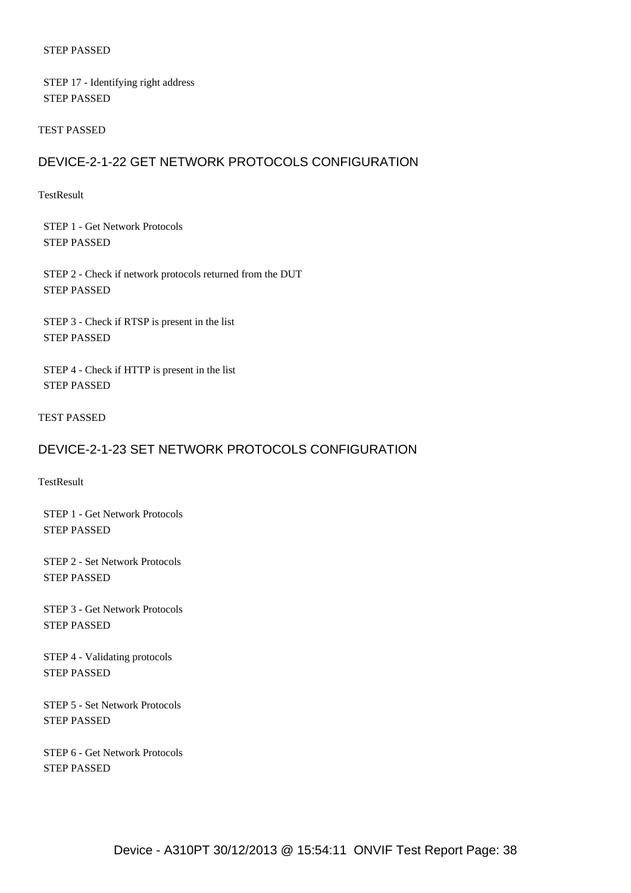#### STEP PASSED

 STEP 17 - Identifying right address STEP PASSED

#### TEST PASSED

## DEVICE-2-1-22 GET NETWORK PROTOCOLS CONFIGURATION

#### TestResult

 STEP 1 - Get Network Protocols STEP PASSED

 STEP 2 - Check if network protocols returned from the DUT STEP PASSED

 STEP 3 - Check if RTSP is present in the list STEP PASSED

 STEP 4 - Check if HTTP is present in the list STEP PASSED

TEST PASSED

## DEVICE-2-1-23 SET NETWORK PROTOCOLS CONFIGURATION

**TestResult** 

 STEP 1 - Get Network Protocols STEP PASSED

 STEP 2 - Set Network Protocols STEP PASSED

 STEP 3 - Get Network Protocols STEP PASSED

 STEP 4 - Validating protocols STEP PASSED

 STEP 5 - Set Network Protocols STEP PASSED

 STEP 6 - Get Network Protocols STEP PASSED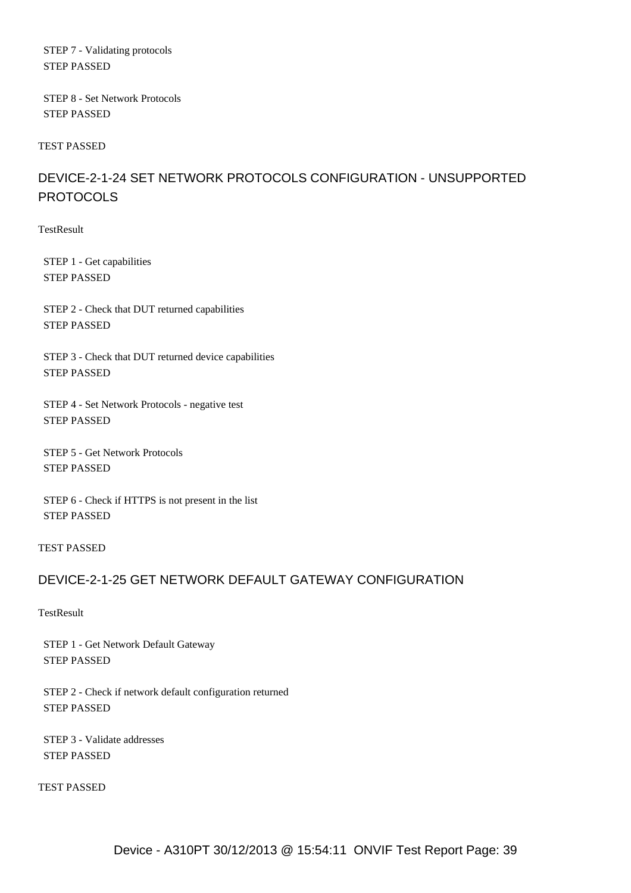STEP 7 - Validating protocols STEP PASSED

 STEP 8 - Set Network Protocols STEP PASSED

TEST PASSED

# DEVICE-2-1-24 SET NETWORK PROTOCOLS CONFIGURATION - UNSUPPORTED **PROTOCOLS**

**TestResult** 

 STEP 1 - Get capabilities STEP PASSED

 STEP 2 - Check that DUT returned capabilities STEP PASSED

 STEP 3 - Check that DUT returned device capabilities STEP PASSED

 STEP 4 - Set Network Protocols - negative test STEP PASSED

 STEP 5 - Get Network Protocols STEP PASSED

 STEP 6 - Check if HTTPS is not present in the list STEP PASSED

TEST PASSED

# DEVICE-2-1-25 GET NETWORK DEFAULT GATEWAY CONFIGURATION

**TestResult** 

 STEP 1 - Get Network Default Gateway STEP PASSED

 STEP 2 - Check if network default configuration returned STEP PASSED

 STEP 3 - Validate addresses STEP PASSED

TEST PASSED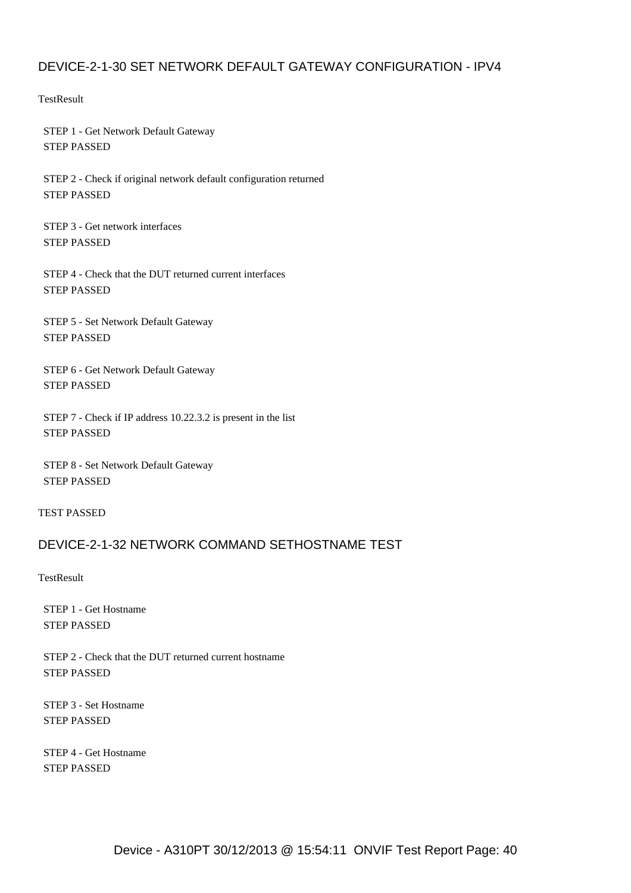# DEVICE-2-1-30 SET NETWORK DEFAULT GATEWAY CONFIGURATION - IPV4

**TestResult** 

 STEP 1 - Get Network Default Gateway STEP PASSED

 STEP 2 - Check if original network default configuration returned STEP PASSED

 STEP 3 - Get network interfaces STEP PASSED

 STEP 4 - Check that the DUT returned current interfaces STEP PASSED

 STEP 5 - Set Network Default Gateway STEP PASSED

 STEP 6 - Get Network Default Gateway STEP PASSED

 STEP 7 - Check if IP address 10.22.3.2 is present in the list STEP PASSED

 STEP 8 - Set Network Default Gateway STEP PASSED

TEST PASSED

## DEVICE-2-1-32 NETWORK COMMAND SETHOSTNAME TEST

**TestResult** 

 STEP 1 - Get Hostname STEP PASSED

 STEP 2 - Check that the DUT returned current hostname STEP PASSED

 STEP 3 - Set Hostname STEP PASSED

 STEP 4 - Get Hostname STEP PASSED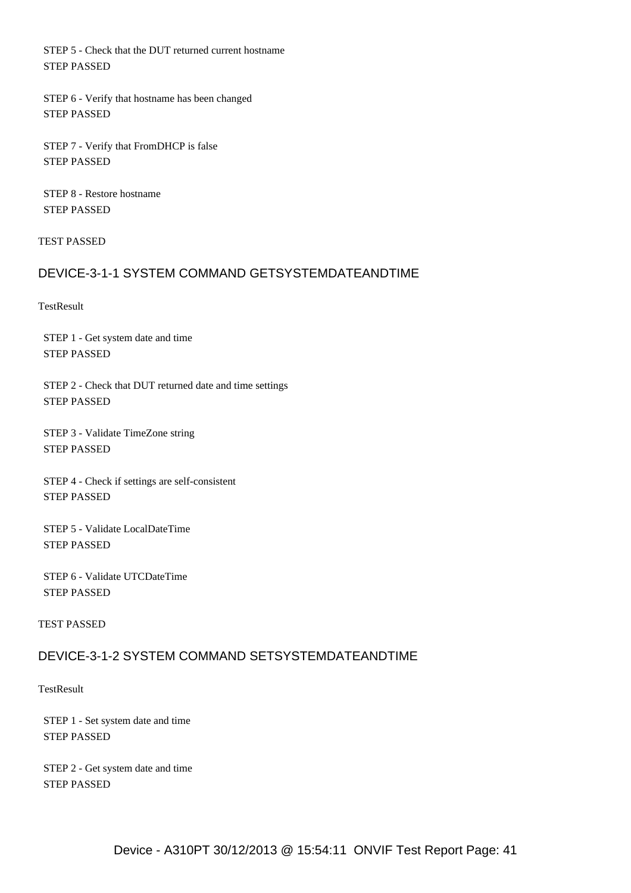STEP 5 - Check that the DUT returned current hostname STEP PASSED

 STEP 6 - Verify that hostname has been changed STEP PASSED

 STEP 7 - Verify that FromDHCP is false STEP PASSED

 STEP 8 - Restore hostname STEP PASSED

TEST PASSED

# DEVICE-3-1-1 SYSTEM COMMAND GETSYSTEMDATEANDTIME

**TestResult** 

 STEP 1 - Get system date and time STEP PASSED

 STEP 2 - Check that DUT returned date and time settings STEP PASSED

 STEP 3 - Validate TimeZone string STEP PASSED

 STEP 4 - Check if settings are self-consistent STEP PASSED

 STEP 5 - Validate LocalDateTime STEP PASSED

 STEP 6 - Validate UTCDateTime STEP PASSED

TEST PASSED

## DEVICE-3-1-2 SYSTEM COMMAND SETSYSTEMDATEANDTIME

**TestResult** 

 STEP 1 - Set system date and time STEP PASSED

 STEP 2 - Get system date and time STEP PASSED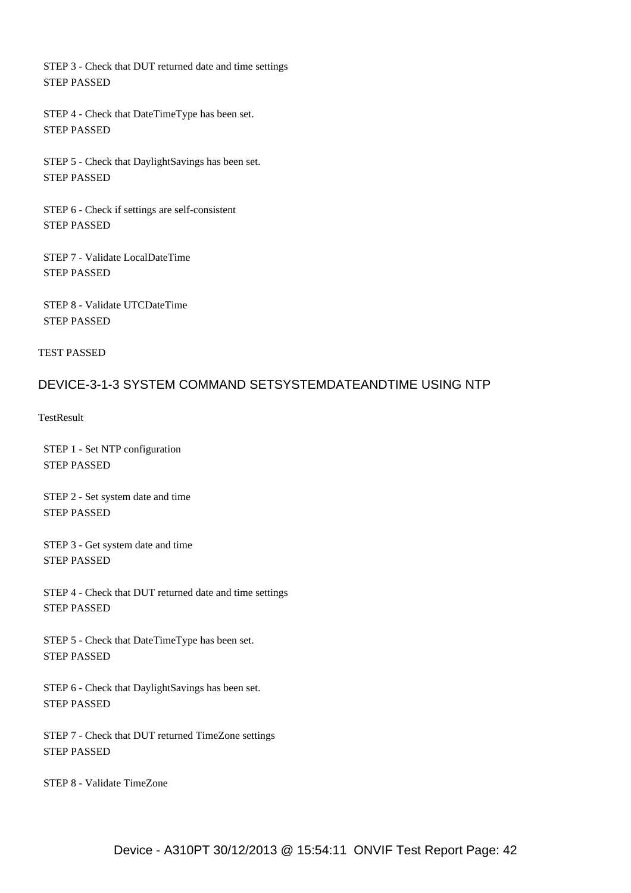STEP 3 - Check that DUT returned date and time settings STEP PASSED

 STEP 4 - Check that DateTimeType has been set. STEP PASSED

 STEP 5 - Check that DaylightSavings has been set. STEP PASSED

 STEP 6 - Check if settings are self-consistent STEP PASSED

 STEP 7 - Validate LocalDateTime STEP PASSED

 STEP 8 - Validate UTCDateTime STEP PASSED

TEST PASSED

### DEVICE-3-1-3 SYSTEM COMMAND SETSYSTEMDATEANDTIME USING NTP

**TestResult** 

 STEP 1 - Set NTP configuration STEP PASSED

 STEP 2 - Set system date and time STEP PASSED

 STEP 3 - Get system date and time STEP PASSED

 STEP 4 - Check that DUT returned date and time settings STEP PASSED

 STEP 5 - Check that DateTimeType has been set. STEP PASSED

 STEP 6 - Check that DaylightSavings has been set. STEP PASSED

 STEP 7 - Check that DUT returned TimeZone settings STEP PASSED

STEP 8 - Validate TimeZone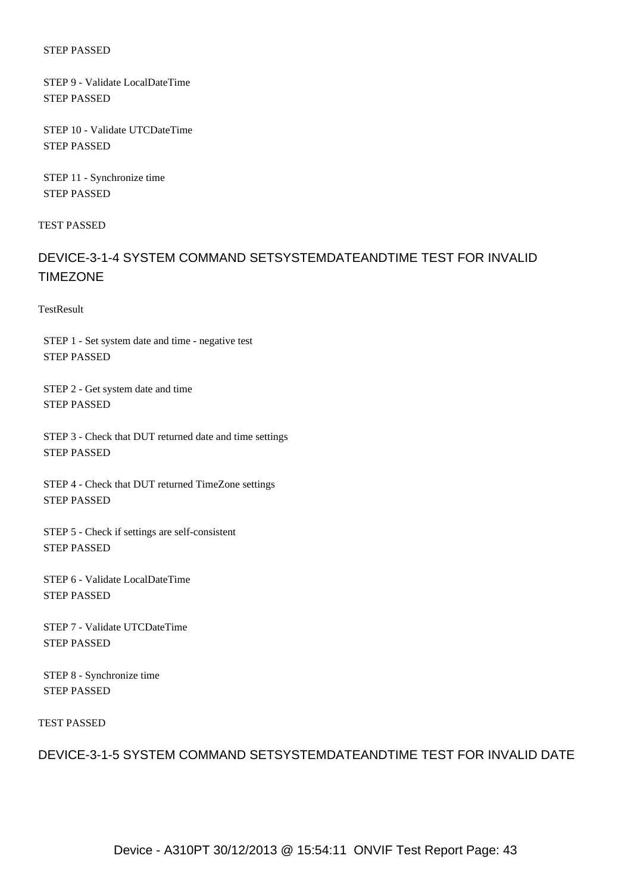#### STEP PASSED

 STEP 9 - Validate LocalDateTime STEP PASSED

 STEP 10 - Validate UTCDateTime STEP PASSED

 STEP 11 - Synchronize time STEP PASSED

TEST PASSED

# DEVICE-3-1-4 SYSTEM COMMAND SETSYSTEMDATEANDTIME TEST FOR INVALID TIMEZONE

**TestResult** 

 STEP 1 - Set system date and time - negative test STEP PASSED

 STEP 2 - Get system date and time STEP PASSED

 STEP 3 - Check that DUT returned date and time settings STEP PASSED

 STEP 4 - Check that DUT returned TimeZone settings STEP PASSED

 STEP 5 - Check if settings are self-consistent STEP PASSED

 STEP 6 - Validate LocalDateTime STEP PASSED

 STEP 7 - Validate UTCDateTime STEP PASSED

 STEP 8 - Synchronize time STEP PASSED

TEST PASSED

# DEVICE-3-1-5 SYSTEM COMMAND SETSYSTEMDATEANDTIME TEST FOR INVALID DATE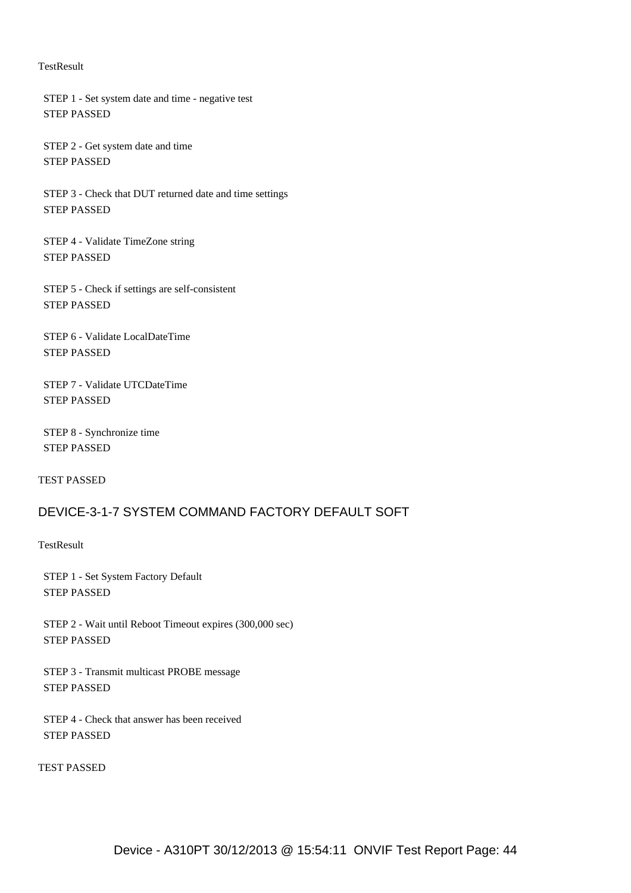#### **TestResult**

 STEP 1 - Set system date and time - negative test STEP PASSED

 STEP 2 - Get system date and time STEP PASSED

 STEP 3 - Check that DUT returned date and time settings STEP PASSED

 STEP 4 - Validate TimeZone string STEP PASSED

 STEP 5 - Check if settings are self-consistent STEP PASSED

 STEP 6 - Validate LocalDateTime STEP PASSED

 STEP 7 - Validate UTCDateTime STEP PASSED

 STEP 8 - Synchronize time STEP PASSED

TEST PASSED

# DEVICE-3-1-7 SYSTEM COMMAND FACTORY DEFAULT SOFT

**TestResult** 

 STEP 1 - Set System Factory Default STEP PASSED

 STEP 2 - Wait until Reboot Timeout expires (300,000 sec) STEP PASSED

 STEP 3 - Transmit multicast PROBE message STEP PASSED

 STEP 4 - Check that answer has been received STEP PASSED

TEST PASSED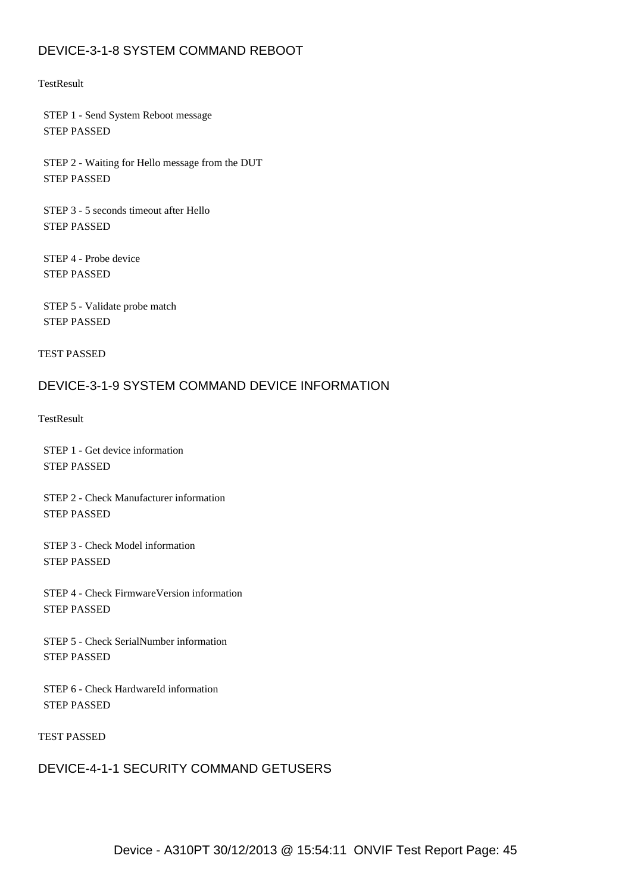# DEVICE-3-1-8 SYSTEM COMMAND REBOOT

#### **TestResult**

 STEP 1 - Send System Reboot message STEP PASSED

 STEP 2 - Waiting for Hello message from the DUT STEP PASSED

 STEP 3 - 5 seconds timeout after Hello STEP PASSED

 STEP 4 - Probe device STEP PASSED

 STEP 5 - Validate probe match STEP PASSED

TEST PASSED

## DEVICE-3-1-9 SYSTEM COMMAND DEVICE INFORMATION

**TestResult** 

 STEP 1 - Get device information STEP PASSED

 STEP 2 - Check Manufacturer information STEP PASSED

 STEP 3 - Check Model information STEP PASSED

 STEP 4 - Check FirmwareVersion information STEP PASSED

 STEP 5 - Check SerialNumber information STEP PASSED

 STEP 6 - Check HardwareId information STEP PASSED

TEST PASSED

## DEVICE-4-1-1 SECURITY COMMAND GETUSERS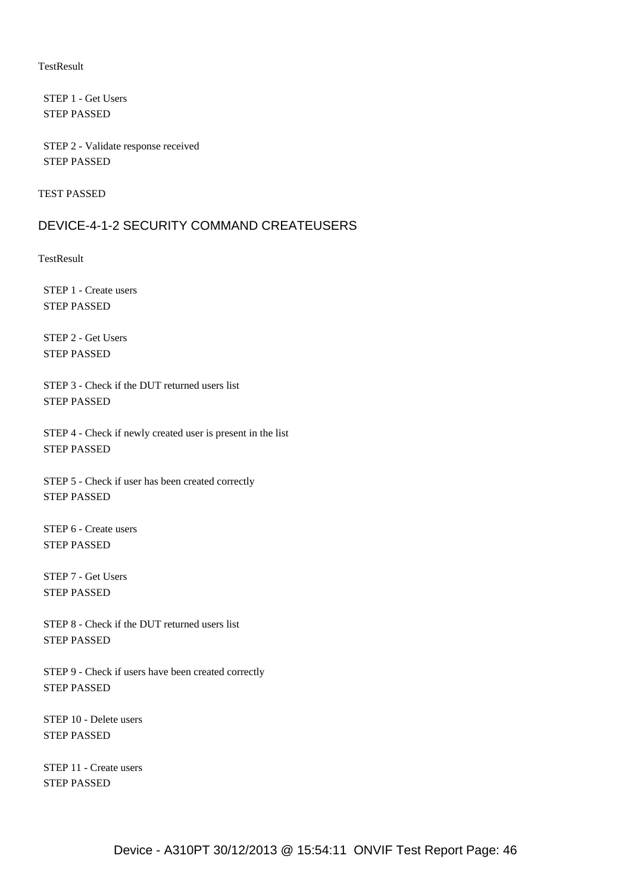#### **TestResult**

 STEP 1 - Get Users STEP PASSED

 STEP 2 - Validate response received STEP PASSED

TEST PASSED

### DEVICE-4-1-2 SECURITY COMMAND CREATEUSERS

**TestResult** 

 STEP 1 - Create users STEP PASSED

 STEP 2 - Get Users STEP PASSED

 STEP 3 - Check if the DUT returned users list STEP PASSED

 STEP 4 - Check if newly created user is present in the list STEP PASSED

 STEP 5 - Check if user has been created correctly STEP PASSED

 STEP 6 - Create users STEP PASSED

 STEP 7 - Get Users STEP PASSED

 STEP 8 - Check if the DUT returned users list STEP PASSED

 STEP 9 - Check if users have been created correctly STEP PASSED

 STEP 10 - Delete users STEP PASSED

 STEP 11 - Create users STEP PASSED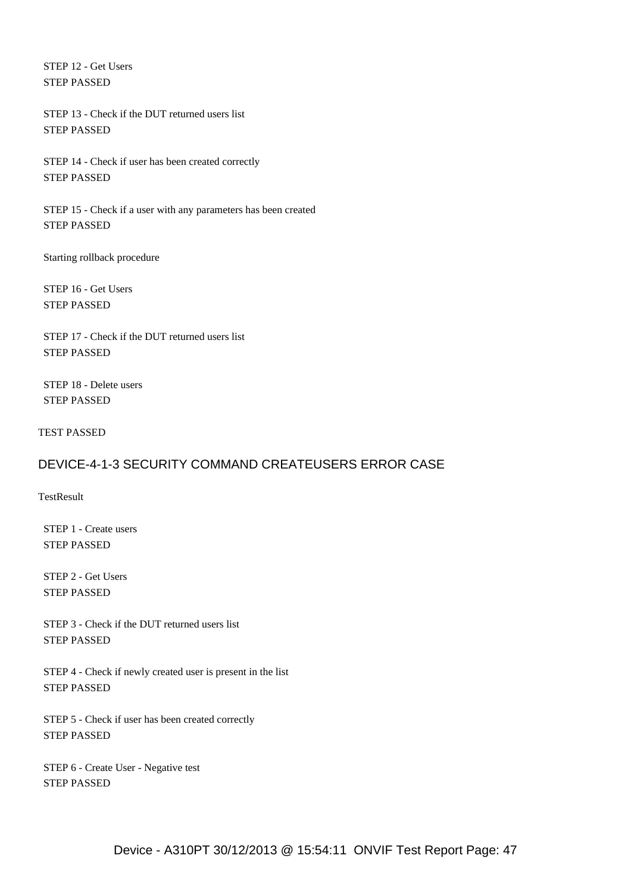STEP 12 - Get Users STEP PASSED

 STEP 13 - Check if the DUT returned users list STEP PASSED

 STEP 14 - Check if user has been created correctly STEP PASSED

 STEP 15 - Check if a user with any parameters has been created STEP PASSED

Starting rollback procedure

 STEP 16 - Get Users STEP PASSED

 STEP 17 - Check if the DUT returned users list STEP PASSED

 STEP 18 - Delete users STEP PASSED

TEST PASSED

## DEVICE-4-1-3 SECURITY COMMAND CREATEUSERS ERROR CASE

**TestResult** 

 STEP 1 - Create users STEP PASSED

 STEP 2 - Get Users STEP PASSED

 STEP 3 - Check if the DUT returned users list STEP PASSED

 STEP 4 - Check if newly created user is present in the list STEP PASSED

 STEP 5 - Check if user has been created correctly STEP PASSED

 STEP 6 - Create User - Negative test STEP PASSED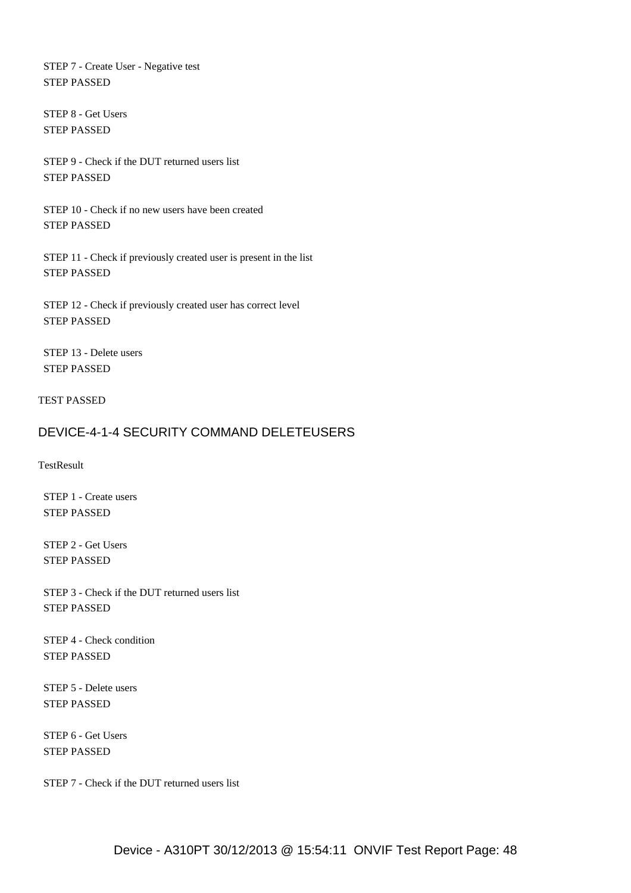STEP 7 - Create User - Negative test STEP PASSED

 STEP 8 - Get Users STEP PASSED

 STEP 9 - Check if the DUT returned users list STEP PASSED

 STEP 10 - Check if no new users have been created STEP PASSED

 STEP 11 - Check if previously created user is present in the list STEP PASSED

 STEP 12 - Check if previously created user has correct level STEP PASSED

 STEP 13 - Delete users STEP PASSED

TEST PASSED

## DEVICE-4-1-4 SECURITY COMMAND DELETEUSERS

TestResult

 STEP 1 - Create users STEP PASSED

 STEP 2 - Get Users STEP PASSED

 STEP 3 - Check if the DUT returned users list STEP PASSED

 STEP 4 - Check condition STEP PASSED

 STEP 5 - Delete users STEP PASSED

 STEP 6 - Get Users STEP PASSED

STEP 7 - Check if the DUT returned users list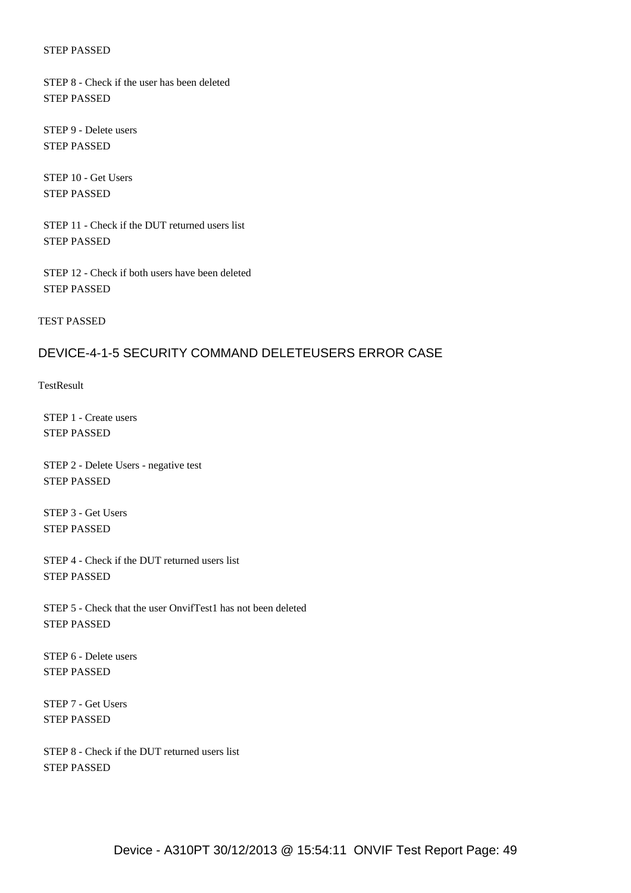#### STEP PASSED

 STEP 8 - Check if the user has been deleted STEP PASSED

 STEP 9 - Delete users STEP PASSED

 STEP 10 - Get Users STEP PASSED

 STEP 11 - Check if the DUT returned users list STEP PASSED

 STEP 12 - Check if both users have been deleted STEP PASSED

TEST PASSED

### DEVICE-4-1-5 SECURITY COMMAND DELETEUSERS ERROR CASE

**TestResult** 

 STEP 1 - Create users STEP PASSED

 STEP 2 - Delete Users - negative test STEP PASSED

 STEP 3 - Get Users STEP PASSED

 STEP 4 - Check if the DUT returned users list STEP PASSED

 STEP 5 - Check that the user OnvifTest1 has not been deleted STEP PASSED

 STEP 6 - Delete users STEP PASSED

 STEP 7 - Get Users STEP PASSED

 STEP 8 - Check if the DUT returned users list STEP PASSED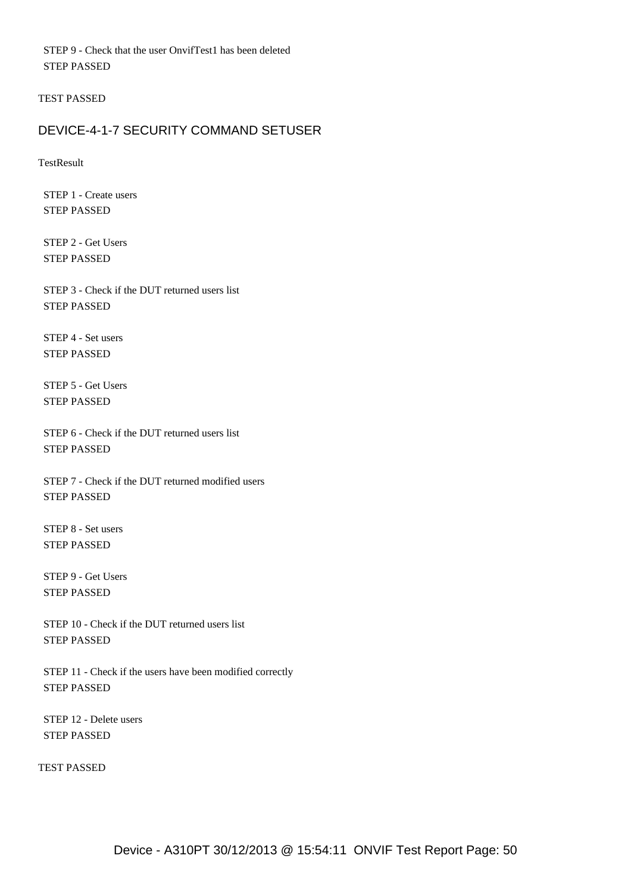STEP 9 - Check that the user OnvifTest1 has been deleted STEP PASSED

TEST PASSED

# DEVICE-4-1-7 SECURITY COMMAND SETUSER

**TestResult** 

 STEP 1 - Create users STEP PASSED

 STEP 2 - Get Users STEP PASSED

 STEP 3 - Check if the DUT returned users list STEP PASSED

 STEP 4 - Set users STEP PASSED

 STEP 5 - Get Users STEP PASSED

 STEP 6 - Check if the DUT returned users list STEP PASSED

 STEP 7 - Check if the DUT returned modified users STEP PASSED

 STEP 8 - Set users STEP PASSED

 STEP 9 - Get Users STEP PASSED

 STEP 10 - Check if the DUT returned users list STEP PASSED

 STEP 11 - Check if the users have been modified correctly STEP PASSED

 STEP 12 - Delete users STEP PASSED

TEST PASSED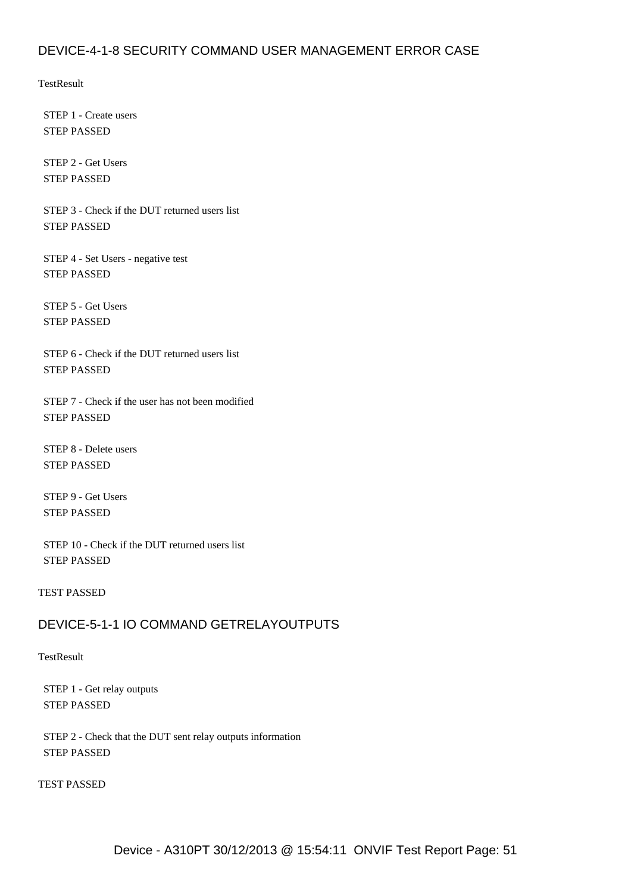## DEVICE-4-1-8 SECURITY COMMAND USER MANAGEMENT ERROR CASE

**TestResult** 

 STEP 1 - Create users STEP PASSED

 STEP 2 - Get Users STEP PASSED

 STEP 3 - Check if the DUT returned users list STEP PASSED

 STEP 4 - Set Users - negative test STEP PASSED

 STEP 5 - Get Users STEP PASSED

 STEP 6 - Check if the DUT returned users list STEP PASSED

 STEP 7 - Check if the user has not been modified STEP PASSED

 STEP 8 - Delete users STEP PASSED

 STEP 9 - Get Users STEP PASSED

 STEP 10 - Check if the DUT returned users list STEP PASSED

#### TEST PASSED

## DEVICE-5-1-1 IO COMMAND GETRELAYOUTPUTS

**TestResult** 

 STEP 1 - Get relay outputs STEP PASSED

 STEP 2 - Check that the DUT sent relay outputs information STEP PASSED

TEST PASSED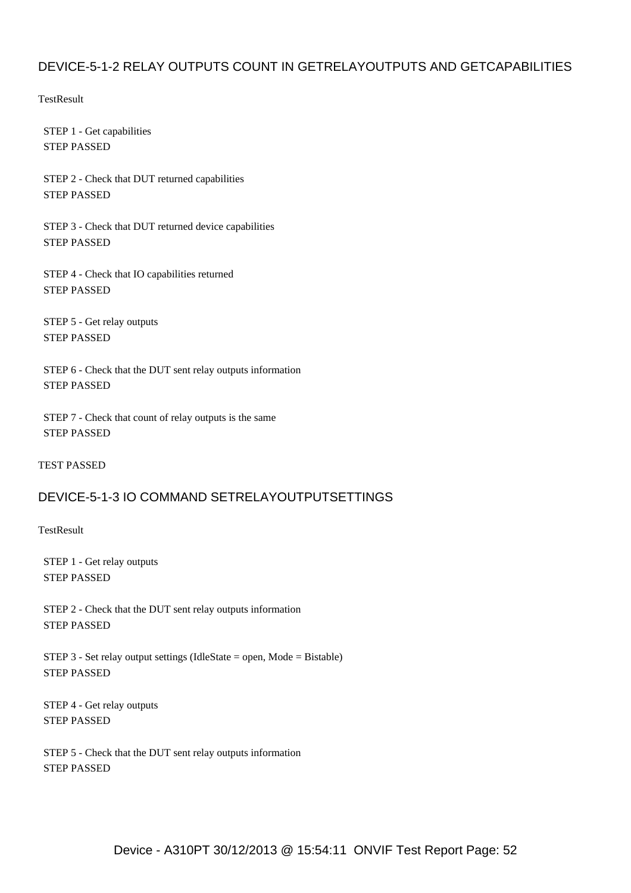# DEVICE-5-1-2 RELAY OUTPUTS COUNT IN GETRELAYOUTPUTS AND GETCAPABILITIES

**TestResult** 

 STEP 1 - Get capabilities STEP PASSED

 STEP 2 - Check that DUT returned capabilities STEP PASSED

 STEP 3 - Check that DUT returned device capabilities STEP PASSED

 STEP 4 - Check that IO capabilities returned STEP PASSED

 STEP 5 - Get relay outputs STEP PASSED

 STEP 6 - Check that the DUT sent relay outputs information STEP PASSED

 STEP 7 - Check that count of relay outputs is the same STEP PASSED

TEST PASSED

## DEVICE-5-1-3 IO COMMAND SETRELAYOUTPUTSETTINGS

**TestResult** 

 STEP 1 - Get relay outputs STEP PASSED

 STEP 2 - Check that the DUT sent relay outputs information STEP PASSED

STEP 3 - Set relay output settings (IdleState = open, Mode = Bistable) STEP PASSED

 STEP 4 - Get relay outputs STEP PASSED

 STEP 5 - Check that the DUT sent relay outputs information STEP PASSED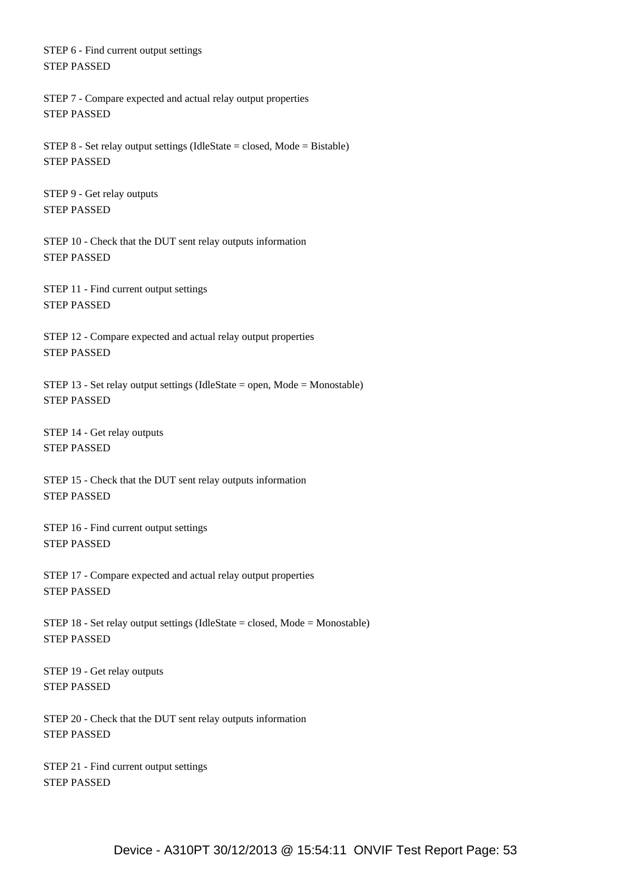STEP 6 - Find current output settings STEP PASSED

 STEP 7 - Compare expected and actual relay output properties STEP PASSED

STEP 8 - Set relay output settings (IdleState = closed, Mode = Bistable) STEP PASSED

 STEP 9 - Get relay outputs STEP PASSED

 STEP 10 - Check that the DUT sent relay outputs information STEP PASSED

 STEP 11 - Find current output settings STEP PASSED

 STEP 12 - Compare expected and actual relay output properties STEP PASSED

 STEP 13 - Set relay output settings (IdleState = open, Mode = Monostable) STEP PASSED

 STEP 14 - Get relay outputs STEP PASSED

 STEP 15 - Check that the DUT sent relay outputs information STEP PASSED

 STEP 16 - Find current output settings STEP PASSED

 STEP 17 - Compare expected and actual relay output properties STEP PASSED

 STEP 18 - Set relay output settings (IdleState = closed, Mode = Monostable) STEP PASSED

 STEP 19 - Get relay outputs STEP PASSED

 STEP 20 - Check that the DUT sent relay outputs information STEP PASSED

 STEP 21 - Find current output settings STEP PASSED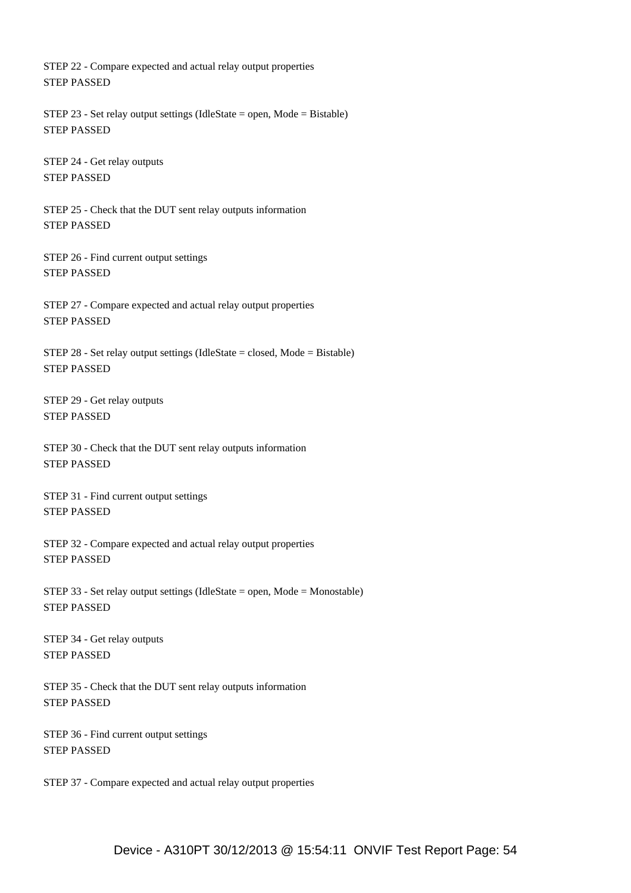STEP 22 - Compare expected and actual relay output properties STEP PASSED

 STEP 23 - Set relay output settings (IdleState = open, Mode = Bistable) STEP PASSED

 STEP 24 - Get relay outputs STEP PASSED

 STEP 25 - Check that the DUT sent relay outputs information STEP PASSED

 STEP 26 - Find current output settings STEP PASSED

 STEP 27 - Compare expected and actual relay output properties STEP PASSED

 STEP 28 - Set relay output settings (IdleState = closed, Mode = Bistable) STEP PASSED

 STEP 29 - Get relay outputs STEP PASSED

 STEP 30 - Check that the DUT sent relay outputs information STEP PASSED

 STEP 31 - Find current output settings STEP PASSED

 STEP 32 - Compare expected and actual relay output properties STEP PASSED

 STEP 33 - Set relay output settings (IdleState = open, Mode = Monostable) STEP PASSED

 STEP 34 - Get relay outputs STEP PASSED

 STEP 35 - Check that the DUT sent relay outputs information STEP PASSED

 STEP 36 - Find current output settings STEP PASSED

STEP 37 - Compare expected and actual relay output properties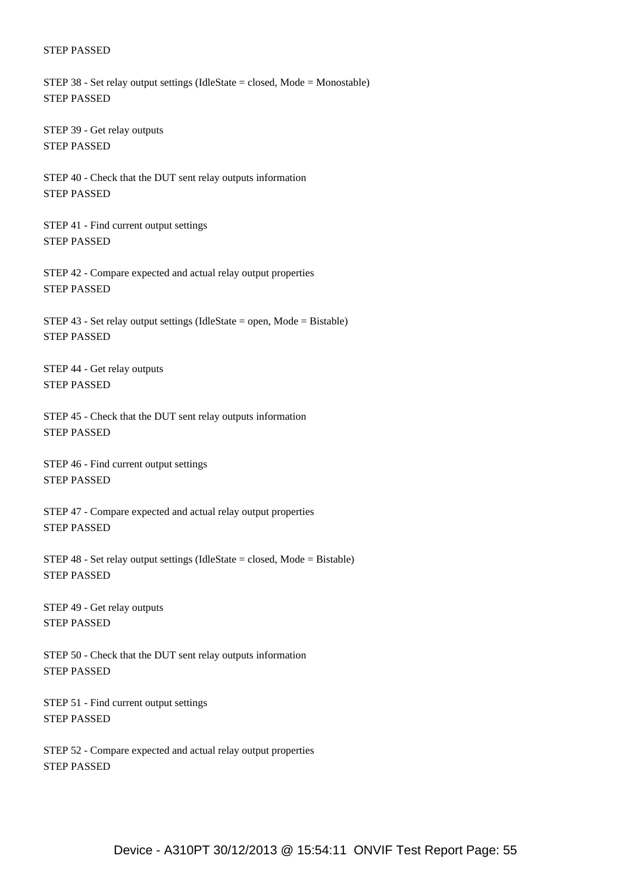#### STEP PASSED

 STEP 38 - Set relay output settings (IdleState = closed, Mode = Monostable) STEP PASSED

 STEP 39 - Get relay outputs STEP PASSED

 STEP 40 - Check that the DUT sent relay outputs information STEP PASSED

 STEP 41 - Find current output settings STEP PASSED

 STEP 42 - Compare expected and actual relay output properties STEP PASSED

STEP 43 - Set relay output settings (IdleState = open, Mode = Bistable) STEP PASSED

 STEP 44 - Get relay outputs STEP PASSED

 STEP 45 - Check that the DUT sent relay outputs information STEP PASSED

 STEP 46 - Find current output settings STEP PASSED

 STEP 47 - Compare expected and actual relay output properties STEP PASSED

STEP  $48$  - Set relay output settings (IdleState = closed, Mode = Bistable) STEP PASSED

 STEP 49 - Get relay outputs STEP PASSED

 STEP 50 - Check that the DUT sent relay outputs information STEP PASSED

 STEP 51 - Find current output settings STEP PASSED

 STEP 52 - Compare expected and actual relay output properties STEP PASSED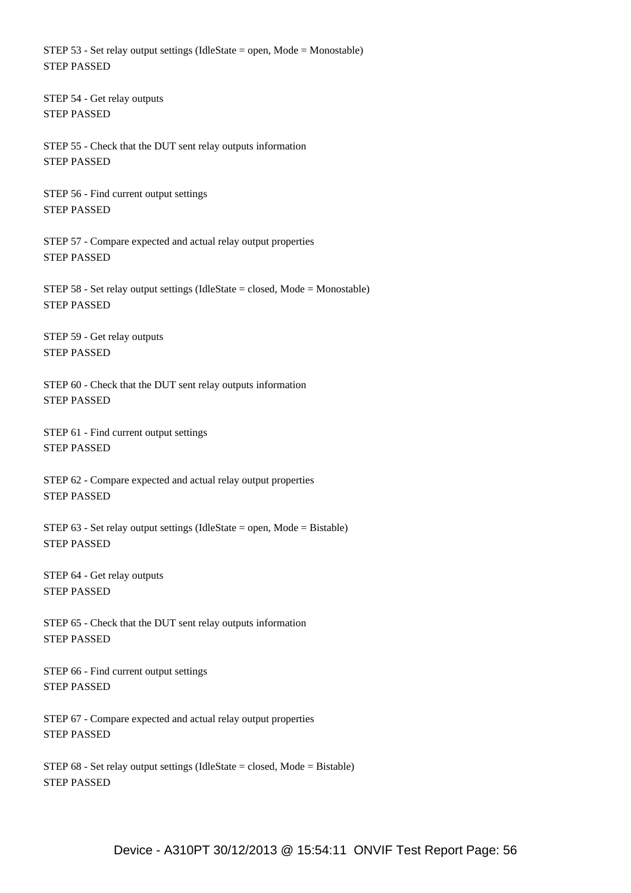STEP 53 - Set relay output settings (IdleState = open, Mode = Monostable) STEP PASSED

 STEP 54 - Get relay outputs STEP PASSED

 STEP 55 - Check that the DUT sent relay outputs information STEP PASSED

 STEP 56 - Find current output settings STEP PASSED

 STEP 57 - Compare expected and actual relay output properties STEP PASSED

 STEP 58 - Set relay output settings (IdleState = closed, Mode = Monostable) STEP PASSED

 STEP 59 - Get relay outputs STEP PASSED

 STEP 60 - Check that the DUT sent relay outputs information STEP PASSED

 STEP 61 - Find current output settings STEP PASSED

 STEP 62 - Compare expected and actual relay output properties STEP PASSED

STEP  $63$  - Set relay output settings (IdleState = open, Mode = Bistable) STEP PASSED

 STEP 64 - Get relay outputs STEP PASSED

 STEP 65 - Check that the DUT sent relay outputs information STEP PASSED

 STEP 66 - Find current output settings STEP PASSED

 STEP 67 - Compare expected and actual relay output properties STEP PASSED

 STEP 68 - Set relay output settings (IdleState = closed, Mode = Bistable) STEP PASSED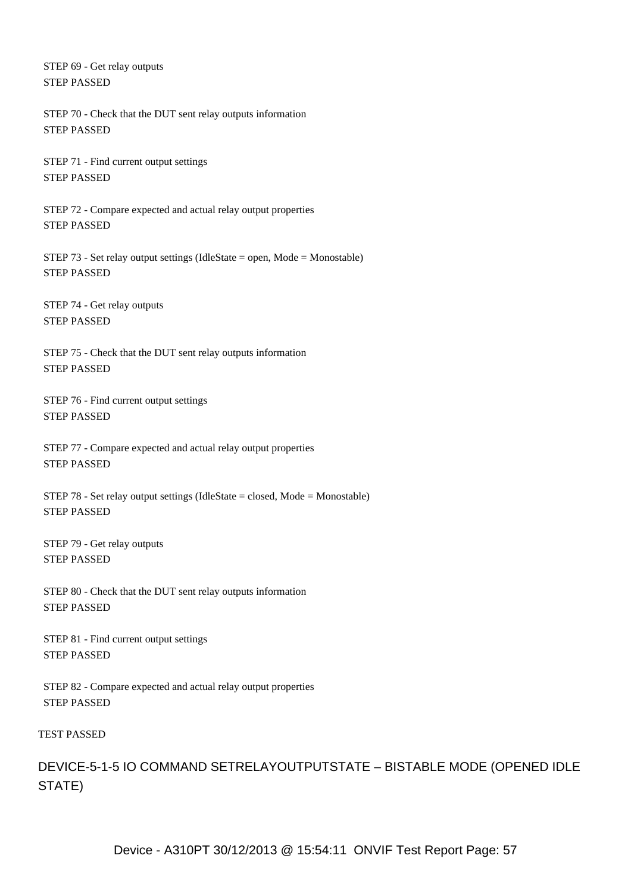STEP 69 - Get relay outputs STEP PASSED

 STEP 70 - Check that the DUT sent relay outputs information STEP PASSED

 STEP 71 - Find current output settings STEP PASSED

 STEP 72 - Compare expected and actual relay output properties STEP PASSED

 STEP 73 - Set relay output settings (IdleState = open, Mode = Monostable) STEP PASSED

 STEP 74 - Get relay outputs STEP PASSED

 STEP 75 - Check that the DUT sent relay outputs information STEP PASSED

 STEP 76 - Find current output settings STEP PASSED

 STEP 77 - Compare expected and actual relay output properties STEP PASSED

 STEP 78 - Set relay output settings (IdleState = closed, Mode = Monostable) STEP PASSED

 STEP 79 - Get relay outputs STEP PASSED

 STEP 80 - Check that the DUT sent relay outputs information STEP PASSED

 STEP 81 - Find current output settings STEP PASSED

 STEP 82 - Compare expected and actual relay output properties STEP PASSED

TEST PASSED

DEVICE-5-1-5 IO COMMAND SETRELAYOUTPUTSTATE – BISTABLE MODE (OPENED IDLE STATE)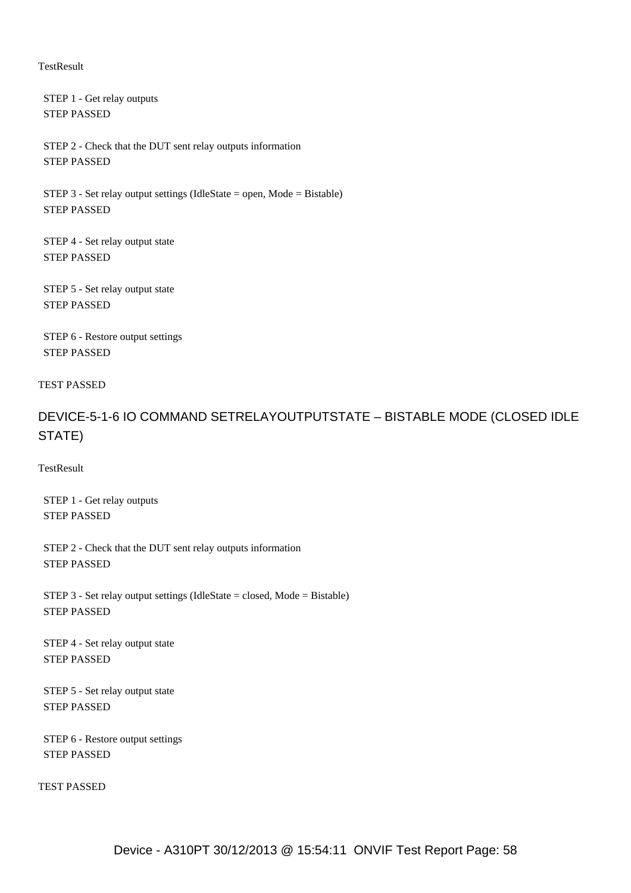#### **TestResult**

 STEP 1 - Get relay outputs STEP PASSED

 STEP 2 - Check that the DUT sent relay outputs information STEP PASSED

STEP 3 - Set relay output settings (IdleState = open, Mode = Bistable) STEP PASSED

 STEP 4 - Set relay output state STEP PASSED

 STEP 5 - Set relay output state STEP PASSED

 STEP 6 - Restore output settings STEP PASSED

#### TEST PASSED

DEVICE-5-1-6 IO COMMAND SETRELAYOUTPUTSTATE – BISTABLE MODE (CLOSED IDLE STATE)

**TestResult** 

 STEP 1 - Get relay outputs STEP PASSED

 STEP 2 - Check that the DUT sent relay outputs information STEP PASSED

 STEP 3 - Set relay output settings (IdleState = closed, Mode = Bistable) STEP PASSED

 STEP 4 - Set relay output state STEP PASSED

 STEP 5 - Set relay output state STEP PASSED

 STEP 6 - Restore output settings STEP PASSED

TEST PASSED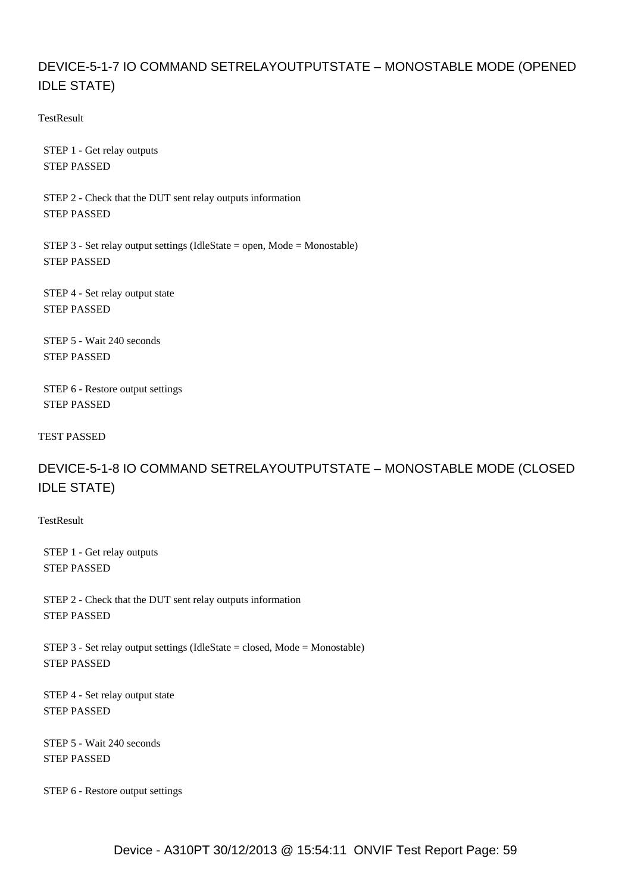# DEVICE-5-1-7 IO COMMAND SETRELAYOUTPUTSTATE – MONOSTABLE MODE (OPENED IDLE STATE)

**TestResult** 

 STEP 1 - Get relay outputs STEP PASSED

 STEP 2 - Check that the DUT sent relay outputs information STEP PASSED

 STEP 3 - Set relay output settings (IdleState = open, Mode = Monostable) STEP PASSED

 STEP 4 - Set relay output state STEP PASSED

 STEP 5 - Wait 240 seconds STEP PASSED

 STEP 6 - Restore output settings STEP PASSED

TEST PASSED

# DEVICE-5-1-8 IO COMMAND SETRELAYOUTPUTSTATE – MONOSTABLE MODE (CLOSED IDLE STATE)

**TestResult** 

 STEP 1 - Get relay outputs STEP PASSED

 STEP 2 - Check that the DUT sent relay outputs information STEP PASSED

STEP 3 - Set relay output settings (IdleState = closed, Mode = Monostable) STEP PASSED

 STEP 4 - Set relay output state STEP PASSED

 STEP 5 - Wait 240 seconds STEP PASSED

STEP 6 - Restore output settings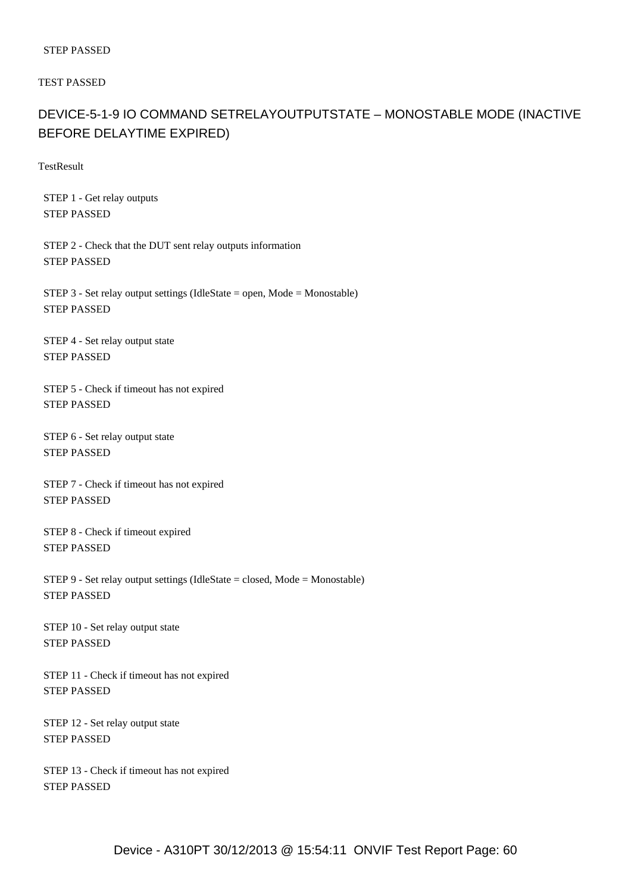#### STEP PASSED

TEST PASSED

# DEVICE-5-1-9 IO COMMAND SETRELAYOUTPUTSTATE – MONOSTABLE MODE (INACTIVE BEFORE DELAYTIME EXPIRED)

**TestResult** 

 STEP 1 - Get relay outputs STEP PASSED

 STEP 2 - Check that the DUT sent relay outputs information STEP PASSED

 STEP 3 - Set relay output settings (IdleState = open, Mode = Monostable) STEP PASSED

 STEP 4 - Set relay output state STEP PASSED

 STEP 5 - Check if timeout has not expired STEP PASSED

 STEP 6 - Set relay output state STEP PASSED

 STEP 7 - Check if timeout has not expired STEP PASSED

 STEP 8 - Check if timeout expired STEP PASSED

 STEP 9 - Set relay output settings (IdleState = closed, Mode = Monostable) STEP PASSED

 STEP 10 - Set relay output state STEP PASSED

 STEP 11 - Check if timeout has not expired STEP PASSED

 STEP 12 - Set relay output state STEP PASSED

 STEP 13 - Check if timeout has not expired STEP PASSED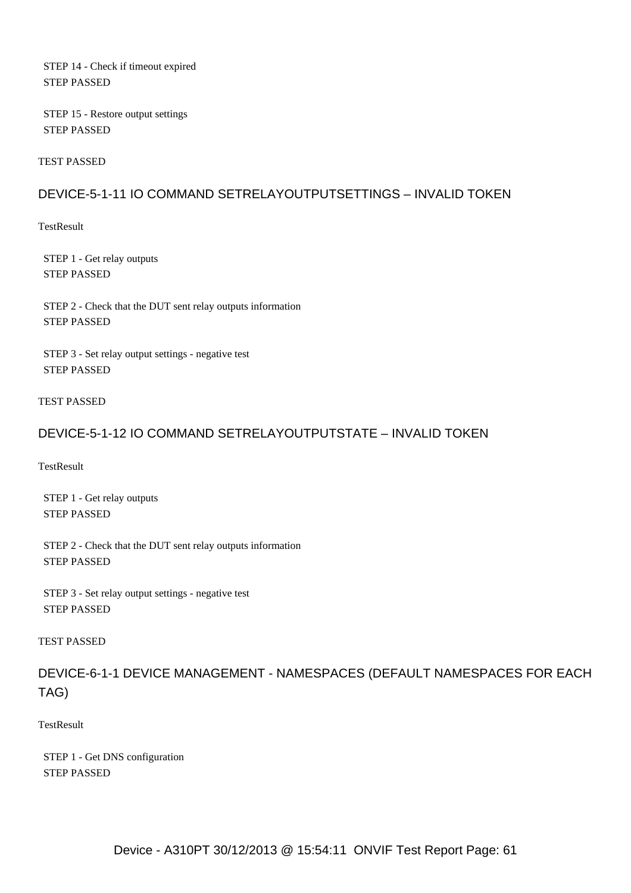STEP 14 - Check if timeout expired STEP PASSED

 STEP 15 - Restore output settings STEP PASSED

TEST PASSED

## DEVICE-5-1-11 IO COMMAND SETRELAYOUTPUTSETTINGS – INVALID TOKEN

**TestResult** 

 STEP 1 - Get relay outputs STEP PASSED

 STEP 2 - Check that the DUT sent relay outputs information STEP PASSED

 STEP 3 - Set relay output settings - negative test STEP PASSED

#### TEST PASSED

### DEVICE-5-1-12 IO COMMAND SETRELAYOUTPUTSTATE – INVALID TOKEN

**TestResult** 

 STEP 1 - Get relay outputs STEP PASSED

 STEP 2 - Check that the DUT sent relay outputs information STEP PASSED

 STEP 3 - Set relay output settings - negative test STEP PASSED

#### TEST PASSED

DEVICE-6-1-1 DEVICE MANAGEMENT - NAMESPACES (DEFAULT NAMESPACES FOR EACH TAG)

#### **TestResult**

 STEP 1 - Get DNS configuration STEP PASSED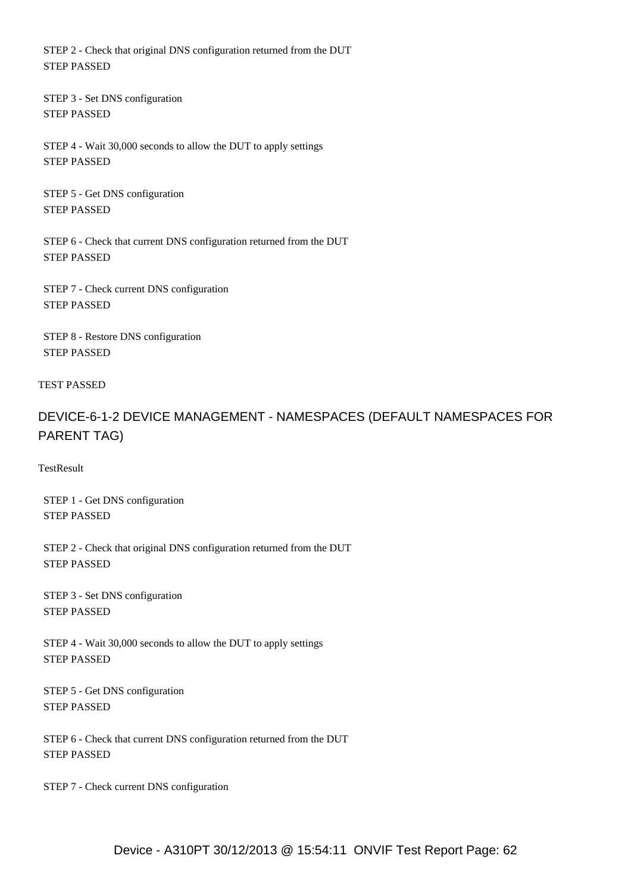STEP 2 - Check that original DNS configuration returned from the DUT STEP PASSED

 STEP 3 - Set DNS configuration STEP PASSED

 STEP 4 - Wait 30,000 seconds to allow the DUT to apply settings STEP PASSED

 STEP 5 - Get DNS configuration STEP PASSED

 STEP 6 - Check that current DNS configuration returned from the DUT STEP PASSED

 STEP 7 - Check current DNS configuration STEP PASSED

 STEP 8 - Restore DNS configuration STEP PASSED

#### TEST PASSED

# DEVICE-6-1-2 DEVICE MANAGEMENT - NAMESPACES (DEFAULT NAMESPACES FOR PARENT TAG)

**TestResult** 

 STEP 1 - Get DNS configuration STEP PASSED

 STEP 2 - Check that original DNS configuration returned from the DUT STEP PASSED

 STEP 3 - Set DNS configuration STEP PASSED

 STEP 4 - Wait 30,000 seconds to allow the DUT to apply settings STEP PASSED

 STEP 5 - Get DNS configuration STEP PASSED

 STEP 6 - Check that current DNS configuration returned from the DUT STEP PASSED

STEP 7 - Check current DNS configuration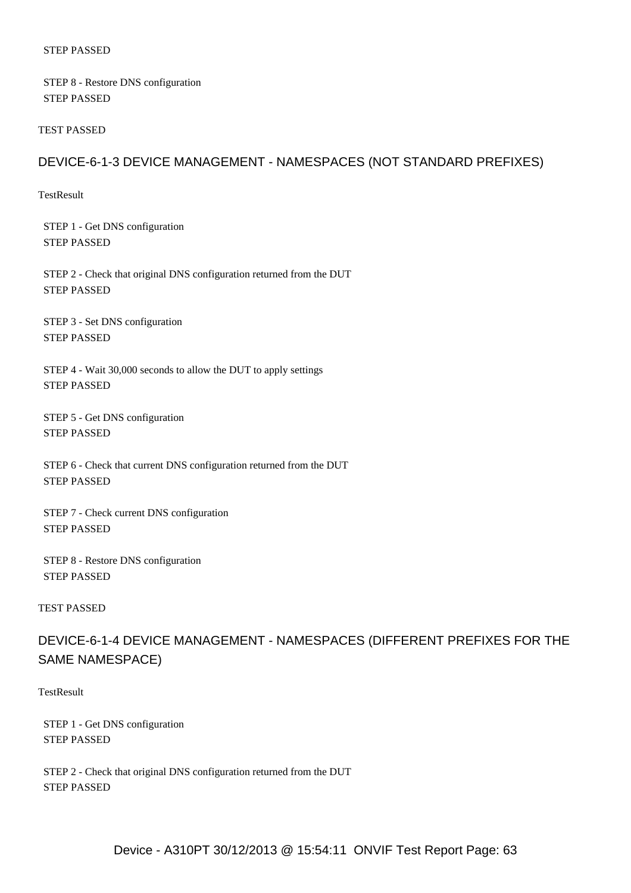#### STEP PASSED

 STEP 8 - Restore DNS configuration STEP PASSED

TEST PASSED

## DEVICE-6-1-3 DEVICE MANAGEMENT - NAMESPACES (NOT STANDARD PREFIXES)

TestResult

 STEP 1 - Get DNS configuration STEP PASSED

 STEP 2 - Check that original DNS configuration returned from the DUT STEP PASSED

 STEP 3 - Set DNS configuration STEP PASSED

 STEP 4 - Wait 30,000 seconds to allow the DUT to apply settings STEP PASSED

 STEP 5 - Get DNS configuration STEP PASSED

 STEP 6 - Check that current DNS configuration returned from the DUT STEP PASSED

 STEP 7 - Check current DNS configuration STEP PASSED

 STEP 8 - Restore DNS configuration STEP PASSED

### TEST PASSED

DEVICE-6-1-4 DEVICE MANAGEMENT - NAMESPACES (DIFFERENT PREFIXES FOR THE SAME NAMESPACE)

**TestResult** 

 STEP 1 - Get DNS configuration STEP PASSED

 STEP 2 - Check that original DNS configuration returned from the DUT STEP PASSED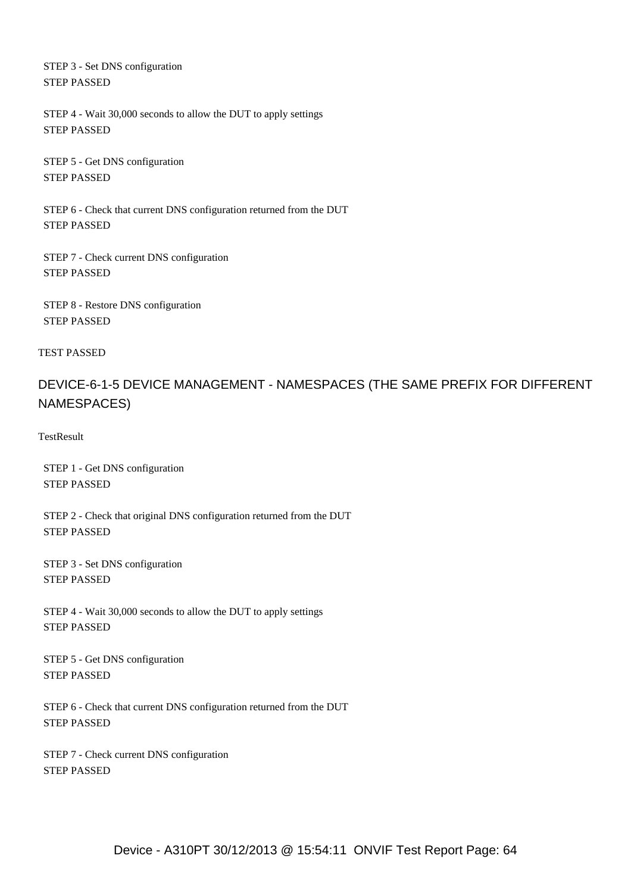STEP 3 - Set DNS configuration STEP PASSED

 STEP 4 - Wait 30,000 seconds to allow the DUT to apply settings STEP PASSED

 STEP 5 - Get DNS configuration STEP PASSED

 STEP 6 - Check that current DNS configuration returned from the DUT STEP PASSED

 STEP 7 - Check current DNS configuration STEP PASSED

 STEP 8 - Restore DNS configuration STEP PASSED

TEST PASSED

# DEVICE-6-1-5 DEVICE MANAGEMENT - NAMESPACES (THE SAME PREFIX FOR DIFFERENT NAMESPACES)

**TestResult** 

 STEP 1 - Get DNS configuration STEP PASSED

 STEP 2 - Check that original DNS configuration returned from the DUT STEP PASSED

 STEP 3 - Set DNS configuration STEP PASSED

 STEP 4 - Wait 30,000 seconds to allow the DUT to apply settings STEP PASSED

 STEP 5 - Get DNS configuration STEP PASSED

 STEP 6 - Check that current DNS configuration returned from the DUT STEP PASSED

 STEP 7 - Check current DNS configuration STEP PASSED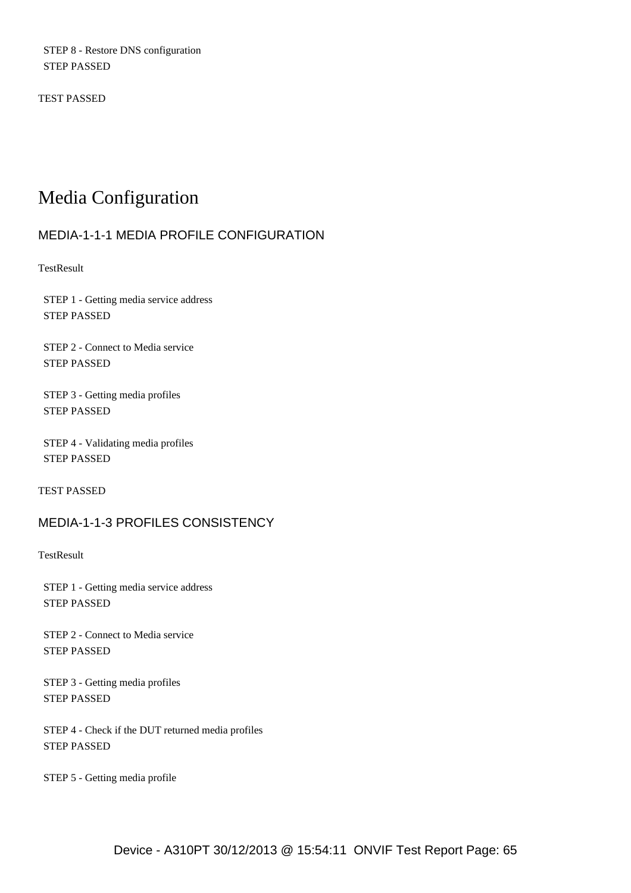STEP 8 - Restore DNS configuration STEP PASSED

TEST PASSED

# Media Configuration

## MEDIA-1-1-1 MEDIA PROFILE CONFIGURATION

**TestResult** 

 STEP 1 - Getting media service address STEP PASSED

 STEP 2 - Connect to Media service STEP PASSED

 STEP 3 - Getting media profiles STEP PASSED

 STEP 4 - Validating media profiles STEP PASSED

TEST PASSED

## MEDIA-1-1-3 PROFILES CONSISTENCY

**TestResult** 

 STEP 1 - Getting media service address STEP PASSED

 STEP 2 - Connect to Media service STEP PASSED

 STEP 3 - Getting media profiles STEP PASSED

 STEP 4 - Check if the DUT returned media profiles STEP PASSED

STEP 5 - Getting media profile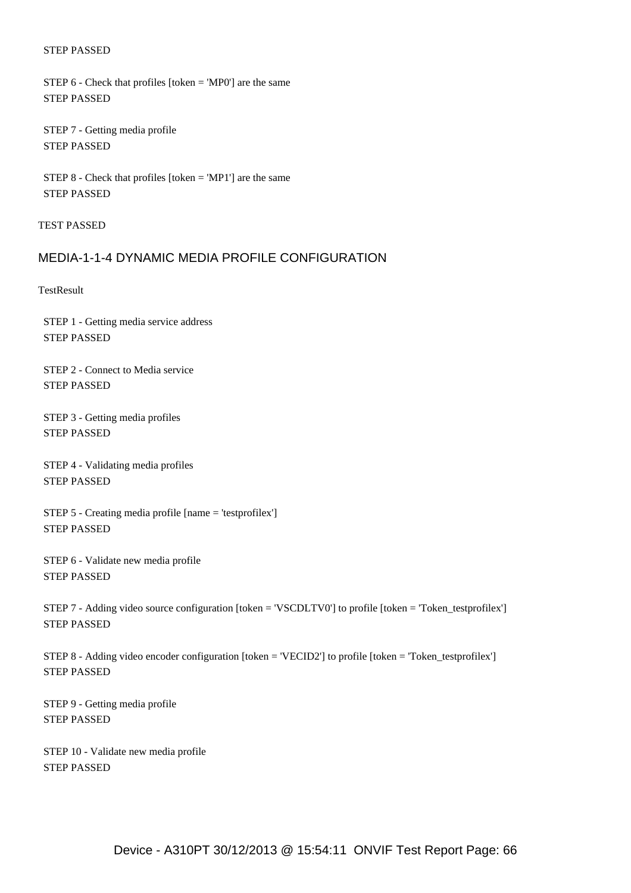#### STEP PASSED

 STEP 6 - Check that profiles [token = 'MP0'] are the same STEP PASSED

 STEP 7 - Getting media profile STEP PASSED

 STEP 8 - Check that profiles [token = 'MP1'] are the same STEP PASSED

TEST PASSED

### MEDIA-1-1-4 DYNAMIC MEDIA PROFILE CONFIGURATION

**TestResult** 

 STEP 1 - Getting media service address STEP PASSED

 STEP 2 - Connect to Media service STEP PASSED

 STEP 3 - Getting media profiles STEP PASSED

 STEP 4 - Validating media profiles STEP PASSED

 STEP 5 - Creating media profile [name = 'testprofilex'] STEP PASSED

 STEP 6 - Validate new media profile STEP PASSED

 STEP 7 - Adding video source configuration [token = 'VSCDLTV0'] to profile [token = 'Token\_testprofilex'] STEP PASSED

 STEP 8 - Adding video encoder configuration [token = 'VECID2'] to profile [token = 'Token\_testprofilex'] STEP PASSED

 STEP 9 - Getting media profile STEP PASSED

 STEP 10 - Validate new media profile STEP PASSED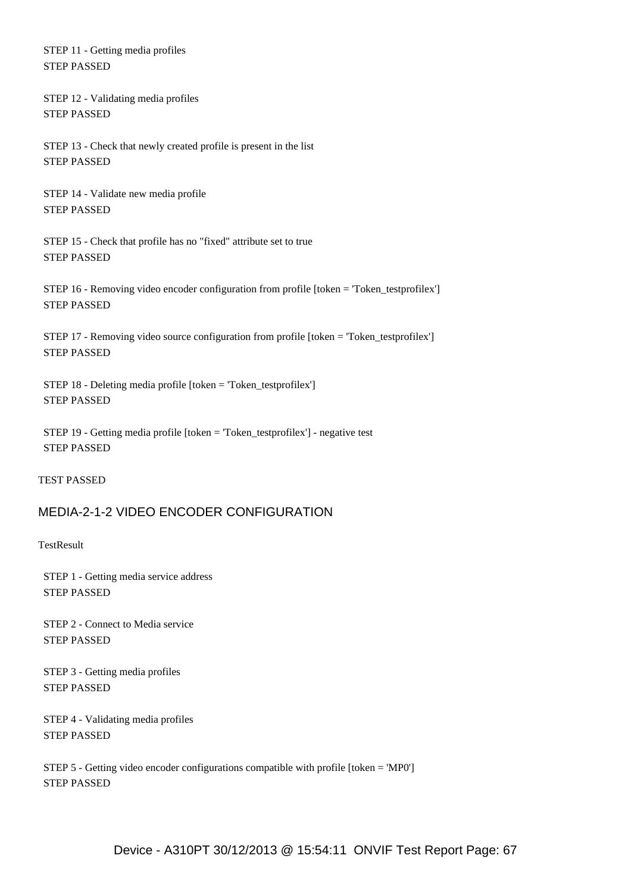STEP 11 - Getting media profiles STEP PASSED

 STEP 12 - Validating media profiles STEP PASSED

 STEP 13 - Check that newly created profile is present in the list STEP PASSED

 STEP 14 - Validate new media profile STEP PASSED

 STEP 15 - Check that profile has no "fixed" attribute set to true STEP PASSED

 STEP 16 - Removing video encoder configuration from profile [token = 'Token\_testprofilex'] STEP PASSED

 STEP 17 - Removing video source configuration from profile [token = 'Token\_testprofilex'] STEP PASSED

 STEP 18 - Deleting media profile [token = 'Token\_testprofilex'] STEP PASSED

 STEP 19 - Getting media profile [token = 'Token\_testprofilex'] - negative test STEP PASSED

#### TEST PASSED

### MEDIA-2-1-2 VIDEO ENCODER CONFIGURATION

**TestResult** 

 STEP 1 - Getting media service address STEP PASSED

 STEP 2 - Connect to Media service STEP PASSED

 STEP 3 - Getting media profiles STEP PASSED

 STEP 4 - Validating media profiles STEP PASSED

 STEP 5 - Getting video encoder configurations compatible with profile [token = 'MP0'] STEP PASSED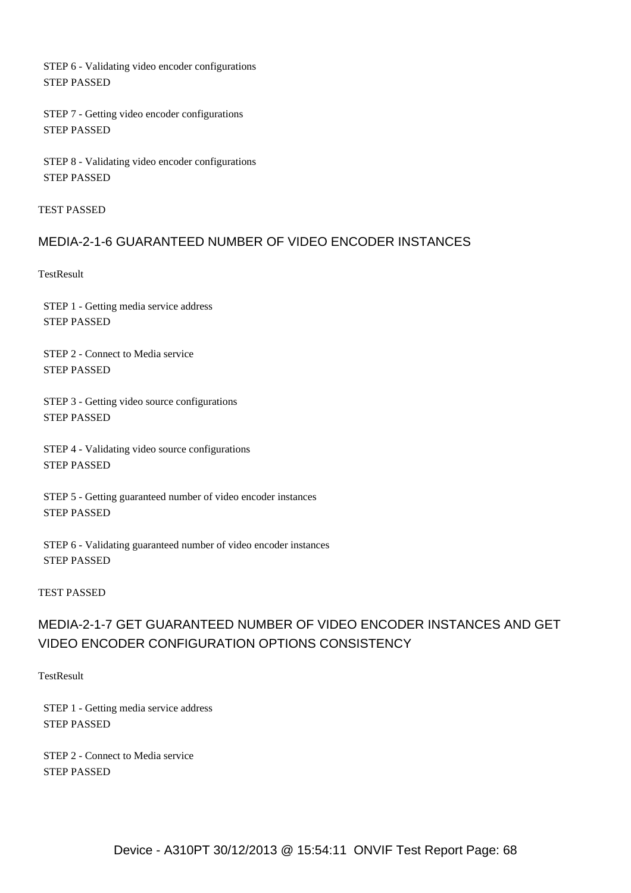STEP 6 - Validating video encoder configurations STEP PASSED

 STEP 7 - Getting video encoder configurations STEP PASSED

 STEP 8 - Validating video encoder configurations STEP PASSED

TEST PASSED

## MEDIA-2-1-6 GUARANTEED NUMBER OF VIDEO ENCODER INSTANCES

**TestResult** 

 STEP 1 - Getting media service address STEP PASSED

 STEP 2 - Connect to Media service STEP PASSED

 STEP 3 - Getting video source configurations STEP PASSED

 STEP 4 - Validating video source configurations STEP PASSED

 STEP 5 - Getting guaranteed number of video encoder instances STEP PASSED

 STEP 6 - Validating guaranteed number of video encoder instances STEP PASSED

#### TEST PASSED

# MEDIA-2-1-7 GET GUARANTEED NUMBER OF VIDEO ENCODER INSTANCES AND GET VIDEO ENCODER CONFIGURATION OPTIONS CONSISTENCY

**TestResult** 

 STEP 1 - Getting media service address STEP PASSED

 STEP 2 - Connect to Media service STEP PASSED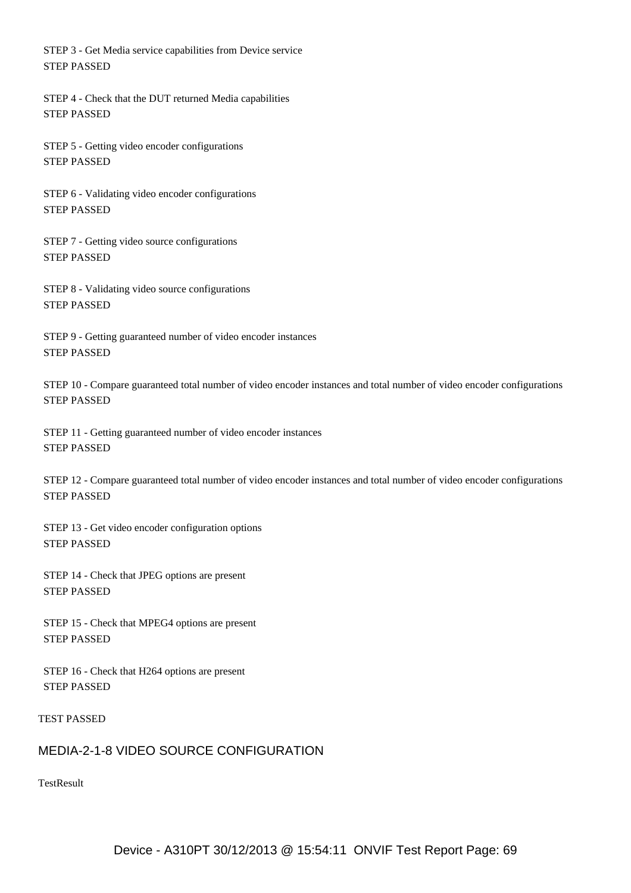STEP 3 - Get Media service capabilities from Device service STEP PASSED

 STEP 4 - Check that the DUT returned Media capabilities STEP PASSED

 STEP 5 - Getting video encoder configurations STEP PASSED

 STEP 6 - Validating video encoder configurations STEP PASSED

 STEP 7 - Getting video source configurations STEP PASSED

 STEP 8 - Validating video source configurations STEP PASSED

 STEP 9 - Getting guaranteed number of video encoder instances STEP PASSED

 STEP 10 - Compare guaranteed total number of video encoder instances and total number of video encoder configurations STEP PASSED

 STEP 11 - Getting guaranteed number of video encoder instances STEP PASSED

 STEP 12 - Compare guaranteed total number of video encoder instances and total number of video encoder configurations STEP PASSED

 STEP 13 - Get video encoder configuration options STEP PASSED

 STEP 14 - Check that JPEG options are present STEP PASSED

 STEP 15 - Check that MPEG4 options are present STEP PASSED

 STEP 16 - Check that H264 options are present STEP PASSED

TEST PASSED

## MEDIA-2-1-8 VIDEO SOURCE CONFIGURATION

**TestResult**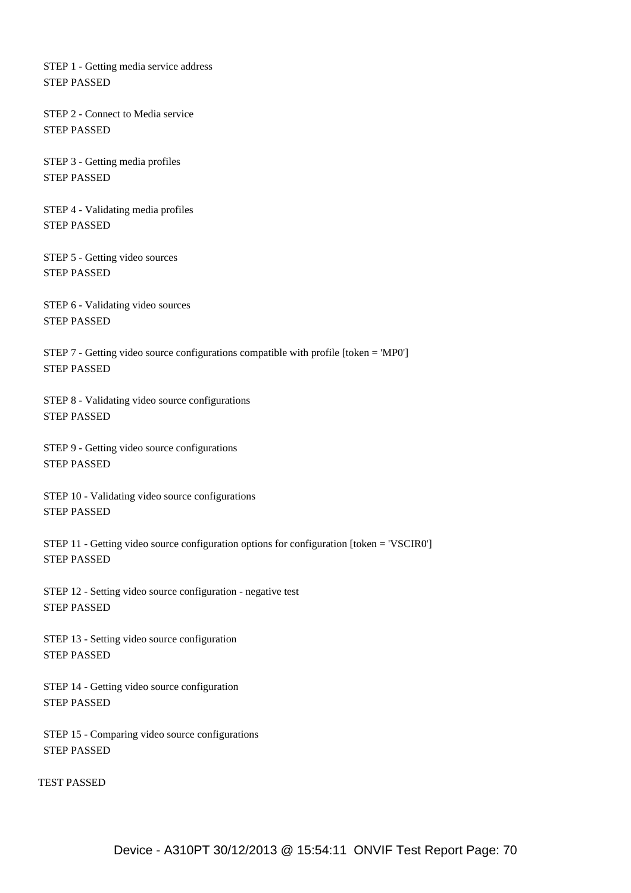STEP 1 - Getting media service address STEP PASSED

 STEP 2 - Connect to Media service STEP PASSED

 STEP 3 - Getting media profiles STEP PASSED

 STEP 4 - Validating media profiles STEP PASSED

 STEP 5 - Getting video sources STEP PASSED

 STEP 6 - Validating video sources STEP PASSED

 STEP 7 - Getting video source configurations compatible with profile [token = 'MP0'] STEP PASSED

 STEP 8 - Validating video source configurations STEP PASSED

 STEP 9 - Getting video source configurations STEP PASSED

 STEP 10 - Validating video source configurations STEP PASSED

 STEP 11 - Getting video source configuration options for configuration [token = 'VSCIR0'] STEP PASSED

 STEP 12 - Setting video source configuration - negative test STEP PASSED

 STEP 13 - Setting video source configuration STEP PASSED

 STEP 14 - Getting video source configuration STEP PASSED

 STEP 15 - Comparing video source configurations STEP PASSED

TEST PASSED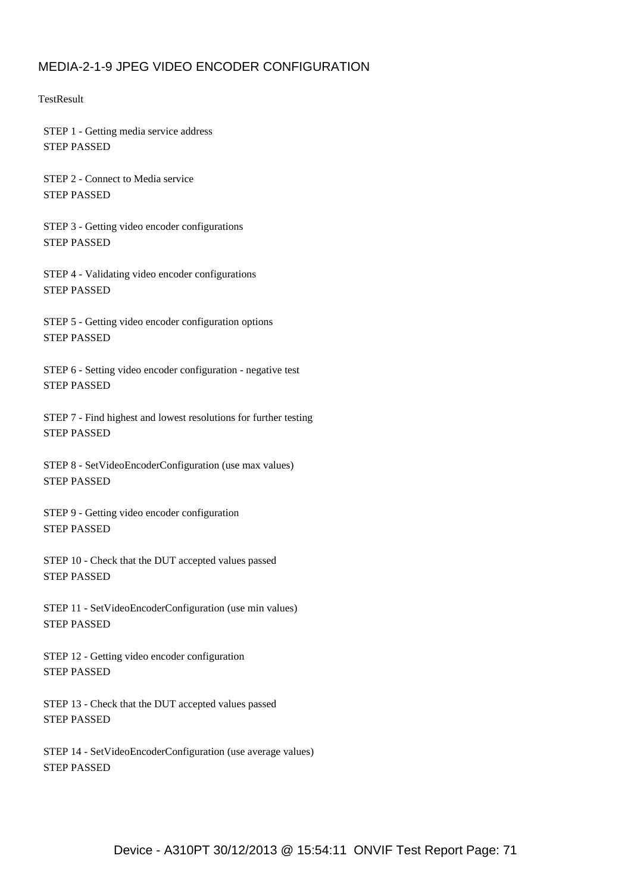# MEDIA-2-1-9 JPEG VIDEO ENCODER CONFIGURATION

**TestResult** 

 STEP 1 - Getting media service address STEP PASSED

 STEP 2 - Connect to Media service STEP PASSED

 STEP 3 - Getting video encoder configurations STEP PASSED

 STEP 4 - Validating video encoder configurations STEP PASSED

 STEP 5 - Getting video encoder configuration options STEP PASSED

 STEP 6 - Setting video encoder configuration - negative test STEP PASSED

 STEP 7 - Find highest and lowest resolutions for further testing STEP PASSED

 STEP 8 - SetVideoEncoderConfiguration (use max values) STEP PASSED

 STEP 9 - Getting video encoder configuration STEP PASSED

 STEP 10 - Check that the DUT accepted values passed STEP PASSED

 STEP 11 - SetVideoEncoderConfiguration (use min values) STEP PASSED

 STEP 12 - Getting video encoder configuration STEP PASSED

 STEP 13 - Check that the DUT accepted values passed STEP PASSED

 STEP 14 - SetVideoEncoderConfiguration (use average values) STEP PASSED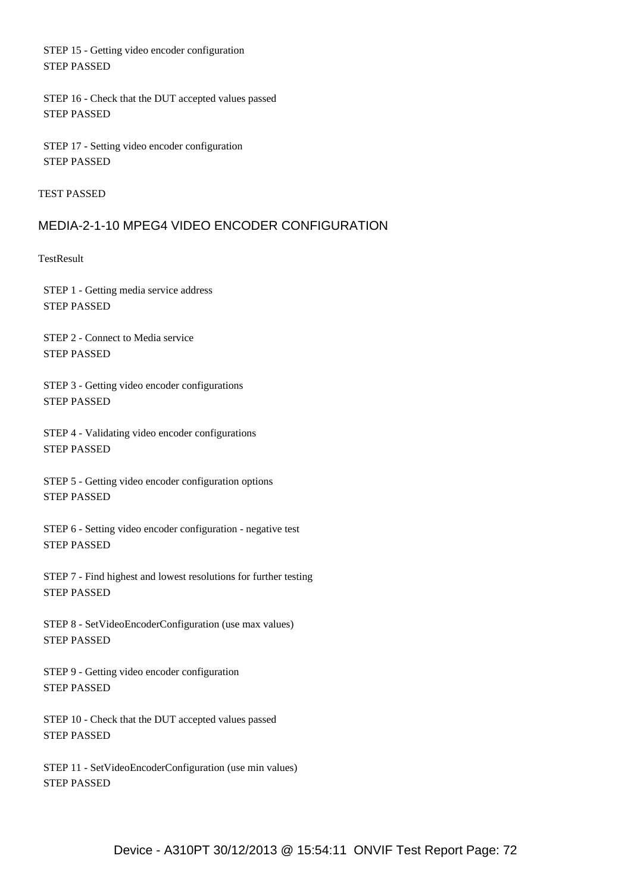STEP 15 - Getting video encoder configuration STEP PASSED

 STEP 16 - Check that the DUT accepted values passed STEP PASSED

 STEP 17 - Setting video encoder configuration STEP PASSED

TEST PASSED

## MEDIA-2-1-10 MPEG4 VIDEO ENCODER CONFIGURATION

**TestResult** 

 STEP 1 - Getting media service address STEP PASSED

 STEP 2 - Connect to Media service STEP PASSED

 STEP 3 - Getting video encoder configurations STEP PASSED

 STEP 4 - Validating video encoder configurations STEP PASSED

 STEP 5 - Getting video encoder configuration options STEP PASSED

 STEP 6 - Setting video encoder configuration - negative test STEP PASSED

 STEP 7 - Find highest and lowest resolutions for further testing STEP PASSED

 STEP 8 - SetVideoEncoderConfiguration (use max values) STEP PASSED

 STEP 9 - Getting video encoder configuration STEP PASSED

 STEP 10 - Check that the DUT accepted values passed STEP PASSED

 STEP 11 - SetVideoEncoderConfiguration (use min values) STEP PASSED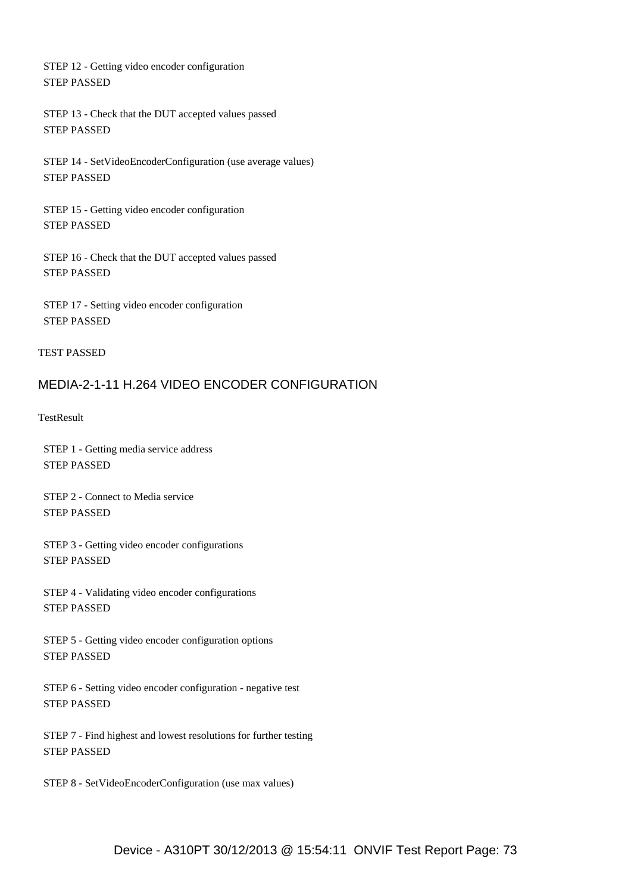STEP 12 - Getting video encoder configuration STEP PASSED

 STEP 13 - Check that the DUT accepted values passed STEP PASSED

 STEP 14 - SetVideoEncoderConfiguration (use average values) STEP PASSED

 STEP 15 - Getting video encoder configuration STEP PASSED

 STEP 16 - Check that the DUT accepted values passed STEP PASSED

 STEP 17 - Setting video encoder configuration STEP PASSED

#### TEST PASSED

## MEDIA-2-1-11 H.264 VIDEO ENCODER CONFIGURATION

**TestResult** 

 STEP 1 - Getting media service address STEP PASSED

 STEP 2 - Connect to Media service STEP PASSED

 STEP 3 - Getting video encoder configurations STEP PASSED

 STEP 4 - Validating video encoder configurations STEP PASSED

 STEP 5 - Getting video encoder configuration options STEP PASSED

 STEP 6 - Setting video encoder configuration - negative test STEP PASSED

 STEP 7 - Find highest and lowest resolutions for further testing STEP PASSED

STEP 8 - SetVideoEncoderConfiguration (use max values)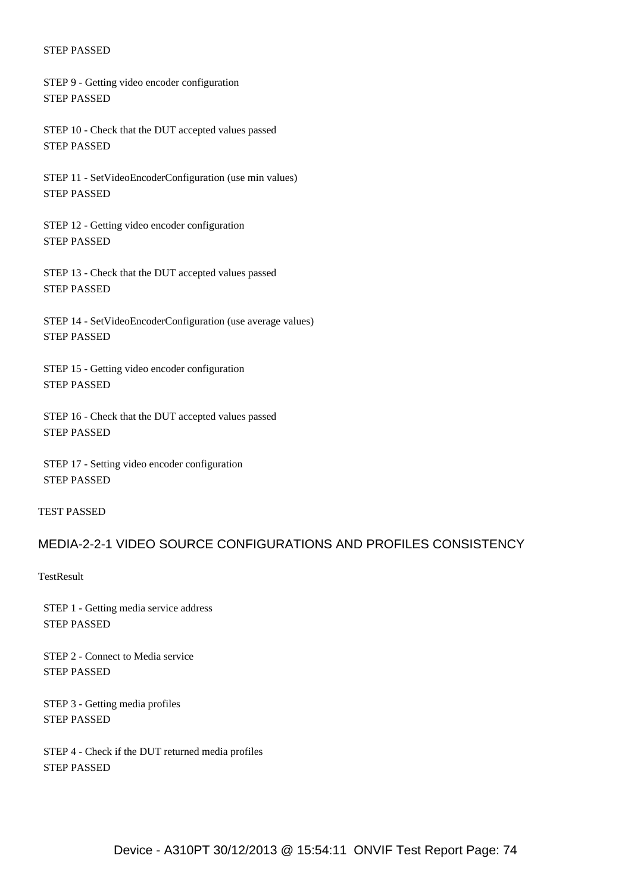STEP 9 - Getting video encoder configuration STEP PASSED

 STEP 10 - Check that the DUT accepted values passed STEP PASSED

 STEP 11 - SetVideoEncoderConfiguration (use min values) STEP PASSED

 STEP 12 - Getting video encoder configuration STEP PASSED

 STEP 13 - Check that the DUT accepted values passed STEP PASSED

 STEP 14 - SetVideoEncoderConfiguration (use average values) STEP PASSED

 STEP 15 - Getting video encoder configuration STEP PASSED

 STEP 16 - Check that the DUT accepted values passed STEP PASSED

 STEP 17 - Setting video encoder configuration STEP PASSED

#### TEST PASSED

## MEDIA-2-2-1 VIDEO SOURCE CONFIGURATIONS AND PROFILES CONSISTENCY

**TestResult** 

 STEP 1 - Getting media service address STEP PASSED

 STEP 2 - Connect to Media service STEP PASSED

 STEP 3 - Getting media profiles STEP PASSED

 STEP 4 - Check if the DUT returned media profiles STEP PASSED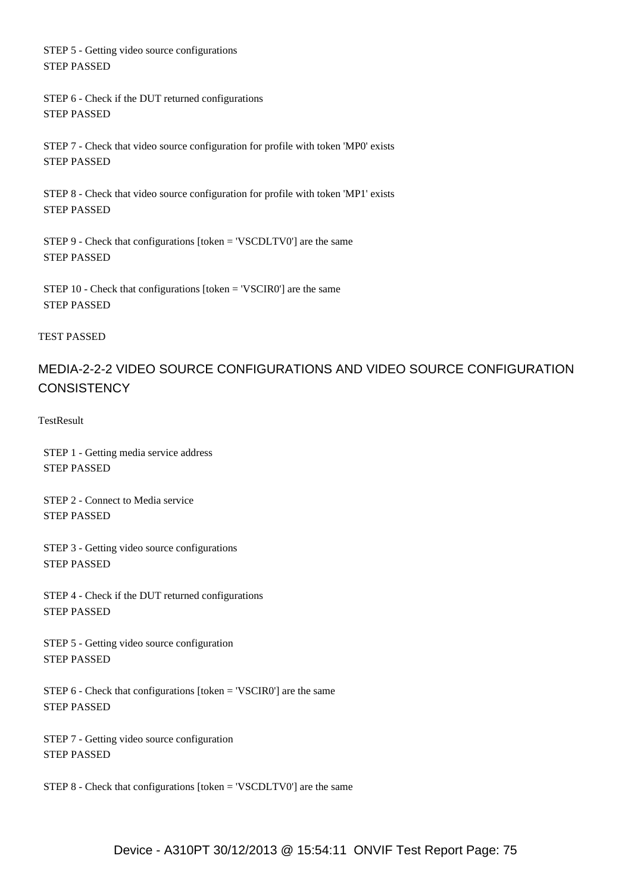STEP 5 - Getting video source configurations STEP PASSED

 STEP 6 - Check if the DUT returned configurations STEP PASSED

 STEP 7 - Check that video source configuration for profile with token 'MP0' exists STEP PASSED

 STEP 8 - Check that video source configuration for profile with token 'MP1' exists STEP PASSED

 STEP 9 - Check that configurations [token = 'VSCDLTV0'] are the same STEP PASSED

 STEP 10 - Check that configurations [token = 'VSCIR0'] are the same STEP PASSED

### TEST PASSED

# MEDIA-2-2-2 VIDEO SOURCE CONFIGURATIONS AND VIDEO SOURCE CONFIGURATION **CONSISTENCY**

**TestResult** 

 STEP 1 - Getting media service address STEP PASSED

 STEP 2 - Connect to Media service STEP PASSED

 STEP 3 - Getting video source configurations STEP PASSED

 STEP 4 - Check if the DUT returned configurations STEP PASSED

 STEP 5 - Getting video source configuration STEP PASSED

 STEP 6 - Check that configurations [token = 'VSCIR0'] are the same STEP PASSED

 STEP 7 - Getting video source configuration STEP PASSED

STEP 8 - Check that configurations [token = 'VSCDLTV0'] are the same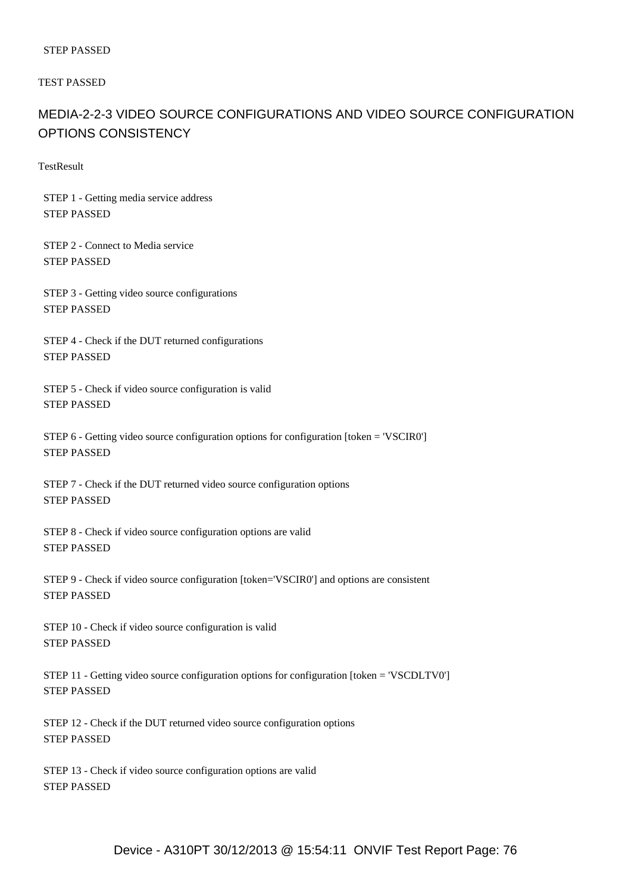TEST PASSED

# MEDIA-2-2-3 VIDEO SOURCE CONFIGURATIONS AND VIDEO SOURCE CONFIGURATION OPTIONS CONSISTENCY

**TestResult** 

 STEP 1 - Getting media service address STEP PASSED

 STEP 2 - Connect to Media service STEP PASSED

 STEP 3 - Getting video source configurations STEP PASSED

 STEP 4 - Check if the DUT returned configurations STEP PASSED

 STEP 5 - Check if video source configuration is valid STEP PASSED

 STEP 6 - Getting video source configuration options for configuration [token = 'VSCIR0'] STEP PASSED

 STEP 7 - Check if the DUT returned video source configuration options STEP PASSED

 STEP 8 - Check if video source configuration options are valid STEP PASSED

 STEP 9 - Check if video source configuration [token='VSCIR0'] and options are consistent STEP PASSED

 STEP 10 - Check if video source configuration is valid STEP PASSED

 STEP 11 - Getting video source configuration options for configuration [token = 'VSCDLTV0'] STEP PASSED

 STEP 12 - Check if the DUT returned video source configuration options STEP PASSED

 STEP 13 - Check if video source configuration options are valid STEP PASSED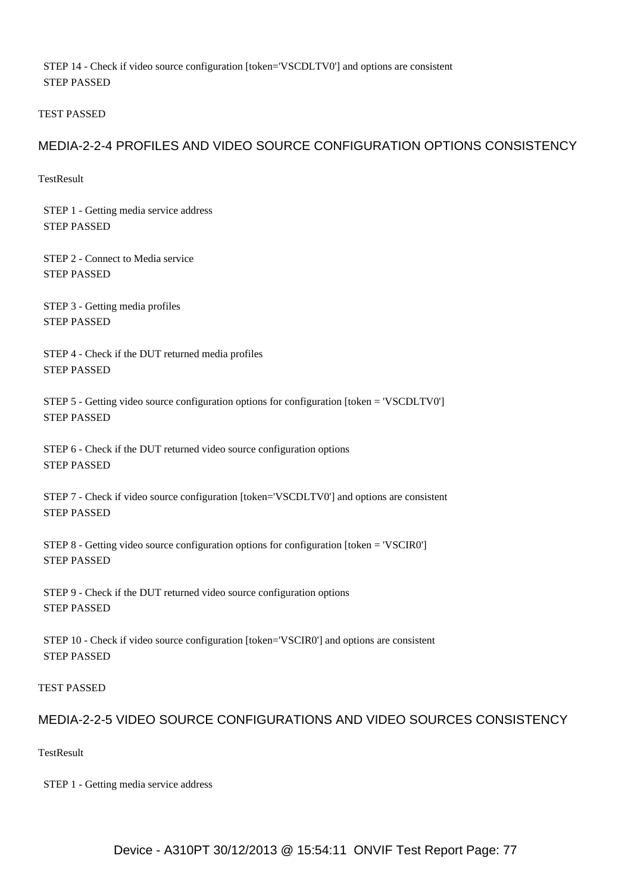STEP 14 - Check if video source configuration [token='VSCDLTV0'] and options are consistent STEP PASSED

TEST PASSED

## MEDIA-2-2-4 PROFILES AND VIDEO SOURCE CONFIGURATION OPTIONS CONSISTENCY

**TestResult** 

 STEP 1 - Getting media service address STEP PASSED

 STEP 2 - Connect to Media service STEP PASSED

 STEP 3 - Getting media profiles STEP PASSED

 STEP 4 - Check if the DUT returned media profiles STEP PASSED

 STEP 5 - Getting video source configuration options for configuration [token = 'VSCDLTV0'] STEP PASSED

 STEP 6 - Check if the DUT returned video source configuration options STEP PASSED

 STEP 7 - Check if video source configuration [token='VSCDLTV0'] and options are consistent STEP PASSED

 STEP 8 - Getting video source configuration options for configuration [token = 'VSCIR0'] STEP PASSED

 STEP 9 - Check if the DUT returned video source configuration options STEP PASSED

 STEP 10 - Check if video source configuration [token='VSCIR0'] and options are consistent STEP PASSED

TEST PASSED

## MEDIA-2-2-5 VIDEO SOURCE CONFIGURATIONS AND VIDEO SOURCES CONSISTENCY

**TestResult** 

STEP 1 - Getting media service address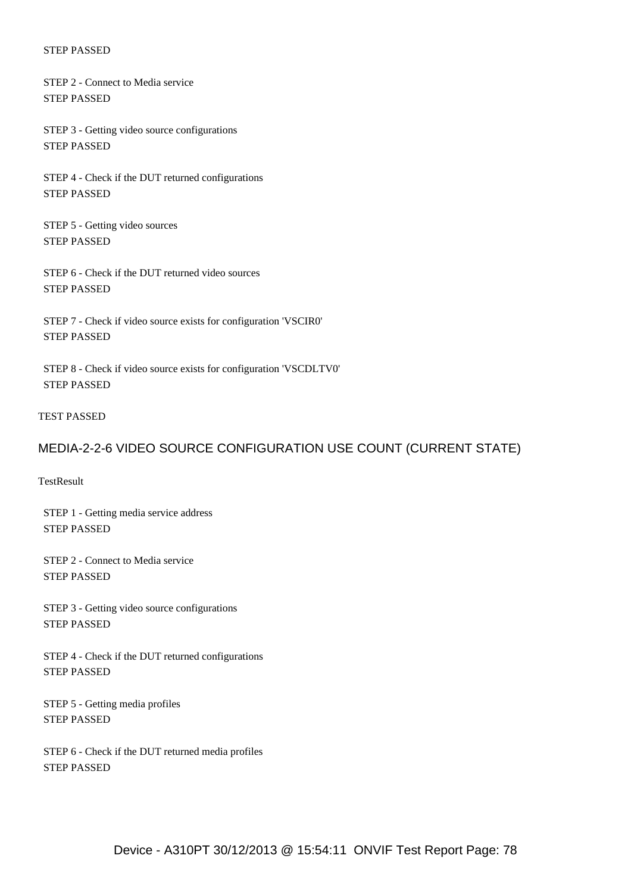STEP 2 - Connect to Media service STEP PASSED

 STEP 3 - Getting video source configurations STEP PASSED

 STEP 4 - Check if the DUT returned configurations STEP PASSED

 STEP 5 - Getting video sources STEP PASSED

 STEP 6 - Check if the DUT returned video sources STEP PASSED

 STEP 7 - Check if video source exists for configuration 'VSCIR0' STEP PASSED

 STEP 8 - Check if video source exists for configuration 'VSCDLTV0' STEP PASSED

### TEST PASSED

### MEDIA-2-2-6 VIDEO SOURCE CONFIGURATION USE COUNT (CURRENT STATE)

**TestResult** 

 STEP 1 - Getting media service address STEP PASSED

 STEP 2 - Connect to Media service STEP PASSED

 STEP 3 - Getting video source configurations STEP PASSED

 STEP 4 - Check if the DUT returned configurations STEP PASSED

 STEP 5 - Getting media profiles STEP PASSED

 STEP 6 - Check if the DUT returned media profiles STEP PASSED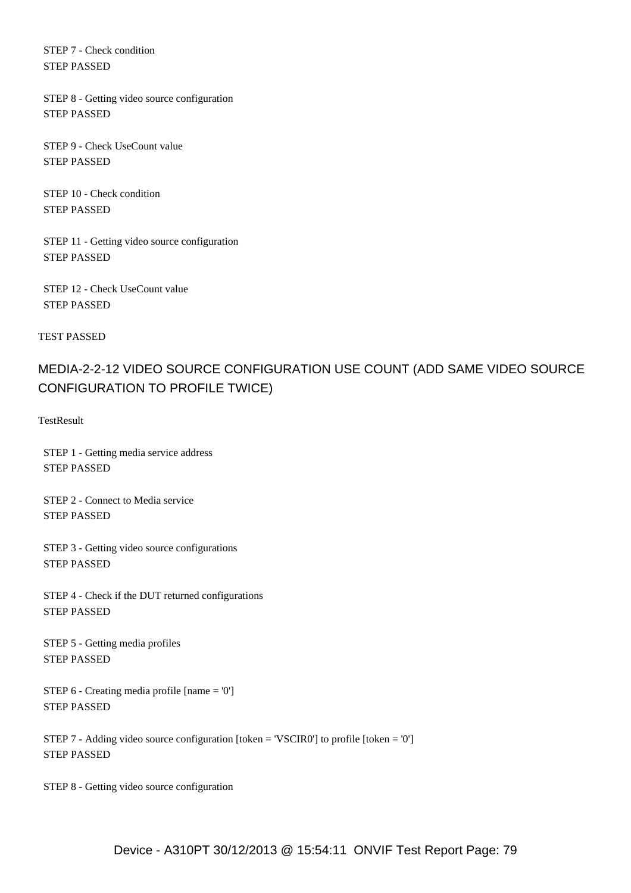STEP 7 - Check condition STEP PASSED

 STEP 8 - Getting video source configuration STEP PASSED

 STEP 9 - Check UseCount value STEP PASSED

 STEP 10 - Check condition STEP PASSED

 STEP 11 - Getting video source configuration STEP PASSED

 STEP 12 - Check UseCount value STEP PASSED

TEST PASSED

# MEDIA-2-2-12 VIDEO SOURCE CONFIGURATION USE COUNT (ADD SAME VIDEO SOURCE CONFIGURATION TO PROFILE TWICE)

**TestResult** 

 STEP 1 - Getting media service address STEP PASSED

 STEP 2 - Connect to Media service STEP PASSED

 STEP 3 - Getting video source configurations STEP PASSED

 STEP 4 - Check if the DUT returned configurations STEP PASSED

 STEP 5 - Getting media profiles STEP PASSED

 STEP 6 - Creating media profile [name = '0'] STEP PASSED

 STEP 7 - Adding video source configuration [token = 'VSCIR0'] to profile [token = '0'] STEP PASSED

STEP 8 - Getting video source configuration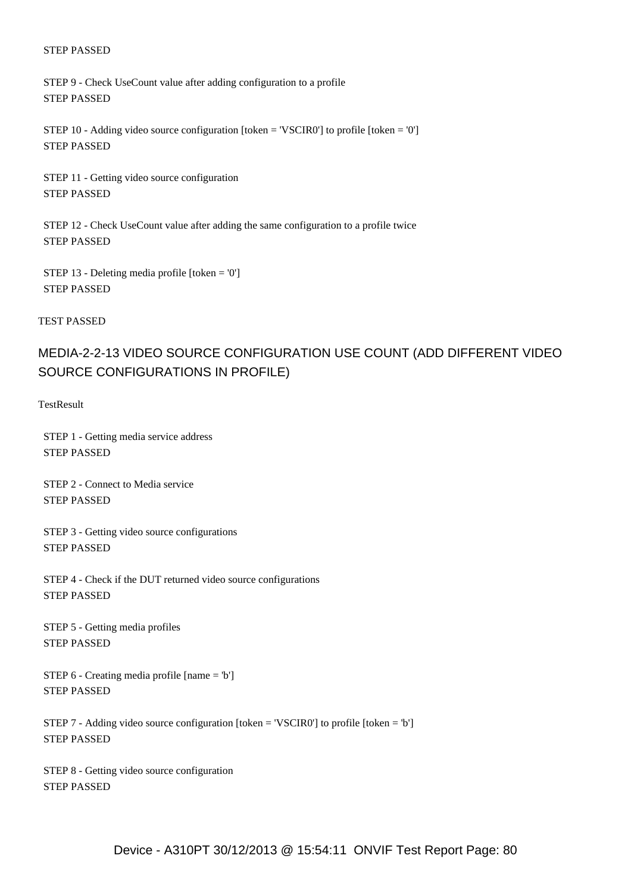STEP 9 - Check UseCount value after adding configuration to a profile STEP PASSED

 STEP 10 - Adding video source configuration [token = 'VSCIR0'] to profile [token = '0'] STEP PASSED

 STEP 11 - Getting video source configuration STEP PASSED

 STEP 12 - Check UseCount value after adding the same configuration to a profile twice STEP PASSED

 STEP 13 - Deleting media profile [token = '0'] STEP PASSED

TEST PASSED

## MEDIA-2-2-13 VIDEO SOURCE CONFIGURATION USE COUNT (ADD DIFFERENT VIDEO SOURCE CONFIGURATIONS IN PROFILE)

**TestResult** 

 STEP 1 - Getting media service address STEP PASSED

 STEP 2 - Connect to Media service STEP PASSED

 STEP 3 - Getting video source configurations STEP PASSED

 STEP 4 - Check if the DUT returned video source configurations STEP PASSED

 STEP 5 - Getting media profiles STEP PASSED

 STEP 6 - Creating media profile [name = 'b'] STEP PASSED

 STEP 7 - Adding video source configuration [token = 'VSCIR0'] to profile [token = 'b'] STEP PASSED

 STEP 8 - Getting video source configuration STEP PASSED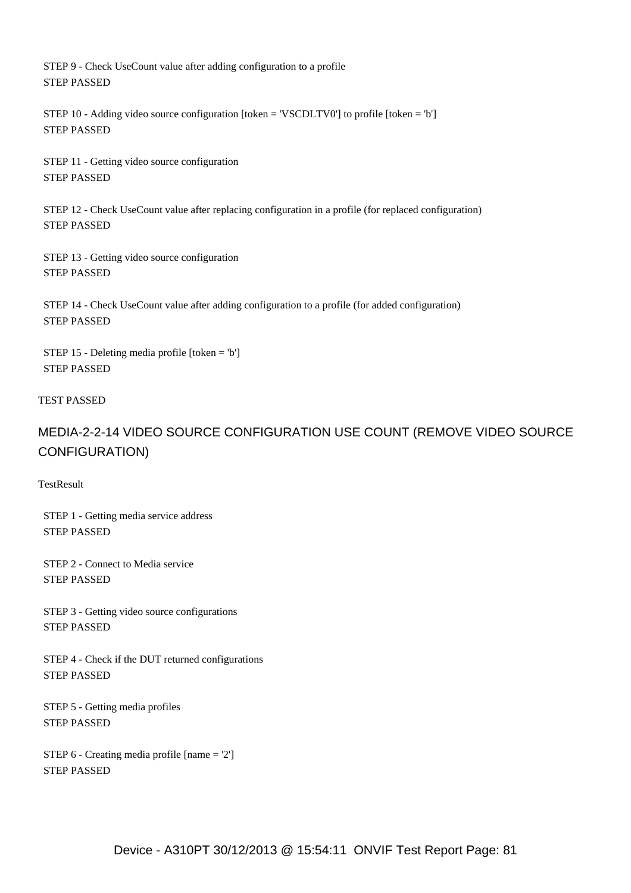STEP 9 - Check UseCount value after adding configuration to a profile STEP PASSED

 STEP 10 - Adding video source configuration [token = 'VSCDLTV0'] to profile [token = 'b'] STEP PASSED

 STEP 11 - Getting video source configuration STEP PASSED

 STEP 12 - Check UseCount value after replacing configuration in a profile (for replaced configuration) STEP PASSED

 STEP 13 - Getting video source configuration STEP PASSED

 STEP 14 - Check UseCount value after adding configuration to a profile (for added configuration) STEP PASSED

 STEP 15 - Deleting media profile [token = 'b'] STEP PASSED

### TEST PASSED

# MEDIA-2-2-14 VIDEO SOURCE CONFIGURATION USE COUNT (REMOVE VIDEO SOURCE CONFIGURATION)

**TestResult** 

 STEP 1 - Getting media service address STEP PASSED

 STEP 2 - Connect to Media service STEP PASSED

 STEP 3 - Getting video source configurations STEP PASSED

 STEP 4 - Check if the DUT returned configurations STEP PASSED

 STEP 5 - Getting media profiles STEP PASSED

 STEP 6 - Creating media profile [name = '2'] STEP PASSED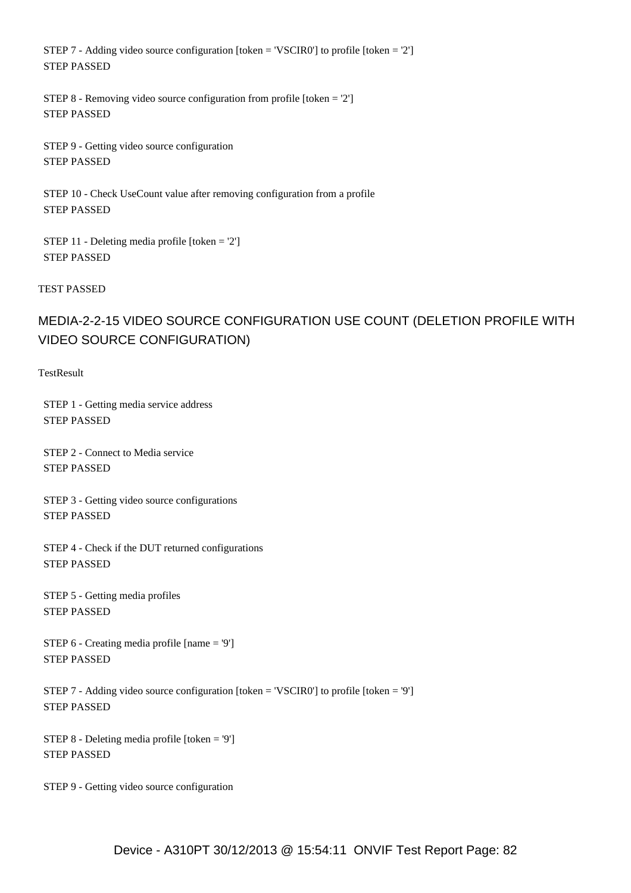STEP 7 - Adding video source configuration [token = 'VSCIR0'] to profile [token = '2'] STEP PASSED

 STEP 8 - Removing video source configuration from profile [token = '2'] STEP PASSED

 STEP 9 - Getting video source configuration STEP PASSED

 STEP 10 - Check UseCount value after removing configuration from a profile STEP PASSED

 STEP 11 - Deleting media profile [token = '2'] STEP PASSED

TEST PASSED

# MEDIA-2-2-15 VIDEO SOURCE CONFIGURATION USE COUNT (DELETION PROFILE WITH VIDEO SOURCE CONFIGURATION)

**TestResult** 

 STEP 1 - Getting media service address STEP PASSED

 STEP 2 - Connect to Media service STEP PASSED

 STEP 3 - Getting video source configurations STEP PASSED

 STEP 4 - Check if the DUT returned configurations STEP PASSED

 STEP 5 - Getting media profiles STEP PASSED

 STEP 6 - Creating media profile [name = '9'] STEP PASSED

 STEP 7 - Adding video source configuration [token = 'VSCIR0'] to profile [token = '9'] STEP PASSED

 STEP 8 - Deleting media profile [token = '9'] STEP PASSED

STEP 9 - Getting video source configuration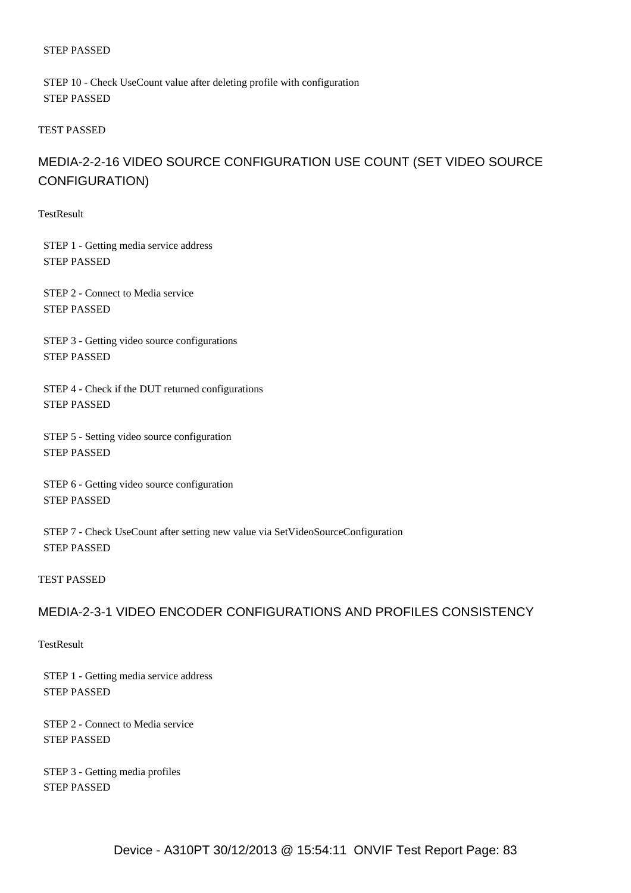STEP 10 - Check UseCount value after deleting profile with configuration STEP PASSED

### TEST PASSED

# MEDIA-2-2-16 VIDEO SOURCE CONFIGURATION USE COUNT (SET VIDEO SOURCE CONFIGURATION)

**TestResult** 

 STEP 1 - Getting media service address STEP PASSED

 STEP 2 - Connect to Media service STEP PASSED

 STEP 3 - Getting video source configurations STEP PASSED

 STEP 4 - Check if the DUT returned configurations STEP PASSED

 STEP 5 - Setting video source configuration STEP PASSED

 STEP 6 - Getting video source configuration STEP PASSED

 STEP 7 - Check UseCount after setting new value via SetVideoSourceConfiguration STEP PASSED

#### TEST PASSED

## MEDIA-2-3-1 VIDEO ENCODER CONFIGURATIONS AND PROFILES CONSISTENCY

**TestResult** 

 STEP 1 - Getting media service address STEP PASSED

 STEP 2 - Connect to Media service STEP PASSED

 STEP 3 - Getting media profiles STEP PASSED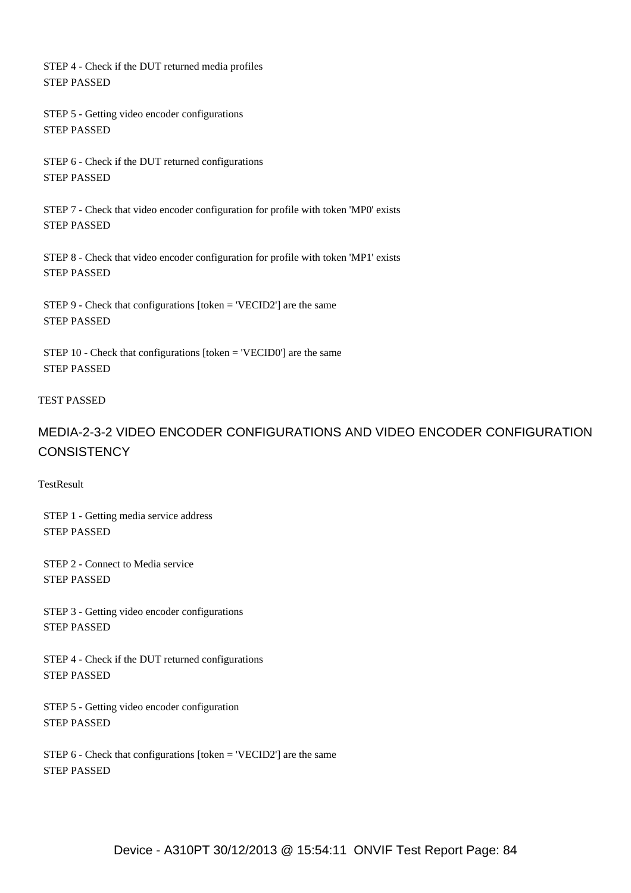STEP 4 - Check if the DUT returned media profiles STEP PASSED

 STEP 5 - Getting video encoder configurations STEP PASSED

 STEP 6 - Check if the DUT returned configurations STEP PASSED

 STEP 7 - Check that video encoder configuration for profile with token 'MP0' exists STEP PASSED

 STEP 8 - Check that video encoder configuration for profile with token 'MP1' exists STEP PASSED

 STEP 9 - Check that configurations [token = 'VECID2'] are the same STEP PASSED

 STEP 10 - Check that configurations [token = 'VECID0'] are the same STEP PASSED

### TEST PASSED

# MEDIA-2-3-2 VIDEO ENCODER CONFIGURATIONS AND VIDEO ENCODER CONFIGURATION **CONSISTENCY**

TestResult

 STEP 1 - Getting media service address STEP PASSED

 STEP 2 - Connect to Media service STEP PASSED

 STEP 3 - Getting video encoder configurations STEP PASSED

 STEP 4 - Check if the DUT returned configurations STEP PASSED

 STEP 5 - Getting video encoder configuration STEP PASSED

 STEP 6 - Check that configurations [token = 'VECID2'] are the same STEP PASSED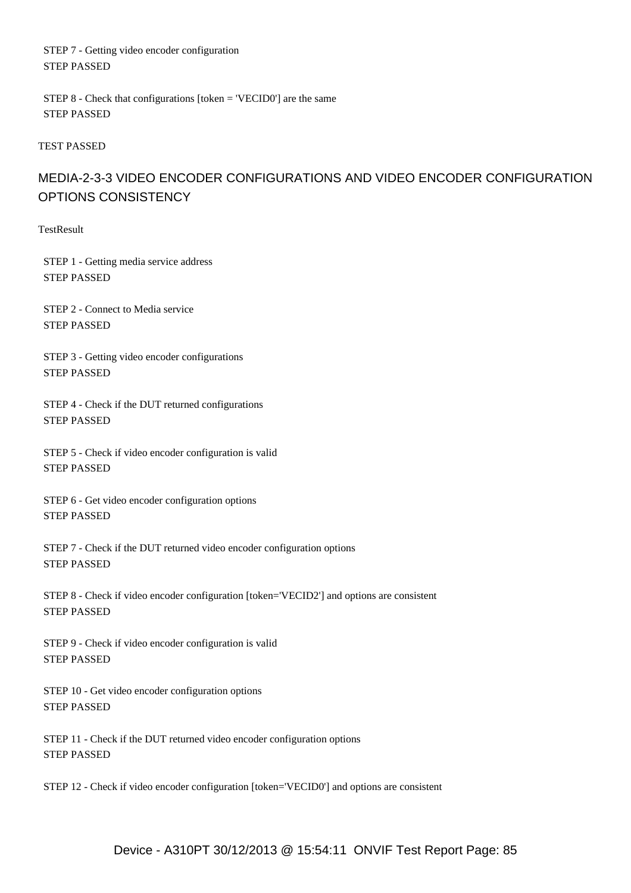STEP 7 - Getting video encoder configuration STEP PASSED

 STEP 8 - Check that configurations [token = 'VECID0'] are the same STEP PASSED

TEST PASSED

# MEDIA-2-3-3 VIDEO ENCODER CONFIGURATIONS AND VIDEO ENCODER CONFIGURATION OPTIONS CONSISTENCY

**TestResult** 

 STEP 1 - Getting media service address STEP PASSED

 STEP 2 - Connect to Media service STEP PASSED

 STEP 3 - Getting video encoder configurations STEP PASSED

 STEP 4 - Check if the DUT returned configurations STEP PASSED

 STEP 5 - Check if video encoder configuration is valid STEP PASSED

 STEP 6 - Get video encoder configuration options STEP PASSED

 STEP 7 - Check if the DUT returned video encoder configuration options STEP PASSED

 STEP 8 - Check if video encoder configuration [token='VECID2'] and options are consistent STEP PASSED

 STEP 9 - Check if video encoder configuration is valid STEP PASSED

 STEP 10 - Get video encoder configuration options STEP PASSED

 STEP 11 - Check if the DUT returned video encoder configuration options STEP PASSED

STEP 12 - Check if video encoder configuration [token='VECID0'] and options are consistent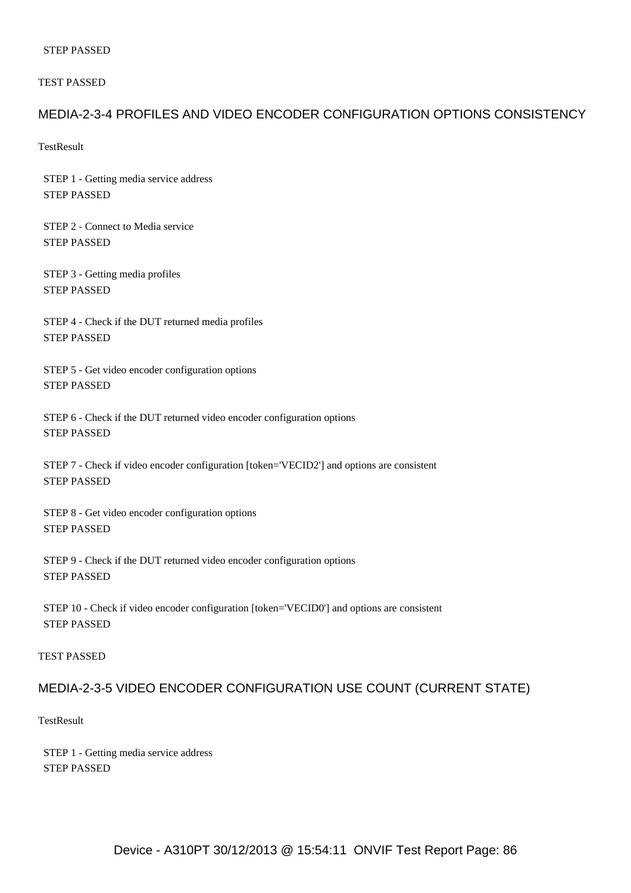#### TEST PASSED

### MEDIA-2-3-4 PROFILES AND VIDEO ENCODER CONFIGURATION OPTIONS CONSISTENCY

**TestResult** 

 STEP 1 - Getting media service address STEP PASSED

 STEP 2 - Connect to Media service STEP PASSED

 STEP 3 - Getting media profiles STEP PASSED

 STEP 4 - Check if the DUT returned media profiles STEP PASSED

 STEP 5 - Get video encoder configuration options STEP PASSED

 STEP 6 - Check if the DUT returned video encoder configuration options STEP PASSED

 STEP 7 - Check if video encoder configuration [token='VECID2'] and options are consistent STEP PASSED

 STEP 8 - Get video encoder configuration options STEP PASSED

 STEP 9 - Check if the DUT returned video encoder configuration options STEP PASSED

 STEP 10 - Check if video encoder configuration [token='VECID0'] and options are consistent STEP PASSED

### TEST PASSED

### MEDIA-2-3-5 VIDEO ENCODER CONFIGURATION USE COUNT (CURRENT STATE)

**TestResult** 

 STEP 1 - Getting media service address STEP PASSED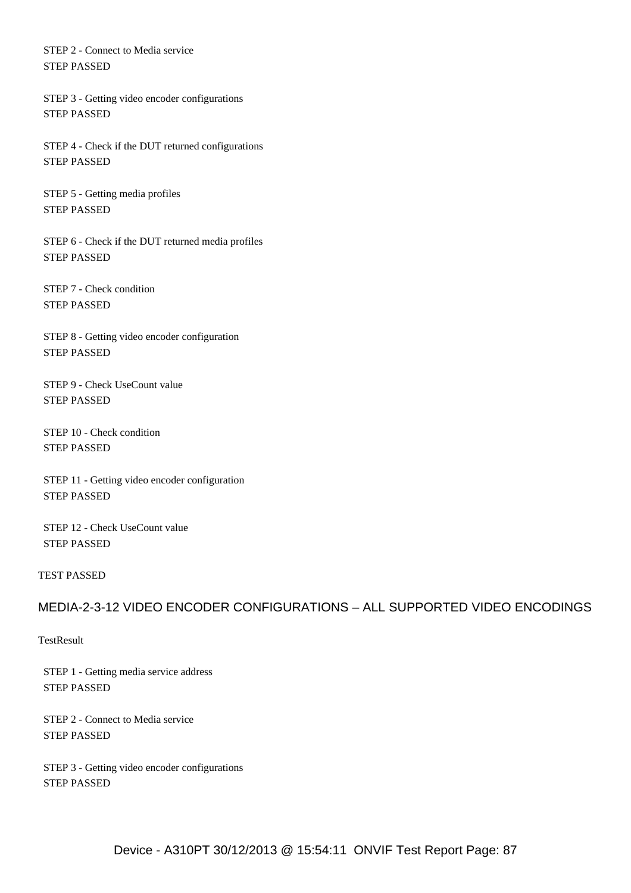STEP 2 - Connect to Media service STEP PASSED

 STEP 3 - Getting video encoder configurations STEP PASSED

 STEP 4 - Check if the DUT returned configurations STEP PASSED

 STEP 5 - Getting media profiles STEP PASSED

 STEP 6 - Check if the DUT returned media profiles STEP PASSED

 STEP 7 - Check condition STEP PASSED

 STEP 8 - Getting video encoder configuration STEP PASSED

 STEP 9 - Check UseCount value STEP PASSED

 STEP 10 - Check condition STEP PASSED

 STEP 11 - Getting video encoder configuration STEP PASSED

 STEP 12 - Check UseCount value STEP PASSED

### TEST PASSED

### MEDIA-2-3-12 VIDEO ENCODER CONFIGURATIONS – ALL SUPPORTED VIDEO ENCODINGS

**TestResult** 

 STEP 1 - Getting media service address STEP PASSED

 STEP 2 - Connect to Media service STEP PASSED

 STEP 3 - Getting video encoder configurations STEP PASSED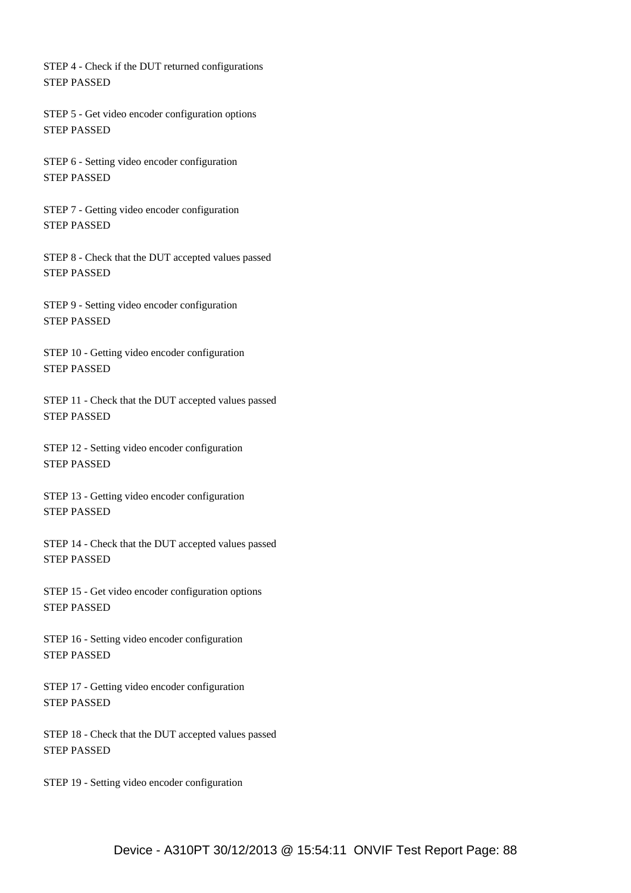STEP 4 - Check if the DUT returned configurations STEP PASSED

 STEP 5 - Get video encoder configuration options STEP PASSED

 STEP 6 - Setting video encoder configuration STEP PASSED

 STEP 7 - Getting video encoder configuration STEP PASSED

 STEP 8 - Check that the DUT accepted values passed STEP PASSED

 STEP 9 - Setting video encoder configuration STEP PASSED

 STEP 10 - Getting video encoder configuration STEP PASSED

 STEP 11 - Check that the DUT accepted values passed STEP PASSED

 STEP 12 - Setting video encoder configuration STEP PASSED

 STEP 13 - Getting video encoder configuration STEP PASSED

 STEP 14 - Check that the DUT accepted values passed STEP PASSED

 STEP 15 - Get video encoder configuration options STEP PASSED

 STEP 16 - Setting video encoder configuration STEP PASSED

 STEP 17 - Getting video encoder configuration STEP PASSED

 STEP 18 - Check that the DUT accepted values passed STEP PASSED

STEP 19 - Setting video encoder configuration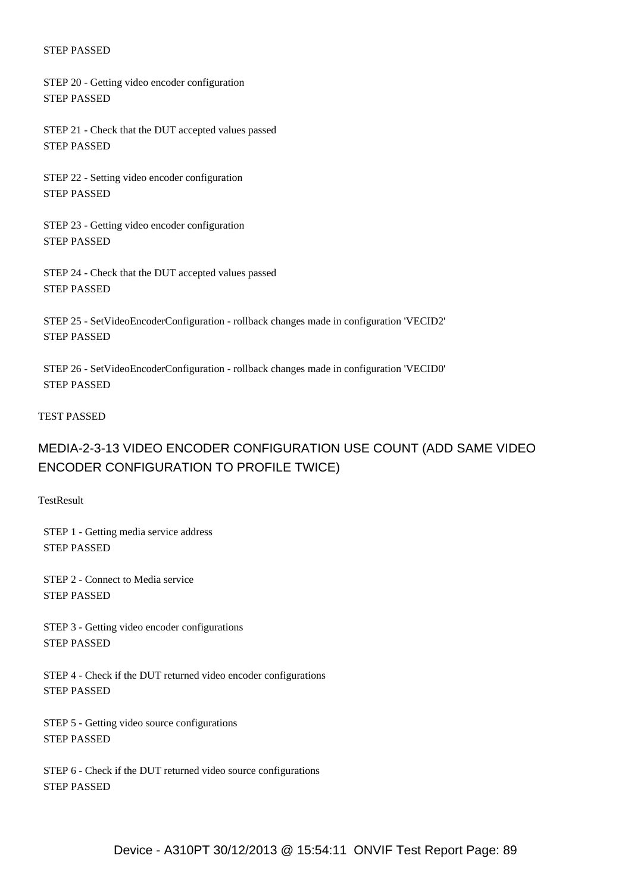STEP 20 - Getting video encoder configuration STEP PASSED

 STEP 21 - Check that the DUT accepted values passed STEP PASSED

 STEP 22 - Setting video encoder configuration STEP PASSED

 STEP 23 - Getting video encoder configuration STEP PASSED

 STEP 24 - Check that the DUT accepted values passed STEP PASSED

 STEP 25 - SetVideoEncoderConfiguration - rollback changes made in configuration 'VECID2' STEP PASSED

 STEP 26 - SetVideoEncoderConfiguration - rollback changes made in configuration 'VECID0' STEP PASSED

#### TEST PASSED

## MEDIA-2-3-13 VIDEO ENCODER CONFIGURATION USE COUNT (ADD SAME VIDEO ENCODER CONFIGURATION TO PROFILE TWICE)

**TestResult** 

 STEP 1 - Getting media service address STEP PASSED

 STEP 2 - Connect to Media service STEP PASSED

 STEP 3 - Getting video encoder configurations STEP PASSED

 STEP 4 - Check if the DUT returned video encoder configurations STEP PASSED

 STEP 5 - Getting video source configurations STEP PASSED

 STEP 6 - Check if the DUT returned video source configurations STEP PASSED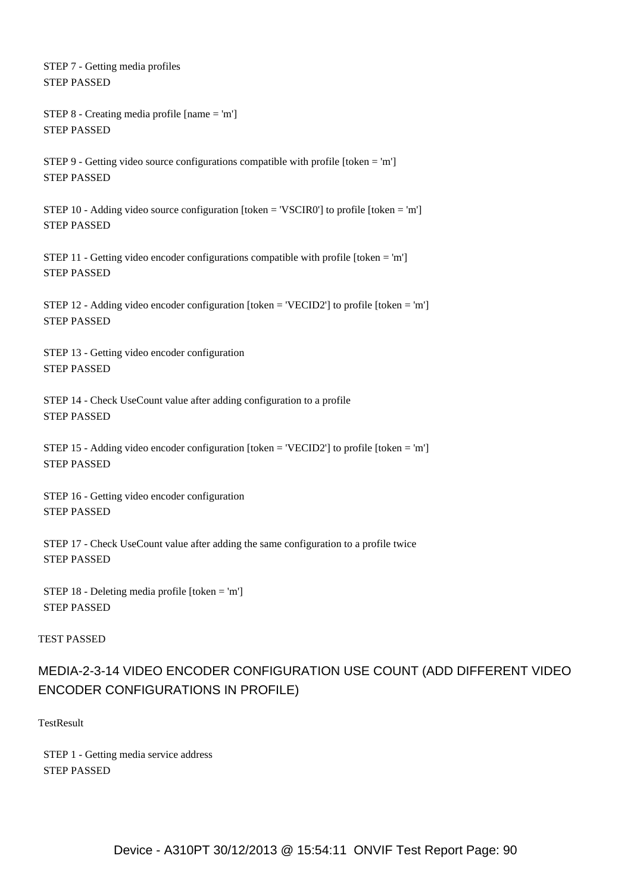STEP 7 - Getting media profiles STEP PASSED

```
 STEP 8 - Creating media profile [name = 'm']
STEP PASSED
```
 STEP 9 - Getting video source configurations compatible with profile [token = 'm'] STEP PASSED

STEP 10 - Adding video source configuration  $[token = 'VSCIR0']$  to profile  $[token = 'm']$ STEP PASSED

 STEP 11 - Getting video encoder configurations compatible with profile [token = 'm'] STEP PASSED

 STEP 12 - Adding video encoder configuration [token = 'VECID2'] to profile [token = 'm'] STEP PASSED

 STEP 13 - Getting video encoder configuration STEP PASSED

 STEP 14 - Check UseCount value after adding configuration to a profile STEP PASSED

 STEP 15 - Adding video encoder configuration [token = 'VECID2'] to profile [token = 'm'] STEP PASSED

 STEP 16 - Getting video encoder configuration STEP PASSED

 STEP 17 - Check UseCount value after adding the same configuration to a profile twice STEP PASSED

 STEP 18 - Deleting media profile [token = 'm'] STEP PASSED

### TEST PASSED

# MEDIA-2-3-14 VIDEO ENCODER CONFIGURATION USE COUNT (ADD DIFFERENT VIDEO ENCODER CONFIGURATIONS IN PROFILE)

TestResult

 STEP 1 - Getting media service address STEP PASSED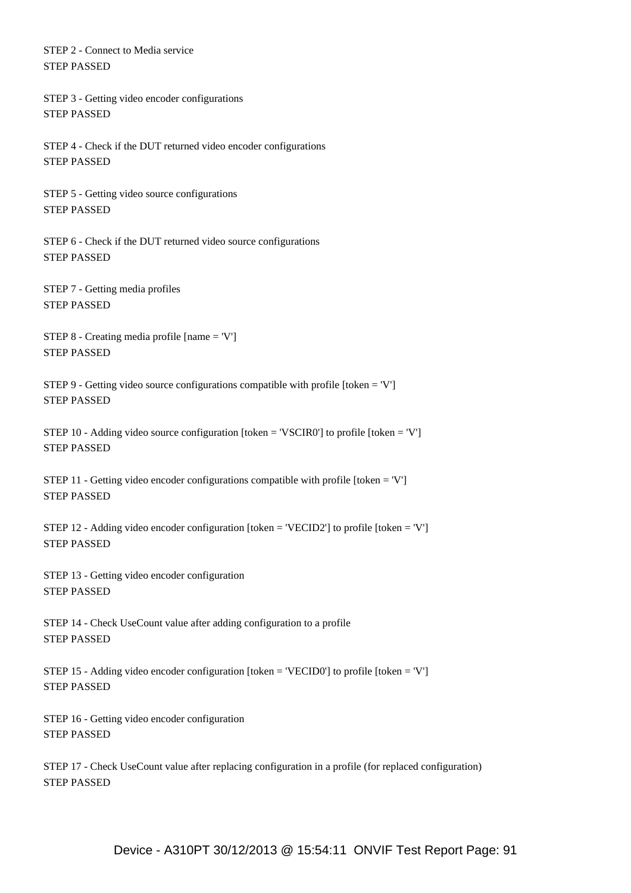STEP 2 - Connect to Media service STEP PASSED

 STEP 3 - Getting video encoder configurations STEP PASSED

 STEP 4 - Check if the DUT returned video encoder configurations STEP PASSED

 STEP 5 - Getting video source configurations STEP PASSED

 STEP 6 - Check if the DUT returned video source configurations STEP PASSED

 STEP 7 - Getting media profiles STEP PASSED

 STEP 8 - Creating media profile [name = 'V'] STEP PASSED

 STEP 9 - Getting video source configurations compatible with profile [token = 'V'] STEP PASSED

 STEP 10 - Adding video source configuration [token = 'VSCIR0'] to profile [token = 'V'] STEP PASSED

 STEP 11 - Getting video encoder configurations compatible with profile [token = 'V'] STEP PASSED

 STEP 12 - Adding video encoder configuration [token = 'VECID2'] to profile [token = 'V'] STEP PASSED

 STEP 13 - Getting video encoder configuration STEP PASSED

 STEP 14 - Check UseCount value after adding configuration to a profile STEP PASSED

 STEP 15 - Adding video encoder configuration [token = 'VECID0'] to profile [token = 'V'] STEP PASSED

 STEP 16 - Getting video encoder configuration STEP PASSED

 STEP 17 - Check UseCount value after replacing configuration in a profile (for replaced configuration) STEP PASSED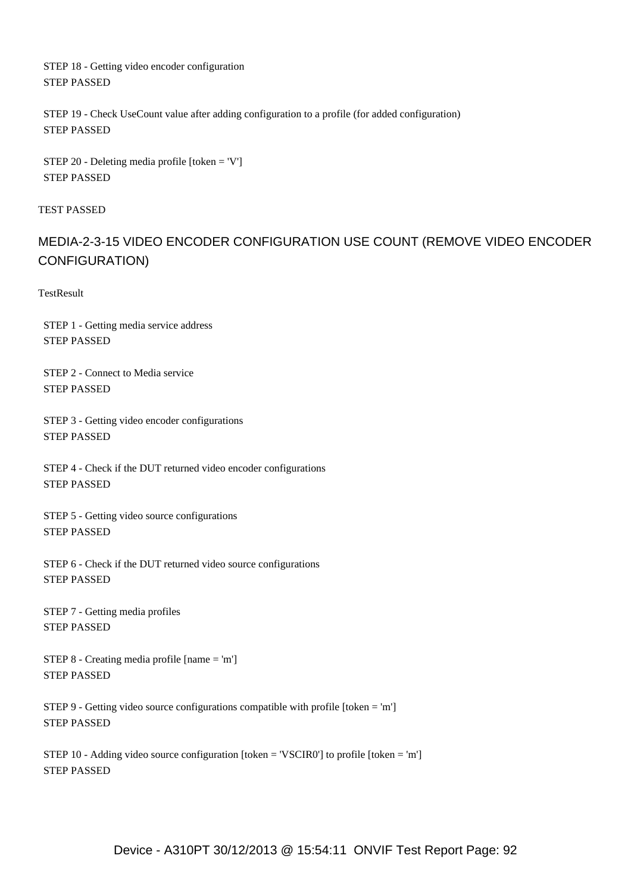STEP 18 - Getting video encoder configuration STEP PASSED

 STEP 19 - Check UseCount value after adding configuration to a profile (for added configuration) STEP PASSED

 STEP 20 - Deleting media profile [token = 'V'] STEP PASSED

TEST PASSED

## MEDIA-2-3-15 VIDEO ENCODER CONFIGURATION USE COUNT (REMOVE VIDEO ENCODER CONFIGURATION)

**TestResult** 

 STEP 1 - Getting media service address STEP PASSED

 STEP 2 - Connect to Media service STEP PASSED

 STEP 3 - Getting video encoder configurations STEP PASSED

 STEP 4 - Check if the DUT returned video encoder configurations STEP PASSED

 STEP 5 - Getting video source configurations STEP PASSED

 STEP 6 - Check if the DUT returned video source configurations STEP PASSED

 STEP 7 - Getting media profiles STEP PASSED

 STEP 8 - Creating media profile [name = 'm'] STEP PASSED

 STEP 9 - Getting video source configurations compatible with profile [token = 'm'] STEP PASSED

 STEP 10 - Adding video source configuration [token = 'VSCIR0'] to profile [token = 'm'] STEP PASSED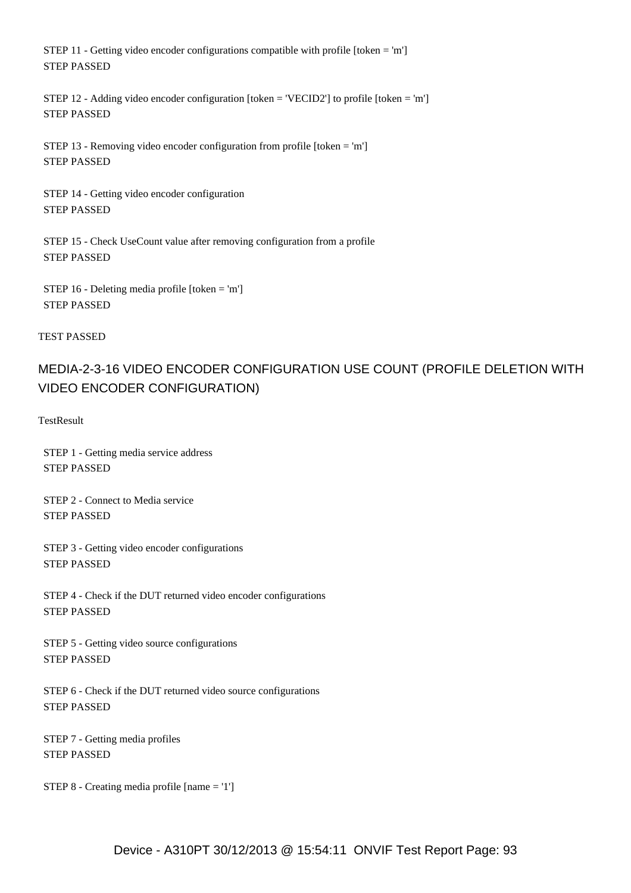STEP 11 - Getting video encoder configurations compatible with profile [token = 'm'] STEP PASSED

 STEP 12 - Adding video encoder configuration [token = 'VECID2'] to profile [token = 'm'] STEP PASSED

STEP 13 - Removing video encoder configuration from profile  $[token = 'm']$ STEP PASSED

 STEP 14 - Getting video encoder configuration STEP PASSED

 STEP 15 - Check UseCount value after removing configuration from a profile STEP PASSED

 STEP 16 - Deleting media profile [token = 'm'] STEP PASSED

TEST PASSED

# MEDIA-2-3-16 VIDEO ENCODER CONFIGURATION USE COUNT (PROFILE DELETION WITH VIDEO ENCODER CONFIGURATION)

**TestResult** 

 STEP 1 - Getting media service address STEP PASSED

 STEP 2 - Connect to Media service STEP PASSED

 STEP 3 - Getting video encoder configurations STEP PASSED

 STEP 4 - Check if the DUT returned video encoder configurations STEP PASSED

 STEP 5 - Getting video source configurations STEP PASSED

 STEP 6 - Check if the DUT returned video source configurations STEP PASSED

 STEP 7 - Getting media profiles STEP PASSED

STEP 8 - Creating media profile [name = '1']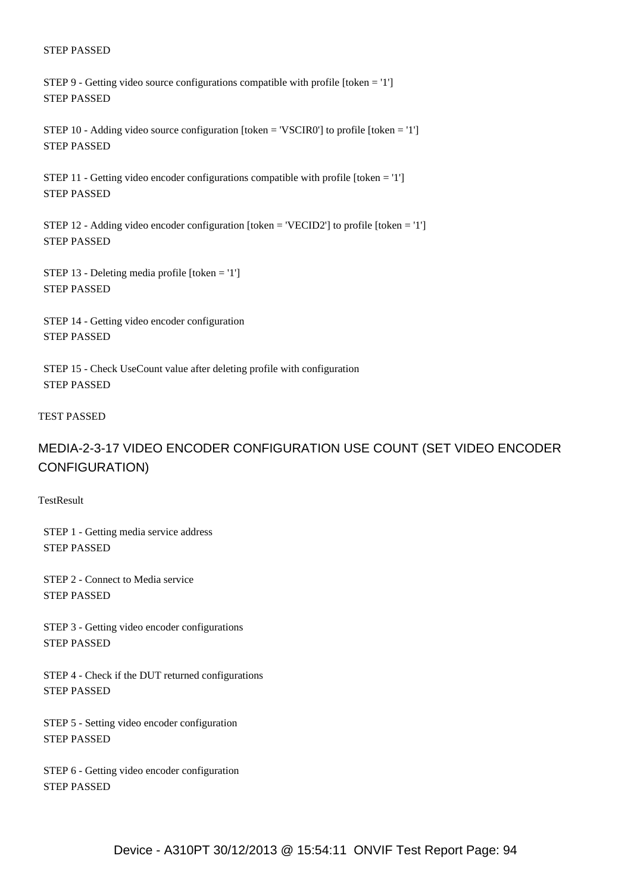STEP 9 - Getting video source configurations compatible with profile [token = '1'] STEP PASSED

 STEP 10 - Adding video source configuration [token = 'VSCIR0'] to profile [token = '1'] STEP PASSED

 STEP 11 - Getting video encoder configurations compatible with profile [token = '1'] STEP PASSED

 STEP 12 - Adding video encoder configuration [token = 'VECID2'] to profile [token = '1'] STEP PASSED

 STEP 13 - Deleting media profile [token = '1'] STEP PASSED

 STEP 14 - Getting video encoder configuration STEP PASSED

 STEP 15 - Check UseCount value after deleting profile with configuration STEP PASSED

#### TEST PASSED

## MEDIA-2-3-17 VIDEO ENCODER CONFIGURATION USE COUNT (SET VIDEO ENCODER CONFIGURATION)

**TestResult** 

 STEP 1 - Getting media service address STEP PASSED

 STEP 2 - Connect to Media service STEP PASSED

 STEP 3 - Getting video encoder configurations STEP PASSED

 STEP 4 - Check if the DUT returned configurations STEP PASSED

 STEP 5 - Setting video encoder configuration STEP PASSED

 STEP 6 - Getting video encoder configuration STEP PASSED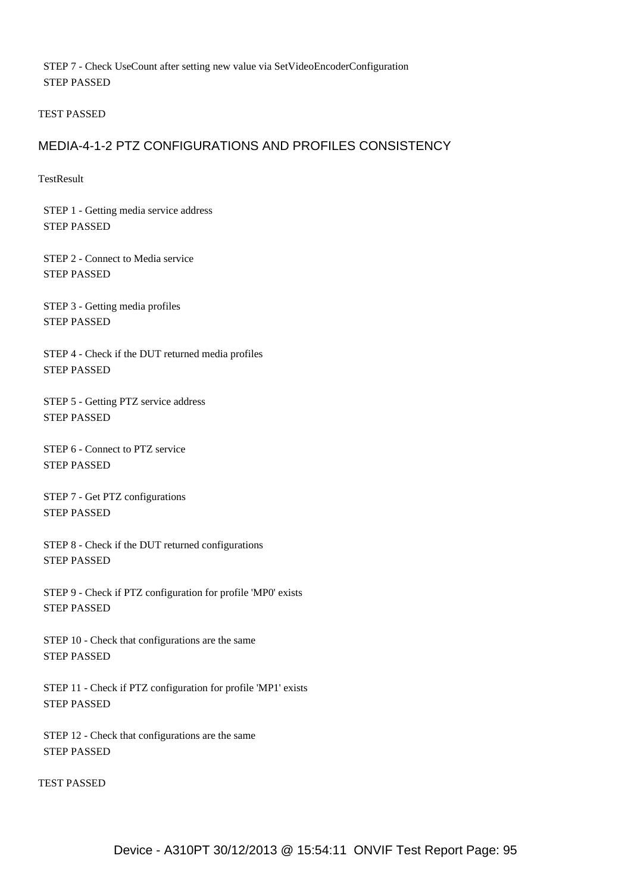STEP 7 - Check UseCount after setting new value via SetVideoEncoderConfiguration STEP PASSED

TEST PASSED

### MEDIA-4-1-2 PTZ CONFIGURATIONS AND PROFILES CONSISTENCY

**TestResult** 

 STEP 1 - Getting media service address STEP PASSED

 STEP 2 - Connect to Media service STEP PASSED

 STEP 3 - Getting media profiles STEP PASSED

 STEP 4 - Check if the DUT returned media profiles STEP PASSED

 STEP 5 - Getting PTZ service address STEP PASSED

 STEP 6 - Connect to PTZ service STEP PASSED

 STEP 7 - Get PTZ configurations STEP PASSED

 STEP 8 - Check if the DUT returned configurations STEP PASSED

 STEP 9 - Check if PTZ configuration for profile 'MP0' exists STEP PASSED

 STEP 10 - Check that configurations are the same STEP PASSED

 STEP 11 - Check if PTZ configuration for profile 'MP1' exists STEP PASSED

 STEP 12 - Check that configurations are the same STEP PASSED

TEST PASSED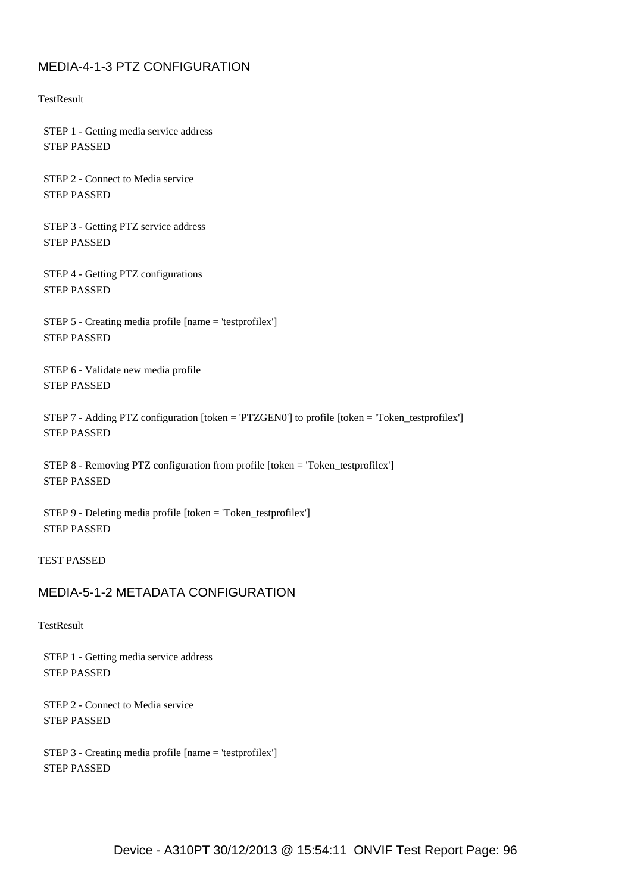## MEDIA-4-1-3 PTZ CONFIGURATION

**TestResult** 

 STEP 1 - Getting media service address STEP PASSED

 STEP 2 - Connect to Media service STEP PASSED

 STEP 3 - Getting PTZ service address STEP PASSED

 STEP 4 - Getting PTZ configurations STEP PASSED

 STEP 5 - Creating media profile [name = 'testprofilex'] STEP PASSED

 STEP 6 - Validate new media profile STEP PASSED

 STEP 7 - Adding PTZ configuration [token = 'PTZGEN0'] to profile [token = 'Token\_testprofilex'] STEP PASSED

 STEP 8 - Removing PTZ configuration from profile [token = 'Token\_testprofilex'] STEP PASSED

 STEP 9 - Deleting media profile [token = 'Token\_testprofilex'] STEP PASSED

TEST PASSED

## MEDIA-5-1-2 METADATA CONFIGURATION

### **TestResult**

 STEP 1 - Getting media service address STEP PASSED

 STEP 2 - Connect to Media service STEP PASSED

 STEP 3 - Creating media profile [name = 'testprofilex'] STEP PASSED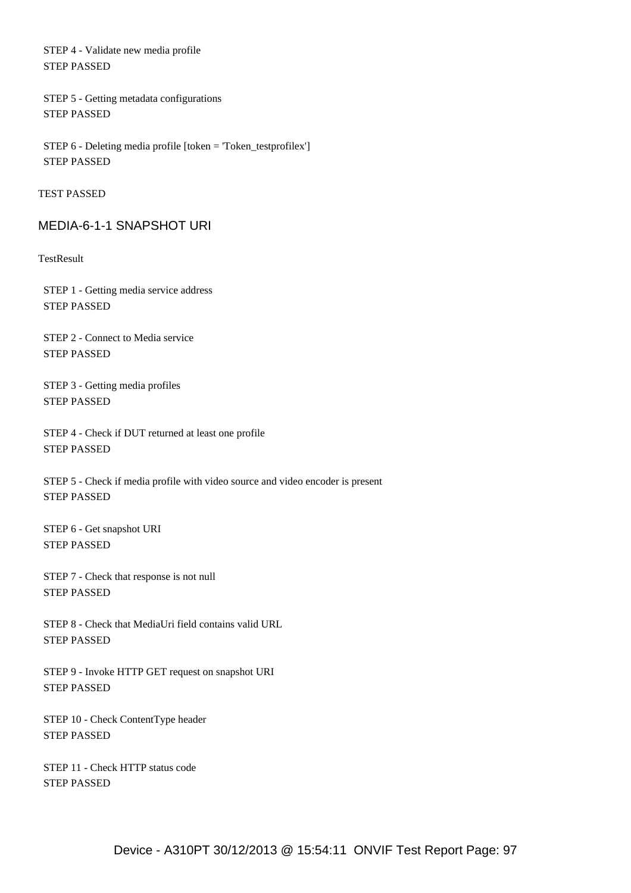STEP 4 - Validate new media profile STEP PASSED

 STEP 5 - Getting metadata configurations STEP PASSED

 STEP 6 - Deleting media profile [token = 'Token\_testprofilex'] STEP PASSED

TEST PASSED

### MEDIA-6-1-1 SNAPSHOT URI

**TestResult** 

 STEP 1 - Getting media service address STEP PASSED

 STEP 2 - Connect to Media service STEP PASSED

 STEP 3 - Getting media profiles STEP PASSED

 STEP 4 - Check if DUT returned at least one profile STEP PASSED

 STEP 5 - Check if media profile with video source and video encoder is present STEP PASSED

 STEP 6 - Get snapshot URI STEP PASSED

 STEP 7 - Check that response is not null STEP PASSED

 STEP 8 - Check that MediaUri field contains valid URL STEP PASSED

 STEP 9 - Invoke HTTP GET request on snapshot URI STEP PASSED

 STEP 10 - Check ContentType header STEP PASSED

 STEP 11 - Check HTTP status code STEP PASSED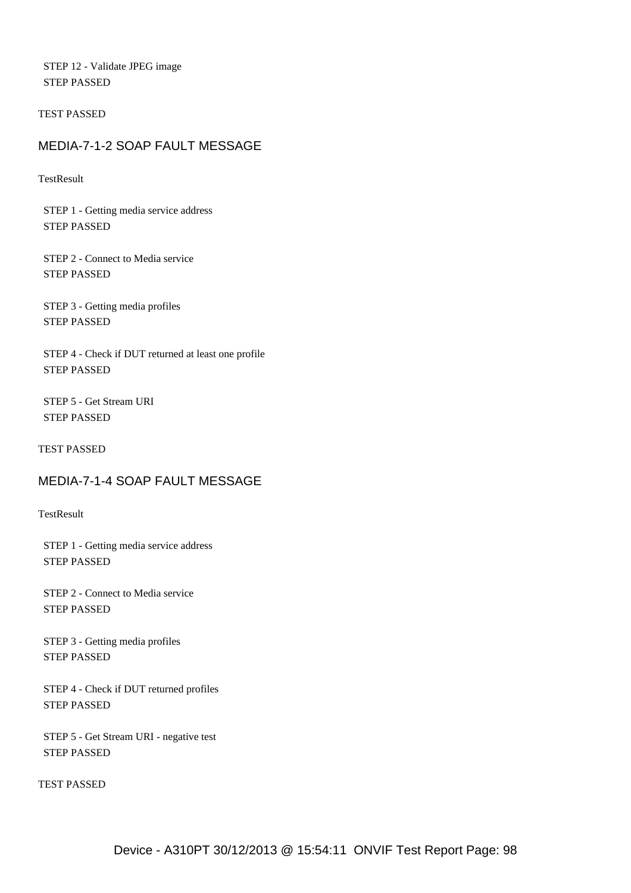STEP 12 - Validate JPEG image STEP PASSED

TEST PASSED

### MEDIA-7-1-2 SOAP FAULT MESSAGE

**TestResult** 

 STEP 1 - Getting media service address STEP PASSED

 STEP 2 - Connect to Media service STEP PASSED

 STEP 3 - Getting media profiles STEP PASSED

 STEP 4 - Check if DUT returned at least one profile STEP PASSED

 STEP 5 - Get Stream URI STEP PASSED

TEST PASSED

## MEDIA-7-1-4 SOAP FAULT MESSAGE

**TestResult** 

 STEP 1 - Getting media service address STEP PASSED

 STEP 2 - Connect to Media service STEP PASSED

 STEP 3 - Getting media profiles STEP PASSED

 STEP 4 - Check if DUT returned profiles STEP PASSED

 STEP 5 - Get Stream URI - negative test STEP PASSED

TEST PASSED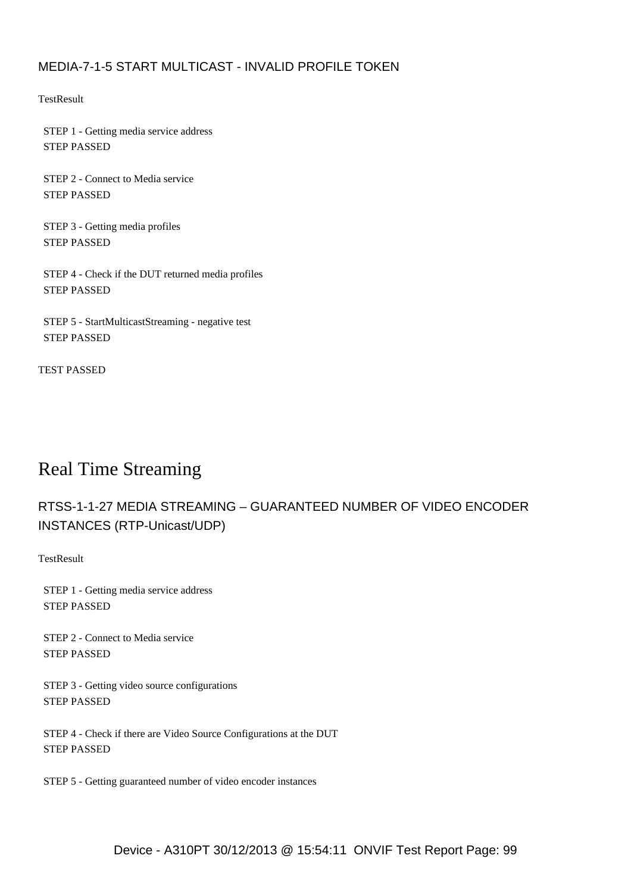## MEDIA-7-1-5 START MULTICAST - INVALID PROFILE TOKEN

**TestResult** 

 STEP 1 - Getting media service address STEP PASSED

 STEP 2 - Connect to Media service STEP PASSED

 STEP 3 - Getting media profiles STEP PASSED

 STEP 4 - Check if the DUT returned media profiles STEP PASSED

 STEP 5 - StartMulticastStreaming - negative test STEP PASSED

TEST PASSED

# Real Time Streaming

# RTSS-1-1-27 MEDIA STREAMING – GUARANTEED NUMBER OF VIDEO ENCODER INSTANCES (RTP-Unicast/UDP)

**TestResult** 

 STEP 1 - Getting media service address STEP PASSED

 STEP 2 - Connect to Media service STEP PASSED

 STEP 3 - Getting video source configurations STEP PASSED

 STEP 4 - Check if there are Video Source Configurations at the DUT STEP PASSED

STEP 5 - Getting guaranteed number of video encoder instances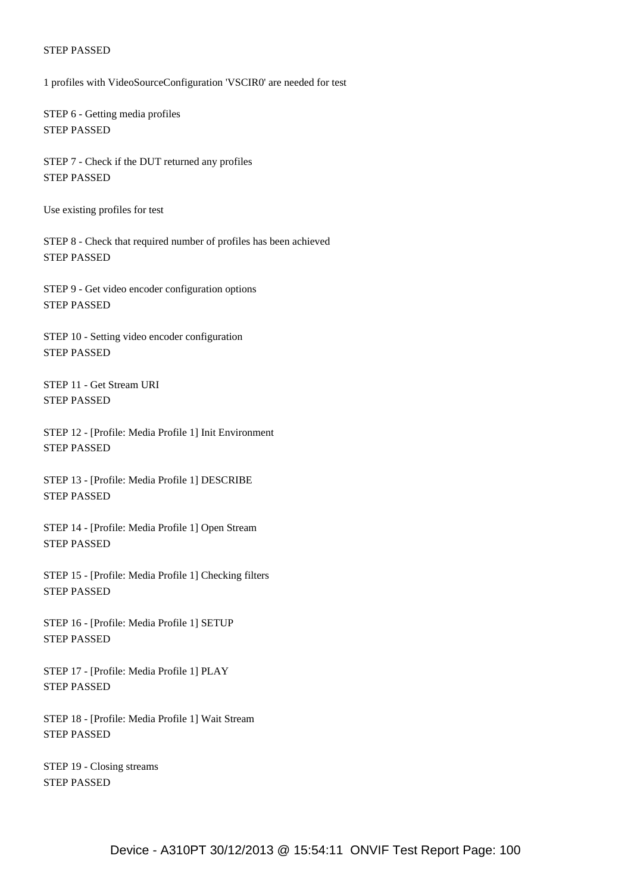1 profiles with VideoSourceConfiguration 'VSCIR0' are needed for test

 STEP 6 - Getting media profiles STEP PASSED

 STEP 7 - Check if the DUT returned any profiles STEP PASSED

Use existing profiles for test

 STEP 8 - Check that required number of profiles has been achieved STEP PASSED

 STEP 9 - Get video encoder configuration options STEP PASSED

 STEP 10 - Setting video encoder configuration STEP PASSED

 STEP 11 - Get Stream URI STEP PASSED

 STEP 12 - [Profile: Media Profile 1] Init Environment STEP PASSED

 STEP 13 - [Profile: Media Profile 1] DESCRIBE STEP PASSED

 STEP 14 - [Profile: Media Profile 1] Open Stream STEP PASSED

 STEP 15 - [Profile: Media Profile 1] Checking filters STEP PASSED

 STEP 16 - [Profile: Media Profile 1] SETUP STEP PASSED

 STEP 17 - [Profile: Media Profile 1] PLAY STEP PASSED

 STEP 18 - [Profile: Media Profile 1] Wait Stream STEP PASSED

 STEP 19 - Closing streams STEP PASSED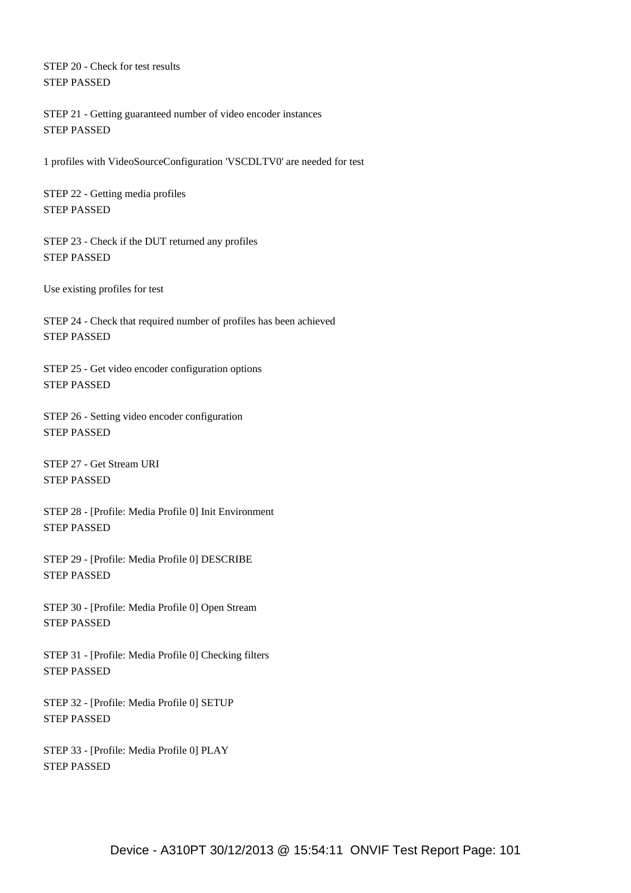STEP 20 - Check for test results STEP PASSED

 STEP 21 - Getting guaranteed number of video encoder instances STEP PASSED

1 profiles with VideoSourceConfiguration 'VSCDLTV0' are needed for test

 STEP 22 - Getting media profiles STEP PASSED

 STEP 23 - Check if the DUT returned any profiles STEP PASSED

Use existing profiles for test

 STEP 24 - Check that required number of profiles has been achieved STEP PASSED

 STEP 25 - Get video encoder configuration options STEP PASSED

 STEP 26 - Setting video encoder configuration STEP PASSED

 STEP 27 - Get Stream URI STEP PASSED

 STEP 28 - [Profile: Media Profile 0] Init Environment STEP PASSED

 STEP 29 - [Profile: Media Profile 0] DESCRIBE STEP PASSED

 STEP 30 - [Profile: Media Profile 0] Open Stream STEP PASSED

 STEP 31 - [Profile: Media Profile 0] Checking filters STEP PASSED

 STEP 32 - [Profile: Media Profile 0] SETUP STEP PASSED

 STEP 33 - [Profile: Media Profile 0] PLAY STEP PASSED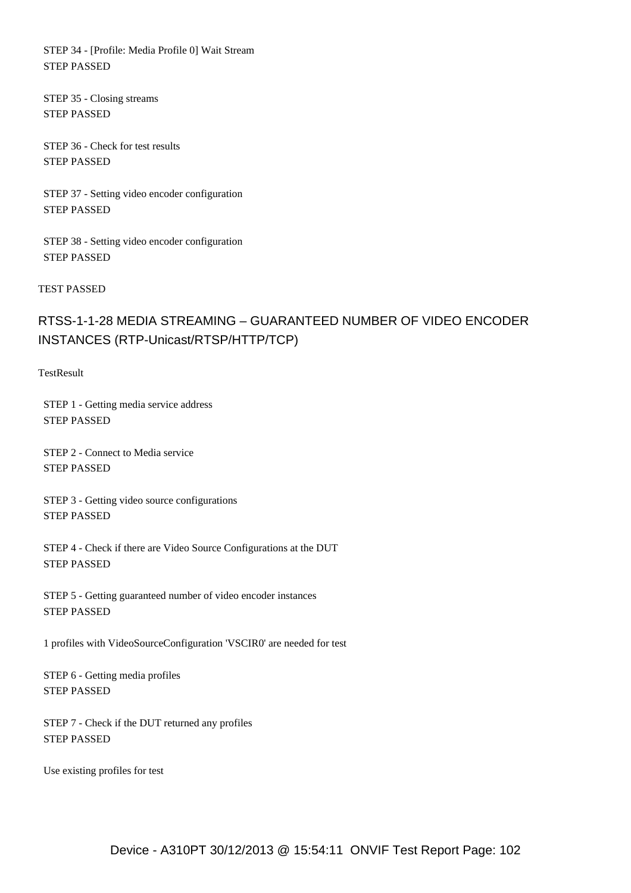STEP 34 - [Profile: Media Profile 0] Wait Stream STEP PASSED

 STEP 35 - Closing streams STEP PASSED

 STEP 36 - Check for test results STEP PASSED

 STEP 37 - Setting video encoder configuration STEP PASSED

 STEP 38 - Setting video encoder configuration STEP PASSED

TEST PASSED

# RTSS-1-1-28 MEDIA STREAMING – GUARANTEED NUMBER OF VIDEO ENCODER INSTANCES (RTP-Unicast/RTSP/HTTP/TCP)

**TestResult** 

 STEP 1 - Getting media service address STEP PASSED

 STEP 2 - Connect to Media service STEP PASSED

 STEP 3 - Getting video source configurations STEP PASSED

 STEP 4 - Check if there are Video Source Configurations at the DUT STEP PASSED

 STEP 5 - Getting guaranteed number of video encoder instances STEP PASSED

1 profiles with VideoSourceConfiguration 'VSCIR0' are needed for test

 STEP 6 - Getting media profiles STEP PASSED

 STEP 7 - Check if the DUT returned any profiles STEP PASSED

Use existing profiles for test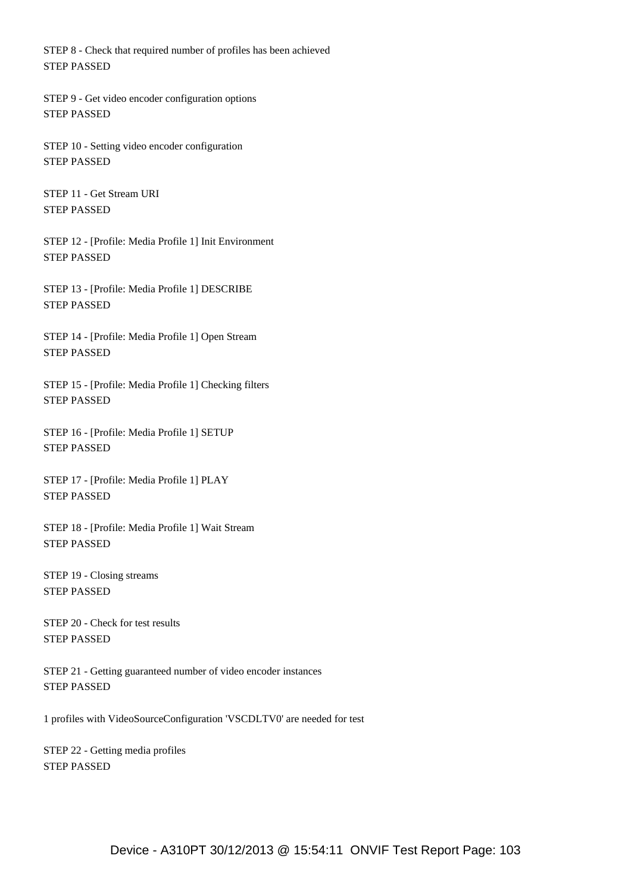STEP 8 - Check that required number of profiles has been achieved STEP PASSED

 STEP 9 - Get video encoder configuration options STEP PASSED

 STEP 10 - Setting video encoder configuration STEP PASSED

 STEP 11 - Get Stream URI STEP PASSED

 STEP 12 - [Profile: Media Profile 1] Init Environment STEP PASSED

 STEP 13 - [Profile: Media Profile 1] DESCRIBE STEP PASSED

 STEP 14 - [Profile: Media Profile 1] Open Stream STEP PASSED

 STEP 15 - [Profile: Media Profile 1] Checking filters STEP PASSED

 STEP 16 - [Profile: Media Profile 1] SETUP STEP PASSED

 STEP 17 - [Profile: Media Profile 1] PLAY STEP PASSED

 STEP 18 - [Profile: Media Profile 1] Wait Stream STEP PASSED

 STEP 19 - Closing streams STEP PASSED

 STEP 20 - Check for test results STEP PASSED

 STEP 21 - Getting guaranteed number of video encoder instances STEP PASSED

1 profiles with VideoSourceConfiguration 'VSCDLTV0' are needed for test

 STEP 22 - Getting media profiles STEP PASSED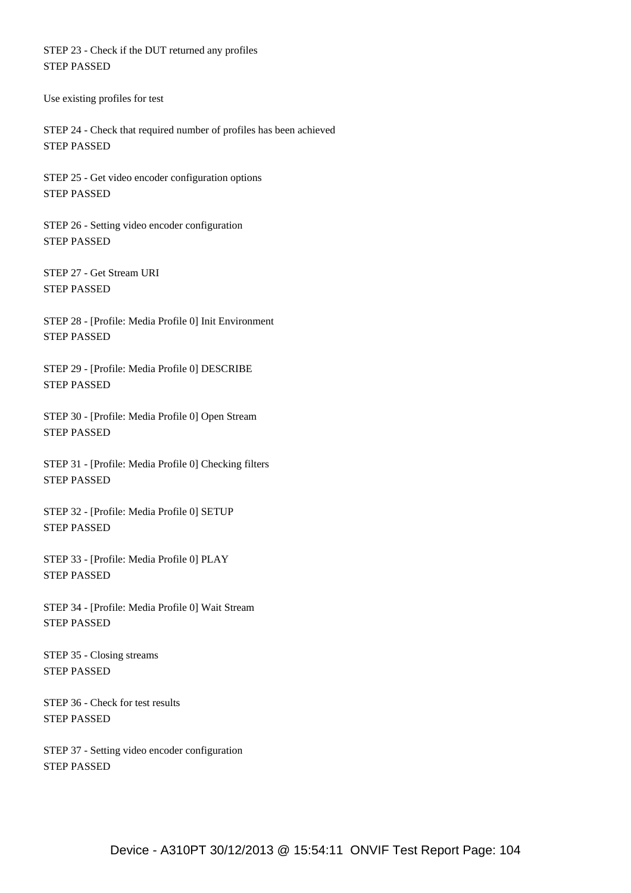STEP 23 - Check if the DUT returned any profiles STEP PASSED

Use existing profiles for test

 STEP 24 - Check that required number of profiles has been achieved STEP PASSED

 STEP 25 - Get video encoder configuration options STEP PASSED

 STEP 26 - Setting video encoder configuration STEP PASSED

 STEP 27 - Get Stream URI STEP PASSED

 STEP 28 - [Profile: Media Profile 0] Init Environment STEP PASSED

 STEP 29 - [Profile: Media Profile 0] DESCRIBE STEP PASSED

 STEP 30 - [Profile: Media Profile 0] Open Stream STEP PASSED

 STEP 31 - [Profile: Media Profile 0] Checking filters STEP PASSED

 STEP 32 - [Profile: Media Profile 0] SETUP STEP PASSED

 STEP 33 - [Profile: Media Profile 0] PLAY STEP PASSED

 STEP 34 - [Profile: Media Profile 0] Wait Stream STEP PASSED

 STEP 35 - Closing streams STEP PASSED

 STEP 36 - Check for test results STEP PASSED

 STEP 37 - Setting video encoder configuration STEP PASSED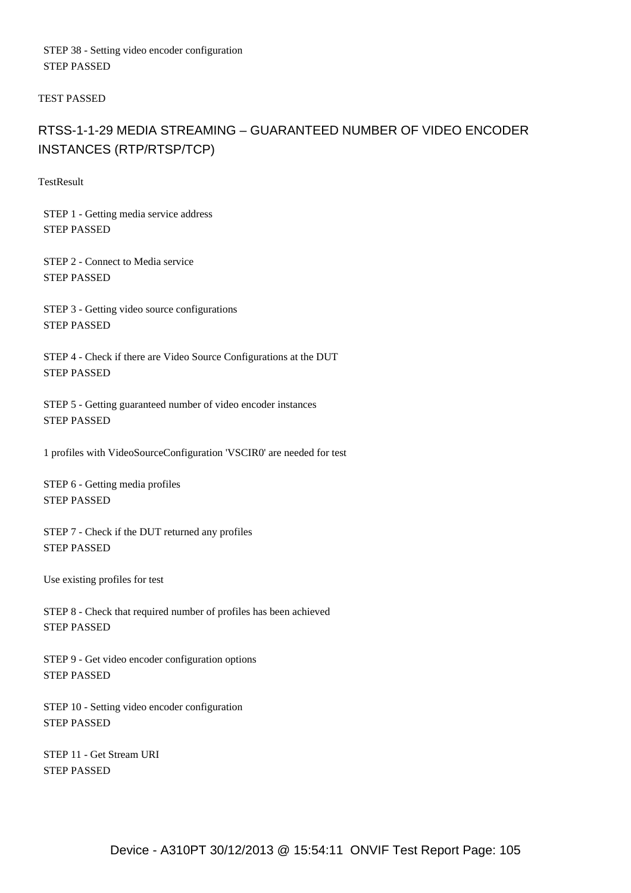STEP 38 - Setting video encoder configuration STEP PASSED

TEST PASSED

## RTSS-1-1-29 MEDIA STREAMING – GUARANTEED NUMBER OF VIDEO ENCODER INSTANCES (RTP/RTSP/TCP)

**TestResult** 

 STEP 1 - Getting media service address STEP PASSED

 STEP 2 - Connect to Media service STEP PASSED

 STEP 3 - Getting video source configurations STEP PASSED

 STEP 4 - Check if there are Video Source Configurations at the DUT STEP PASSED

 STEP 5 - Getting guaranteed number of video encoder instances STEP PASSED

1 profiles with VideoSourceConfiguration 'VSCIR0' are needed for test

 STEP 6 - Getting media profiles STEP PASSED

 STEP 7 - Check if the DUT returned any profiles STEP PASSED

Use existing profiles for test

 STEP 8 - Check that required number of profiles has been achieved STEP PASSED

 STEP 9 - Get video encoder configuration options STEP PASSED

 STEP 10 - Setting video encoder configuration STEP PASSED

 STEP 11 - Get Stream URI STEP PASSED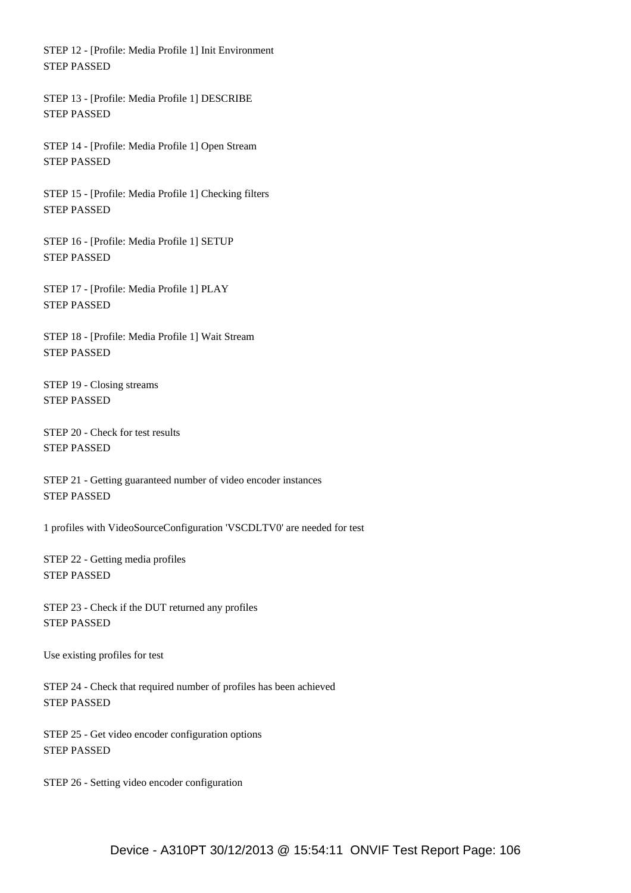STEP 12 - [Profile: Media Profile 1] Init Environment STEP PASSED

 STEP 13 - [Profile: Media Profile 1] DESCRIBE STEP PASSED

 STEP 14 - [Profile: Media Profile 1] Open Stream STEP PASSED

 STEP 15 - [Profile: Media Profile 1] Checking filters STEP PASSED

 STEP 16 - [Profile: Media Profile 1] SETUP STEP PASSED

 STEP 17 - [Profile: Media Profile 1] PLAY STEP PASSED

 STEP 18 - [Profile: Media Profile 1] Wait Stream STEP PASSED

 STEP 19 - Closing streams STEP PASSED

 STEP 20 - Check for test results STEP PASSED

 STEP 21 - Getting guaranteed number of video encoder instances STEP PASSED

1 profiles with VideoSourceConfiguration 'VSCDLTV0' are needed for test

 STEP 22 - Getting media profiles STEP PASSED

 STEP 23 - Check if the DUT returned any profiles STEP PASSED

Use existing profiles for test

 STEP 24 - Check that required number of profiles has been achieved STEP PASSED

 STEP 25 - Get video encoder configuration options STEP PASSED

STEP 26 - Setting video encoder configuration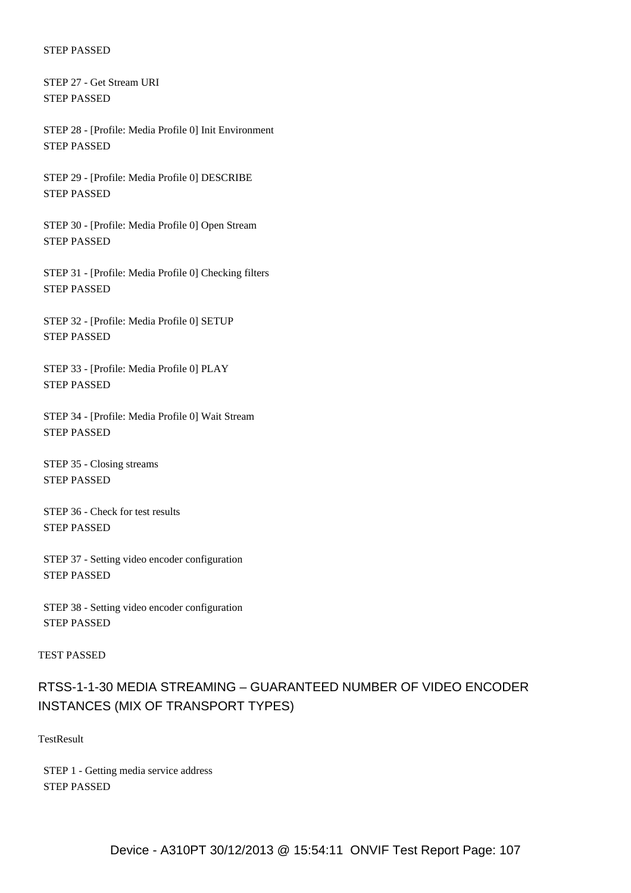STEP 27 - Get Stream URI STEP PASSED

 STEP 28 - [Profile: Media Profile 0] Init Environment STEP PASSED

 STEP 29 - [Profile: Media Profile 0] DESCRIBE STEP PASSED

 STEP 30 - [Profile: Media Profile 0] Open Stream STEP PASSED

 STEP 31 - [Profile: Media Profile 0] Checking filters STEP PASSED

 STEP 32 - [Profile: Media Profile 0] SETUP STEP PASSED

 STEP 33 - [Profile: Media Profile 0] PLAY STEP PASSED

 STEP 34 - [Profile: Media Profile 0] Wait Stream STEP PASSED

 STEP 35 - Closing streams STEP PASSED

 STEP 36 - Check for test results STEP PASSED

 STEP 37 - Setting video encoder configuration STEP PASSED

 STEP 38 - Setting video encoder configuration STEP PASSED

#### TEST PASSED

## RTSS-1-1-30 MEDIA STREAMING – GUARANTEED NUMBER OF VIDEO ENCODER INSTANCES (MIX OF TRANSPORT TYPES)

**TestResult** 

 STEP 1 - Getting media service address STEP PASSED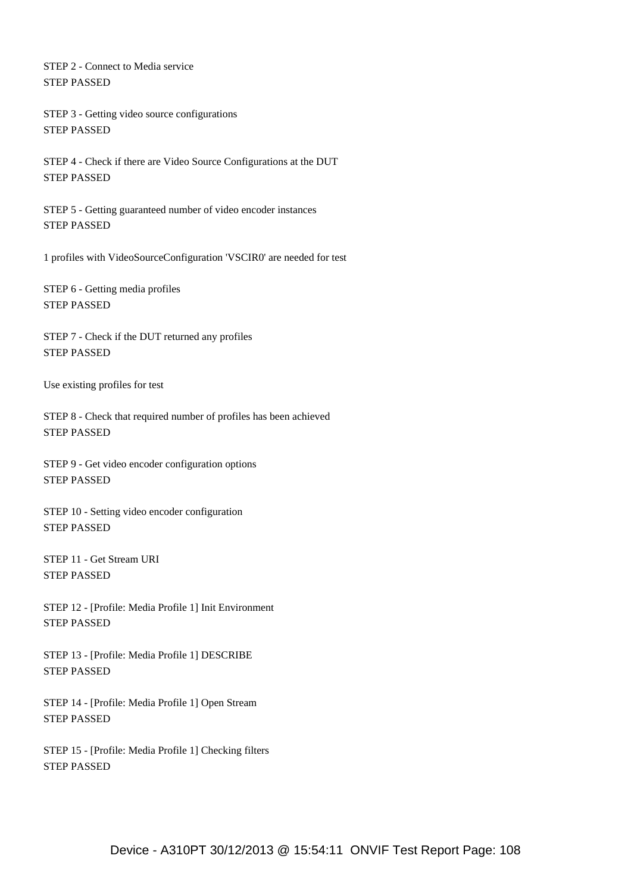STEP 2 - Connect to Media service STEP PASSED

 STEP 3 - Getting video source configurations STEP PASSED

 STEP 4 - Check if there are Video Source Configurations at the DUT STEP PASSED

 STEP 5 - Getting guaranteed number of video encoder instances STEP PASSED

1 profiles with VideoSourceConfiguration 'VSCIR0' are needed for test

 STEP 6 - Getting media profiles STEP PASSED

 STEP 7 - Check if the DUT returned any profiles STEP PASSED

Use existing profiles for test

 STEP 8 - Check that required number of profiles has been achieved STEP PASSED

 STEP 9 - Get video encoder configuration options STEP PASSED

 STEP 10 - Setting video encoder configuration STEP PASSED

 STEP 11 - Get Stream URI STEP PASSED

 STEP 12 - [Profile: Media Profile 1] Init Environment STEP PASSED

 STEP 13 - [Profile: Media Profile 1] DESCRIBE STEP PASSED

 STEP 14 - [Profile: Media Profile 1] Open Stream STEP PASSED

 STEP 15 - [Profile: Media Profile 1] Checking filters STEP PASSED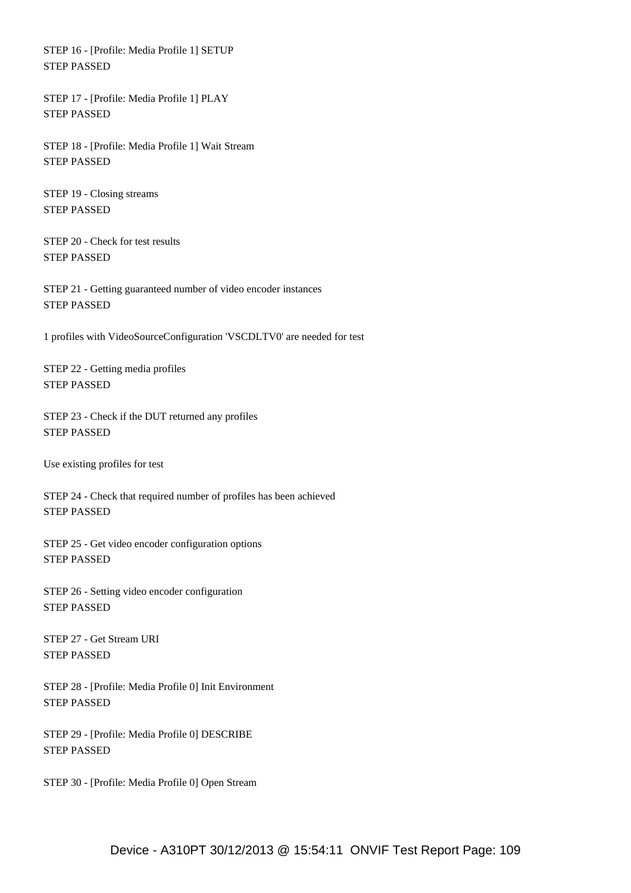STEP 16 - [Profile: Media Profile 1] SETUP STEP PASSED

 STEP 17 - [Profile: Media Profile 1] PLAY STEP PASSED

 STEP 18 - [Profile: Media Profile 1] Wait Stream STEP PASSED

 STEP 19 - Closing streams STEP PASSED

 STEP 20 - Check for test results STEP PASSED

 STEP 21 - Getting guaranteed number of video encoder instances STEP PASSED

1 profiles with VideoSourceConfiguration 'VSCDLTV0' are needed for test

 STEP 22 - Getting media profiles STEP PASSED

 STEP 23 - Check if the DUT returned any profiles STEP PASSED

Use existing profiles for test

 STEP 24 - Check that required number of profiles has been achieved STEP PASSED

 STEP 25 - Get video encoder configuration options STEP PASSED

 STEP 26 - Setting video encoder configuration STEP PASSED

 STEP 27 - Get Stream URI STEP PASSED

 STEP 28 - [Profile: Media Profile 0] Init Environment STEP PASSED

 STEP 29 - [Profile: Media Profile 0] DESCRIBE STEP PASSED

STEP 30 - [Profile: Media Profile 0] Open Stream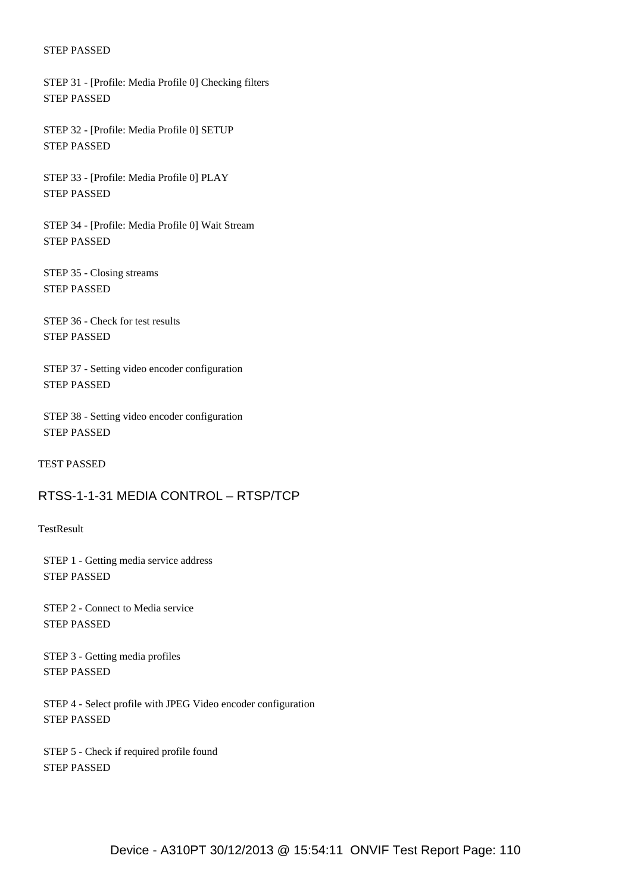STEP 31 - [Profile: Media Profile 0] Checking filters STEP PASSED

 STEP 32 - [Profile: Media Profile 0] SETUP STEP PASSED

 STEP 33 - [Profile: Media Profile 0] PLAY STEP PASSED

 STEP 34 - [Profile: Media Profile 0] Wait Stream STEP PASSED

 STEP 35 - Closing streams STEP PASSED

 STEP 36 - Check for test results STEP PASSED

 STEP 37 - Setting video encoder configuration STEP PASSED

 STEP 38 - Setting video encoder configuration STEP PASSED

TEST PASSED

## RTSS-1-1-31 MEDIA CONTROL – RTSP/TCP

**TestResult** 

 STEP 1 - Getting media service address STEP PASSED

 STEP 2 - Connect to Media service STEP PASSED

 STEP 3 - Getting media profiles STEP PASSED

 STEP 4 - Select profile with JPEG Video encoder configuration STEP PASSED

 STEP 5 - Check if required profile found STEP PASSED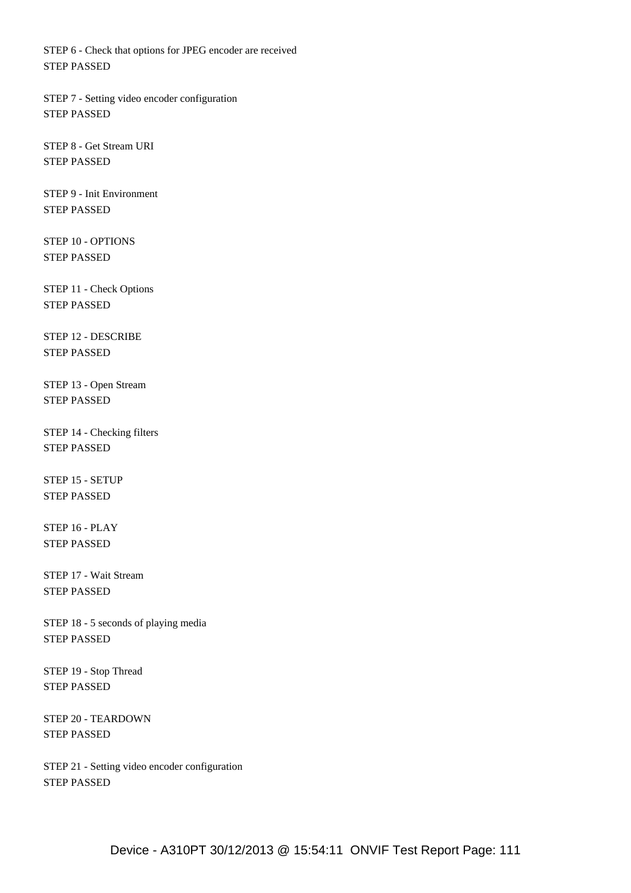STEP 6 - Check that options for JPEG encoder are received STEP PASSED

 STEP 7 - Setting video encoder configuration STEP PASSED

 STEP 8 - Get Stream URI STEP PASSED

 STEP 9 - Init Environment STEP PASSED

 STEP 10 - OPTIONS STEP PASSED

 STEP 11 - Check Options STEP PASSED

 STEP 12 - DESCRIBE STEP PASSED

 STEP 13 - Open Stream STEP PASSED

 STEP 14 - Checking filters STEP PASSED

 STEP 15 - SETUP STEP PASSED

 STEP 16 - PLAY STEP PASSED

 STEP 17 - Wait Stream STEP PASSED

 STEP 18 - 5 seconds of playing media STEP PASSED

 STEP 19 - Stop Thread STEP PASSED

 STEP 20 - TEARDOWN STEP PASSED

 STEP 21 - Setting video encoder configuration STEP PASSED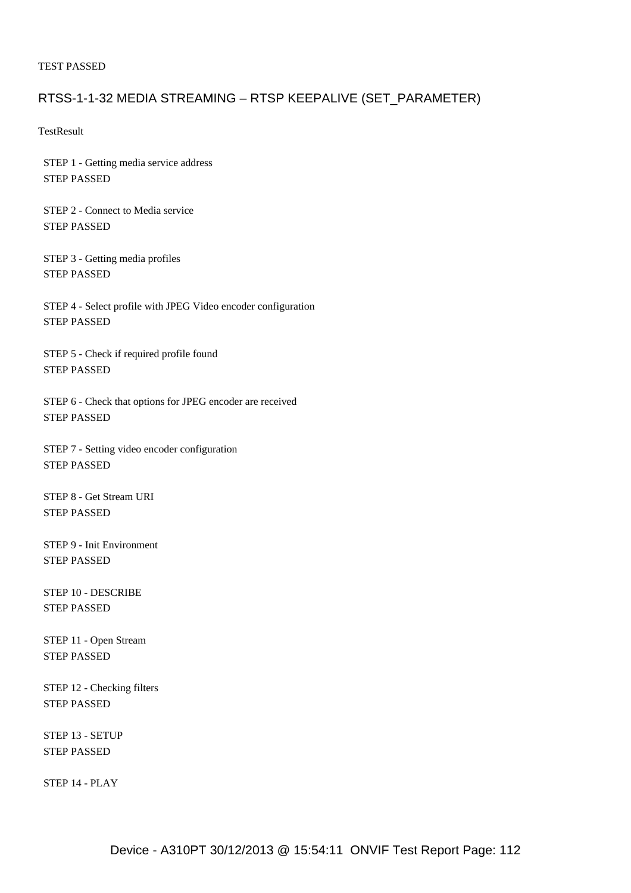### TEST PASSED

## RTSS-1-1-32 MEDIA STREAMING – RTSP KEEPALIVE (SET\_PARAMETER)

**TestResult** 

 STEP 1 - Getting media service address STEP PASSED

 STEP 2 - Connect to Media service STEP PASSED

 STEP 3 - Getting media profiles STEP PASSED

 STEP 4 - Select profile with JPEG Video encoder configuration STEP PASSED

 STEP 5 - Check if required profile found STEP PASSED

 STEP 6 - Check that options for JPEG encoder are received STEP PASSED

 STEP 7 - Setting video encoder configuration STEP PASSED

 STEP 8 - Get Stream URI STEP PASSED

 STEP 9 - Init Environment STEP PASSED

 STEP 10 - DESCRIBE STEP PASSED

 STEP 11 - Open Stream STEP PASSED

 STEP 12 - Checking filters STEP PASSED

 STEP 13 - SETUP STEP PASSED

STEP 14 - PLAY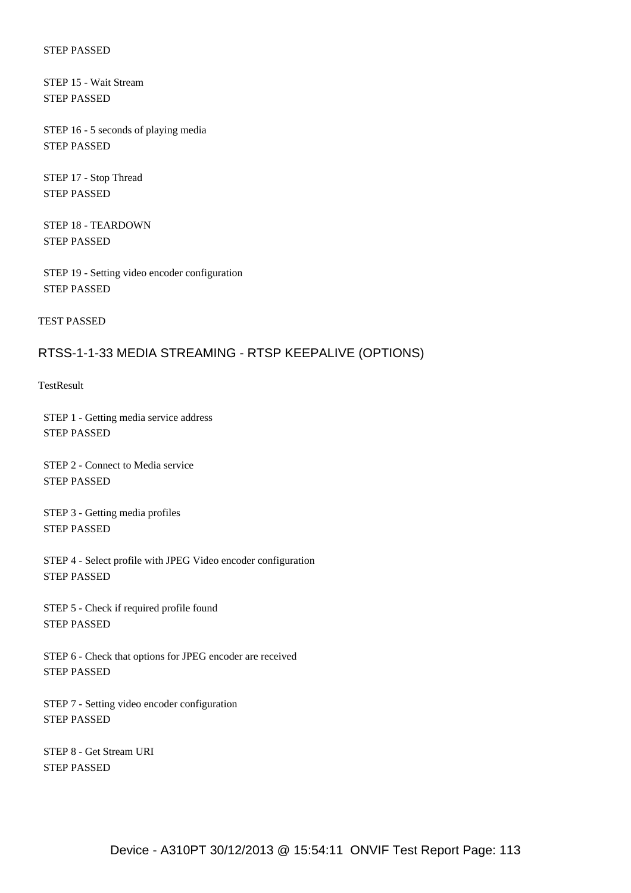STEP 15 - Wait Stream STEP PASSED

 STEP 16 - 5 seconds of playing media STEP PASSED

 STEP 17 - Stop Thread STEP PASSED

 STEP 18 - TEARDOWN STEP PASSED

 STEP 19 - Setting video encoder configuration STEP PASSED

TEST PASSED

### RTSS-1-1-33 MEDIA STREAMING - RTSP KEEPALIVE (OPTIONS)

**TestResult** 

 STEP 1 - Getting media service address STEP PASSED

 STEP 2 - Connect to Media service STEP PASSED

 STEP 3 - Getting media profiles STEP PASSED

 STEP 4 - Select profile with JPEG Video encoder configuration STEP PASSED

 STEP 5 - Check if required profile found STEP PASSED

 STEP 6 - Check that options for JPEG encoder are received STEP PASSED

 STEP 7 - Setting video encoder configuration STEP PASSED

 STEP 8 - Get Stream URI STEP PASSED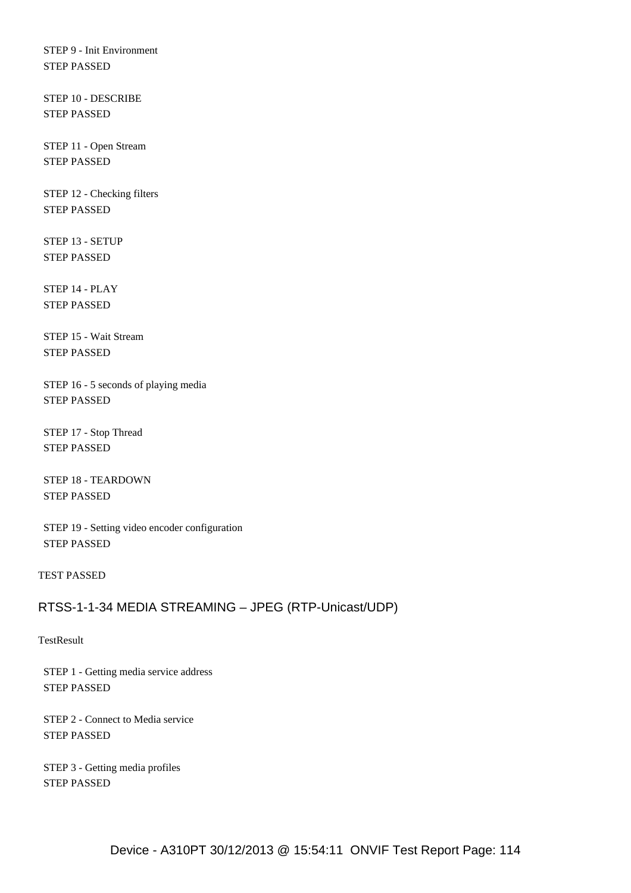STEP 9 - Init Environment STEP PASSED

 STEP 10 - DESCRIBE STEP PASSED

 STEP 11 - Open Stream STEP PASSED

 STEP 12 - Checking filters STEP PASSED

 STEP 13 - SETUP STEP PASSED

 STEP 14 - PLAY STEP PASSED

 STEP 15 - Wait Stream STEP PASSED

 STEP 16 - 5 seconds of playing media STEP PASSED

 STEP 17 - Stop Thread STEP PASSED

 STEP 18 - TEARDOWN STEP PASSED

 STEP 19 - Setting video encoder configuration STEP PASSED

### TEST PASSED

## RTSS-1-1-34 MEDIA STREAMING – JPEG (RTP-Unicast/UDP)

### **TestResult**

 STEP 1 - Getting media service address STEP PASSED

 STEP 2 - Connect to Media service STEP PASSED

 STEP 3 - Getting media profiles STEP PASSED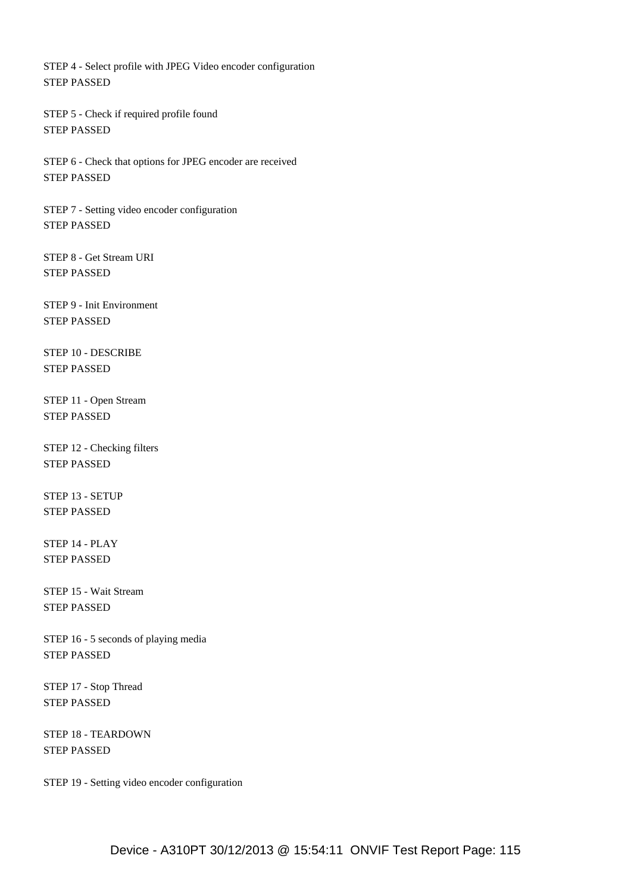STEP 4 - Select profile with JPEG Video encoder configuration STEP PASSED

 STEP 5 - Check if required profile found STEP PASSED

 STEP 6 - Check that options for JPEG encoder are received STEP PASSED

 STEP 7 - Setting video encoder configuration STEP PASSED

 STEP 8 - Get Stream URI STEP PASSED

 STEP 9 - Init Environment STEP PASSED

 STEP 10 - DESCRIBE STEP PASSED

 STEP 11 - Open Stream STEP PASSED

 STEP 12 - Checking filters STEP PASSED

 STEP 13 - SETUP STEP PASSED

 STEP 14 - PLAY STEP PASSED

 STEP 15 - Wait Stream STEP PASSED

 STEP 16 - 5 seconds of playing media STEP PASSED

 STEP 17 - Stop Thread STEP PASSED

 STEP 18 - TEARDOWN STEP PASSED

STEP 19 - Setting video encoder configuration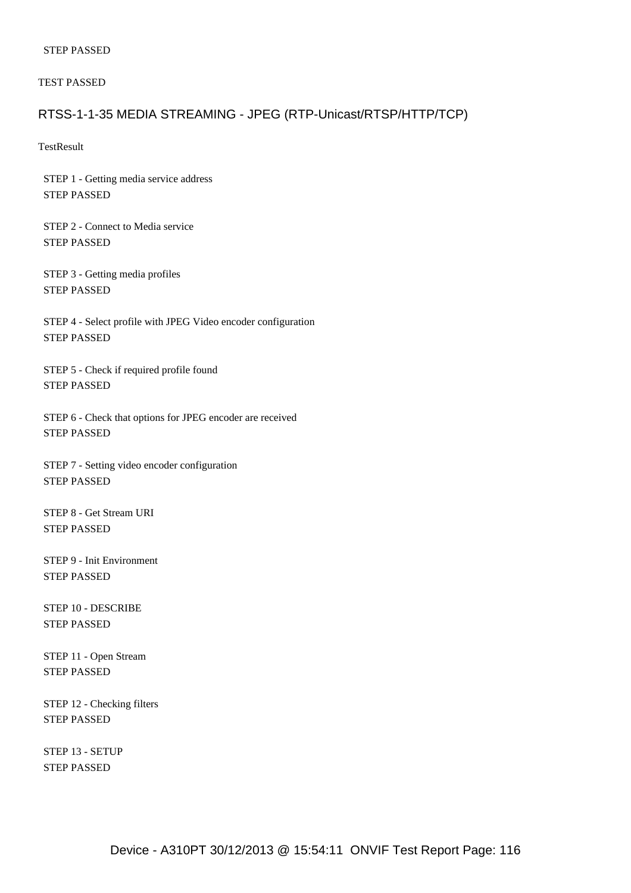TEST PASSED

### RTSS-1-1-35 MEDIA STREAMING - JPEG (RTP-Unicast/RTSP/HTTP/TCP)

**TestResult** 

 STEP 1 - Getting media service address STEP PASSED

 STEP 2 - Connect to Media service STEP PASSED

 STEP 3 - Getting media profiles STEP PASSED

 STEP 4 - Select profile with JPEG Video encoder configuration STEP PASSED

 STEP 5 - Check if required profile found STEP PASSED

 STEP 6 - Check that options for JPEG encoder are received STEP PASSED

 STEP 7 - Setting video encoder configuration STEP PASSED

 STEP 8 - Get Stream URI STEP PASSED

 STEP 9 - Init Environment STEP PASSED

 STEP 10 - DESCRIBE STEP PASSED

 STEP 11 - Open Stream STEP PASSED

 STEP 12 - Checking filters STEP PASSED

 STEP 13 - SETUP STEP PASSED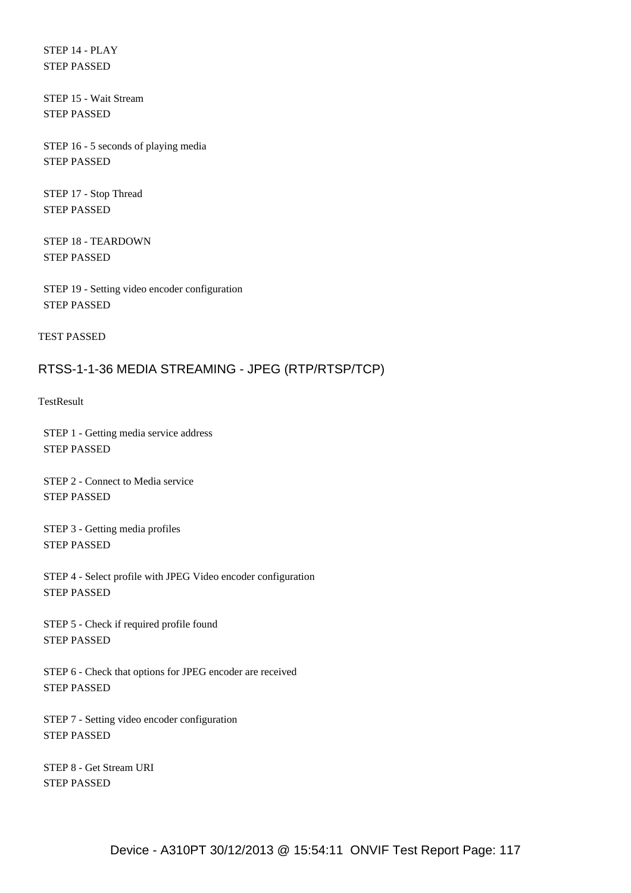STEP 14 - PLAY STEP PASSED

 STEP 15 - Wait Stream STEP PASSED

 STEP 16 - 5 seconds of playing media STEP PASSED

 STEP 17 - Stop Thread STEP PASSED

 STEP 18 - TEARDOWN STEP PASSED

 STEP 19 - Setting video encoder configuration STEP PASSED

TEST PASSED

## RTSS-1-1-36 MEDIA STREAMING - JPEG (RTP/RTSP/TCP)

**TestResult** 

 STEP 1 - Getting media service address STEP PASSED

 STEP 2 - Connect to Media service STEP PASSED

 STEP 3 - Getting media profiles STEP PASSED

 STEP 4 - Select profile with JPEG Video encoder configuration STEP PASSED

 STEP 5 - Check if required profile found STEP PASSED

 STEP 6 - Check that options for JPEG encoder are received STEP PASSED

 STEP 7 - Setting video encoder configuration STEP PASSED

 STEP 8 - Get Stream URI STEP PASSED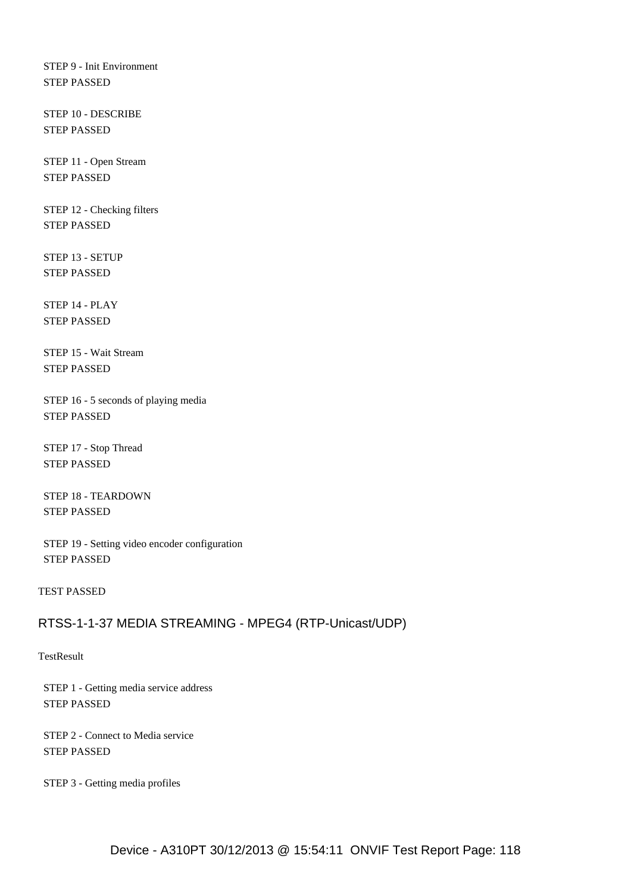STEP 9 - Init Environment STEP PASSED

 STEP 10 - DESCRIBE STEP PASSED

 STEP 11 - Open Stream STEP PASSED

 STEP 12 - Checking filters STEP PASSED

 STEP 13 - SETUP STEP PASSED

 STEP 14 - PLAY STEP PASSED

 STEP 15 - Wait Stream STEP PASSED

 STEP 16 - 5 seconds of playing media STEP PASSED

 STEP 17 - Stop Thread STEP PASSED

 STEP 18 - TEARDOWN STEP PASSED

 STEP 19 - Setting video encoder configuration STEP PASSED

TEST PASSED

## RTSS-1-1-37 MEDIA STREAMING - MPEG4 (RTP-Unicast/UDP)

**TestResult** 

 STEP 1 - Getting media service address STEP PASSED

 STEP 2 - Connect to Media service STEP PASSED

STEP 3 - Getting media profiles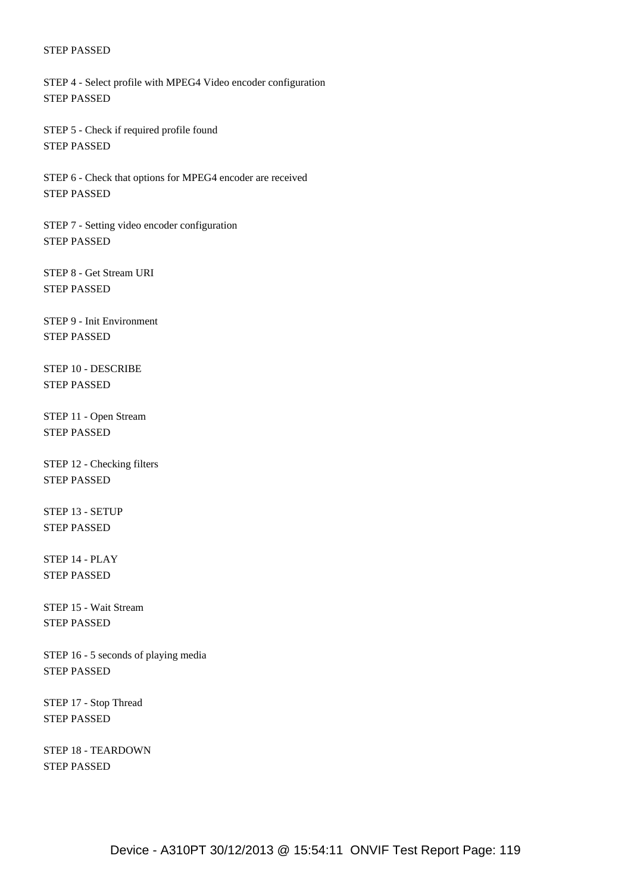STEP 4 - Select profile with MPEG4 Video encoder configuration STEP PASSED

 STEP 5 - Check if required profile found STEP PASSED

 STEP 6 - Check that options for MPEG4 encoder are received STEP PASSED

 STEP 7 - Setting video encoder configuration STEP PASSED

 STEP 8 - Get Stream URI STEP PASSED

 STEP 9 - Init Environment STEP PASSED

 STEP 10 - DESCRIBE STEP PASSED

 STEP 11 - Open Stream STEP PASSED

 STEP 12 - Checking filters STEP PASSED

 STEP 13 - SETUP STEP PASSED

 STEP 14 - PLAY STEP PASSED

 STEP 15 - Wait Stream STEP PASSED

 STEP 16 - 5 seconds of playing media STEP PASSED

 STEP 17 - Stop Thread STEP PASSED

 STEP 18 - TEARDOWN STEP PASSED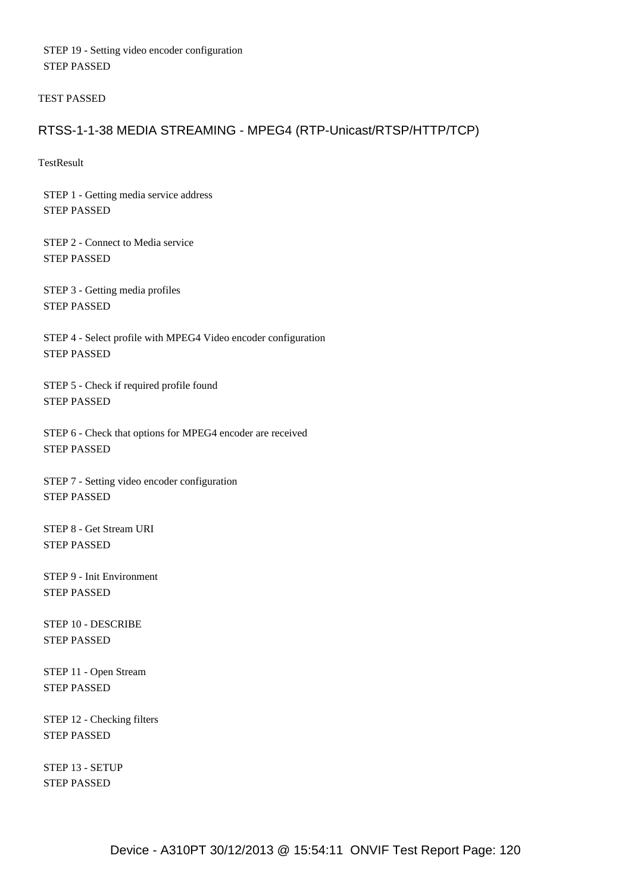STEP 19 - Setting video encoder configuration STEP PASSED

TEST PASSED

## RTSS-1-1-38 MEDIA STREAMING - MPEG4 (RTP-Unicast/RTSP/HTTP/TCP)

**TestResult** 

 STEP 1 - Getting media service address STEP PASSED

 STEP 2 - Connect to Media service STEP PASSED

 STEP 3 - Getting media profiles STEP PASSED

 STEP 4 - Select profile with MPEG4 Video encoder configuration STEP PASSED

 STEP 5 - Check if required profile found STEP PASSED

 STEP 6 - Check that options for MPEG4 encoder are received STEP PASSED

 STEP 7 - Setting video encoder configuration STEP PASSED

 STEP 8 - Get Stream URI STEP PASSED

 STEP 9 - Init Environment STEP PASSED

 STEP 10 - DESCRIBE STEP PASSED

 STEP 11 - Open Stream STEP PASSED

 STEP 12 - Checking filters STEP PASSED

 STEP 13 - SETUP STEP PASSED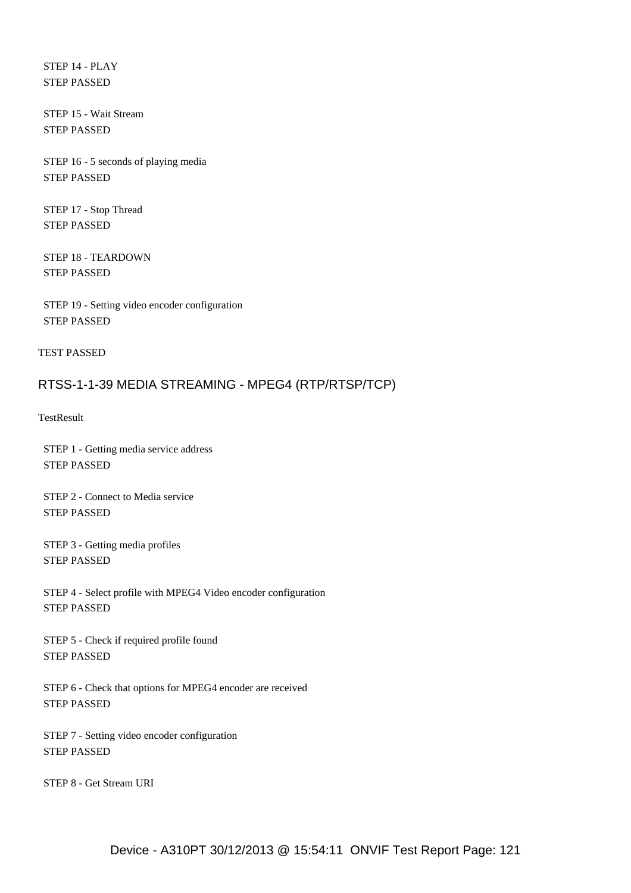STEP 14 - PLAY STEP PASSED

 STEP 15 - Wait Stream STEP PASSED

 STEP 16 - 5 seconds of playing media STEP PASSED

 STEP 17 - Stop Thread STEP PASSED

 STEP 18 - TEARDOWN STEP PASSED

 STEP 19 - Setting video encoder configuration STEP PASSED

TEST PASSED

## RTSS-1-1-39 MEDIA STREAMING - MPEG4 (RTP/RTSP/TCP)

**TestResult** 

 STEP 1 - Getting media service address STEP PASSED

 STEP 2 - Connect to Media service STEP PASSED

 STEP 3 - Getting media profiles STEP PASSED

 STEP 4 - Select profile with MPEG4 Video encoder configuration STEP PASSED

 STEP 5 - Check if required profile found STEP PASSED

 STEP 6 - Check that options for MPEG4 encoder are received STEP PASSED

 STEP 7 - Setting video encoder configuration STEP PASSED

STEP 8 - Get Stream URI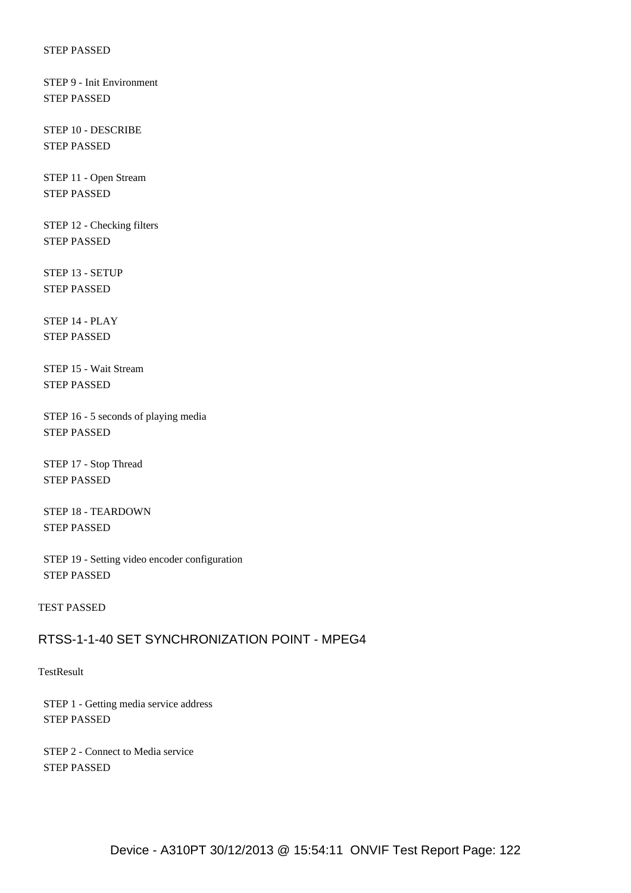STEP 9 - Init Environment STEP PASSED

 STEP 10 - DESCRIBE STEP PASSED

 STEP 11 - Open Stream STEP PASSED

 STEP 12 - Checking filters STEP PASSED

 STEP 13 - SETUP STEP PASSED

 STEP 14 - PLAY STEP PASSED

 STEP 15 - Wait Stream STEP PASSED

 STEP 16 - 5 seconds of playing media STEP PASSED

 STEP 17 - Stop Thread STEP PASSED

 STEP 18 - TEARDOWN STEP PASSED

 STEP 19 - Setting video encoder configuration STEP PASSED

TEST PASSED

# RTSS-1-1-40 SET SYNCHRONIZATION POINT - MPEG4

**TestResult** 

 STEP 1 - Getting media service address STEP PASSED

 STEP 2 - Connect to Media service STEP PASSED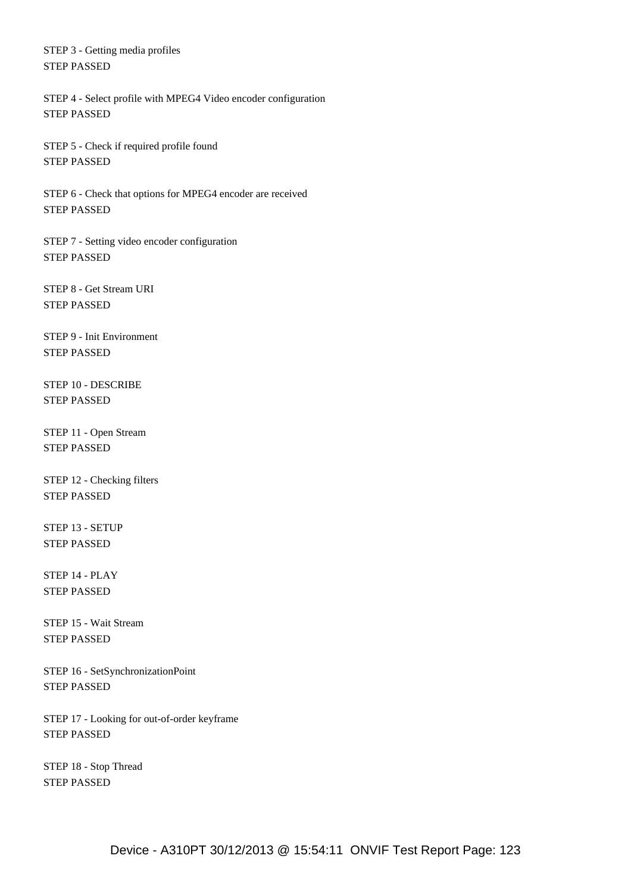STEP 3 - Getting media profiles STEP PASSED

 STEP 4 - Select profile with MPEG4 Video encoder configuration STEP PASSED

 STEP 5 - Check if required profile found STEP PASSED

 STEP 6 - Check that options for MPEG4 encoder are received STEP PASSED

 STEP 7 - Setting video encoder configuration STEP PASSED

 STEP 8 - Get Stream URI STEP PASSED

 STEP 9 - Init Environment STEP PASSED

 STEP 10 - DESCRIBE STEP PASSED

 STEP 11 - Open Stream STEP PASSED

 STEP 12 - Checking filters STEP PASSED

 STEP 13 - SETUP STEP PASSED

 STEP 14 - PLAY STEP PASSED

 STEP 15 - Wait Stream STEP PASSED

 STEP 16 - SetSynchronizationPoint STEP PASSED

 STEP 17 - Looking for out-of-order keyframe STEP PASSED

 STEP 18 - Stop Thread STEP PASSED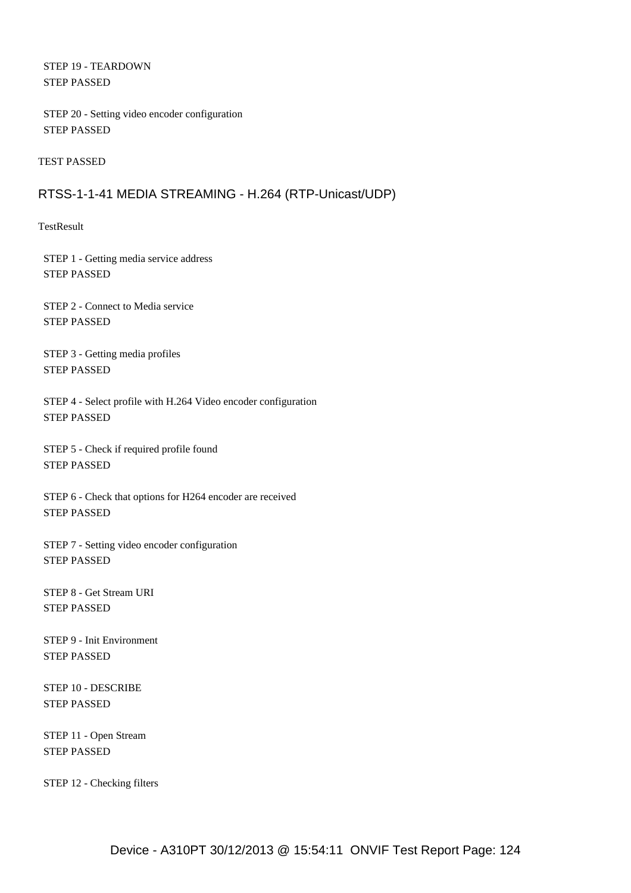STEP 19 - TEARDOWN STEP PASSED

 STEP 20 - Setting video encoder configuration STEP PASSED

TEST PASSED

## RTSS-1-1-41 MEDIA STREAMING - H.264 (RTP-Unicast/UDP)

**TestResult** 

 STEP 1 - Getting media service address STEP PASSED

 STEP 2 - Connect to Media service STEP PASSED

 STEP 3 - Getting media profiles STEP PASSED

 STEP 4 - Select profile with H.264 Video encoder configuration STEP PASSED

 STEP 5 - Check if required profile found STEP PASSED

 STEP 6 - Check that options for H264 encoder are received STEP PASSED

 STEP 7 - Setting video encoder configuration STEP PASSED

 STEP 8 - Get Stream URI STEP PASSED

 STEP 9 - Init Environment STEP PASSED

 STEP 10 - DESCRIBE STEP PASSED

 STEP 11 - Open Stream STEP PASSED

STEP 12 - Checking filters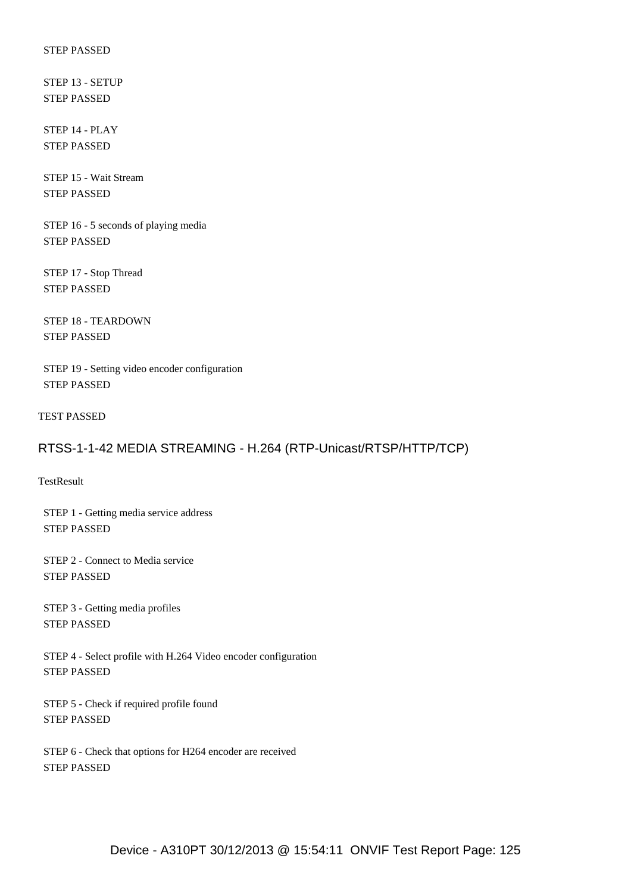STEP 13 - SETUP STEP PASSED

 STEP 14 - PLAY STEP PASSED

 STEP 15 - Wait Stream STEP PASSED

 STEP 16 - 5 seconds of playing media STEP PASSED

 STEP 17 - Stop Thread STEP PASSED

 STEP 18 - TEARDOWN STEP PASSED

 STEP 19 - Setting video encoder configuration STEP PASSED

TEST PASSED

## RTSS-1-1-42 MEDIA STREAMING - H.264 (RTP-Unicast/RTSP/HTTP/TCP)

**TestResult** 

 STEP 1 - Getting media service address STEP PASSED

 STEP 2 - Connect to Media service STEP PASSED

 STEP 3 - Getting media profiles STEP PASSED

 STEP 4 - Select profile with H.264 Video encoder configuration STEP PASSED

 STEP 5 - Check if required profile found STEP PASSED

 STEP 6 - Check that options for H264 encoder are received STEP PASSED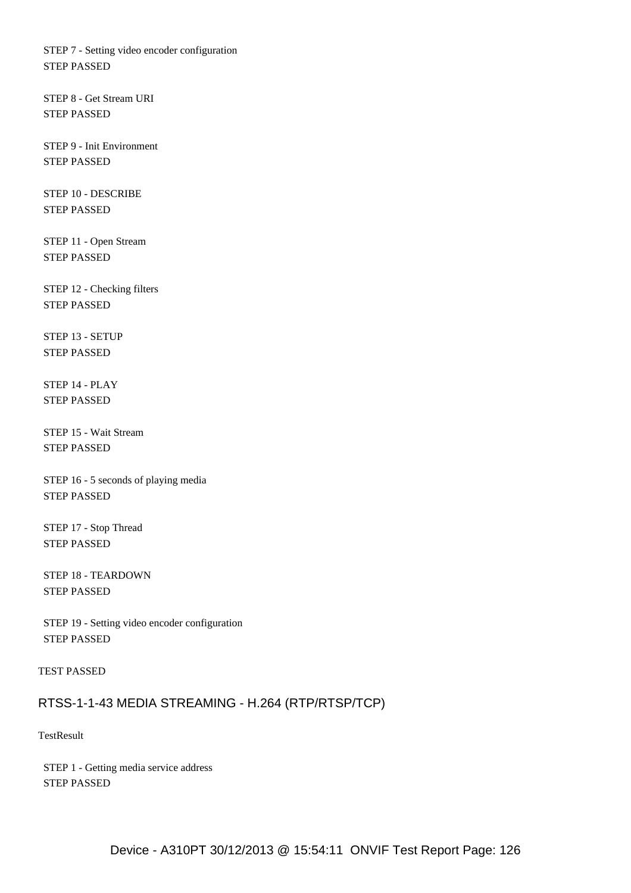STEP 7 - Setting video encoder configuration STEP PASSED

 STEP 8 - Get Stream URI STEP PASSED

 STEP 9 - Init Environment STEP PASSED

 STEP 10 - DESCRIBE STEP PASSED

 STEP 11 - Open Stream STEP PASSED

 STEP 12 - Checking filters STEP PASSED

 STEP 13 - SETUP STEP PASSED

 STEP 14 - PLAY STEP PASSED

 STEP 15 - Wait Stream STEP PASSED

 STEP 16 - 5 seconds of playing media STEP PASSED

 STEP 17 - Stop Thread STEP PASSED

 STEP 18 - TEARDOWN STEP PASSED

 STEP 19 - Setting video encoder configuration STEP PASSED

TEST PASSED

### RTSS-1-1-43 MEDIA STREAMING - H.264 (RTP/RTSP/TCP)

**TestResult** 

 STEP 1 - Getting media service address STEP PASSED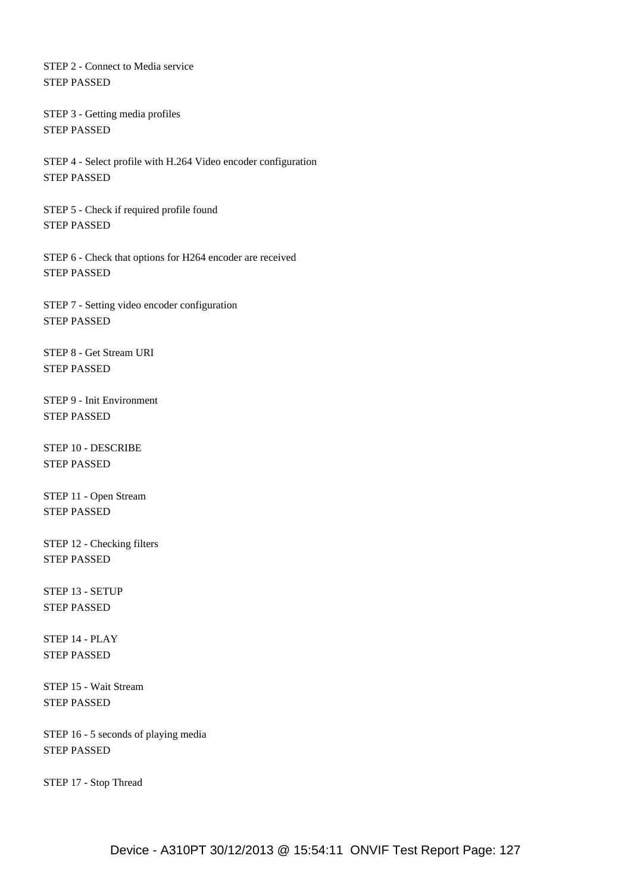STEP 2 - Connect to Media service STEP PASSED

 STEP 3 - Getting media profiles STEP PASSED

 STEP 4 - Select profile with H.264 Video encoder configuration STEP PASSED

 STEP 5 - Check if required profile found STEP PASSED

 STEP 6 - Check that options for H264 encoder are received STEP PASSED

 STEP 7 - Setting video encoder configuration STEP PASSED

 STEP 8 - Get Stream URI STEP PASSED

 STEP 9 - Init Environment STEP PASSED

 STEP 10 - DESCRIBE STEP PASSED

 STEP 11 - Open Stream STEP PASSED

 STEP 12 - Checking filters STEP PASSED

 STEP 13 - SETUP STEP PASSED

 STEP 14 - PLAY STEP PASSED

 STEP 15 - Wait Stream STEP PASSED

 STEP 16 - 5 seconds of playing media STEP PASSED

STEP 17 - Stop Thread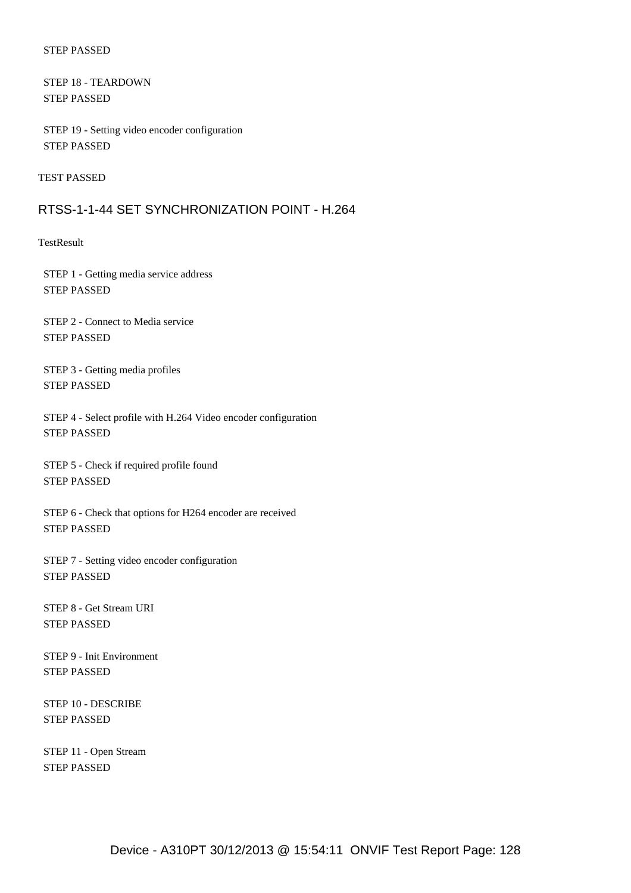STEP 18 - TEARDOWN STEP PASSED

 STEP 19 - Setting video encoder configuration STEP PASSED

TEST PASSED

### RTSS-1-1-44 SET SYNCHRONIZATION POINT - H.264

**TestResult** 

 STEP 1 - Getting media service address STEP PASSED

 STEP 2 - Connect to Media service STEP PASSED

 STEP 3 - Getting media profiles STEP PASSED

 STEP 4 - Select profile with H.264 Video encoder configuration STEP PASSED

 STEP 5 - Check if required profile found STEP PASSED

 STEP 6 - Check that options for H264 encoder are received STEP PASSED

 STEP 7 - Setting video encoder configuration STEP PASSED

 STEP 8 - Get Stream URI STEP PASSED

 STEP 9 - Init Environment STEP PASSED

 STEP 10 - DESCRIBE STEP PASSED

 STEP 11 - Open Stream STEP PASSED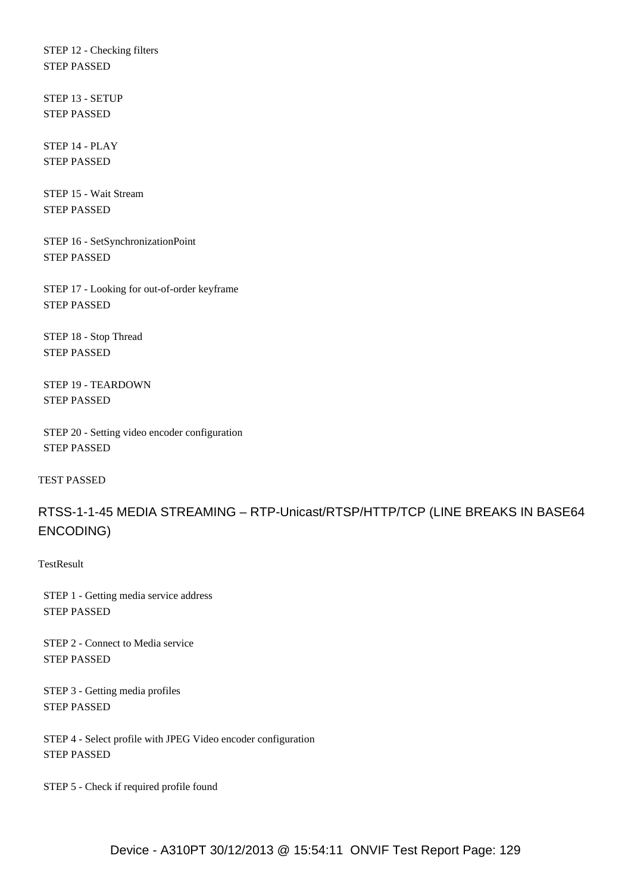STEP 12 - Checking filters STEP PASSED

 STEP 13 - SETUP STEP PASSED

 STEP 14 - PLAY STEP PASSED

 STEP 15 - Wait Stream STEP PASSED

 STEP 16 - SetSynchronizationPoint STEP PASSED

 STEP 17 - Looking for out-of-order keyframe STEP PASSED

 STEP 18 - Stop Thread STEP PASSED

 STEP 19 - TEARDOWN STEP PASSED

 STEP 20 - Setting video encoder configuration STEP PASSED

TEST PASSED

RTSS-1-1-45 MEDIA STREAMING – RTP-Unicast/RTSP/HTTP/TCP (LINE BREAKS IN BASE64 ENCODING)

**TestResult** 

 STEP 1 - Getting media service address STEP PASSED

 STEP 2 - Connect to Media service STEP PASSED

 STEP 3 - Getting media profiles STEP PASSED

 STEP 4 - Select profile with JPEG Video encoder configuration STEP PASSED

STEP 5 - Check if required profile found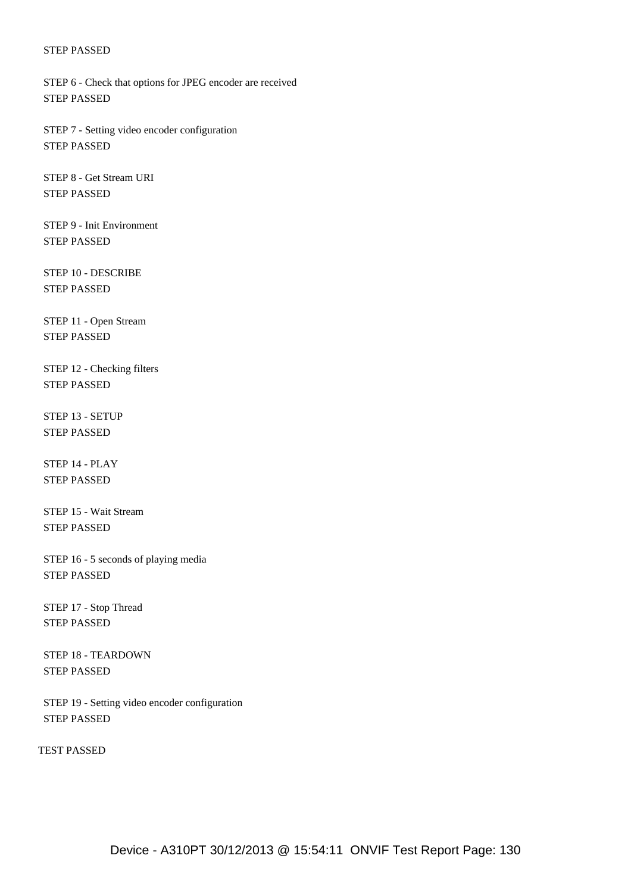STEP 6 - Check that options for JPEG encoder are received STEP PASSED

 STEP 7 - Setting video encoder configuration STEP PASSED

 STEP 8 - Get Stream URI STEP PASSED

 STEP 9 - Init Environment STEP PASSED

 STEP 10 - DESCRIBE STEP PASSED

 STEP 11 - Open Stream STEP PASSED

 STEP 12 - Checking filters STEP PASSED

 STEP 13 - SETUP STEP PASSED

 STEP 14 - PLAY STEP PASSED

 STEP 15 - Wait Stream STEP PASSED

 STEP 16 - 5 seconds of playing media STEP PASSED

 STEP 17 - Stop Thread STEP PASSED

 STEP 18 - TEARDOWN STEP PASSED

 STEP 19 - Setting video encoder configuration STEP PASSED

TEST PASSED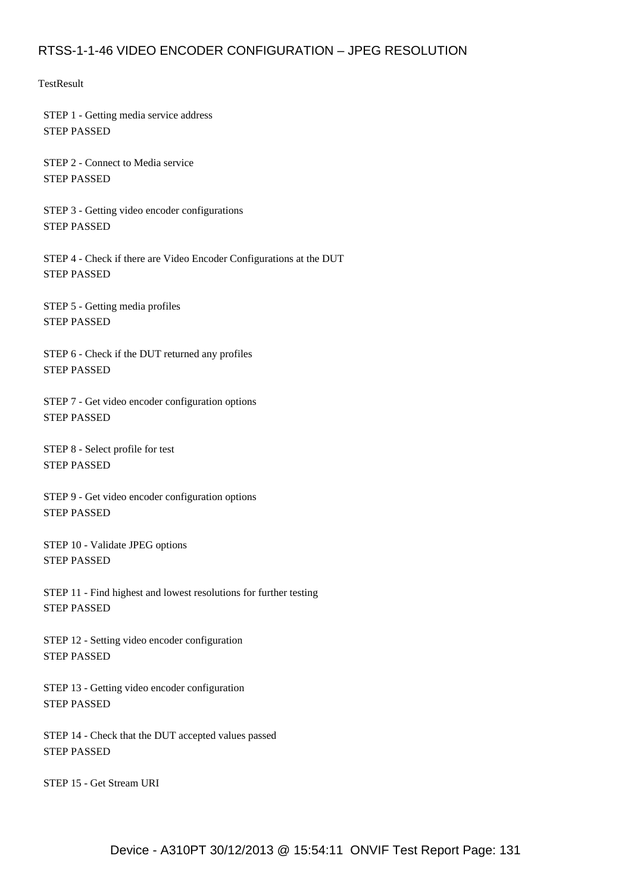# RTSS-1-1-46 VIDEO ENCODER CONFIGURATION – JPEG RESOLUTION

**TestResult** 

 STEP 1 - Getting media service address STEP PASSED

 STEP 2 - Connect to Media service STEP PASSED

 STEP 3 - Getting video encoder configurations STEP PASSED

 STEP 4 - Check if there are Video Encoder Configurations at the DUT STEP PASSED

 STEP 5 - Getting media profiles STEP PASSED

 STEP 6 - Check if the DUT returned any profiles STEP PASSED

 STEP 7 - Get video encoder configuration options STEP PASSED

 STEP 8 - Select profile for test STEP PASSED

 STEP 9 - Get video encoder configuration options STEP PASSED

 STEP 10 - Validate JPEG options STEP PASSED

 STEP 11 - Find highest and lowest resolutions for further testing STEP PASSED

 STEP 12 - Setting video encoder configuration STEP PASSED

 STEP 13 - Getting video encoder configuration STEP PASSED

 STEP 14 - Check that the DUT accepted values passed STEP PASSED

STEP 15 - Get Stream URI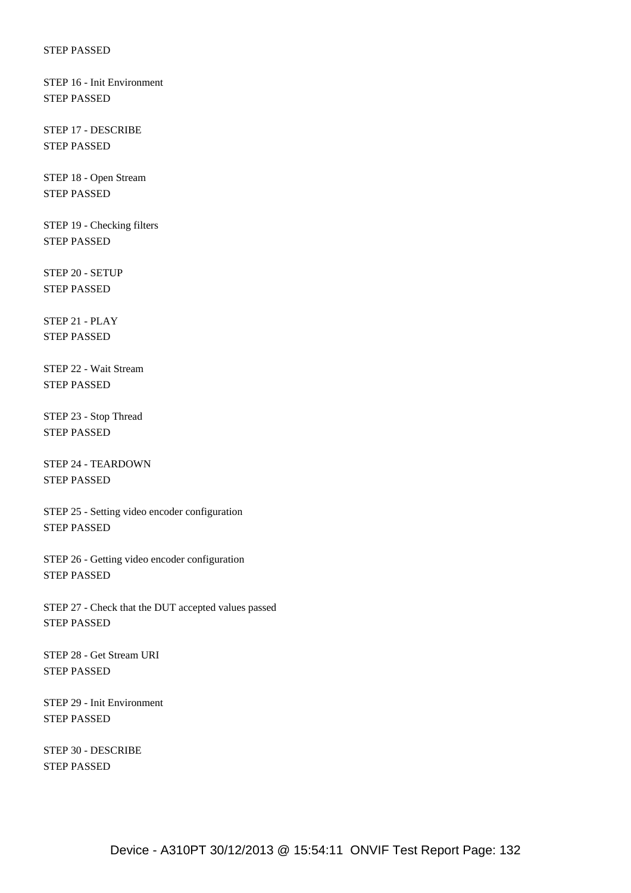STEP 16 - Init Environment STEP PASSED

 STEP 17 - DESCRIBE STEP PASSED

 STEP 18 - Open Stream STEP PASSED

 STEP 19 - Checking filters STEP PASSED

 STEP 20 - SETUP STEP PASSED

 STEP 21 - PLAY STEP PASSED

 STEP 22 - Wait Stream STEP PASSED

 STEP 23 - Stop Thread STEP PASSED

 STEP 24 - TEARDOWN STEP PASSED

 STEP 25 - Setting video encoder configuration STEP PASSED

 STEP 26 - Getting video encoder configuration STEP PASSED

 STEP 27 - Check that the DUT accepted values passed STEP PASSED

 STEP 28 - Get Stream URI STEP PASSED

 STEP 29 - Init Environment STEP PASSED

 STEP 30 - DESCRIBE STEP PASSED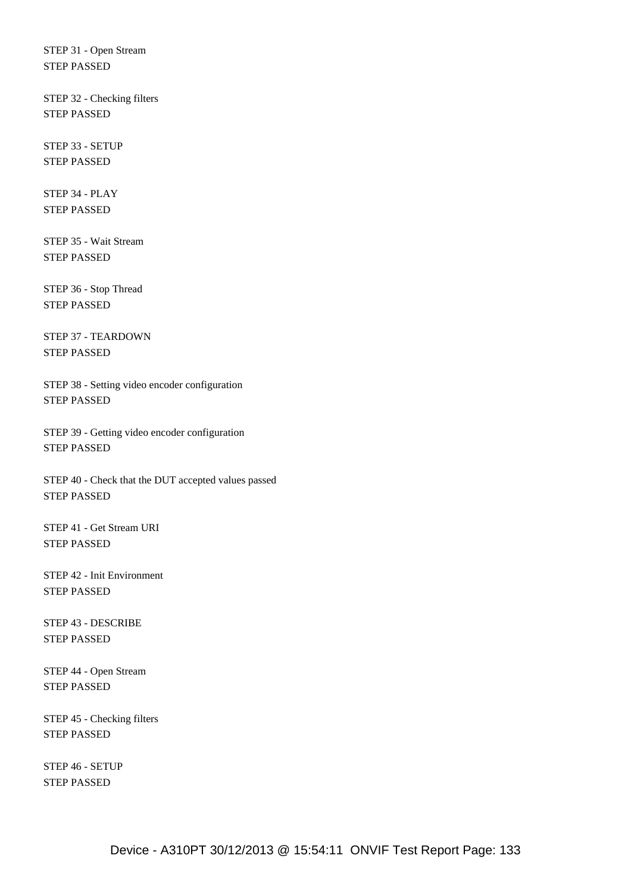STEP 31 - Open Stream STEP PASSED

 STEP 32 - Checking filters STEP PASSED

 STEP 33 - SETUP STEP PASSED

 STEP 34 - PLAY STEP PASSED

 STEP 35 - Wait Stream STEP PASSED

 STEP 36 - Stop Thread STEP PASSED

 STEP 37 - TEARDOWN STEP PASSED

 STEP 38 - Setting video encoder configuration STEP PASSED

 STEP 39 - Getting video encoder configuration STEP PASSED

 STEP 40 - Check that the DUT accepted values passed STEP PASSED

 STEP 41 - Get Stream URI STEP PASSED

 STEP 42 - Init Environment STEP PASSED

 STEP 43 - DESCRIBE STEP PASSED

 STEP 44 - Open Stream STEP PASSED

 STEP 45 - Checking filters STEP PASSED

 STEP 46 - SETUP STEP PASSED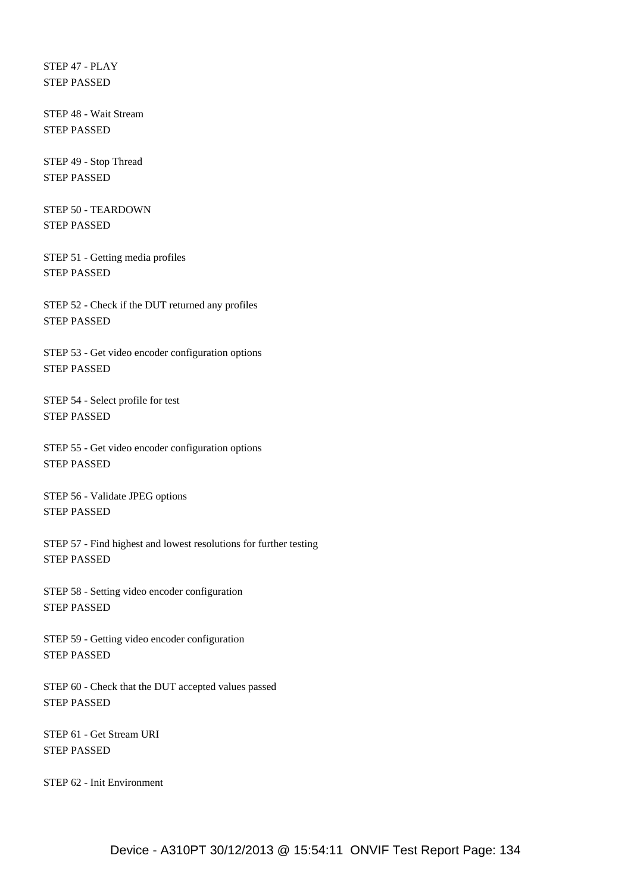STEP 47 - PLAY STEP PASSED

 STEP 48 - Wait Stream STEP PASSED

 STEP 49 - Stop Thread STEP PASSED

 STEP 50 - TEARDOWN STEP PASSED

 STEP 51 - Getting media profiles STEP PASSED

 STEP 52 - Check if the DUT returned any profiles STEP PASSED

 STEP 53 - Get video encoder configuration options STEP PASSED

 STEP 54 - Select profile for test STEP PASSED

 STEP 55 - Get video encoder configuration options STEP PASSED

 STEP 56 - Validate JPEG options STEP PASSED

 STEP 57 - Find highest and lowest resolutions for further testing STEP PASSED

 STEP 58 - Setting video encoder configuration STEP PASSED

 STEP 59 - Getting video encoder configuration STEP PASSED

 STEP 60 - Check that the DUT accepted values passed STEP PASSED

 STEP 61 - Get Stream URI STEP PASSED

STEP 62 - Init Environment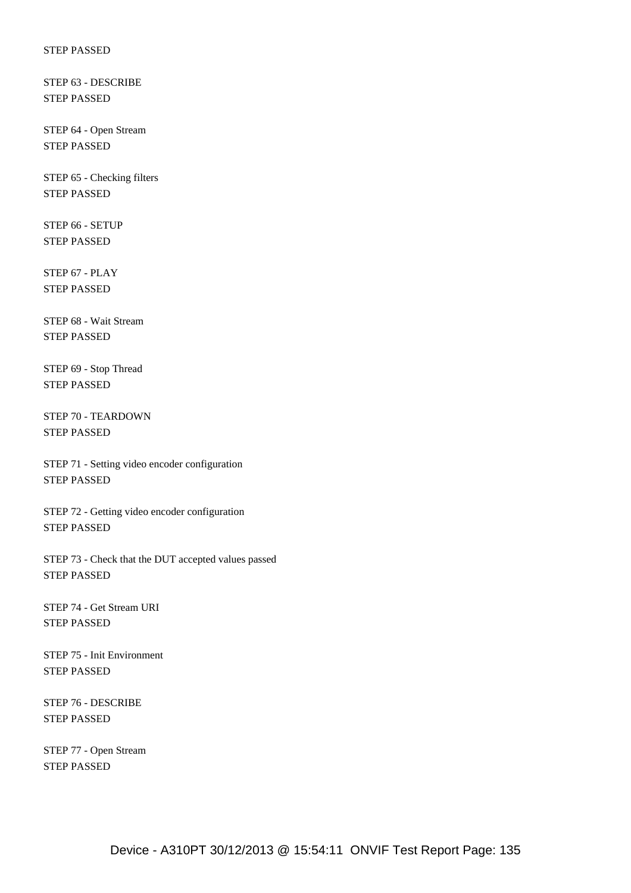STEP 63 - DESCRIBE STEP PASSED

 STEP 64 - Open Stream STEP PASSED

 STEP 65 - Checking filters STEP PASSED

 STEP 66 - SETUP STEP PASSED

 STEP 67 - PLAY STEP PASSED

 STEP 68 - Wait Stream STEP PASSED

 STEP 69 - Stop Thread STEP PASSED

 STEP 70 - TEARDOWN STEP PASSED

 STEP 71 - Setting video encoder configuration STEP PASSED

 STEP 72 - Getting video encoder configuration STEP PASSED

 STEP 73 - Check that the DUT accepted values passed STEP PASSED

 STEP 74 - Get Stream URI STEP PASSED

 STEP 75 - Init Environment STEP PASSED

 STEP 76 - DESCRIBE STEP PASSED

 STEP 77 - Open Stream STEP PASSED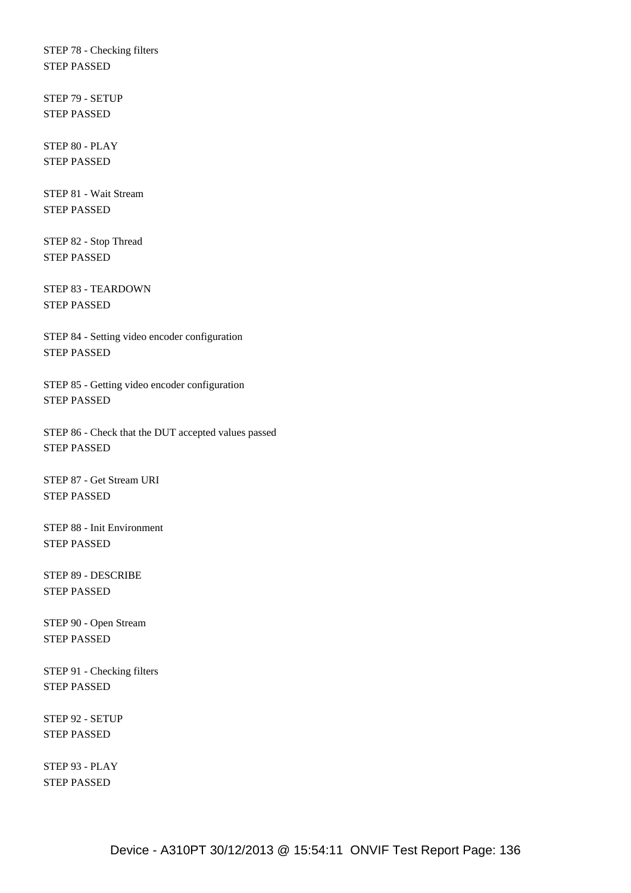STEP 78 - Checking filters STEP PASSED

 STEP 79 - SETUP STEP PASSED

 STEP 80 - PLAY STEP PASSED

 STEP 81 - Wait Stream STEP PASSED

 STEP 82 - Stop Thread STEP PASSED

 STEP 83 - TEARDOWN STEP PASSED

 STEP 84 - Setting video encoder configuration STEP PASSED

 STEP 85 - Getting video encoder configuration STEP PASSED

 STEP 86 - Check that the DUT accepted values passed STEP PASSED

 STEP 87 - Get Stream URI STEP PASSED

 STEP 88 - Init Environment STEP PASSED

 STEP 89 - DESCRIBE STEP PASSED

 STEP 90 - Open Stream STEP PASSED

 STEP 91 - Checking filters STEP PASSED

 STEP 92 - SETUP STEP PASSED

 STEP 93 - PLAY STEP PASSED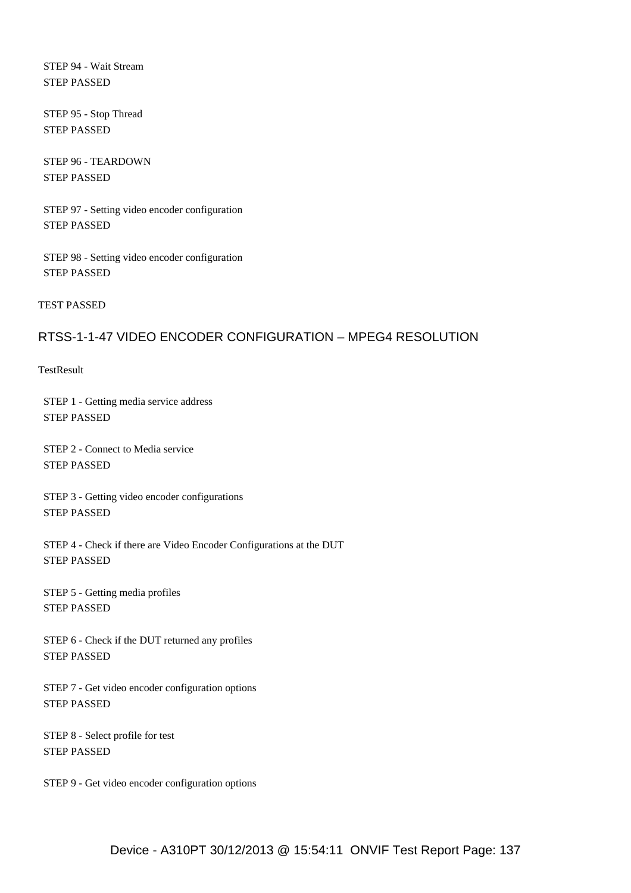STEP 94 - Wait Stream STEP PASSED

 STEP 95 - Stop Thread STEP PASSED

 STEP 96 - TEARDOWN STEP PASSED

 STEP 97 - Setting video encoder configuration STEP PASSED

 STEP 98 - Setting video encoder configuration STEP PASSED

TEST PASSED

# RTSS-1-1-47 VIDEO ENCODER CONFIGURATION – MPEG4 RESOLUTION

**TestResult** 

 STEP 1 - Getting media service address STEP PASSED

 STEP 2 - Connect to Media service STEP PASSED

 STEP 3 - Getting video encoder configurations STEP PASSED

 STEP 4 - Check if there are Video Encoder Configurations at the DUT STEP PASSED

 STEP 5 - Getting media profiles STEP PASSED

 STEP 6 - Check if the DUT returned any profiles STEP PASSED

 STEP 7 - Get video encoder configuration options STEP PASSED

 STEP 8 - Select profile for test STEP PASSED

STEP 9 - Get video encoder configuration options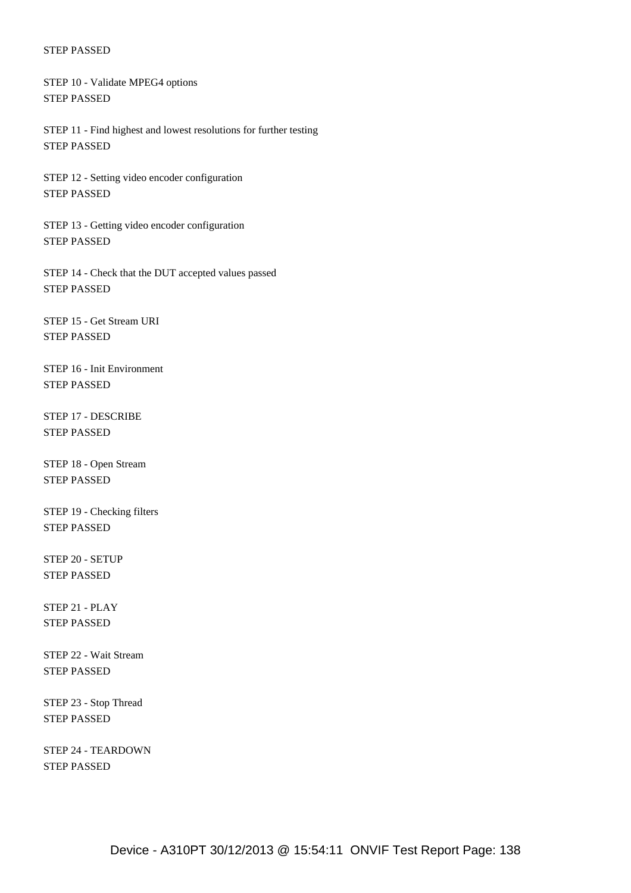STEP 10 - Validate MPEG4 options STEP PASSED

 STEP 11 - Find highest and lowest resolutions for further testing STEP PASSED

 STEP 12 - Setting video encoder configuration STEP PASSED

 STEP 13 - Getting video encoder configuration STEP PASSED

 STEP 14 - Check that the DUT accepted values passed STEP PASSED

 STEP 15 - Get Stream URI STEP PASSED

 STEP 16 - Init Environment STEP PASSED

 STEP 17 - DESCRIBE STEP PASSED

 STEP 18 - Open Stream STEP PASSED

 STEP 19 - Checking filters STEP PASSED

 STEP 20 - SETUP STEP PASSED

 STEP 21 - PLAY STEP PASSED

 STEP 22 - Wait Stream STEP PASSED

 STEP 23 - Stop Thread STEP PASSED

 STEP 24 - TEARDOWN STEP PASSED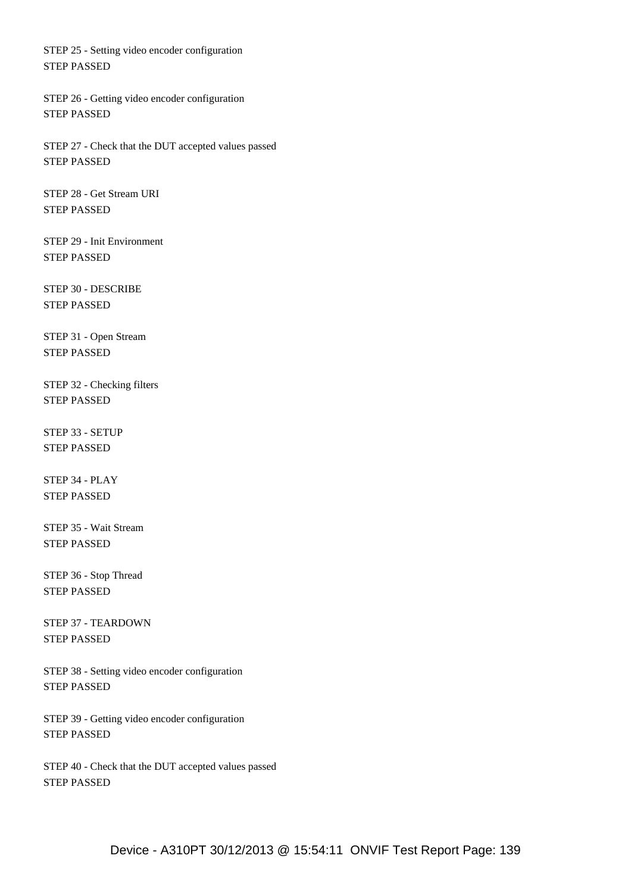STEP 25 - Setting video encoder configuration STEP PASSED

 STEP 26 - Getting video encoder configuration STEP PASSED

 STEP 27 - Check that the DUT accepted values passed STEP PASSED

 STEP 28 - Get Stream URI STEP PASSED

 STEP 29 - Init Environment STEP PASSED

 STEP 30 - DESCRIBE STEP PASSED

 STEP 31 - Open Stream STEP PASSED

 STEP 32 - Checking filters STEP PASSED

 STEP 33 - SETUP STEP PASSED

 STEP 34 - PLAY STEP PASSED

 STEP 35 - Wait Stream STEP PASSED

 STEP 36 - Stop Thread STEP PASSED

 STEP 37 - TEARDOWN STEP PASSED

 STEP 38 - Setting video encoder configuration STEP PASSED

 STEP 39 - Getting video encoder configuration STEP PASSED

 STEP 40 - Check that the DUT accepted values passed STEP PASSED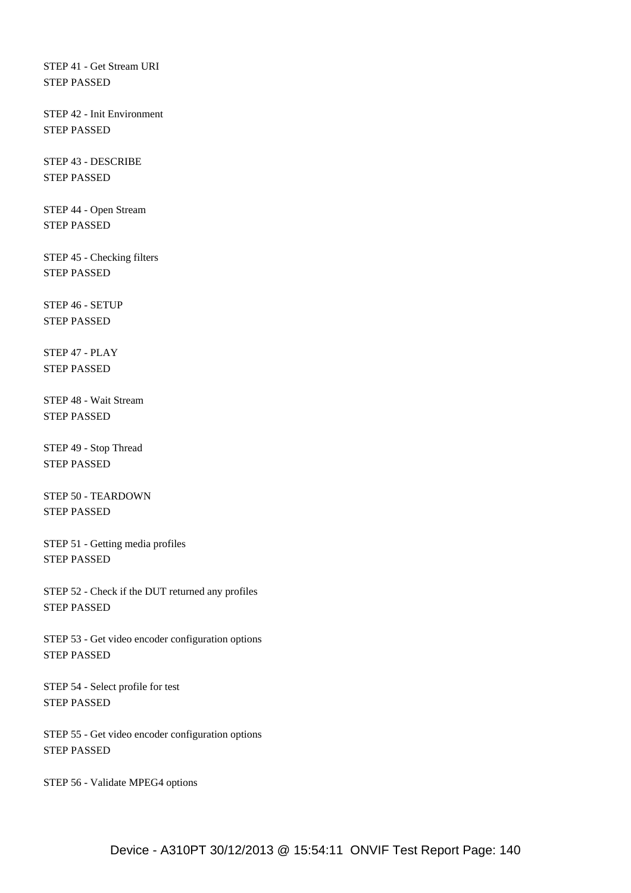STEP 41 - Get Stream URI STEP PASSED

 STEP 42 - Init Environment STEP PASSED

 STEP 43 - DESCRIBE STEP PASSED

 STEP 44 - Open Stream STEP PASSED

 STEP 45 - Checking filters STEP PASSED

 STEP 46 - SETUP STEP PASSED

 STEP 47 - PLAY STEP PASSED

 STEP 48 - Wait Stream STEP PASSED

 STEP 49 - Stop Thread STEP PASSED

 STEP 50 - TEARDOWN STEP PASSED

 STEP 51 - Getting media profiles STEP PASSED

 STEP 52 - Check if the DUT returned any profiles STEP PASSED

 STEP 53 - Get video encoder configuration options STEP PASSED

 STEP 54 - Select profile for test STEP PASSED

 STEP 55 - Get video encoder configuration options STEP PASSED

STEP 56 - Validate MPEG4 options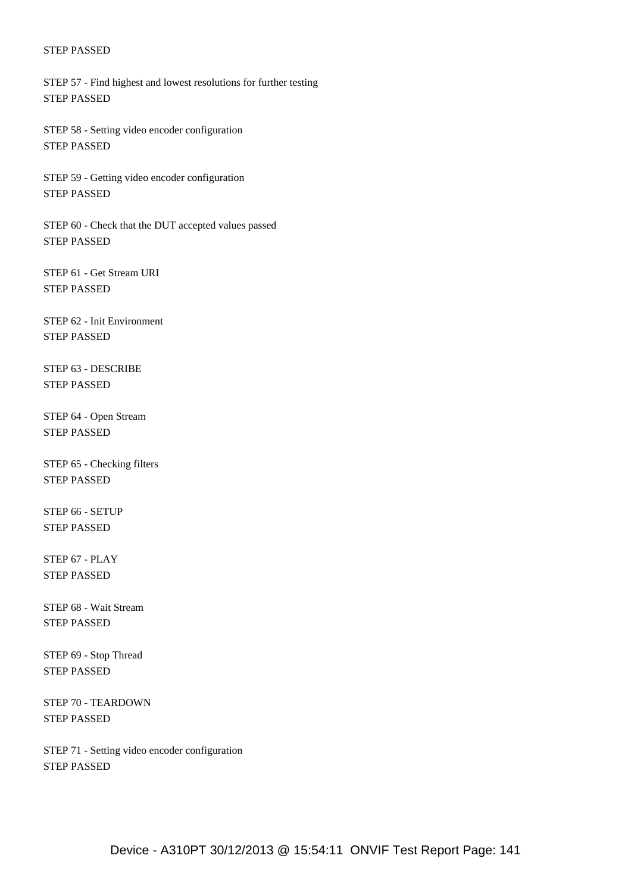STEP 57 - Find highest and lowest resolutions for further testing STEP PASSED

 STEP 58 - Setting video encoder configuration STEP PASSED

 STEP 59 - Getting video encoder configuration STEP PASSED

 STEP 60 - Check that the DUT accepted values passed STEP PASSED

 STEP 61 - Get Stream URI STEP PASSED

 STEP 62 - Init Environment STEP PASSED

 STEP 63 - DESCRIBE STEP PASSED

 STEP 64 - Open Stream STEP PASSED

 STEP 65 - Checking filters STEP PASSED

 STEP 66 - SETUP STEP PASSED

 STEP 67 - PLAY STEP PASSED

 STEP 68 - Wait Stream STEP PASSED

 STEP 69 - Stop Thread STEP PASSED

 STEP 70 - TEARDOWN STEP PASSED

 STEP 71 - Setting video encoder configuration STEP PASSED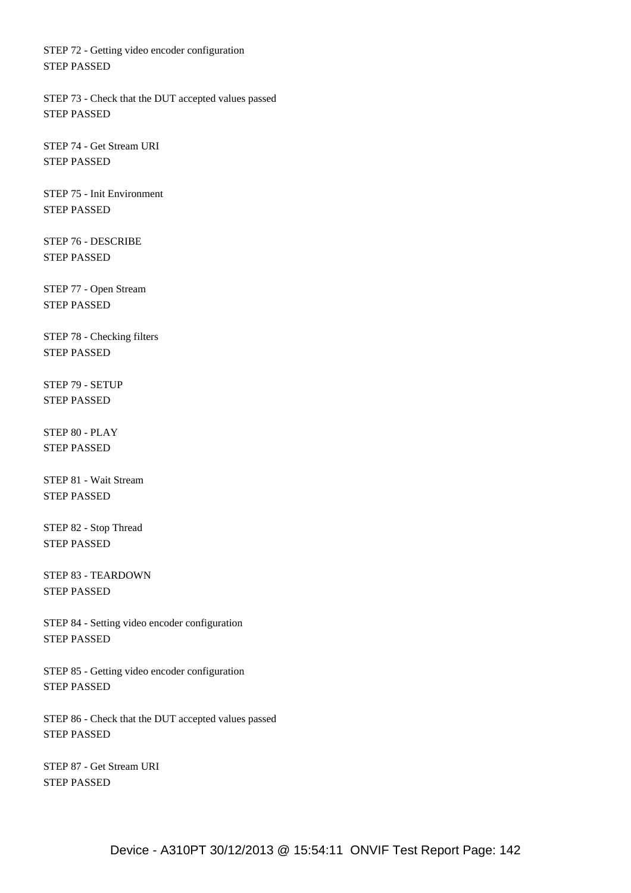STEP 72 - Getting video encoder configuration STEP PASSED

 STEP 73 - Check that the DUT accepted values passed STEP PASSED

 STEP 74 - Get Stream URI STEP PASSED

 STEP 75 - Init Environment STEP PASSED

 STEP 76 - DESCRIBE STEP PASSED

 STEP 77 - Open Stream STEP PASSED

 STEP 78 - Checking filters STEP PASSED

 STEP 79 - SETUP STEP PASSED

 STEP 80 - PLAY STEP PASSED

 STEP 81 - Wait Stream STEP PASSED

 STEP 82 - Stop Thread STEP PASSED

 STEP 83 - TEARDOWN STEP PASSED

 STEP 84 - Setting video encoder configuration STEP PASSED

 STEP 85 - Getting video encoder configuration STEP PASSED

 STEP 86 - Check that the DUT accepted values passed STEP PASSED

 STEP 87 - Get Stream URI STEP PASSED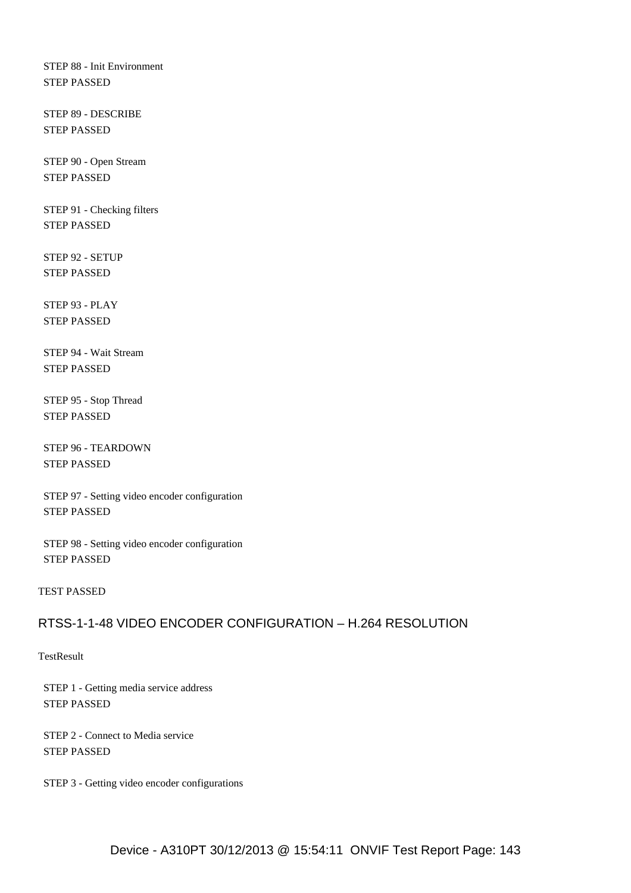STEP 88 - Init Environment STEP PASSED

 STEP 89 - DESCRIBE STEP PASSED

 STEP 90 - Open Stream STEP PASSED

 STEP 91 - Checking filters STEP PASSED

 STEP 92 - SETUP STEP PASSED

 STEP 93 - PLAY STEP PASSED

 STEP 94 - Wait Stream STEP PASSED

 STEP 95 - Stop Thread STEP PASSED

 STEP 96 - TEARDOWN STEP PASSED

 STEP 97 - Setting video encoder configuration STEP PASSED

 STEP 98 - Setting video encoder configuration STEP PASSED

### TEST PASSED

# RTSS-1-1-48 VIDEO ENCODER CONFIGURATION – H.264 RESOLUTION

### **TestResult**

 STEP 1 - Getting media service address STEP PASSED

 STEP 2 - Connect to Media service STEP PASSED

STEP 3 - Getting video encoder configurations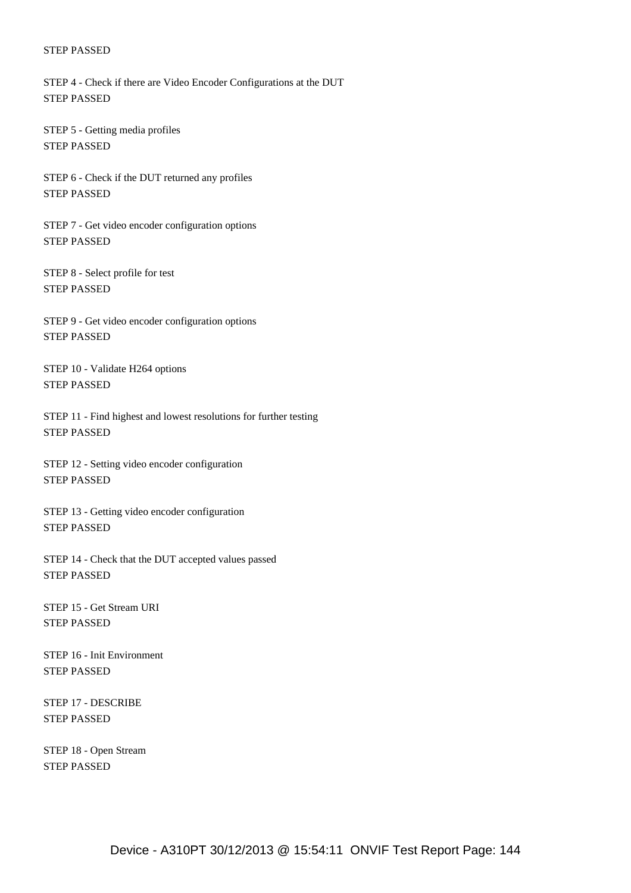STEP 4 - Check if there are Video Encoder Configurations at the DUT STEP PASSED

 STEP 5 - Getting media profiles STEP PASSED

 STEP 6 - Check if the DUT returned any profiles STEP PASSED

 STEP 7 - Get video encoder configuration options STEP PASSED

 STEP 8 - Select profile for test STEP PASSED

 STEP 9 - Get video encoder configuration options STEP PASSED

 STEP 10 - Validate H264 options STEP PASSED

 STEP 11 - Find highest and lowest resolutions for further testing STEP PASSED

 STEP 12 - Setting video encoder configuration STEP PASSED

 STEP 13 - Getting video encoder configuration STEP PASSED

 STEP 14 - Check that the DUT accepted values passed STEP PASSED

 STEP 15 - Get Stream URI STEP PASSED

 STEP 16 - Init Environment STEP PASSED

 STEP 17 - DESCRIBE STEP PASSED

 STEP 18 - Open Stream STEP PASSED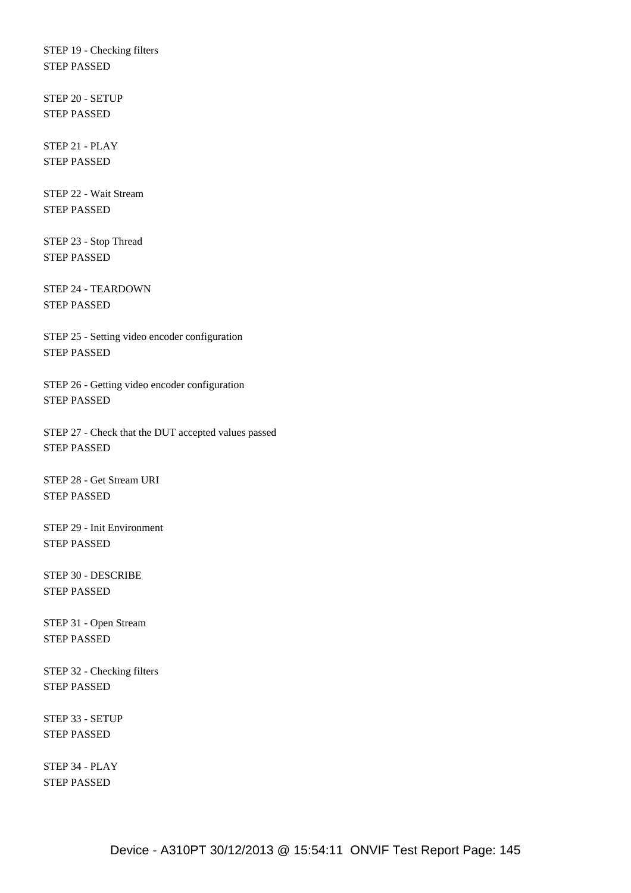STEP 19 - Checking filters STEP PASSED

 STEP 20 - SETUP STEP PASSED

 STEP 21 - PLAY STEP PASSED

 STEP 22 - Wait Stream STEP PASSED

 STEP 23 - Stop Thread STEP PASSED

 STEP 24 - TEARDOWN STEP PASSED

 STEP 25 - Setting video encoder configuration STEP PASSED

 STEP 26 - Getting video encoder configuration STEP PASSED

 STEP 27 - Check that the DUT accepted values passed STEP PASSED

 STEP 28 - Get Stream URI STEP PASSED

 STEP 29 - Init Environment STEP PASSED

 STEP 30 - DESCRIBE STEP PASSED

 STEP 31 - Open Stream STEP PASSED

 STEP 32 - Checking filters STEP PASSED

 STEP 33 - SETUP STEP PASSED

 STEP 34 - PLAY STEP PASSED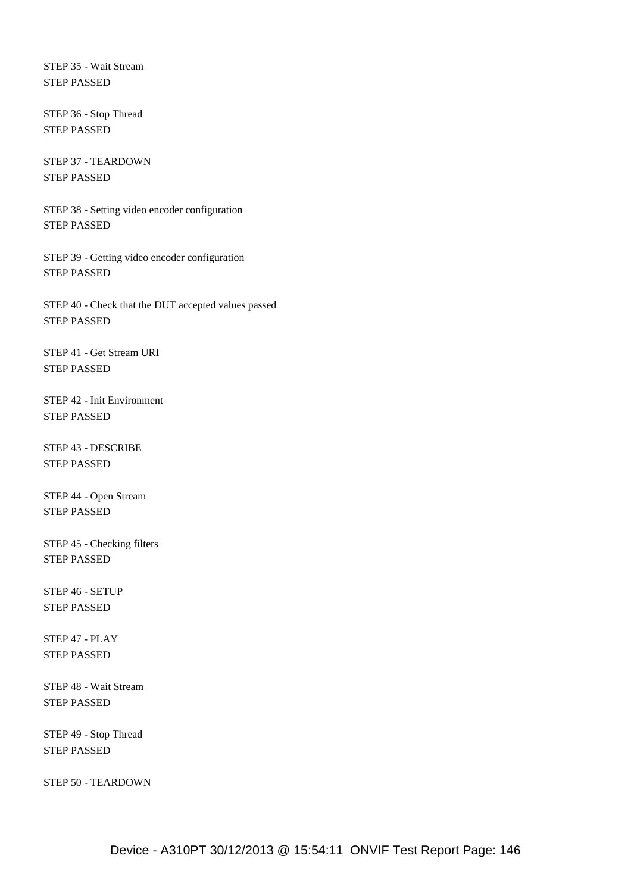STEP 35 - Wait Stream STEP PASSED

 STEP 36 - Stop Thread STEP PASSED

 STEP 37 - TEARDOWN STEP PASSED

 STEP 38 - Setting video encoder configuration STEP PASSED

 STEP 39 - Getting video encoder configuration STEP PASSED

 STEP 40 - Check that the DUT accepted values passed STEP PASSED

 STEP 41 - Get Stream URI STEP PASSED

 STEP 42 - Init Environment STEP PASSED

 STEP 43 - DESCRIBE STEP PASSED

 STEP 44 - Open Stream STEP PASSED

 STEP 45 - Checking filters STEP PASSED

 STEP 46 - SETUP STEP PASSED

 STEP 47 - PLAY STEP PASSED

 STEP 48 - Wait Stream STEP PASSED

 STEP 49 - Stop Thread STEP PASSED

STEP 50 - TEARDOWN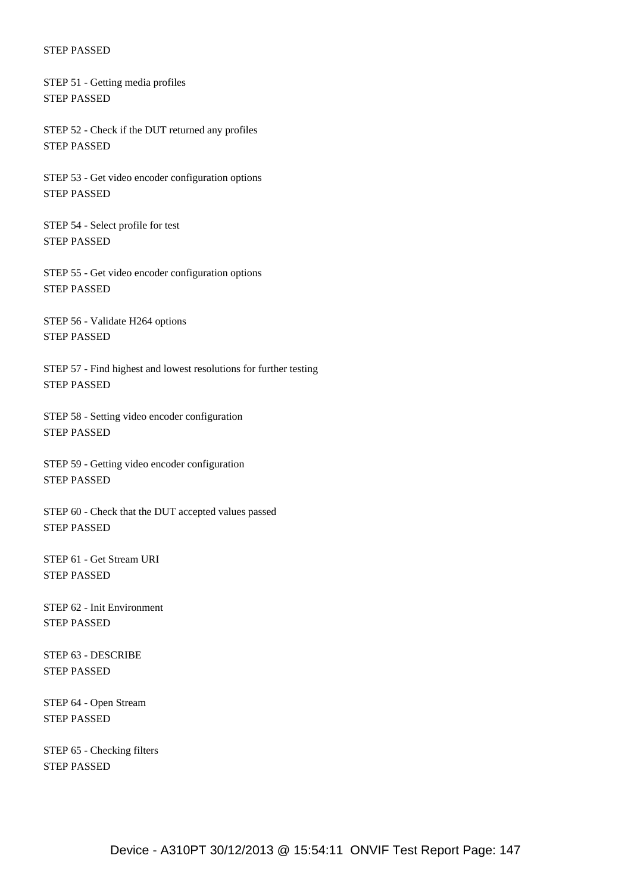STEP 51 - Getting media profiles STEP PASSED

 STEP 52 - Check if the DUT returned any profiles STEP PASSED

 STEP 53 - Get video encoder configuration options STEP PASSED

 STEP 54 - Select profile for test STEP PASSED

 STEP 55 - Get video encoder configuration options STEP PASSED

 STEP 56 - Validate H264 options STEP PASSED

 STEP 57 - Find highest and lowest resolutions for further testing STEP PASSED

 STEP 58 - Setting video encoder configuration STEP PASSED

 STEP 59 - Getting video encoder configuration STEP PASSED

 STEP 60 - Check that the DUT accepted values passed STEP PASSED

 STEP 61 - Get Stream URI STEP PASSED

 STEP 62 - Init Environment STEP PASSED

 STEP 63 - DESCRIBE STEP PASSED

 STEP 64 - Open Stream STEP PASSED

 STEP 65 - Checking filters STEP PASSED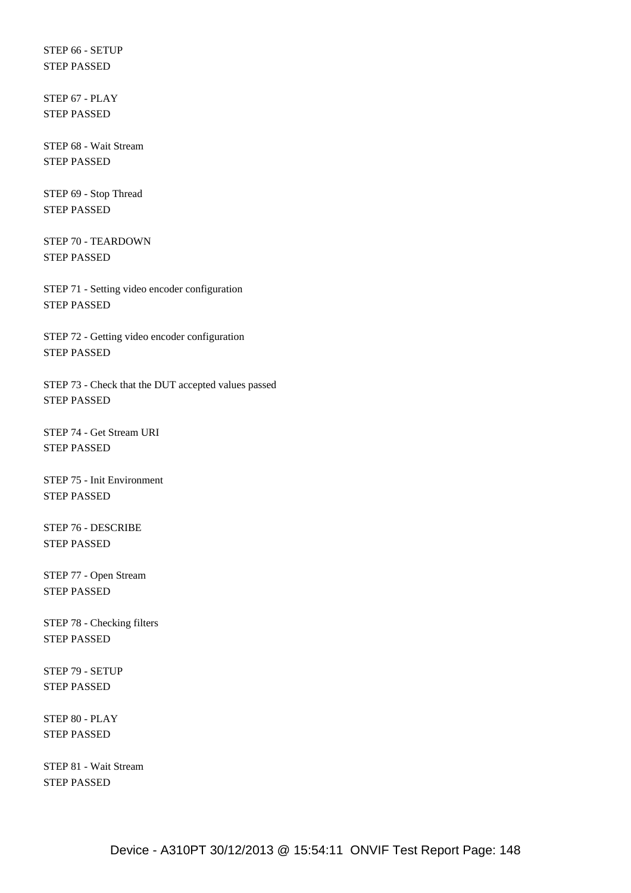STEP 66 - SETUP STEP PASSED

 STEP 67 - PLAY STEP PASSED

 STEP 68 - Wait Stream STEP PASSED

 STEP 69 - Stop Thread STEP PASSED

 STEP 70 - TEARDOWN STEP PASSED

 STEP 71 - Setting video encoder configuration STEP PASSED

 STEP 72 - Getting video encoder configuration STEP PASSED

 STEP 73 - Check that the DUT accepted values passed STEP PASSED

 STEP 74 - Get Stream URI STEP PASSED

 STEP 75 - Init Environment STEP PASSED

 STEP 76 - DESCRIBE STEP PASSED

 STEP 77 - Open Stream STEP PASSED

 STEP 78 - Checking filters STEP PASSED

 STEP 79 - SETUP STEP PASSED

 STEP 80 - PLAY STEP PASSED

 STEP 81 - Wait Stream STEP PASSED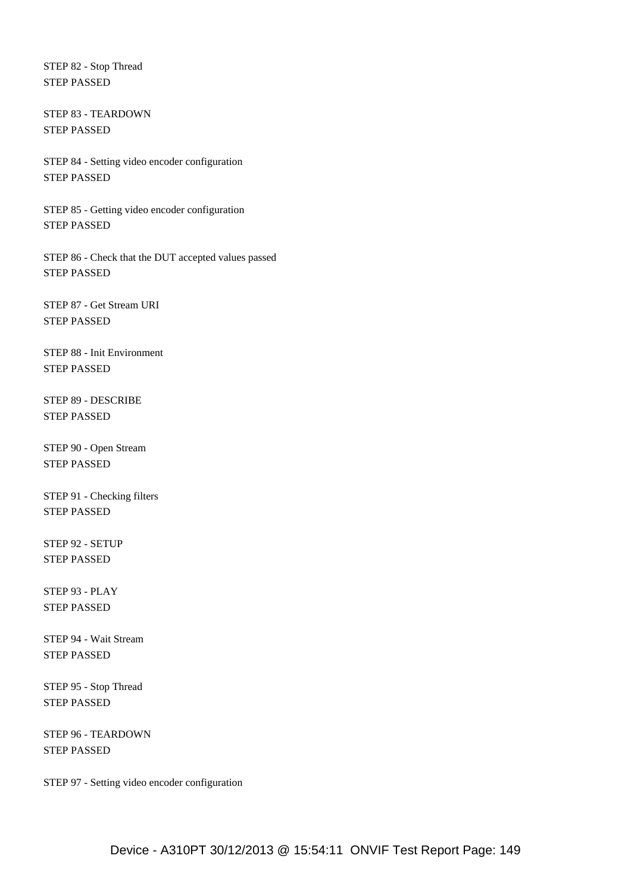STEP 82 - Stop Thread STEP PASSED

 STEP 83 - TEARDOWN STEP PASSED

 STEP 84 - Setting video encoder configuration STEP PASSED

 STEP 85 - Getting video encoder configuration STEP PASSED

 STEP 86 - Check that the DUT accepted values passed STEP PASSED

 STEP 87 - Get Stream URI STEP PASSED

 STEP 88 - Init Environment STEP PASSED

 STEP 89 - DESCRIBE STEP PASSED

 STEP 90 - Open Stream STEP PASSED

 STEP 91 - Checking filters STEP PASSED

 STEP 92 - SETUP STEP PASSED

 STEP 93 - PLAY STEP PASSED

 STEP 94 - Wait Stream STEP PASSED

 STEP 95 - Stop Thread STEP PASSED

 STEP 96 - TEARDOWN STEP PASSED

STEP 97 - Setting video encoder configuration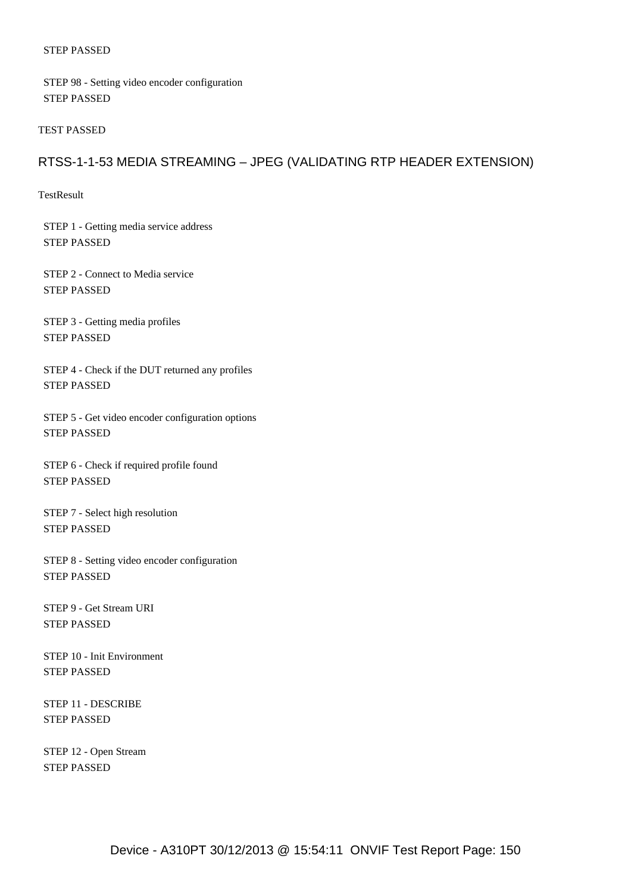STEP 98 - Setting video encoder configuration STEP PASSED

TEST PASSED

# RTSS-1-1-53 MEDIA STREAMING – JPEG (VALIDATING RTP HEADER EXTENSION)

TestResult

 STEP 1 - Getting media service address STEP PASSED

 STEP 2 - Connect to Media service STEP PASSED

 STEP 3 - Getting media profiles STEP PASSED

 STEP 4 - Check if the DUT returned any profiles STEP PASSED

 STEP 5 - Get video encoder configuration options STEP PASSED

 STEP 6 - Check if required profile found STEP PASSED

 STEP 7 - Select high resolution STEP PASSED

 STEP 8 - Setting video encoder configuration STEP PASSED

 STEP 9 - Get Stream URI STEP PASSED

 STEP 10 - Init Environment STEP PASSED

 STEP 11 - DESCRIBE STEP PASSED

 STEP 12 - Open Stream STEP PASSED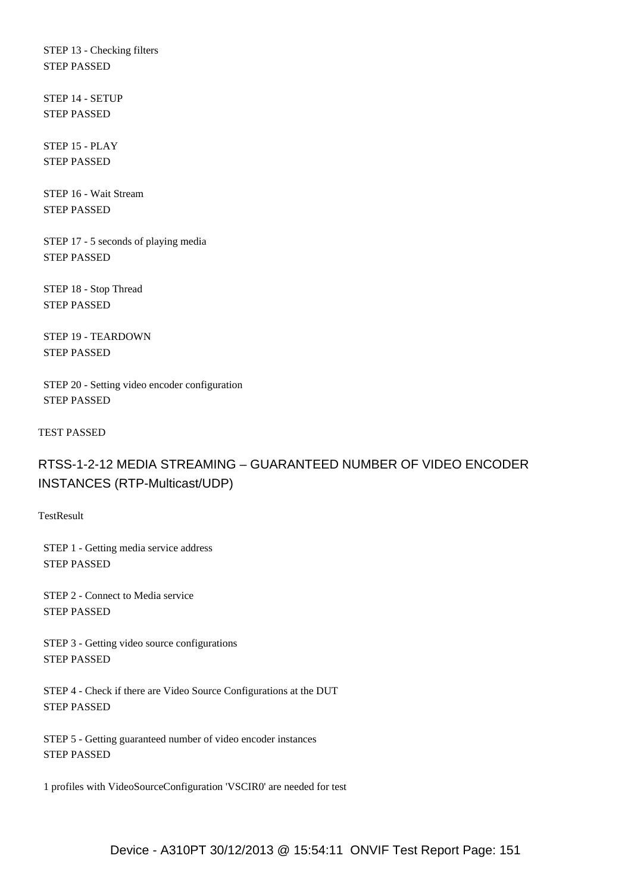STEP 13 - Checking filters STEP PASSED

 STEP 14 - SETUP STEP PASSED

 STEP 15 - PLAY STEP PASSED

 STEP 16 - Wait Stream STEP PASSED

 STEP 17 - 5 seconds of playing media STEP PASSED

 STEP 18 - Stop Thread STEP PASSED

 STEP 19 - TEARDOWN STEP PASSED

 STEP 20 - Setting video encoder configuration STEP PASSED

TEST PASSED

# RTSS-1-2-12 MEDIA STREAMING – GUARANTEED NUMBER OF VIDEO ENCODER INSTANCES (RTP-Multicast/UDP)

**TestResult** 

 STEP 1 - Getting media service address STEP PASSED

 STEP 2 - Connect to Media service STEP PASSED

 STEP 3 - Getting video source configurations STEP PASSED

 STEP 4 - Check if there are Video Source Configurations at the DUT STEP PASSED

 STEP 5 - Getting guaranteed number of video encoder instances STEP PASSED

1 profiles with VideoSourceConfiguration 'VSCIR0' are needed for test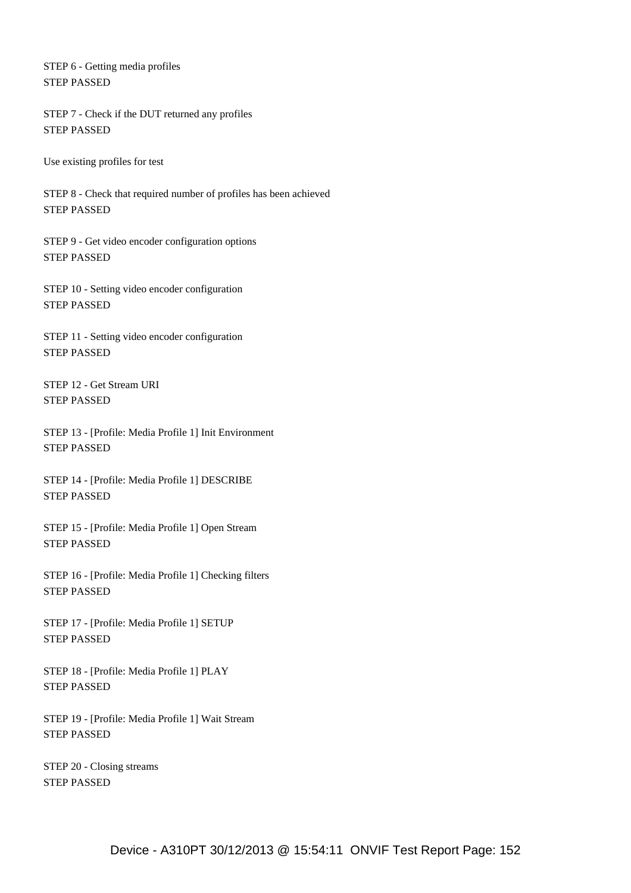STEP 6 - Getting media profiles STEP PASSED

 STEP 7 - Check if the DUT returned any profiles STEP PASSED

Use existing profiles for test

 STEP 8 - Check that required number of profiles has been achieved STEP PASSED

 STEP 9 - Get video encoder configuration options STEP PASSED

 STEP 10 - Setting video encoder configuration STEP PASSED

 STEP 11 - Setting video encoder configuration STEP PASSED

 STEP 12 - Get Stream URI STEP PASSED

 STEP 13 - [Profile: Media Profile 1] Init Environment STEP PASSED

 STEP 14 - [Profile: Media Profile 1] DESCRIBE STEP PASSED

 STEP 15 - [Profile: Media Profile 1] Open Stream STEP PASSED

 STEP 16 - [Profile: Media Profile 1] Checking filters STEP PASSED

 STEP 17 - [Profile: Media Profile 1] SETUP STEP PASSED

 STEP 18 - [Profile: Media Profile 1] PLAY STEP PASSED

 STEP 19 - [Profile: Media Profile 1] Wait Stream STEP PASSED

 STEP 20 - Closing streams STEP PASSED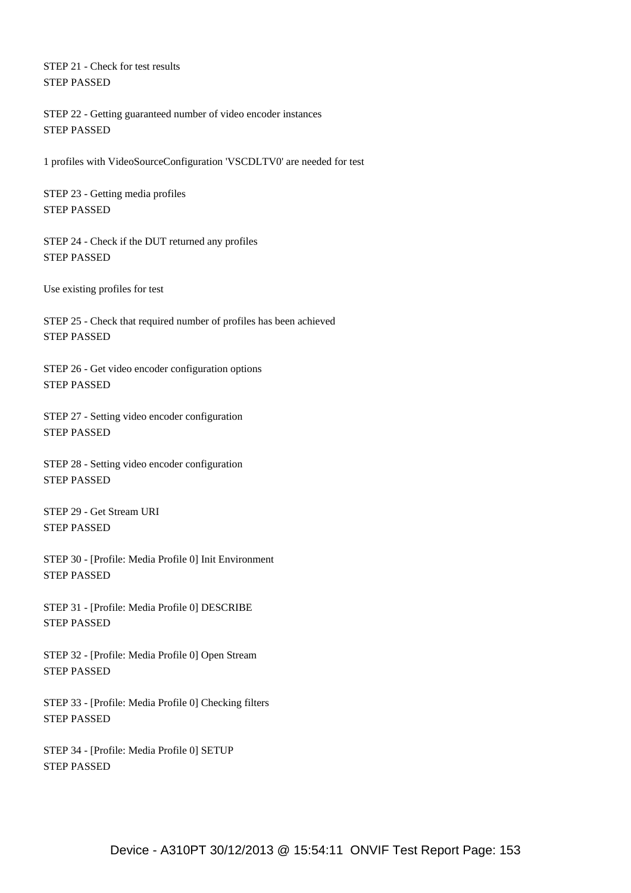STEP 21 - Check for test results STEP PASSED

 STEP 22 - Getting guaranteed number of video encoder instances STEP PASSED

1 profiles with VideoSourceConfiguration 'VSCDLTV0' are needed for test

 STEP 23 - Getting media profiles STEP PASSED

 STEP 24 - Check if the DUT returned any profiles STEP PASSED

Use existing profiles for test

 STEP 25 - Check that required number of profiles has been achieved STEP PASSED

 STEP 26 - Get video encoder configuration options STEP PASSED

 STEP 27 - Setting video encoder configuration STEP PASSED

 STEP 28 - Setting video encoder configuration STEP PASSED

 STEP 29 - Get Stream URI STEP PASSED

 STEP 30 - [Profile: Media Profile 0] Init Environment STEP PASSED

 STEP 31 - [Profile: Media Profile 0] DESCRIBE STEP PASSED

 STEP 32 - [Profile: Media Profile 0] Open Stream STEP PASSED

 STEP 33 - [Profile: Media Profile 0] Checking filters STEP PASSED

 STEP 34 - [Profile: Media Profile 0] SETUP STEP PASSED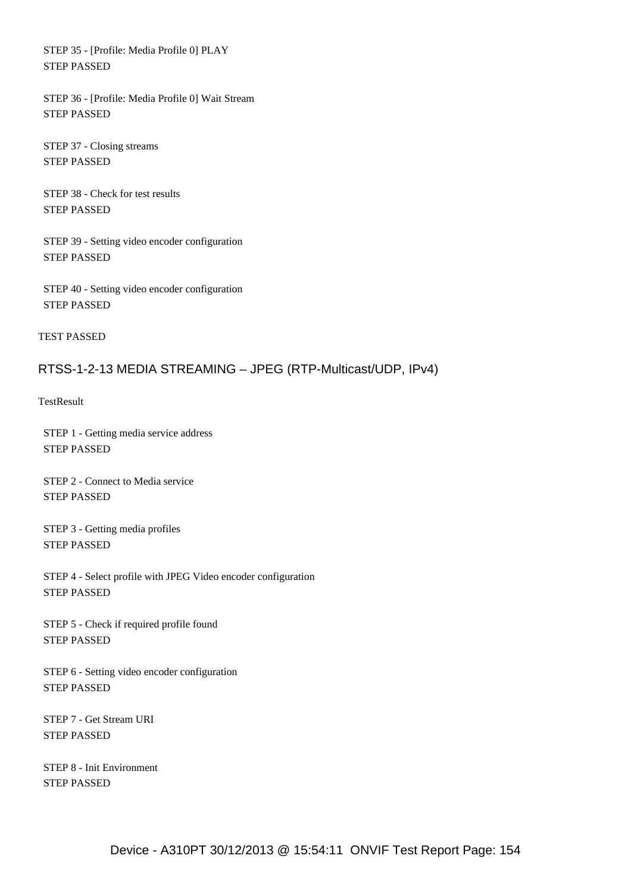STEP 35 - [Profile: Media Profile 0] PLAY STEP PASSED

 STEP 36 - [Profile: Media Profile 0] Wait Stream STEP PASSED

 STEP 37 - Closing streams STEP PASSED

 STEP 38 - Check for test results STEP PASSED

 STEP 39 - Setting video encoder configuration STEP PASSED

 STEP 40 - Setting video encoder configuration STEP PASSED

TEST PASSED

# RTSS-1-2-13 MEDIA STREAMING – JPEG (RTP-Multicast/UDP, IPv4)

**TestResult** 

 STEP 1 - Getting media service address STEP PASSED

 STEP 2 - Connect to Media service STEP PASSED

 STEP 3 - Getting media profiles STEP PASSED

 STEP 4 - Select profile with JPEG Video encoder configuration STEP PASSED

 STEP 5 - Check if required profile found STEP PASSED

 STEP 6 - Setting video encoder configuration STEP PASSED

 STEP 7 - Get Stream URI STEP PASSED

 STEP 8 - Init Environment STEP PASSED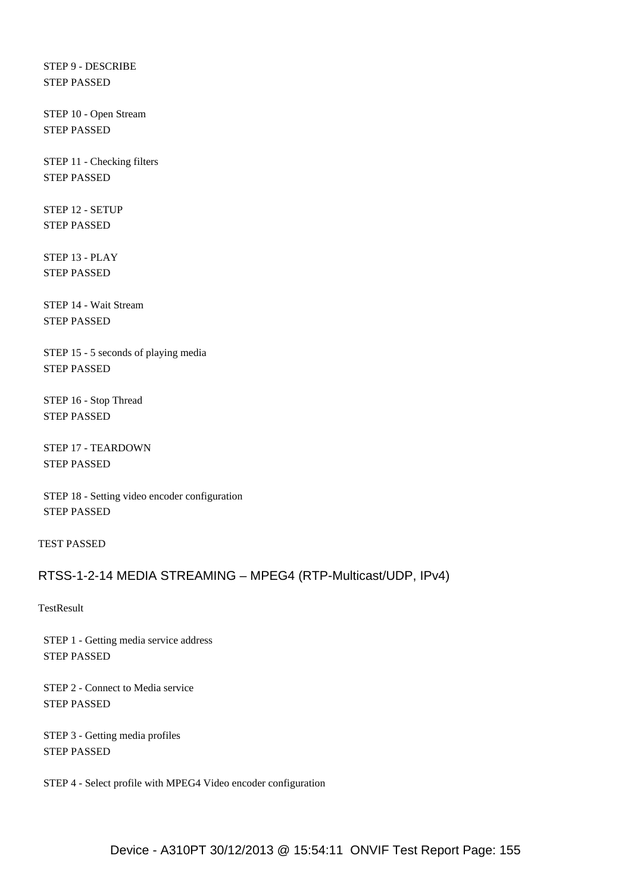STEP 9 - DESCRIBE STEP PASSED

 STEP 10 - Open Stream STEP PASSED

 STEP 11 - Checking filters STEP PASSED

 STEP 12 - SETUP STEP PASSED

 STEP 13 - PLAY STEP PASSED

 STEP 14 - Wait Stream STEP PASSED

 STEP 15 - 5 seconds of playing media STEP PASSED

 STEP 16 - Stop Thread STEP PASSED

 STEP 17 - TEARDOWN STEP PASSED

 STEP 18 - Setting video encoder configuration STEP PASSED

TEST PASSED

## RTSS-1-2-14 MEDIA STREAMING – MPEG4 (RTP-Multicast/UDP, IPv4)

**TestResult** 

 STEP 1 - Getting media service address STEP PASSED

 STEP 2 - Connect to Media service STEP PASSED

 STEP 3 - Getting media profiles STEP PASSED

STEP 4 - Select profile with MPEG4 Video encoder configuration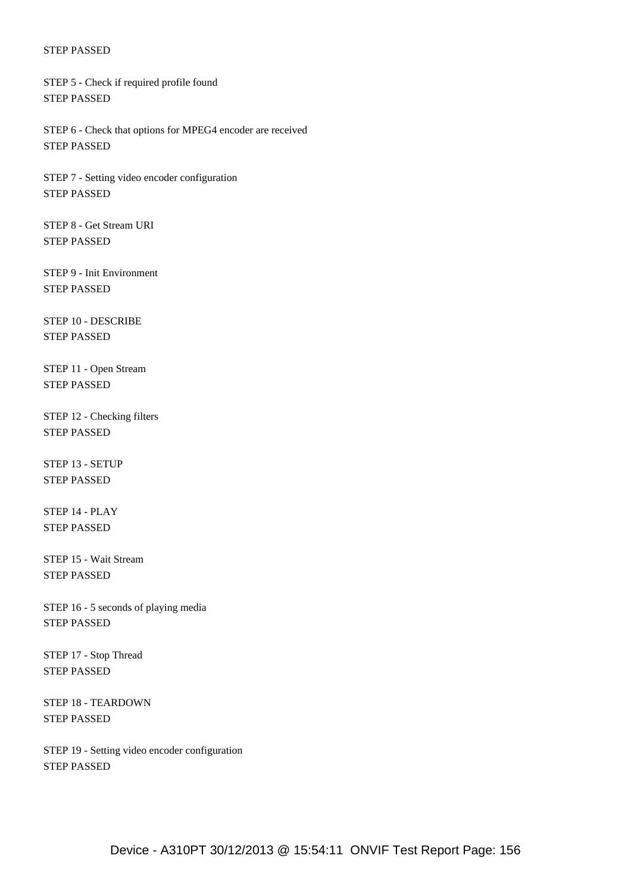STEP 5 - Check if required profile found STEP PASSED

 STEP 6 - Check that options for MPEG4 encoder are received STEP PASSED

 STEP 7 - Setting video encoder configuration STEP PASSED

 STEP 8 - Get Stream URI STEP PASSED

 STEP 9 - Init Environment STEP PASSED

 STEP 10 - DESCRIBE STEP PASSED

 STEP 11 - Open Stream STEP PASSED

 STEP 12 - Checking filters STEP PASSED

 STEP 13 - SETUP STEP PASSED

 STEP 14 - PLAY STEP PASSED

 STEP 15 - Wait Stream STEP PASSED

 STEP 16 - 5 seconds of playing media STEP PASSED

 STEP 17 - Stop Thread STEP PASSED

 STEP 18 - TEARDOWN STEP PASSED

 STEP 19 - Setting video encoder configuration STEP PASSED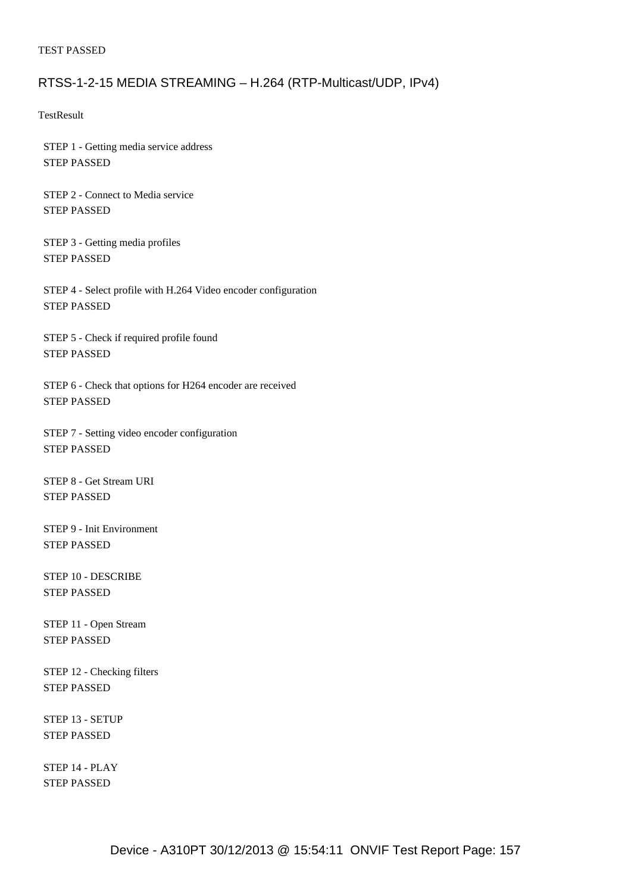#### TEST PASSED

### RTSS-1-2-15 MEDIA STREAMING – H.264 (RTP-Multicast/UDP, IPv4)

**TestResult** 

 STEP 1 - Getting media service address STEP PASSED

 STEP 2 - Connect to Media service STEP PASSED

 STEP 3 - Getting media profiles STEP PASSED

 STEP 4 - Select profile with H.264 Video encoder configuration STEP PASSED

 STEP 5 - Check if required profile found STEP PASSED

 STEP 6 - Check that options for H264 encoder are received STEP PASSED

 STEP 7 - Setting video encoder configuration STEP PASSED

 STEP 8 - Get Stream URI STEP PASSED

 STEP 9 - Init Environment STEP PASSED

 STEP 10 - DESCRIBE STEP PASSED

 STEP 11 - Open Stream STEP PASSED

 STEP 12 - Checking filters STEP PASSED

 STEP 13 - SETUP STEP PASSED

 STEP 14 - PLAY STEP PASSED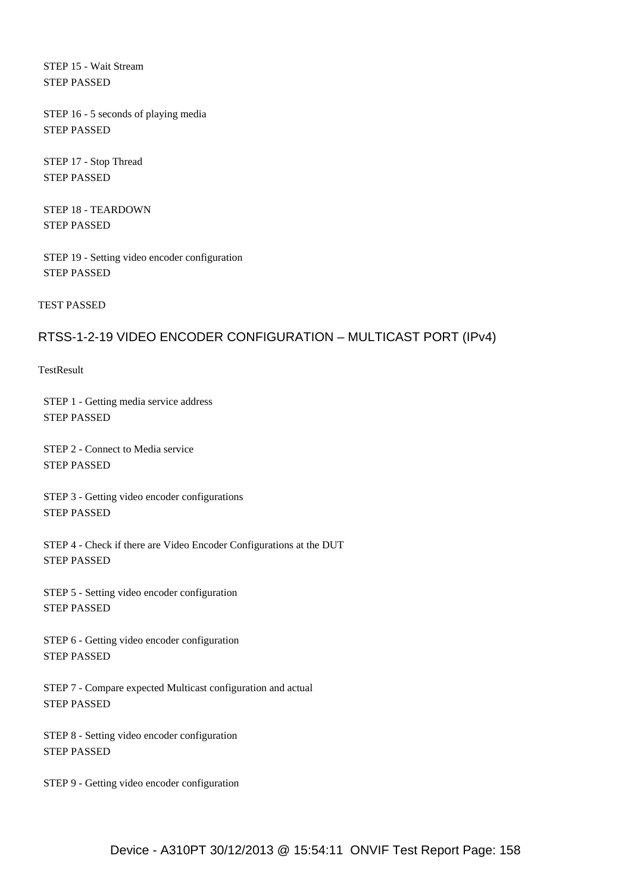STEP 15 - Wait Stream STEP PASSED

 STEP 16 - 5 seconds of playing media STEP PASSED

 STEP 17 - Stop Thread STEP PASSED

 STEP 18 - TEARDOWN STEP PASSED

 STEP 19 - Setting video encoder configuration STEP PASSED

TEST PASSED

# RTSS-1-2-19 VIDEO ENCODER CONFIGURATION – MULTICAST PORT (IPv4)

**TestResult** 

 STEP 1 - Getting media service address STEP PASSED

 STEP 2 - Connect to Media service STEP PASSED

 STEP 3 - Getting video encoder configurations STEP PASSED

 STEP 4 - Check if there are Video Encoder Configurations at the DUT STEP PASSED

 STEP 5 - Setting video encoder configuration STEP PASSED

 STEP 6 - Getting video encoder configuration STEP PASSED

 STEP 7 - Compare expected Multicast configuration and actual STEP PASSED

 STEP 8 - Setting video encoder configuration STEP PASSED

STEP 9 - Getting video encoder configuration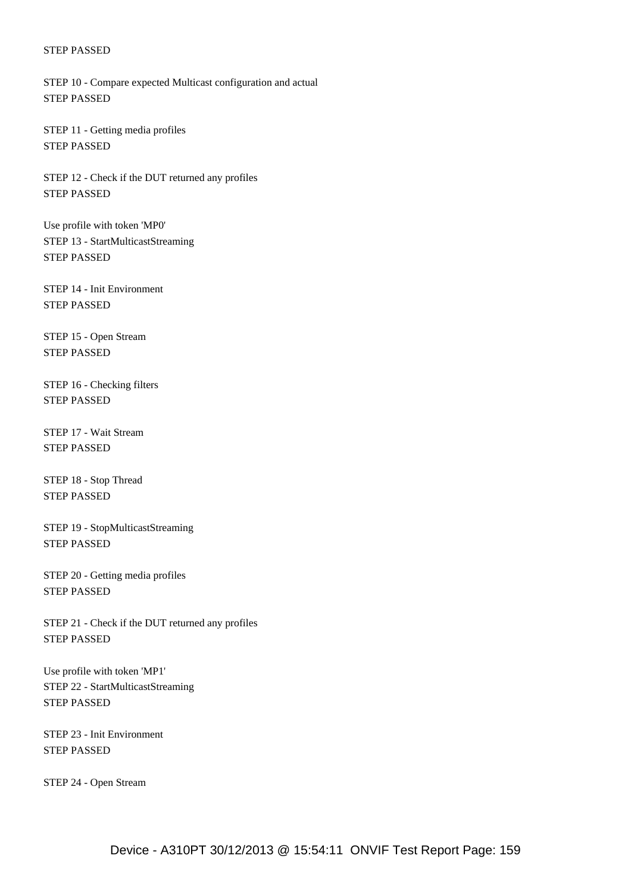STEP 10 - Compare expected Multicast configuration and actual STEP PASSED

 STEP 11 - Getting media profiles STEP PASSED

 STEP 12 - Check if the DUT returned any profiles STEP PASSED

 Use profile with token 'MP0' STEP 13 - StartMulticastStreaming STEP PASSED

 STEP 14 - Init Environment STEP PASSED

 STEP 15 - Open Stream STEP PASSED

 STEP 16 - Checking filters STEP PASSED

 STEP 17 - Wait Stream STEP PASSED

 STEP 18 - Stop Thread STEP PASSED

 STEP 19 - StopMulticastStreaming STEP PASSED

 STEP 20 - Getting media profiles STEP PASSED

 STEP 21 - Check if the DUT returned any profiles STEP PASSED

 Use profile with token 'MP1' STEP 22 - StartMulticastStreaming STEP PASSED

 STEP 23 - Init Environment STEP PASSED

STEP 24 - Open Stream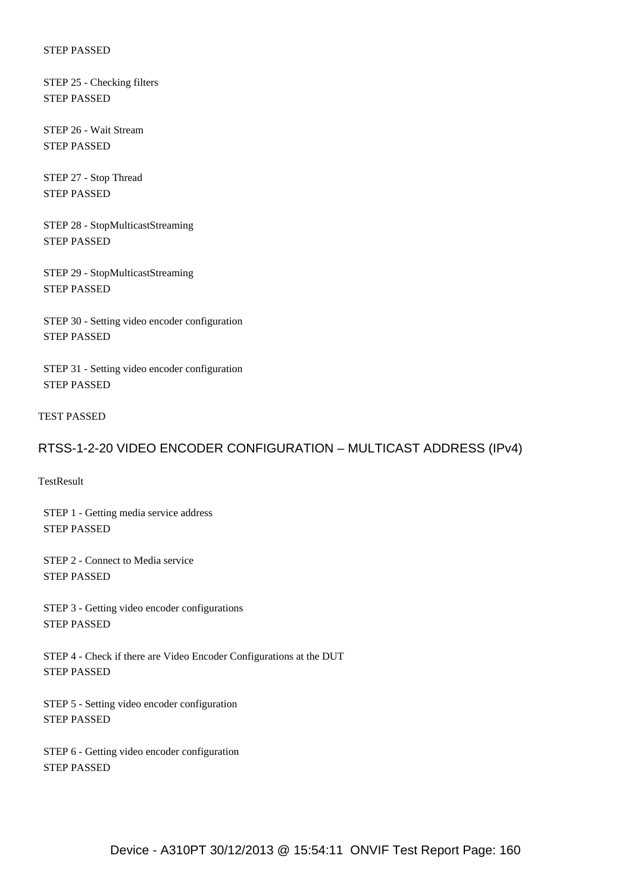STEP 25 - Checking filters STEP PASSED

 STEP 26 - Wait Stream STEP PASSED

 STEP 27 - Stop Thread STEP PASSED

 STEP 28 - StopMulticastStreaming STEP PASSED

 STEP 29 - StopMulticastStreaming STEP PASSED

 STEP 30 - Setting video encoder configuration STEP PASSED

 STEP 31 - Setting video encoder configuration STEP PASSED

TEST PASSED

# RTSS-1-2-20 VIDEO ENCODER CONFIGURATION – MULTICAST ADDRESS (IPv4)

**TestResult** 

 STEP 1 - Getting media service address STEP PASSED

 STEP 2 - Connect to Media service STEP PASSED

 STEP 3 - Getting video encoder configurations STEP PASSED

 STEP 4 - Check if there are Video Encoder Configurations at the DUT STEP PASSED

 STEP 5 - Setting video encoder configuration STEP PASSED

 STEP 6 - Getting video encoder configuration STEP PASSED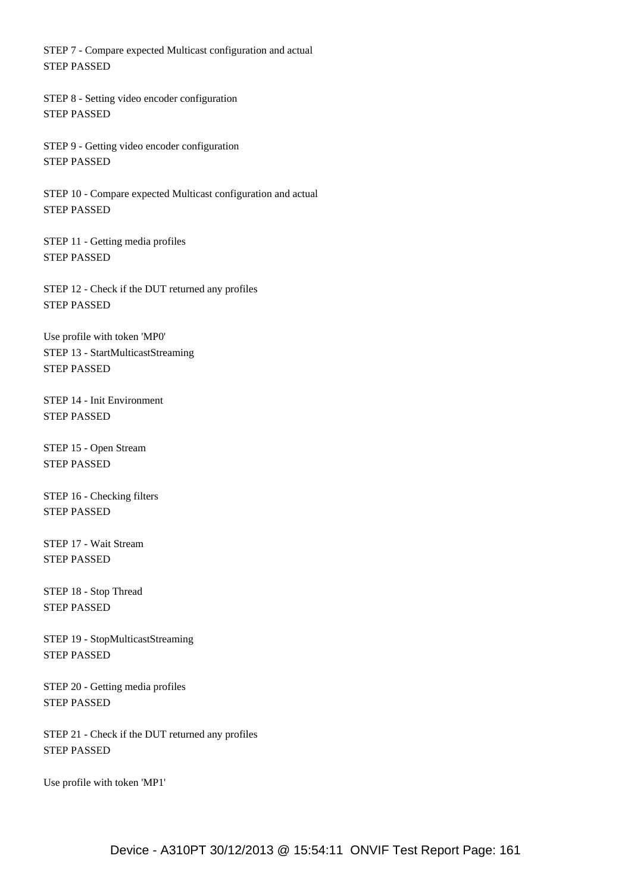STEP 7 - Compare expected Multicast configuration and actual STEP PASSED

 STEP 8 - Setting video encoder configuration STEP PASSED

 STEP 9 - Getting video encoder configuration STEP PASSED

 STEP 10 - Compare expected Multicast configuration and actual STEP PASSED

 STEP 11 - Getting media profiles STEP PASSED

 STEP 12 - Check if the DUT returned any profiles STEP PASSED

 Use profile with token 'MP0' STEP 13 - StartMulticastStreaming STEP PASSED

 STEP 14 - Init Environment STEP PASSED

 STEP 15 - Open Stream STEP PASSED

 STEP 16 - Checking filters STEP PASSED

 STEP 17 - Wait Stream STEP PASSED

 STEP 18 - Stop Thread STEP PASSED

 STEP 19 - StopMulticastStreaming STEP PASSED

 STEP 20 - Getting media profiles STEP PASSED

 STEP 21 - Check if the DUT returned any profiles STEP PASSED

Use profile with token 'MP1'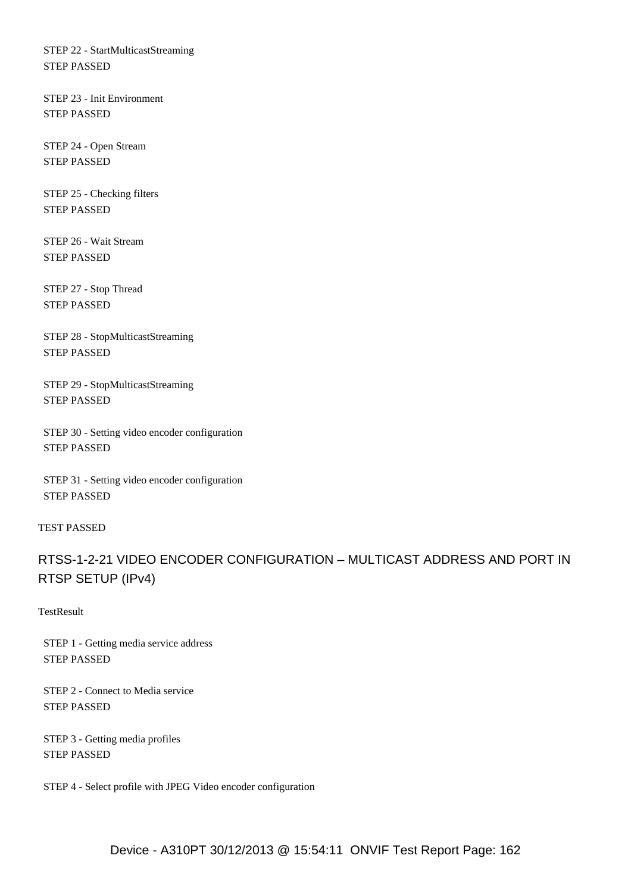STEP 22 - StartMulticastStreaming STEP PASSED

 STEP 23 - Init Environment STEP PASSED

 STEP 24 - Open Stream STEP PASSED

 STEP 25 - Checking filters STEP PASSED

 STEP 26 - Wait Stream STEP PASSED

 STEP 27 - Stop Thread STEP PASSED

 STEP 28 - StopMulticastStreaming STEP PASSED

 STEP 29 - StopMulticastStreaming STEP PASSED

 STEP 30 - Setting video encoder configuration STEP PASSED

 STEP 31 - Setting video encoder configuration STEP PASSED

### TEST PASSED

# RTSS-1-2-21 VIDEO ENCODER CONFIGURATION – MULTICAST ADDRESS AND PORT IN RTSP SETUP (IPv4)

**TestResult** 

 STEP 1 - Getting media service address STEP PASSED

 STEP 2 - Connect to Media service STEP PASSED

 STEP 3 - Getting media profiles STEP PASSED

STEP 4 - Select profile with JPEG Video encoder configuration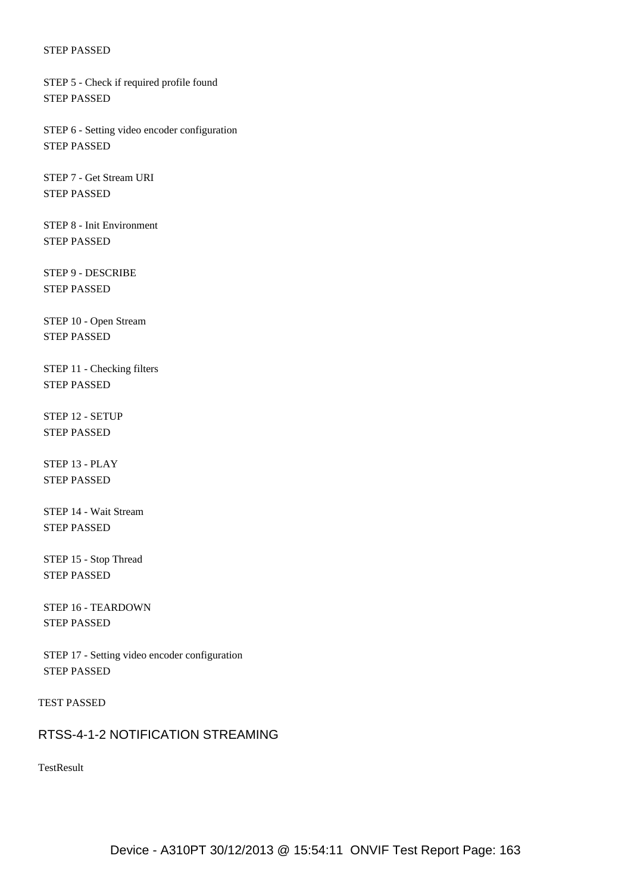STEP 5 - Check if required profile found STEP PASSED

 STEP 6 - Setting video encoder configuration STEP PASSED

 STEP 7 - Get Stream URI STEP PASSED

 STEP 8 - Init Environment STEP PASSED

 STEP 9 - DESCRIBE STEP PASSED

 STEP 10 - Open Stream STEP PASSED

 STEP 11 - Checking filters STEP PASSED

 STEP 12 - SETUP STEP PASSED

 STEP 13 - PLAY STEP PASSED

 STEP 14 - Wait Stream STEP PASSED

 STEP 15 - Stop Thread STEP PASSED

 STEP 16 - TEARDOWN STEP PASSED

 STEP 17 - Setting video encoder configuration STEP PASSED

TEST PASSED

### RTSS-4-1-2 NOTIFICATION STREAMING

TestResult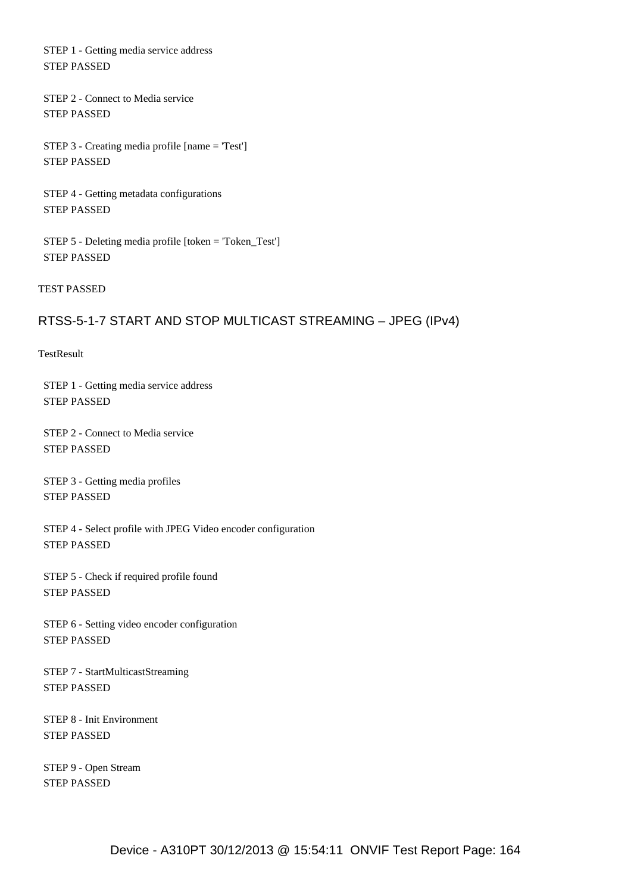STEP 1 - Getting media service address STEP PASSED

 STEP 2 - Connect to Media service STEP PASSED

 STEP 3 - Creating media profile [name = 'Test'] STEP PASSED

 STEP 4 - Getting metadata configurations STEP PASSED

 STEP 5 - Deleting media profile [token = 'Token\_Test'] STEP PASSED

TEST PASSED

# RTSS-5-1-7 START AND STOP MULTICAST STREAMING – JPEG (IPv4)

**TestResult** 

 STEP 1 - Getting media service address STEP PASSED

 STEP 2 - Connect to Media service STEP PASSED

 STEP 3 - Getting media profiles STEP PASSED

 STEP 4 - Select profile with JPEG Video encoder configuration STEP PASSED

 STEP 5 - Check if required profile found STEP PASSED

 STEP 6 - Setting video encoder configuration STEP PASSED

 STEP 7 - StartMulticastStreaming STEP PASSED

 STEP 8 - Init Environment STEP PASSED

 STEP 9 - Open Stream STEP PASSED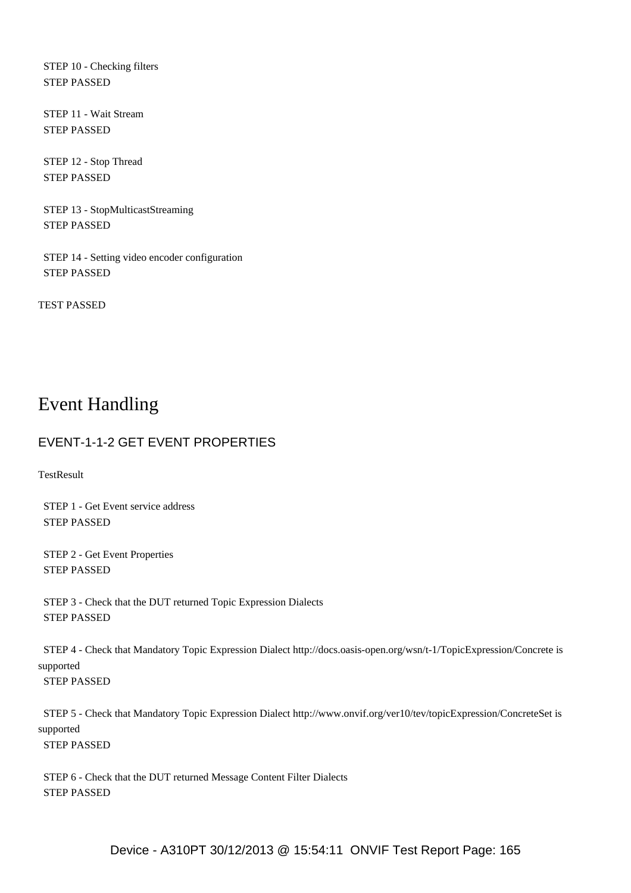STEP 10 - Checking filters STEP PASSED

 STEP 11 - Wait Stream STEP PASSED

 STEP 12 - Stop Thread STEP PASSED

 STEP 13 - StopMulticastStreaming STEP PASSED

 STEP 14 - Setting video encoder configuration STEP PASSED

TEST PASSED

# Event Handling

# EVENT-1-1-2 GET EVENT PROPERTIES

**TestResult** 

 STEP 1 - Get Event service address STEP PASSED

 STEP 2 - Get Event Properties STEP PASSED

 STEP 3 - Check that the DUT returned Topic Expression Dialects STEP PASSED

 STEP 4 - Check that Mandatory Topic Expression Dialect http://docs.oasis-open.org/wsn/t-1/TopicExpression/Concrete is supported STEP PASSED

 STEP 5 - Check that Mandatory Topic Expression Dialect http://www.onvif.org/ver10/tev/topicExpression/ConcreteSet is supported STEP PASSED

 STEP 6 - Check that the DUT returned Message Content Filter Dialects STEP PASSED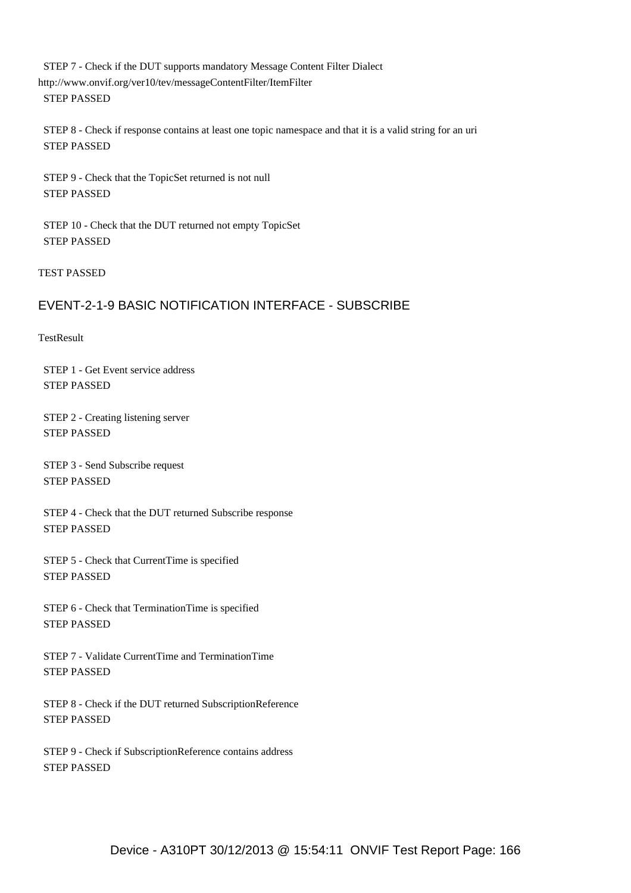STEP 7 - Check if the DUT supports mandatory Message Content Filter Dialect http://www.onvif.org/ver10/tev/messageContentFilter/ItemFilter STEP PASSED

 STEP 8 - Check if response contains at least one topic namespace and that it is a valid string for an uri STEP PASSED

 STEP 9 - Check that the TopicSet returned is not null STEP PASSED

 STEP 10 - Check that the DUT returned not empty TopicSet STEP PASSED

TEST PASSED

# EVENT-2-1-9 BASIC NOTIFICATION INTERFACE - SUBSCRIBE

**TestResult** 

 STEP 1 - Get Event service address STEP PASSED

 STEP 2 - Creating listening server STEP PASSED

 STEP 3 - Send Subscribe request STEP PASSED

 STEP 4 - Check that the DUT returned Subscribe response STEP PASSED

 STEP 5 - Check that CurrentTime is specified STEP PASSED

 STEP 6 - Check that TerminationTime is specified STEP PASSED

 STEP 7 - Validate CurrentTime and TerminationTime STEP PASSED

 STEP 8 - Check if the DUT returned SubscriptionReference STEP PASSED

 STEP 9 - Check if SubscriptionReference contains address STEP PASSED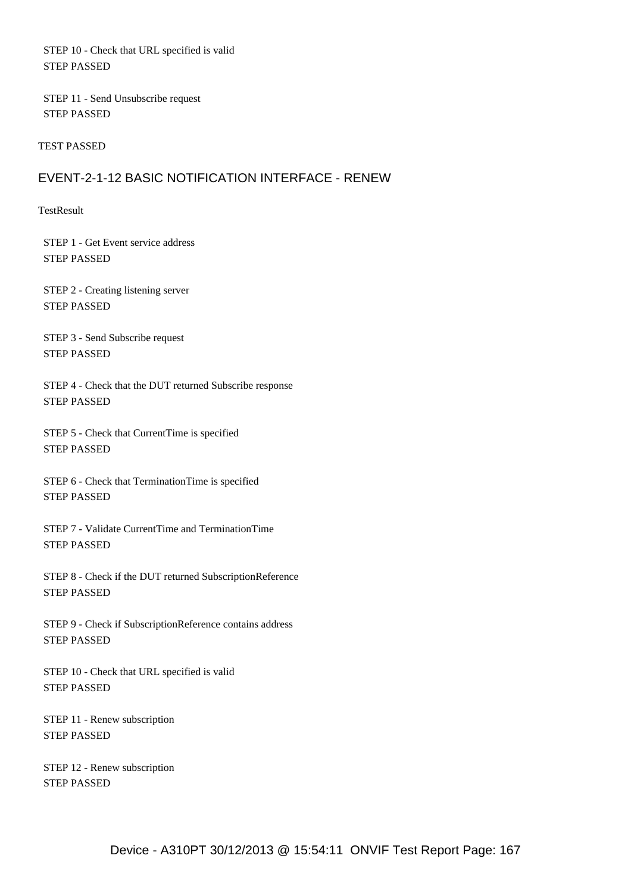STEP 10 - Check that URL specified is valid STEP PASSED

 STEP 11 - Send Unsubscribe request STEP PASSED

TEST PASSED

# EVENT-2-1-12 BASIC NOTIFICATION INTERFACE - RENEW

**TestResult** 

 STEP 1 - Get Event service address STEP PASSED

 STEP 2 - Creating listening server STEP PASSED

 STEP 3 - Send Subscribe request STEP PASSED

 STEP 4 - Check that the DUT returned Subscribe response STEP PASSED

 STEP 5 - Check that CurrentTime is specified STEP PASSED

 STEP 6 - Check that TerminationTime is specified STEP PASSED

 STEP 7 - Validate CurrentTime and TerminationTime STEP PASSED

 STEP 8 - Check if the DUT returned SubscriptionReference STEP PASSED

 STEP 9 - Check if SubscriptionReference contains address STEP PASSED

 STEP 10 - Check that URL specified is valid STEP PASSED

 STEP 11 - Renew subscription STEP PASSED

 STEP 12 - Renew subscription STEP PASSED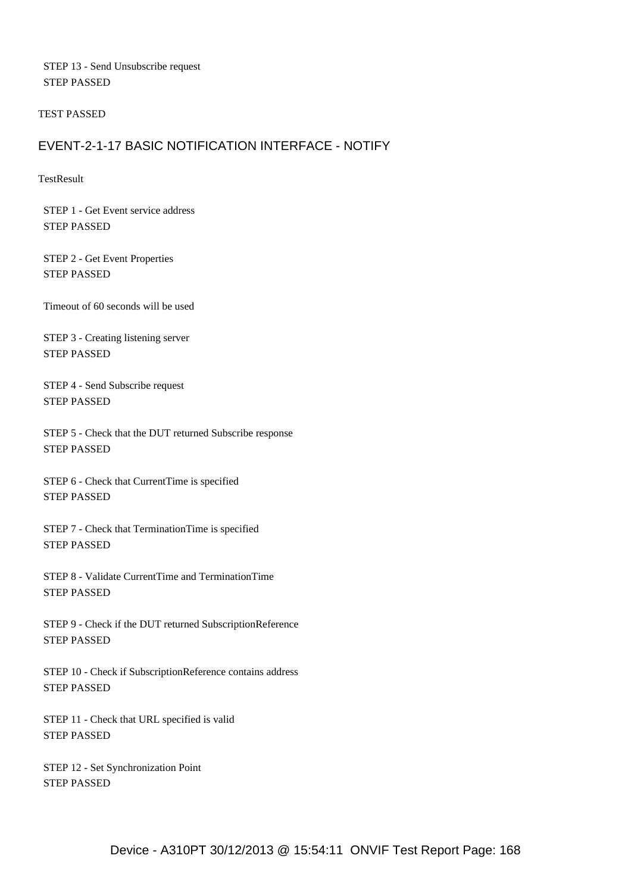STEP 13 - Send Unsubscribe request STEP PASSED

TEST PASSED

# EVENT-2-1-17 BASIC NOTIFICATION INTERFACE - NOTIFY

**TestResult** 

 STEP 1 - Get Event service address STEP PASSED

 STEP 2 - Get Event Properties STEP PASSED

Timeout of 60 seconds will be used

 STEP 3 - Creating listening server STEP PASSED

 STEP 4 - Send Subscribe request STEP PASSED

 STEP 5 - Check that the DUT returned Subscribe response STEP PASSED

 STEP 6 - Check that CurrentTime is specified STEP PASSED

 STEP 7 - Check that TerminationTime is specified STEP PASSED

 STEP 8 - Validate CurrentTime and TerminationTime STEP PASSED

 STEP 9 - Check if the DUT returned SubscriptionReference STEP PASSED

 STEP 10 - Check if SubscriptionReference contains address STEP PASSED

 STEP 11 - Check that URL specified is valid STEP PASSED

 STEP 12 - Set Synchronization Point STEP PASSED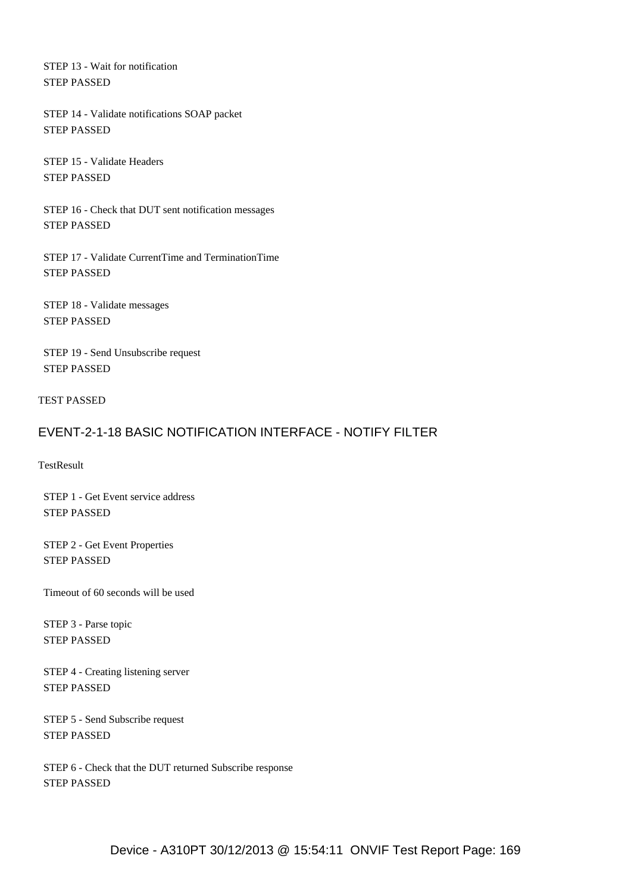STEP 13 - Wait for notification STEP PASSED

 STEP 14 - Validate notifications SOAP packet STEP PASSED

 STEP 15 - Validate Headers STEP PASSED

 STEP 16 - Check that DUT sent notification messages STEP PASSED

 STEP 17 - Validate CurrentTime and TerminationTime STEP PASSED

 STEP 18 - Validate messages STEP PASSED

 STEP 19 - Send Unsubscribe request STEP PASSED

TEST PASSED

# EVENT-2-1-18 BASIC NOTIFICATION INTERFACE - NOTIFY FILTER

TestResult

 STEP 1 - Get Event service address STEP PASSED

 STEP 2 - Get Event Properties STEP PASSED

Timeout of 60 seconds will be used

 STEP 3 - Parse topic STEP PASSED

 STEP 4 - Creating listening server STEP PASSED

 STEP 5 - Send Subscribe request STEP PASSED

 STEP 6 - Check that the DUT returned Subscribe response STEP PASSED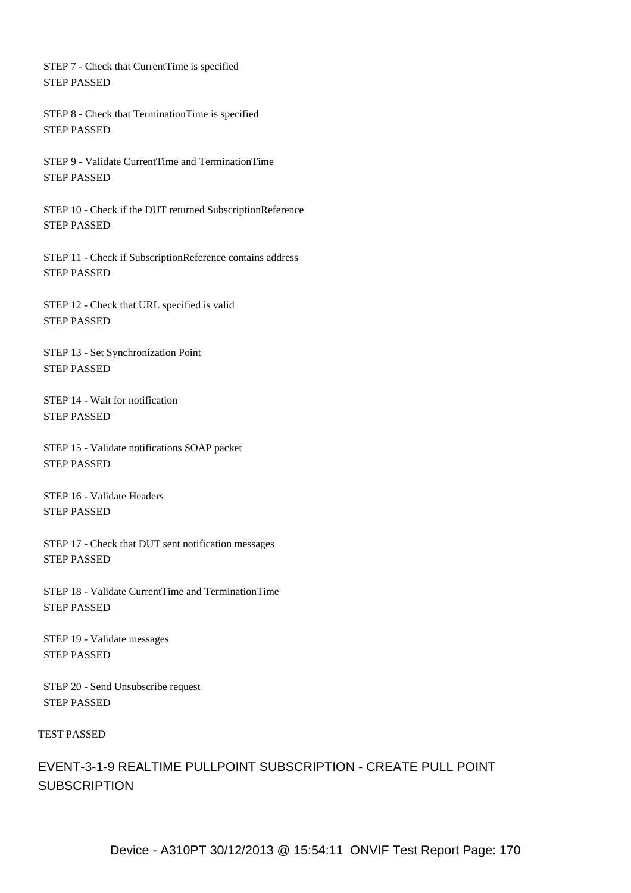STEP 7 - Check that CurrentTime is specified STEP PASSED

 STEP 8 - Check that TerminationTime is specified STEP PASSED

 STEP 9 - Validate CurrentTime and TerminationTime STEP PASSED

 STEP 10 - Check if the DUT returned SubscriptionReference STEP PASSED

 STEP 11 - Check if SubscriptionReference contains address STEP PASSED

 STEP 12 - Check that URL specified is valid STEP PASSED

 STEP 13 - Set Synchronization Point STEP PASSED

 STEP 14 - Wait for notification STEP PASSED

 STEP 15 - Validate notifications SOAP packet STEP PASSED

 STEP 16 - Validate Headers STEP PASSED

 STEP 17 - Check that DUT sent notification messages STEP PASSED

 STEP 18 - Validate CurrentTime and TerminationTime STEP PASSED

 STEP 19 - Validate messages STEP PASSED

 STEP 20 - Send Unsubscribe request STEP PASSED

### TEST PASSED

EVENT-3-1-9 REALTIME PULLPOINT SUBSCRIPTION - CREATE PULL POINT **SUBSCRIPTION**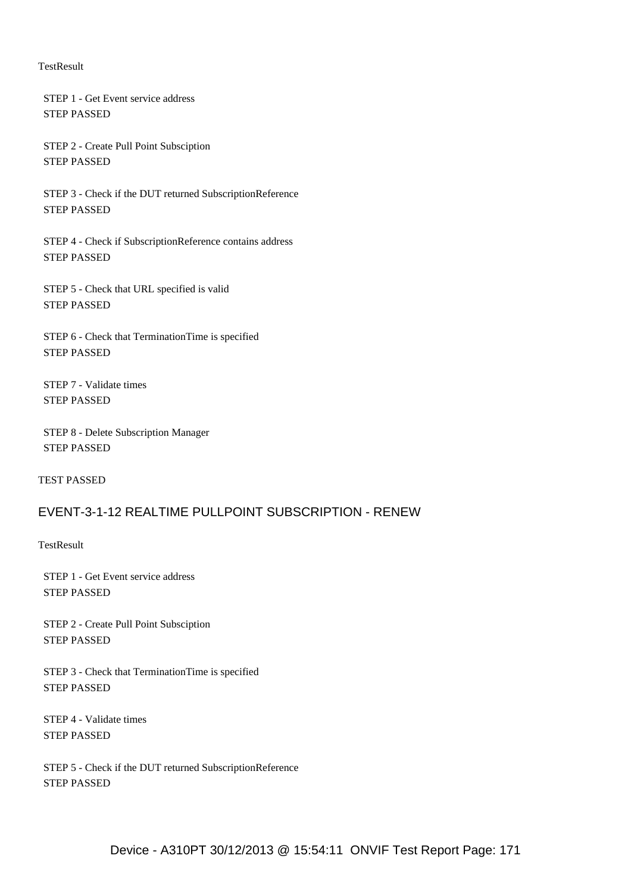#### **TestResult**

 STEP 1 - Get Event service address STEP PASSED

 STEP 2 - Create Pull Point Subsciption STEP PASSED

 STEP 3 - Check if the DUT returned SubscriptionReference STEP PASSED

 STEP 4 - Check if SubscriptionReference contains address STEP PASSED

 STEP 5 - Check that URL specified is valid STEP PASSED

 STEP 6 - Check that TerminationTime is specified STEP PASSED

 STEP 7 - Validate times STEP PASSED

 STEP 8 - Delete Subscription Manager STEP PASSED

TEST PASSED

# EVENT-3-1-12 REALTIME PULLPOINT SUBSCRIPTION - RENEW

**TestResult** 

 STEP 1 - Get Event service address STEP PASSED

 STEP 2 - Create Pull Point Subsciption STEP PASSED

 STEP 3 - Check that TerminationTime is specified STEP PASSED

 STEP 4 - Validate times STEP PASSED

 STEP 5 - Check if the DUT returned SubscriptionReference STEP PASSED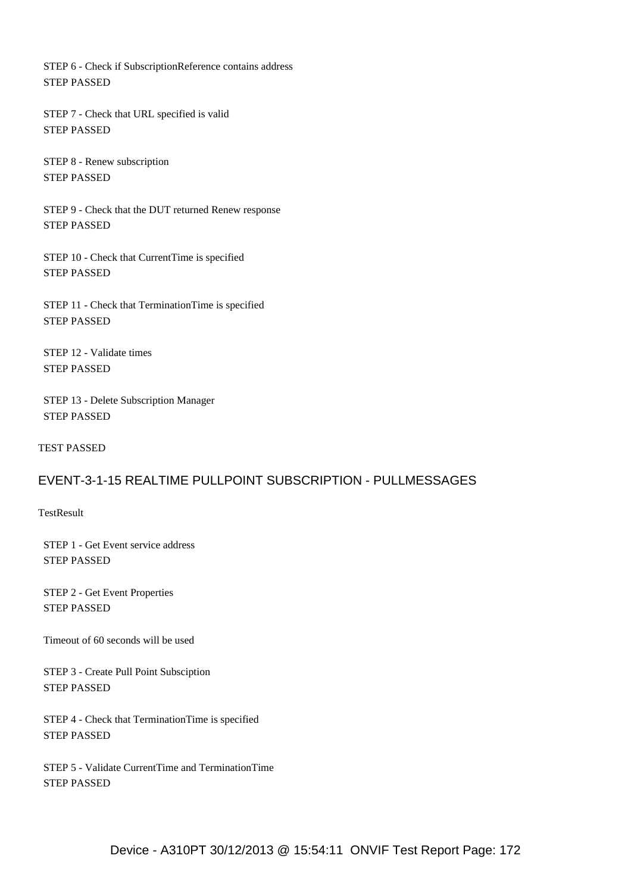STEP 6 - Check if SubscriptionReference contains address STEP PASSED

 STEP 7 - Check that URL specified is valid STEP PASSED

 STEP 8 - Renew subscription STEP PASSED

 STEP 9 - Check that the DUT returned Renew response STEP PASSED

 STEP 10 - Check that CurrentTime is specified STEP PASSED

 STEP 11 - Check that TerminationTime is specified STEP PASSED

 STEP 12 - Validate times STEP PASSED

 STEP 13 - Delete Subscription Manager STEP PASSED

TEST PASSED

# EVENT-3-1-15 REALTIME PULLPOINT SUBSCRIPTION - PULLMESSAGES

**TestResult** 

 STEP 1 - Get Event service address STEP PASSED

 STEP 2 - Get Event Properties STEP PASSED

Timeout of 60 seconds will be used

 STEP 3 - Create Pull Point Subsciption STEP PASSED

 STEP 4 - Check that TerminationTime is specified STEP PASSED

 STEP 5 - Validate CurrentTime and TerminationTime STEP PASSED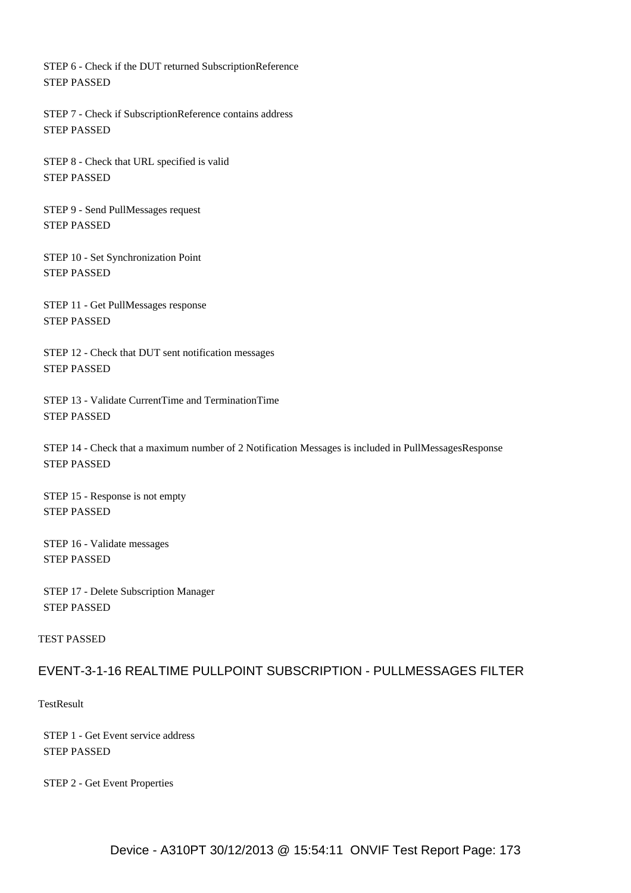STEP 6 - Check if the DUT returned SubscriptionReference STEP PASSED

 STEP 7 - Check if SubscriptionReference contains address STEP PASSED

 STEP 8 - Check that URL specified is valid STEP PASSED

 STEP 9 - Send PullMessages request STEP PASSED

 STEP 10 - Set Synchronization Point STEP PASSED

 STEP 11 - Get PullMessages response STEP PASSED

 STEP 12 - Check that DUT sent notification messages STEP PASSED

 STEP 13 - Validate CurrentTime and TerminationTime STEP PASSED

 STEP 14 - Check that a maximum number of 2 Notification Messages is included in PullMessagesResponse STEP PASSED

 STEP 15 - Response is not empty STEP PASSED

 STEP 16 - Validate messages STEP PASSED

 STEP 17 - Delete Subscription Manager STEP PASSED

TEST PASSED

# EVENT-3-1-16 REALTIME PULLPOINT SUBSCRIPTION - PULLMESSAGES FILTER

**TestResult** 

 STEP 1 - Get Event service address STEP PASSED

STEP 2 - Get Event Properties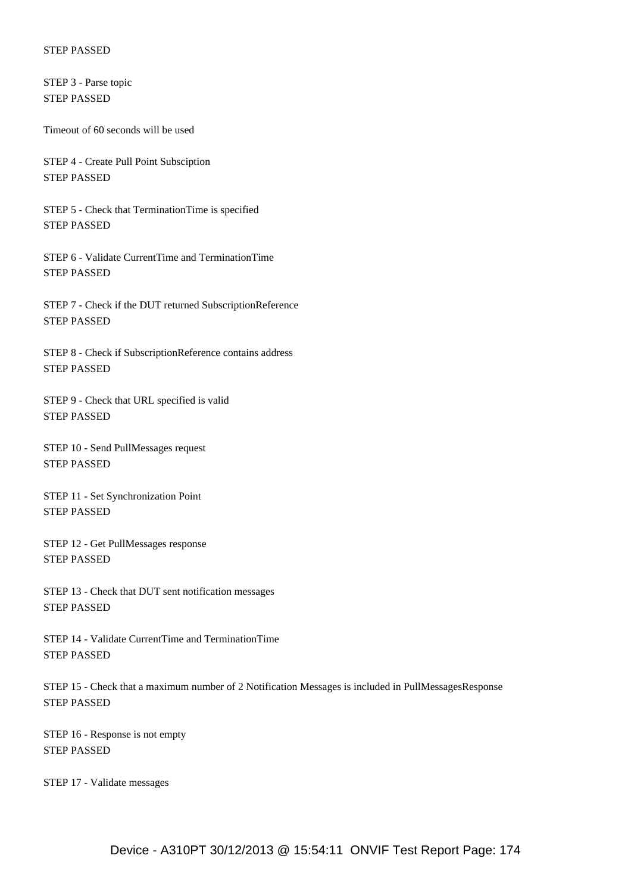STEP 3 - Parse topic STEP PASSED

Timeout of 60 seconds will be used

 STEP 4 - Create Pull Point Subsciption STEP PASSED

 STEP 5 - Check that TerminationTime is specified STEP PASSED

 STEP 6 - Validate CurrentTime and TerminationTime STEP PASSED

 STEP 7 - Check if the DUT returned SubscriptionReference STEP PASSED

 STEP 8 - Check if SubscriptionReference contains address STEP PASSED

 STEP 9 - Check that URL specified is valid STEP PASSED

 STEP 10 - Send PullMessages request STEP PASSED

 STEP 11 - Set Synchronization Point STEP PASSED

 STEP 12 - Get PullMessages response STEP PASSED

 STEP 13 - Check that DUT sent notification messages STEP PASSED

 STEP 14 - Validate CurrentTime and TerminationTime STEP PASSED

 STEP 15 - Check that a maximum number of 2 Notification Messages is included in PullMessagesResponse STEP PASSED

 STEP 16 - Response is not empty STEP PASSED

STEP 17 - Validate messages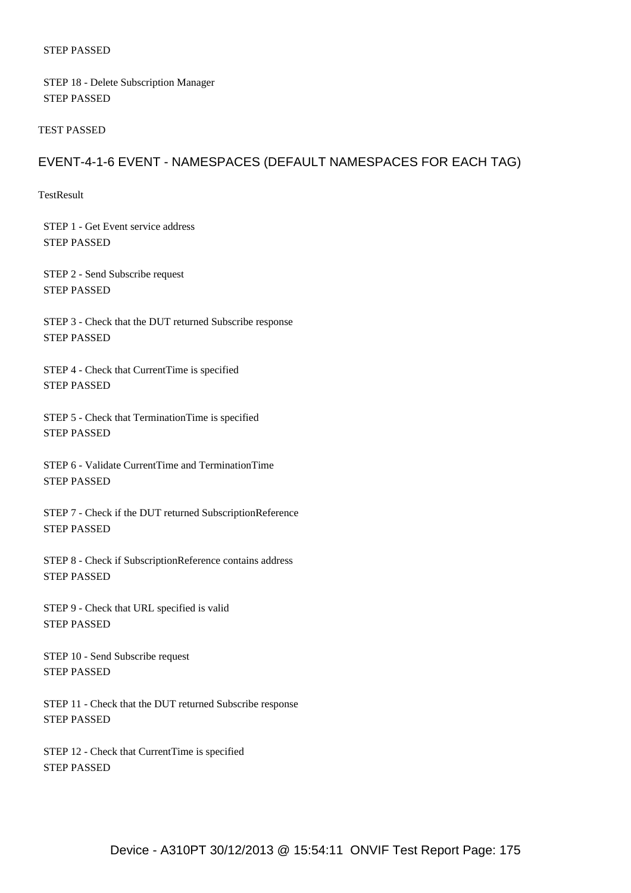STEP 18 - Delete Subscription Manager STEP PASSED

#### TEST PASSED

# EVENT-4-1-6 EVENT - NAMESPACES (DEFAULT NAMESPACES FOR EACH TAG)

TestResult

 STEP 1 - Get Event service address STEP PASSED

 STEP 2 - Send Subscribe request STEP PASSED

 STEP 3 - Check that the DUT returned Subscribe response STEP PASSED

 STEP 4 - Check that CurrentTime is specified STEP PASSED

 STEP 5 - Check that TerminationTime is specified STEP PASSED

 STEP 6 - Validate CurrentTime and TerminationTime STEP PASSED

 STEP 7 - Check if the DUT returned SubscriptionReference STEP PASSED

 STEP 8 - Check if SubscriptionReference contains address STEP PASSED

 STEP 9 - Check that URL specified is valid STEP PASSED

 STEP 10 - Send Subscribe request STEP PASSED

 STEP 11 - Check that the DUT returned Subscribe response STEP PASSED

 STEP 12 - Check that CurrentTime is specified STEP PASSED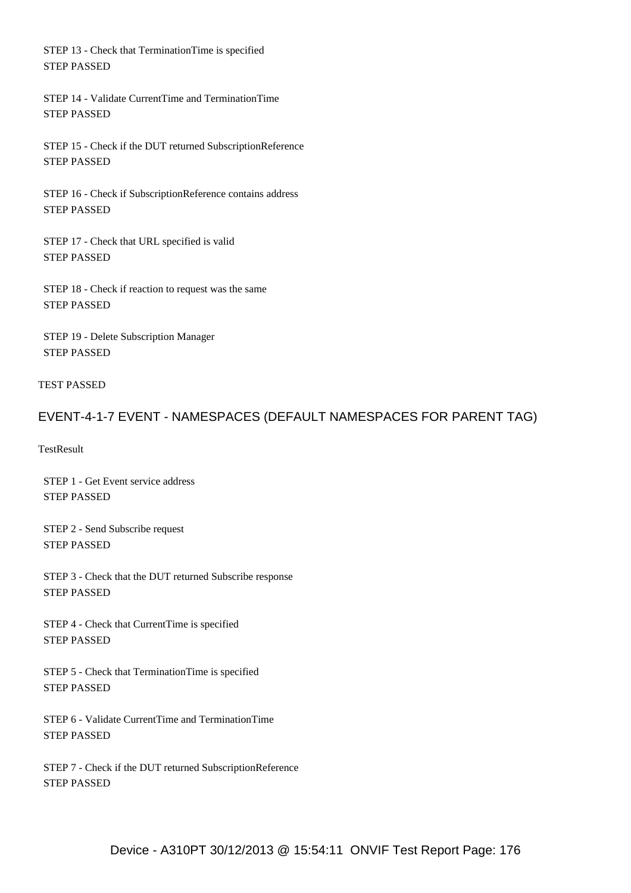STEP 13 - Check that TerminationTime is specified STEP PASSED

 STEP 14 - Validate CurrentTime and TerminationTime STEP PASSED

 STEP 15 - Check if the DUT returned SubscriptionReference STEP PASSED

 STEP 16 - Check if SubscriptionReference contains address STEP PASSED

 STEP 17 - Check that URL specified is valid STEP PASSED

 STEP 18 - Check if reaction to request was the same STEP PASSED

 STEP 19 - Delete Subscription Manager STEP PASSED

### TEST PASSED

# EVENT-4-1-7 EVENT - NAMESPACES (DEFAULT NAMESPACES FOR PARENT TAG)

**TestResult** 

 STEP 1 - Get Event service address STEP PASSED

 STEP 2 - Send Subscribe request STEP PASSED

 STEP 3 - Check that the DUT returned Subscribe response STEP PASSED

 STEP 4 - Check that CurrentTime is specified STEP PASSED

 STEP 5 - Check that TerminationTime is specified STEP PASSED

 STEP 6 - Validate CurrentTime and TerminationTime STEP PASSED

 STEP 7 - Check if the DUT returned SubscriptionReference STEP PASSED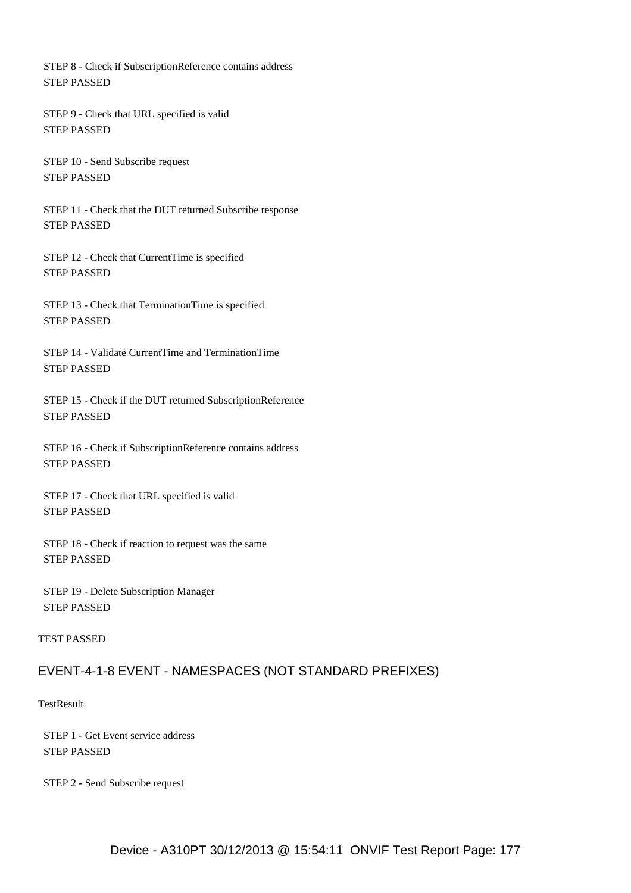STEP 8 - Check if SubscriptionReference contains address STEP PASSED

 STEP 9 - Check that URL specified is valid STEP PASSED

 STEP 10 - Send Subscribe request STEP PASSED

 STEP 11 - Check that the DUT returned Subscribe response STEP PASSED

 STEP 12 - Check that CurrentTime is specified STEP PASSED

 STEP 13 - Check that TerminationTime is specified STEP PASSED

 STEP 14 - Validate CurrentTime and TerminationTime STEP PASSED

 STEP 15 - Check if the DUT returned SubscriptionReference STEP PASSED

 STEP 16 - Check if SubscriptionReference contains address STEP PASSED

 STEP 17 - Check that URL specified is valid STEP PASSED

 STEP 18 - Check if reaction to request was the same STEP PASSED

 STEP 19 - Delete Subscription Manager STEP PASSED

#### TEST PASSED

### EVENT-4-1-8 EVENT - NAMESPACES (NOT STANDARD PREFIXES)

### **TestResult**

 STEP 1 - Get Event service address STEP PASSED

STEP 2 - Send Subscribe request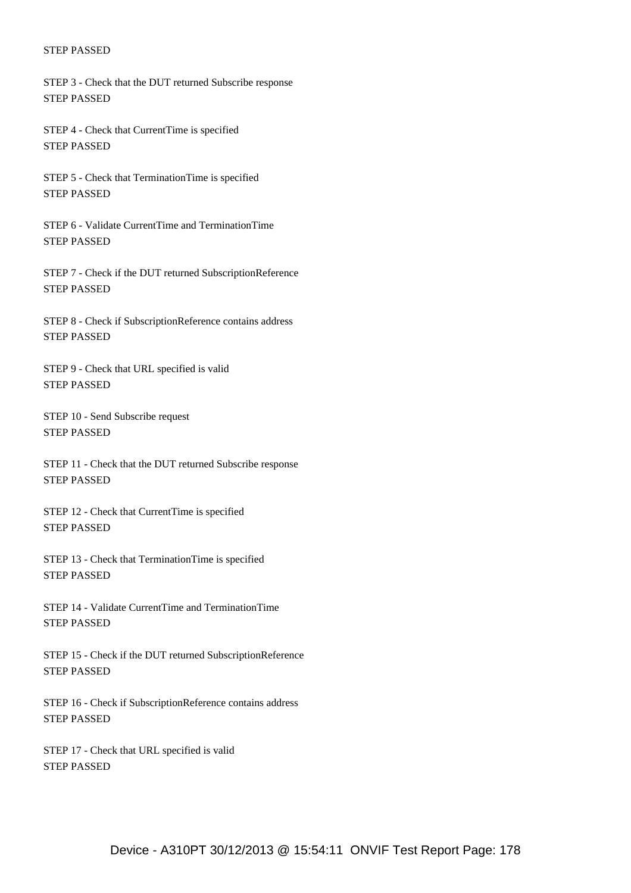STEP 3 - Check that the DUT returned Subscribe response STEP PASSED

 STEP 4 - Check that CurrentTime is specified STEP PASSED

 STEP 5 - Check that TerminationTime is specified STEP PASSED

 STEP 6 - Validate CurrentTime and TerminationTime STEP PASSED

 STEP 7 - Check if the DUT returned SubscriptionReference STEP PASSED

 STEP 8 - Check if SubscriptionReference contains address STEP PASSED

 STEP 9 - Check that URL specified is valid STEP PASSED

 STEP 10 - Send Subscribe request STEP PASSED

 STEP 11 - Check that the DUT returned Subscribe response STEP PASSED

 STEP 12 - Check that CurrentTime is specified STEP PASSED

 STEP 13 - Check that TerminationTime is specified STEP PASSED

 STEP 14 - Validate CurrentTime and TerminationTime STEP PASSED

 STEP 15 - Check if the DUT returned SubscriptionReference STEP PASSED

 STEP 16 - Check if SubscriptionReference contains address STEP PASSED

 STEP 17 - Check that URL specified is valid STEP PASSED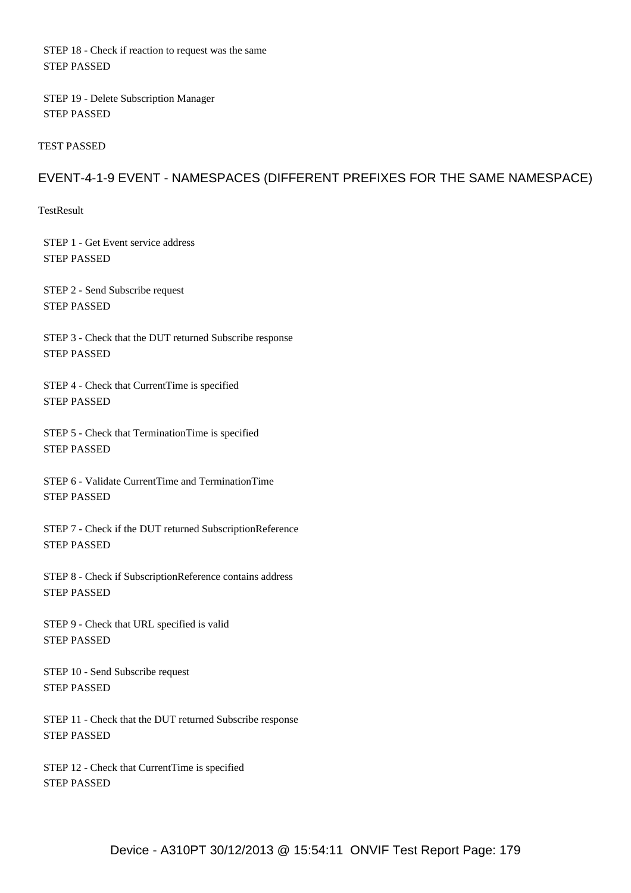STEP 18 - Check if reaction to request was the same STEP PASSED

 STEP 19 - Delete Subscription Manager STEP PASSED

TEST PASSED

## EVENT-4-1-9 EVENT - NAMESPACES (DIFFERENT PREFIXES FOR THE SAME NAMESPACE)

**TestResult** 

 STEP 1 - Get Event service address STEP PASSED

 STEP 2 - Send Subscribe request STEP PASSED

 STEP 3 - Check that the DUT returned Subscribe response STEP PASSED

 STEP 4 - Check that CurrentTime is specified STEP PASSED

 STEP 5 - Check that TerminationTime is specified STEP PASSED

 STEP 6 - Validate CurrentTime and TerminationTime STEP PASSED

 STEP 7 - Check if the DUT returned SubscriptionReference STEP PASSED

 STEP 8 - Check if SubscriptionReference contains address STEP PASSED

 STEP 9 - Check that URL specified is valid STEP PASSED

 STEP 10 - Send Subscribe request STEP PASSED

 STEP 11 - Check that the DUT returned Subscribe response STEP PASSED

 STEP 12 - Check that CurrentTime is specified STEP PASSED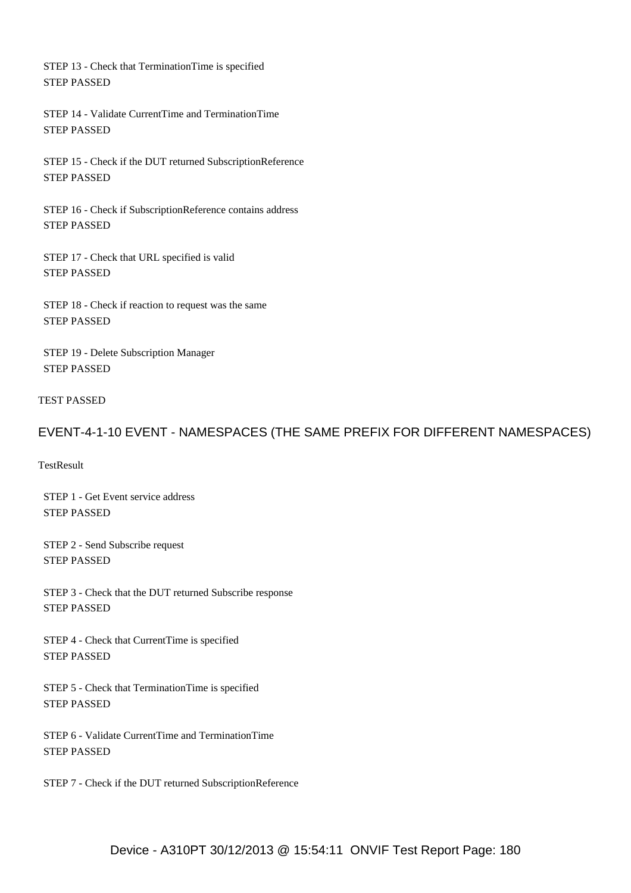STEP 13 - Check that TerminationTime is specified STEP PASSED

 STEP 14 - Validate CurrentTime and TerminationTime STEP PASSED

 STEP 15 - Check if the DUT returned SubscriptionReference STEP PASSED

 STEP 16 - Check if SubscriptionReference contains address STEP PASSED

 STEP 17 - Check that URL specified is valid STEP PASSED

 STEP 18 - Check if reaction to request was the same STEP PASSED

 STEP 19 - Delete Subscription Manager STEP PASSED

### TEST PASSED

# EVENT-4-1-10 EVENT - NAMESPACES (THE SAME PREFIX FOR DIFFERENT NAMESPACES)

**TestResult** 

 STEP 1 - Get Event service address STEP PASSED

 STEP 2 - Send Subscribe request STEP PASSED

 STEP 3 - Check that the DUT returned Subscribe response STEP PASSED

 STEP 4 - Check that CurrentTime is specified STEP PASSED

 STEP 5 - Check that TerminationTime is specified STEP PASSED

 STEP 6 - Validate CurrentTime and TerminationTime STEP PASSED

STEP 7 - Check if the DUT returned SubscriptionReference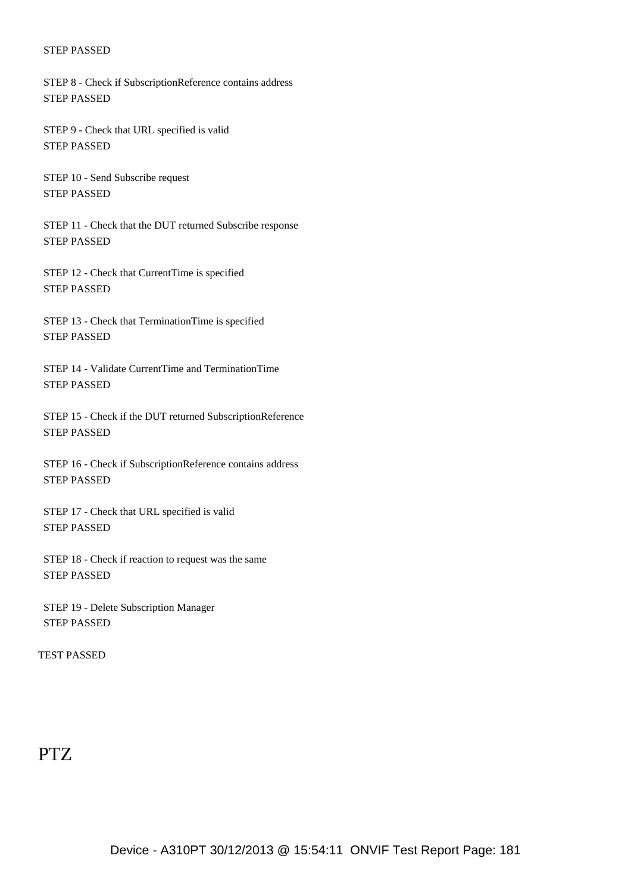STEP 8 - Check if SubscriptionReference contains address STEP PASSED

 STEP 9 - Check that URL specified is valid STEP PASSED

 STEP 10 - Send Subscribe request STEP PASSED

 STEP 11 - Check that the DUT returned Subscribe response STEP PASSED

 STEP 12 - Check that CurrentTime is specified STEP PASSED

 STEP 13 - Check that TerminationTime is specified STEP PASSED

 STEP 14 - Validate CurrentTime and TerminationTime STEP PASSED

 STEP 15 - Check if the DUT returned SubscriptionReference STEP PASSED

 STEP 16 - Check if SubscriptionReference contains address STEP PASSED

 STEP 17 - Check that URL specified is valid STEP PASSED

 STEP 18 - Check if reaction to request was the same STEP PASSED

 STEP 19 - Delete Subscription Manager STEP PASSED

TEST PASSED

# PTZ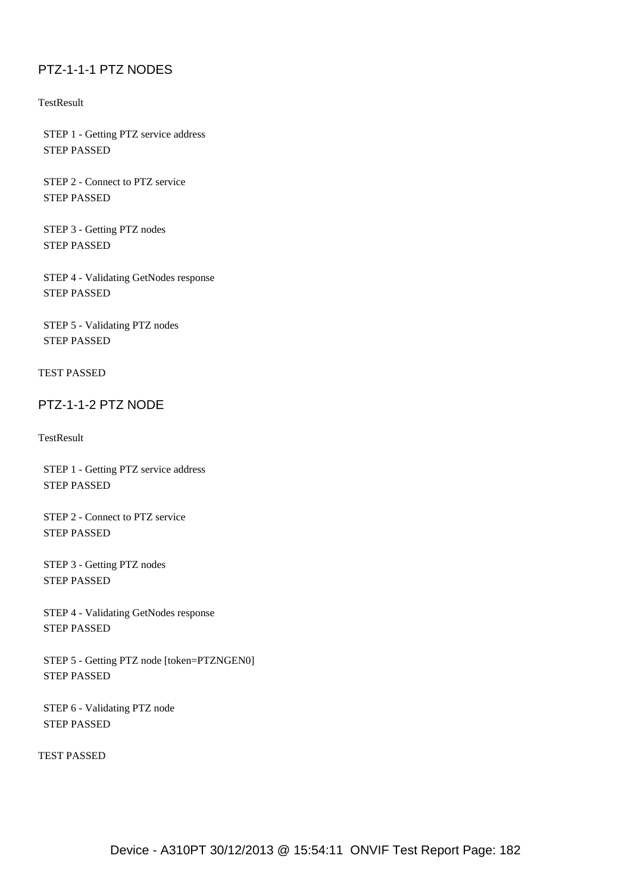## PTZ-1-1-1 PTZ NODES

**TestResult** 

 STEP 1 - Getting PTZ service address STEP PASSED

 STEP 2 - Connect to PTZ service STEP PASSED

 STEP 3 - Getting PTZ nodes STEP PASSED

 STEP 4 - Validating GetNodes response STEP PASSED

 STEP 5 - Validating PTZ nodes STEP PASSED

TEST PASSED

#### PTZ-1-1-2 PTZ NODE

**TestResult** 

 STEP 1 - Getting PTZ service address STEP PASSED

 STEP 2 - Connect to PTZ service STEP PASSED

 STEP 3 - Getting PTZ nodes STEP PASSED

 STEP 4 - Validating GetNodes response STEP PASSED

 STEP 5 - Getting PTZ node [token=PTZNGEN0] STEP PASSED

 STEP 6 - Validating PTZ node STEP PASSED

TEST PASSED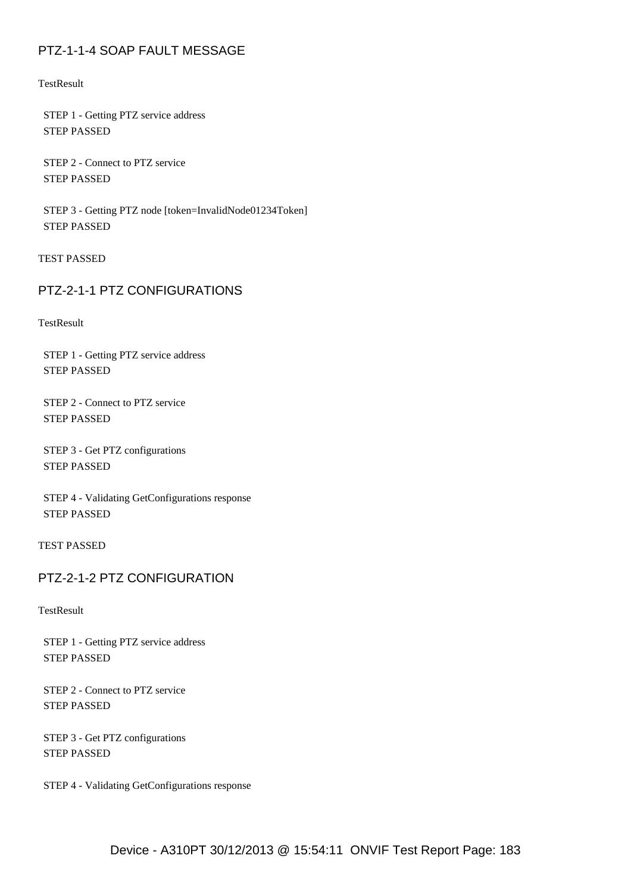## PTZ-1-1-4 SOAP FAULT MESSAGE

**TestResult** 

 STEP 1 - Getting PTZ service address STEP PASSED

 STEP 2 - Connect to PTZ service STEP PASSED

 STEP 3 - Getting PTZ node [token=InvalidNode01234Token] STEP PASSED

TEST PASSED

## PTZ-2-1-1 PTZ CONFIGURATIONS

**TestResult** 

 STEP 1 - Getting PTZ service address STEP PASSED

 STEP 2 - Connect to PTZ service STEP PASSED

 STEP 3 - Get PTZ configurations STEP PASSED

 STEP 4 - Validating GetConfigurations response STEP PASSED

TEST PASSED

## PTZ-2-1-2 PTZ CONFIGURATION

**TestResult** 

 STEP 1 - Getting PTZ service address STEP PASSED

 STEP 2 - Connect to PTZ service STEP PASSED

 STEP 3 - Get PTZ configurations STEP PASSED

STEP 4 - Validating GetConfigurations response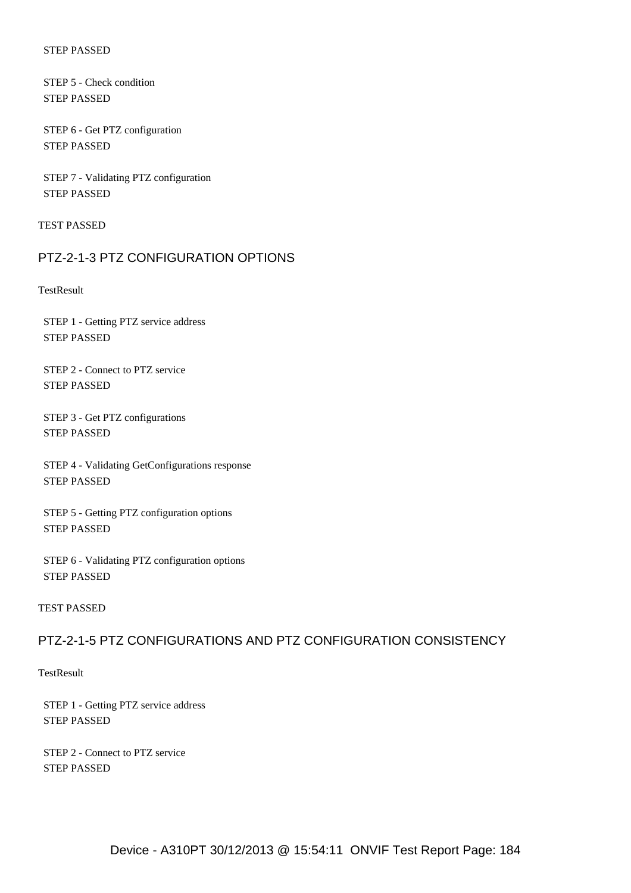STEP 5 - Check condition STEP PASSED

 STEP 6 - Get PTZ configuration STEP PASSED

 STEP 7 - Validating PTZ configuration STEP PASSED

TEST PASSED

#### PTZ-2-1-3 PTZ CONFIGURATION OPTIONS

**TestResult** 

 STEP 1 - Getting PTZ service address STEP PASSED

 STEP 2 - Connect to PTZ service STEP PASSED

 STEP 3 - Get PTZ configurations STEP PASSED

 STEP 4 - Validating GetConfigurations response STEP PASSED

 STEP 5 - Getting PTZ configuration options STEP PASSED

 STEP 6 - Validating PTZ configuration options STEP PASSED

#### TEST PASSED

## PTZ-2-1-5 PTZ CONFIGURATIONS AND PTZ CONFIGURATION CONSISTENCY

**TestResult** 

 STEP 1 - Getting PTZ service address STEP PASSED

 STEP 2 - Connect to PTZ service STEP PASSED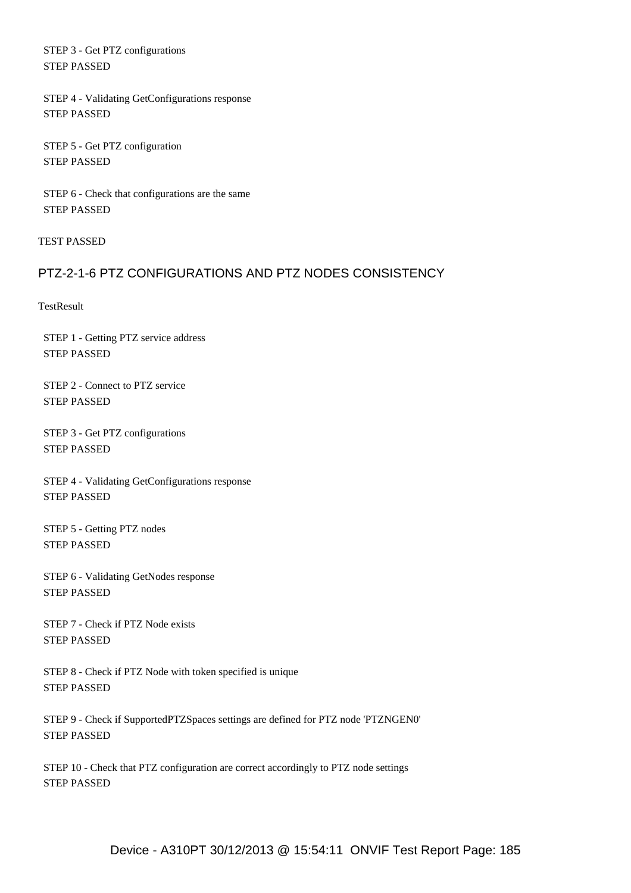STEP 3 - Get PTZ configurations STEP PASSED

 STEP 4 - Validating GetConfigurations response STEP PASSED

 STEP 5 - Get PTZ configuration STEP PASSED

 STEP 6 - Check that configurations are the same STEP PASSED

TEST PASSED

## PTZ-2-1-6 PTZ CONFIGURATIONS AND PTZ NODES CONSISTENCY

**TestResult** 

 STEP 1 - Getting PTZ service address STEP PASSED

 STEP 2 - Connect to PTZ service STEP PASSED

 STEP 3 - Get PTZ configurations STEP PASSED

 STEP 4 - Validating GetConfigurations response STEP PASSED

 STEP 5 - Getting PTZ nodes STEP PASSED

 STEP 6 - Validating GetNodes response STEP PASSED

 STEP 7 - Check if PTZ Node exists STEP PASSED

 STEP 8 - Check if PTZ Node with token specified is unique STEP PASSED

 STEP 9 - Check if SupportedPTZSpaces settings are defined for PTZ node 'PTZNGEN0' STEP PASSED

 STEP 10 - Check that PTZ configuration are correct accordingly to PTZ node settings STEP PASSED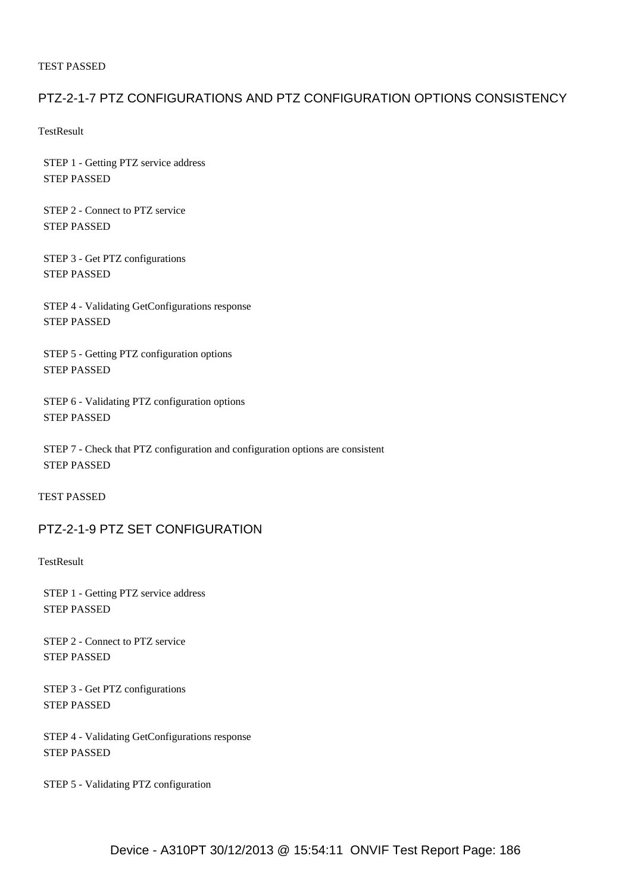#### PTZ-2-1-7 PTZ CONFIGURATIONS AND PTZ CONFIGURATION OPTIONS CONSISTENCY

**TestResult** 

 STEP 1 - Getting PTZ service address STEP PASSED

 STEP 2 - Connect to PTZ service STEP PASSED

 STEP 3 - Get PTZ configurations STEP PASSED

 STEP 4 - Validating GetConfigurations response STEP PASSED

 STEP 5 - Getting PTZ configuration options STEP PASSED

 STEP 6 - Validating PTZ configuration options STEP PASSED

 STEP 7 - Check that PTZ configuration and configuration options are consistent STEP PASSED

TEST PASSED

## PTZ-2-1-9 PTZ SET CONFIGURATION

**TestResult** 

 STEP 1 - Getting PTZ service address STEP PASSED

 STEP 2 - Connect to PTZ service STEP PASSED

 STEP 3 - Get PTZ configurations STEP PASSED

 STEP 4 - Validating GetConfigurations response STEP PASSED

STEP 5 - Validating PTZ configuration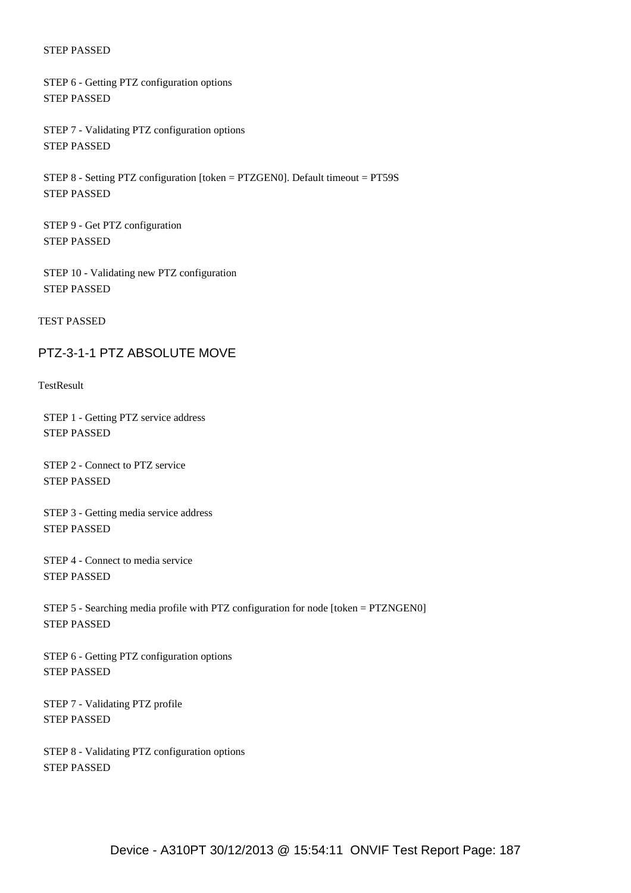STEP 6 - Getting PTZ configuration options STEP PASSED

 STEP 7 - Validating PTZ configuration options STEP PASSED

 STEP 8 - Setting PTZ configuration [token = PTZGEN0]. Default timeout = PT59S STEP PASSED

 STEP 9 - Get PTZ configuration STEP PASSED

 STEP 10 - Validating new PTZ configuration STEP PASSED

TEST PASSED

#### PTZ-3-1-1 PTZ ABSOLUTE MOVE

**TestResult** 

 STEP 1 - Getting PTZ service address STEP PASSED

 STEP 2 - Connect to PTZ service STEP PASSED

 STEP 3 - Getting media service address STEP PASSED

 STEP 4 - Connect to media service STEP PASSED

 STEP 5 - Searching media profile with PTZ configuration for node [token = PTZNGEN0] STEP PASSED

 STEP 6 - Getting PTZ configuration options STEP PASSED

 STEP 7 - Validating PTZ profile STEP PASSED

 STEP 8 - Validating PTZ configuration options STEP PASSED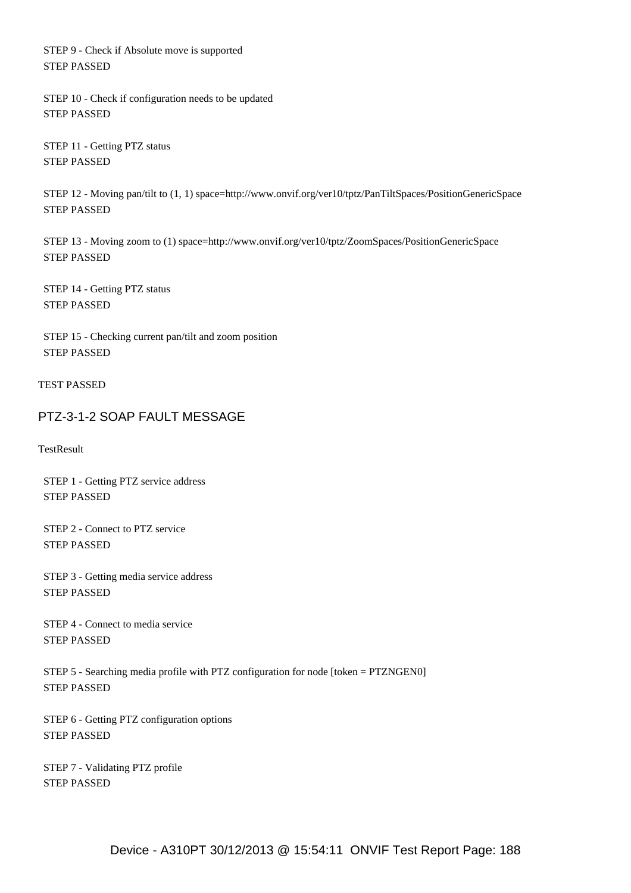STEP 9 - Check if Absolute move is supported STEP PASSED

 STEP 10 - Check if configuration needs to be updated STEP PASSED

 STEP 11 - Getting PTZ status STEP PASSED

 STEP 12 - Moving pan/tilt to (1, 1) space=http://www.onvif.org/ver10/tptz/PanTiltSpaces/PositionGenericSpace STEP PASSED

 STEP 13 - Moving zoom to (1) space=http://www.onvif.org/ver10/tptz/ZoomSpaces/PositionGenericSpace STEP PASSED

 STEP 14 - Getting PTZ status STEP PASSED

 STEP 15 - Checking current pan/tilt and zoom position STEP PASSED

TEST PASSED

## PTZ-3-1-2 SOAP FAULT MESSAGE

**TestResult** 

 STEP 1 - Getting PTZ service address STEP PASSED

 STEP 2 - Connect to PTZ service STEP PASSED

 STEP 3 - Getting media service address STEP PASSED

 STEP 4 - Connect to media service STEP PASSED

 STEP 5 - Searching media profile with PTZ configuration for node [token = PTZNGEN0] STEP PASSED

 STEP 6 - Getting PTZ configuration options STEP PASSED

 STEP 7 - Validating PTZ profile STEP PASSED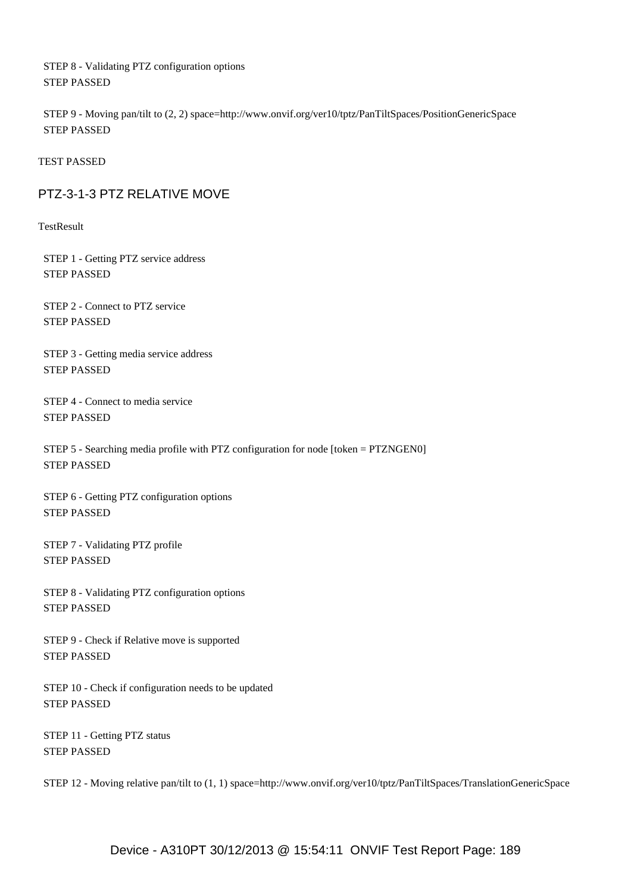STEP 8 - Validating PTZ configuration options STEP PASSED

 STEP 9 - Moving pan/tilt to (2, 2) space=http://www.onvif.org/ver10/tptz/PanTiltSpaces/PositionGenericSpace STEP PASSED

TEST PASSED

#### PTZ-3-1-3 PTZ RELATIVE MOVE

**TestResult** 

 STEP 1 - Getting PTZ service address STEP PASSED

 STEP 2 - Connect to PTZ service STEP PASSED

 STEP 3 - Getting media service address STEP PASSED

 STEP 4 - Connect to media service STEP PASSED

 STEP 5 - Searching media profile with PTZ configuration for node [token = PTZNGEN0] STEP PASSED

 STEP 6 - Getting PTZ configuration options STEP PASSED

 STEP 7 - Validating PTZ profile STEP PASSED

 STEP 8 - Validating PTZ configuration options STEP PASSED

 STEP 9 - Check if Relative move is supported STEP PASSED

 STEP 10 - Check if configuration needs to be updated STEP PASSED

 STEP 11 - Getting PTZ status STEP PASSED

STEP 12 - Moving relative pan/tilt to (1, 1) space=http://www.onvif.org/ver10/tptz/PanTiltSpaces/TranslationGenericSpace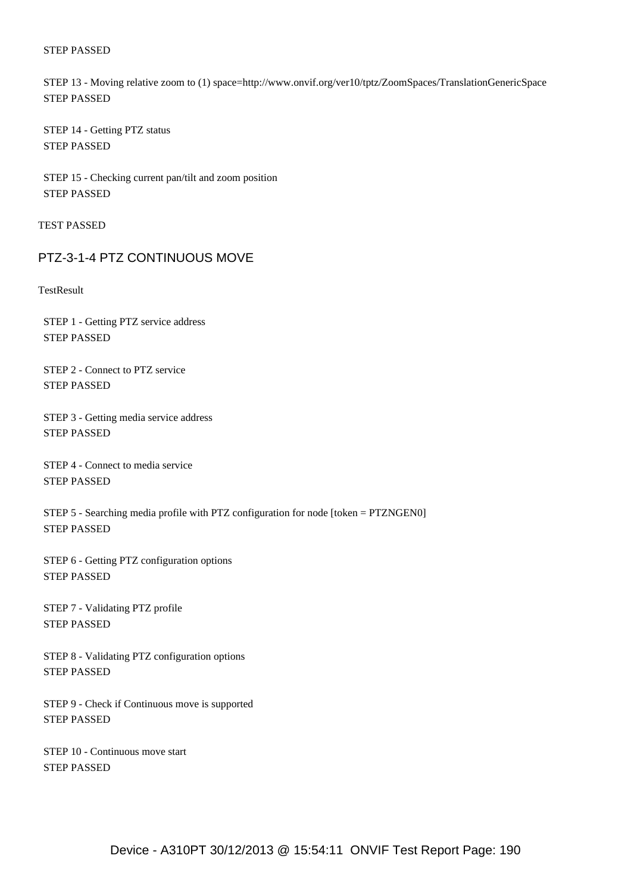STEP 13 - Moving relative zoom to (1) space=http://www.onvif.org/ver10/tptz/ZoomSpaces/TranslationGenericSpace STEP PASSED

 STEP 14 - Getting PTZ status STEP PASSED

 STEP 15 - Checking current pan/tilt and zoom position STEP PASSED

TEST PASSED

#### PTZ-3-1-4 PTZ CONTINUOUS MOVE

**TestResult** 

 STEP 1 - Getting PTZ service address STEP PASSED

 STEP 2 - Connect to PTZ service STEP PASSED

 STEP 3 - Getting media service address STEP PASSED

 STEP 4 - Connect to media service STEP PASSED

 STEP 5 - Searching media profile with PTZ configuration for node [token = PTZNGEN0] STEP PASSED

 STEP 6 - Getting PTZ configuration options STEP PASSED

 STEP 7 - Validating PTZ profile STEP PASSED

 STEP 8 - Validating PTZ configuration options STEP PASSED

 STEP 9 - Check if Continuous move is supported STEP PASSED

 STEP 10 - Continuous move start STEP PASSED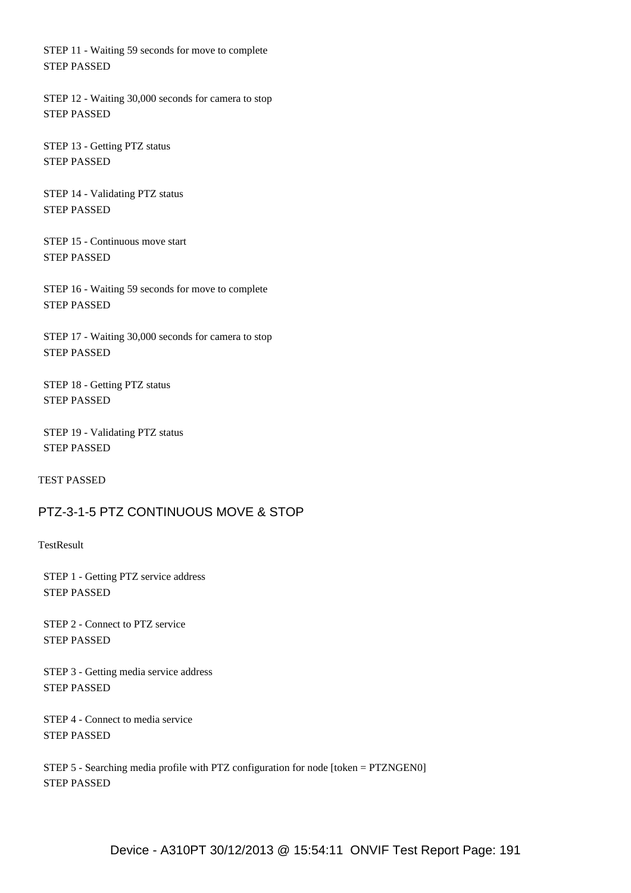STEP 11 - Waiting 59 seconds for move to complete STEP PASSED

 STEP 12 - Waiting 30,000 seconds for camera to stop STEP PASSED

 STEP 13 - Getting PTZ status STEP PASSED

 STEP 14 - Validating PTZ status STEP PASSED

 STEP 15 - Continuous move start STEP PASSED

 STEP 16 - Waiting 59 seconds for move to complete STEP PASSED

 STEP 17 - Waiting 30,000 seconds for camera to stop STEP PASSED

 STEP 18 - Getting PTZ status STEP PASSED

 STEP 19 - Validating PTZ status STEP PASSED

TEST PASSED

#### PTZ-3-1-5 PTZ CONTINUOUS MOVE & STOP

**TestResult** 

 STEP 1 - Getting PTZ service address STEP PASSED

 STEP 2 - Connect to PTZ service STEP PASSED

 STEP 3 - Getting media service address STEP PASSED

 STEP 4 - Connect to media service STEP PASSED

 STEP 5 - Searching media profile with PTZ configuration for node [token = PTZNGEN0] STEP PASSED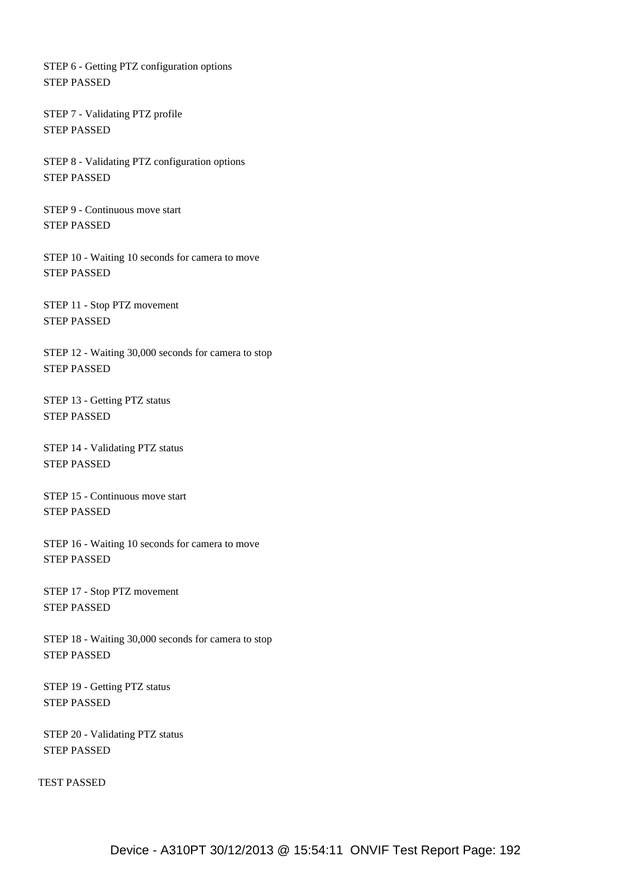STEP 6 - Getting PTZ configuration options STEP PASSED

 STEP 7 - Validating PTZ profile STEP PASSED

 STEP 8 - Validating PTZ configuration options STEP PASSED

 STEP 9 - Continuous move start STEP PASSED

 STEP 10 - Waiting 10 seconds for camera to move STEP PASSED

 STEP 11 - Stop PTZ movement STEP PASSED

 STEP 12 - Waiting 30,000 seconds for camera to stop STEP PASSED

 STEP 13 - Getting PTZ status STEP PASSED

 STEP 14 - Validating PTZ status STEP PASSED

 STEP 15 - Continuous move start STEP PASSED

 STEP 16 - Waiting 10 seconds for camera to move STEP PASSED

 STEP 17 - Stop PTZ movement STEP PASSED

 STEP 18 - Waiting 30,000 seconds for camera to stop STEP PASSED

 STEP 19 - Getting PTZ status STEP PASSED

 STEP 20 - Validating PTZ status STEP PASSED

TEST PASSED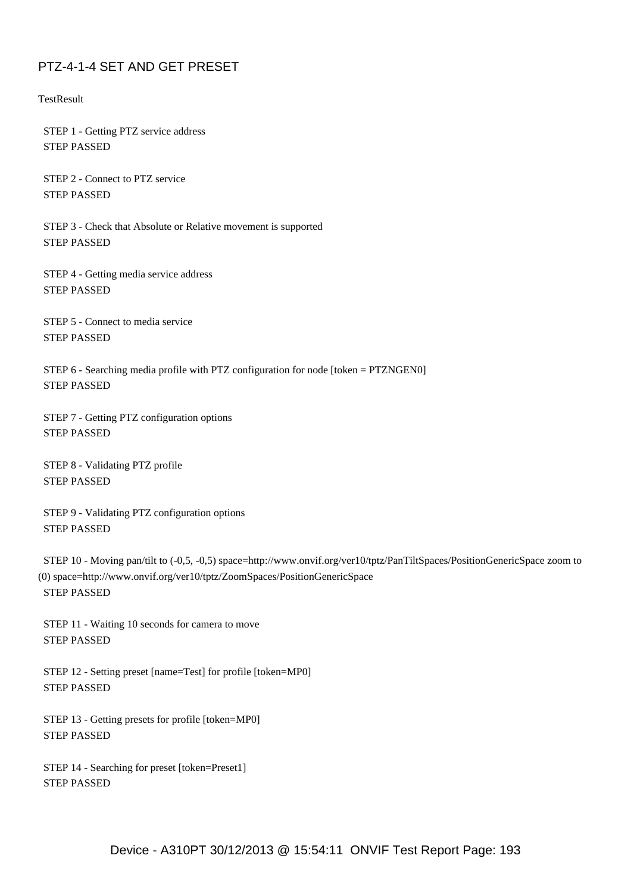## PTZ-4-1-4 SET AND GET PRESET

**TestResult** 

 STEP 1 - Getting PTZ service address STEP PASSED

 STEP 2 - Connect to PTZ service STEP PASSED

 STEP 3 - Check that Absolute or Relative movement is supported STEP PASSED

 STEP 4 - Getting media service address STEP PASSED

 STEP 5 - Connect to media service STEP PASSED

 STEP 6 - Searching media profile with PTZ configuration for node [token = PTZNGEN0] STEP PASSED

 STEP 7 - Getting PTZ configuration options STEP PASSED

 STEP 8 - Validating PTZ profile STEP PASSED

 STEP 9 - Validating PTZ configuration options STEP PASSED

 STEP 10 - Moving pan/tilt to (-0,5, -0,5) space=http://www.onvif.org/ver10/tptz/PanTiltSpaces/PositionGenericSpace zoom to (0) space=http://www.onvif.org/ver10/tptz/ZoomSpaces/PositionGenericSpace STEP PASSED

 STEP 11 - Waiting 10 seconds for camera to move STEP PASSED

 STEP 12 - Setting preset [name=Test] for profile [token=MP0] STEP PASSED

 STEP 13 - Getting presets for profile [token=MP0] STEP PASSED

 STEP 14 - Searching for preset [token=Preset1] STEP PASSED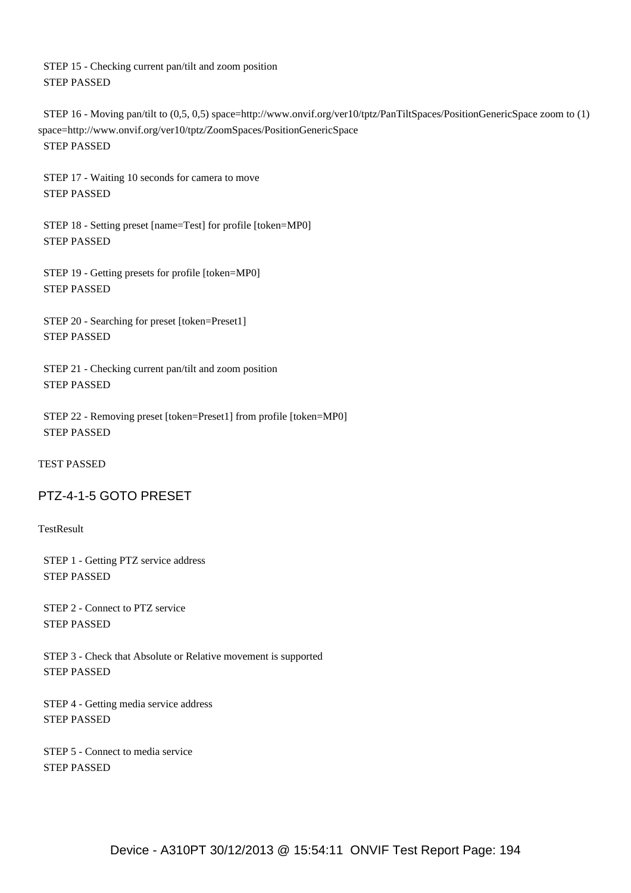STEP 15 - Checking current pan/tilt and zoom position STEP PASSED

 STEP 16 - Moving pan/tilt to (0,5, 0,5) space=http://www.onvif.org/ver10/tptz/PanTiltSpaces/PositionGenericSpace zoom to (1) space=http://www.onvif.org/ver10/tptz/ZoomSpaces/PositionGenericSpace STEP PASSED

 STEP 17 - Waiting 10 seconds for camera to move STEP PASSED

 STEP 18 - Setting preset [name=Test] for profile [token=MP0] STEP PASSED

 STEP 19 - Getting presets for profile [token=MP0] STEP PASSED

 STEP 20 - Searching for preset [token=Preset1] STEP PASSED

 STEP 21 - Checking current pan/tilt and zoom position STEP PASSED

 STEP 22 - Removing preset [token=Preset1] from profile [token=MP0] STEP PASSED

TEST PASSED

## PTZ-4-1-5 GOTO PRESET

**TestResult** 

 STEP 1 - Getting PTZ service address STEP PASSED

 STEP 2 - Connect to PTZ service STEP PASSED

 STEP 3 - Check that Absolute or Relative movement is supported STEP PASSED

 STEP 4 - Getting media service address STEP PASSED

 STEP 5 - Connect to media service STEP PASSED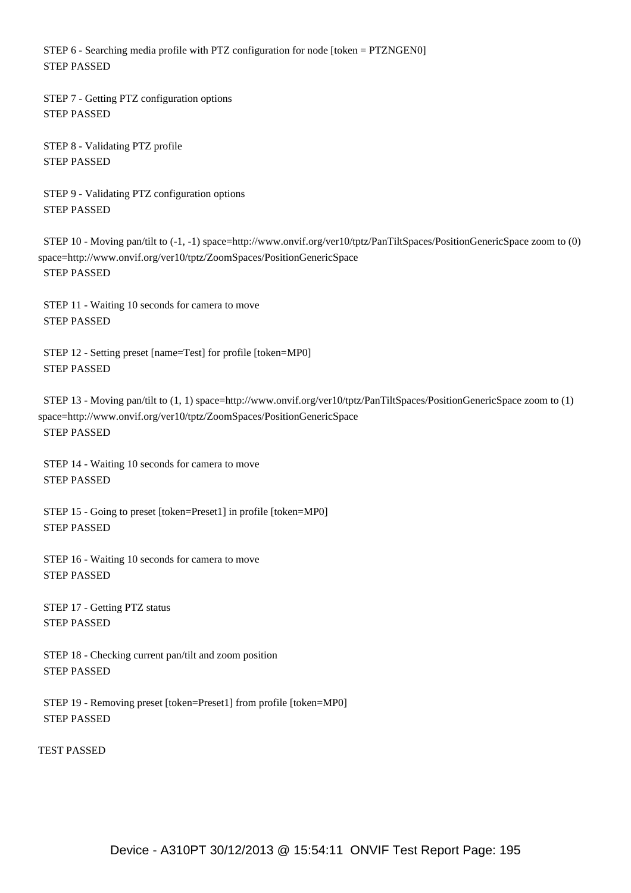STEP 6 - Searching media profile with PTZ configuration for node [token = PTZNGEN0] STEP PASSED

 STEP 7 - Getting PTZ configuration options STEP PASSED

 STEP 8 - Validating PTZ profile STEP PASSED

 STEP 9 - Validating PTZ configuration options STEP PASSED

 STEP 10 - Moving pan/tilt to (-1, -1) space=http://www.onvif.org/ver10/tptz/PanTiltSpaces/PositionGenericSpace zoom to (0) space=http://www.onvif.org/ver10/tptz/ZoomSpaces/PositionGenericSpace STEP PASSED

 STEP 11 - Waiting 10 seconds for camera to move STEP PASSED

 STEP 12 - Setting preset [name=Test] for profile [token=MP0] STEP PASSED

 STEP 13 - Moving pan/tilt to (1, 1) space=http://www.onvif.org/ver10/tptz/PanTiltSpaces/PositionGenericSpace zoom to (1) space=http://www.onvif.org/ver10/tptz/ZoomSpaces/PositionGenericSpace STEP PASSED

 STEP 14 - Waiting 10 seconds for camera to move STEP PASSED

 STEP 15 - Going to preset [token=Preset1] in profile [token=MP0] STEP PASSED

 STEP 16 - Waiting 10 seconds for camera to move STEP PASSED

 STEP 17 - Getting PTZ status STEP PASSED

 STEP 18 - Checking current pan/tilt and zoom position STEP PASSED

 STEP 19 - Removing preset [token=Preset1] from profile [token=MP0] STEP PASSED

TEST PASSED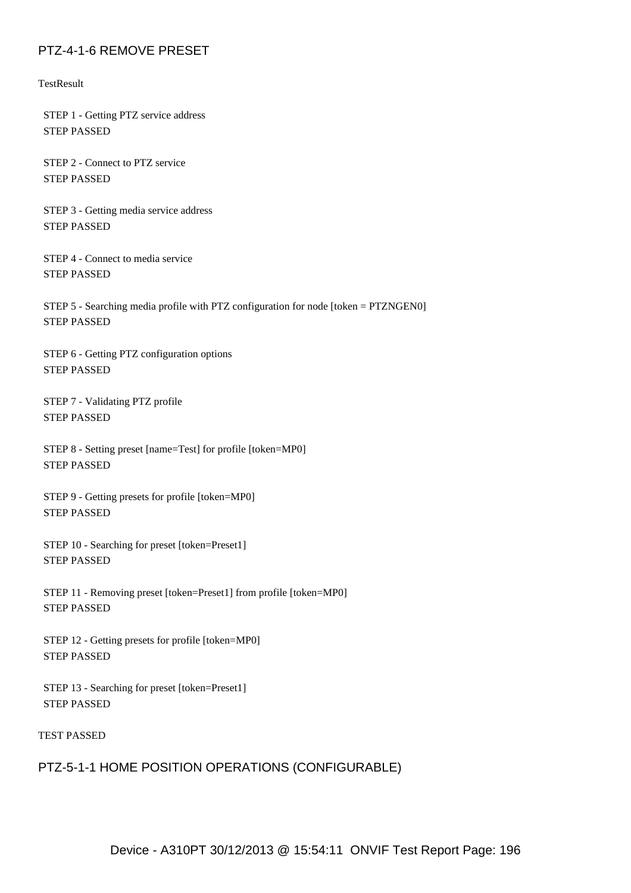## PTZ-4-1-6 REMOVE PRESET

**TestResult** 

 STEP 1 - Getting PTZ service address STEP PASSED

 STEP 2 - Connect to PTZ service STEP PASSED

 STEP 3 - Getting media service address STEP PASSED

 STEP 4 - Connect to media service STEP PASSED

 STEP 5 - Searching media profile with PTZ configuration for node [token = PTZNGEN0] STEP PASSED

 STEP 6 - Getting PTZ configuration options STEP PASSED

 STEP 7 - Validating PTZ profile STEP PASSED

 STEP 8 - Setting preset [name=Test] for profile [token=MP0] STEP PASSED

 STEP 9 - Getting presets for profile [token=MP0] STEP PASSED

 STEP 10 - Searching for preset [token=Preset1] STEP PASSED

 STEP 11 - Removing preset [token=Preset1] from profile [token=MP0] STEP PASSED

 STEP 12 - Getting presets for profile [token=MP0] STEP PASSED

 STEP 13 - Searching for preset [token=Preset1] STEP PASSED

#### TEST PASSED

#### PTZ-5-1-1 HOME POSITION OPERATIONS (CONFIGURABLE)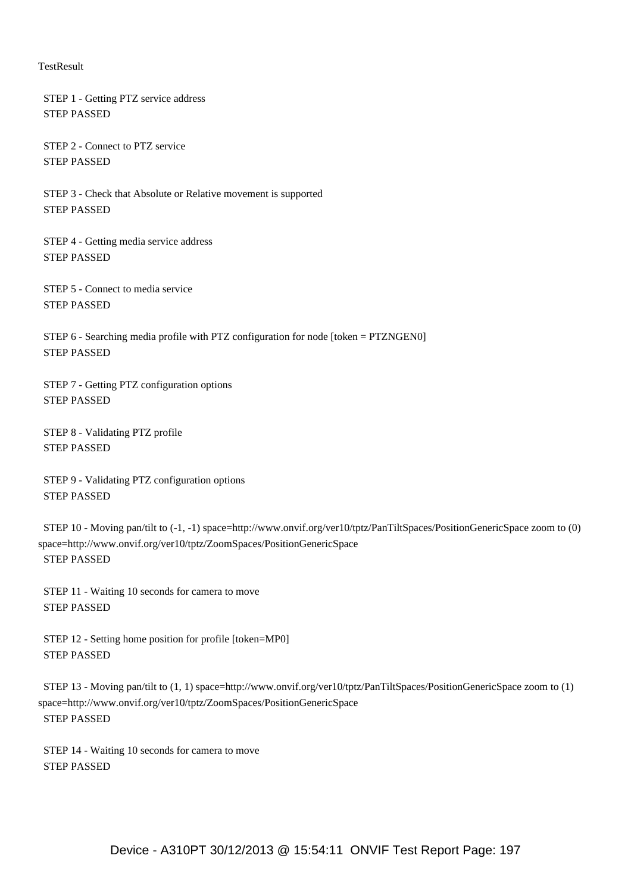#### **TestResult**

 STEP 1 - Getting PTZ service address STEP PASSED

 STEP 2 - Connect to PTZ service STEP PASSED

 STEP 3 - Check that Absolute or Relative movement is supported STEP PASSED

 STEP 4 - Getting media service address STEP PASSED

 STEP 5 - Connect to media service STEP PASSED

 STEP 6 - Searching media profile with PTZ configuration for node [token = PTZNGEN0] STEP PASSED

 STEP 7 - Getting PTZ configuration options STEP PASSED

 STEP 8 - Validating PTZ profile STEP PASSED

 STEP 9 - Validating PTZ configuration options STEP PASSED

 STEP 10 - Moving pan/tilt to (-1, -1) space=http://www.onvif.org/ver10/tptz/PanTiltSpaces/PositionGenericSpace zoom to (0) space=http://www.onvif.org/ver10/tptz/ZoomSpaces/PositionGenericSpace STEP PASSED

 STEP 11 - Waiting 10 seconds for camera to move STEP PASSED

 STEP 12 - Setting home position for profile [token=MP0] STEP PASSED

 STEP 13 - Moving pan/tilt to (1, 1) space=http://www.onvif.org/ver10/tptz/PanTiltSpaces/PositionGenericSpace zoom to (1) space=http://www.onvif.org/ver10/tptz/ZoomSpaces/PositionGenericSpace STEP PASSED

 STEP 14 - Waiting 10 seconds for camera to move STEP PASSED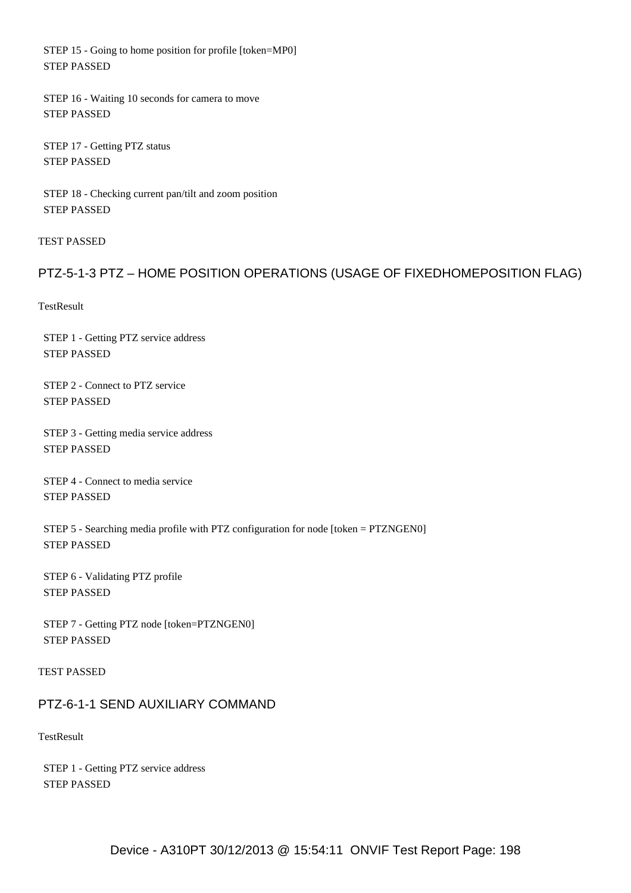STEP 15 - Going to home position for profile [token=MP0] STEP PASSED

 STEP 16 - Waiting 10 seconds for camera to move STEP PASSED

 STEP 17 - Getting PTZ status STEP PASSED

 STEP 18 - Checking current pan/tilt and zoom position STEP PASSED

TEST PASSED

## PTZ-5-1-3 PTZ – HOME POSITION OPERATIONS (USAGE OF FIXEDHOMEPOSITION FLAG)

**TestResult** 

 STEP 1 - Getting PTZ service address STEP PASSED

 STEP 2 - Connect to PTZ service STEP PASSED

 STEP 3 - Getting media service address STEP PASSED

 STEP 4 - Connect to media service STEP PASSED

 STEP 5 - Searching media profile with PTZ configuration for node [token = PTZNGEN0] STEP PASSED

 STEP 6 - Validating PTZ profile STEP PASSED

 STEP 7 - Getting PTZ node [token=PTZNGEN0] STEP PASSED

TEST PASSED

## PTZ-6-1-1 SEND AUXILIARY COMMAND

**TestResult** 

 STEP 1 - Getting PTZ service address STEP PASSED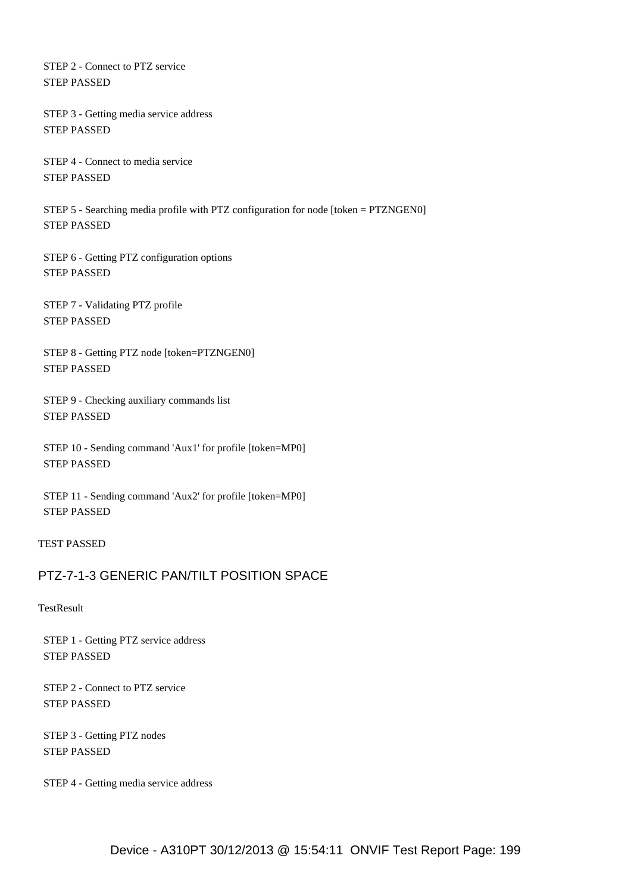STEP 2 - Connect to PTZ service STEP PASSED

 STEP 3 - Getting media service address STEP PASSED

 STEP 4 - Connect to media service STEP PASSED

 STEP 5 - Searching media profile with PTZ configuration for node [token = PTZNGEN0] STEP PASSED

 STEP 6 - Getting PTZ configuration options STEP PASSED

 STEP 7 - Validating PTZ profile STEP PASSED

 STEP 8 - Getting PTZ node [token=PTZNGEN0] STEP PASSED

 STEP 9 - Checking auxiliary commands list STEP PASSED

 STEP 10 - Sending command 'Aux1' for profile [token=MP0] STEP PASSED

 STEP 11 - Sending command 'Aux2' for profile [token=MP0] STEP PASSED

TEST PASSED

## PTZ-7-1-3 GENERIC PAN/TILT POSITION SPACE

**TestResult** 

 STEP 1 - Getting PTZ service address STEP PASSED

 STEP 2 - Connect to PTZ service STEP PASSED

 STEP 3 - Getting PTZ nodes STEP PASSED

STEP 4 - Getting media service address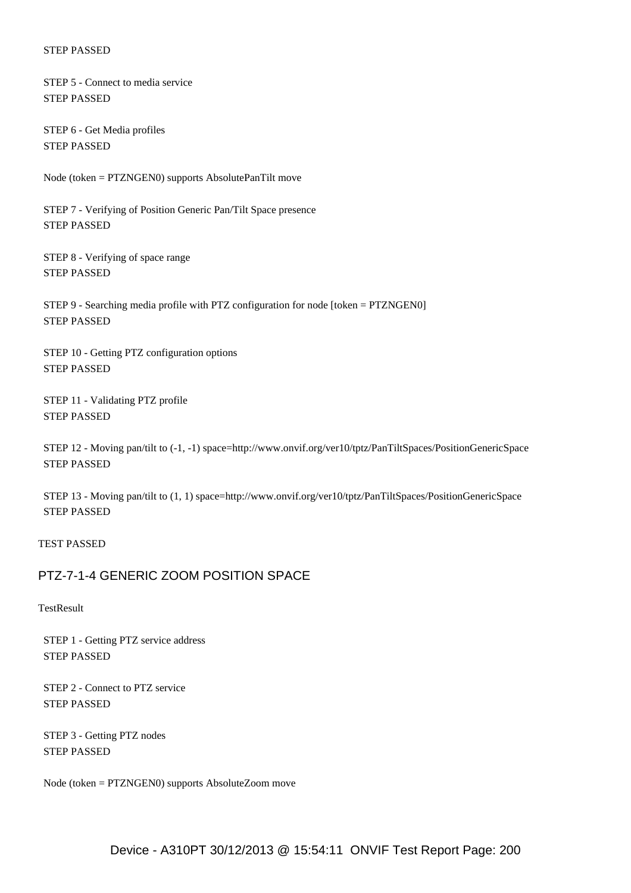STEP 5 - Connect to media service STEP PASSED

 STEP 6 - Get Media profiles STEP PASSED

Node (token = PTZNGEN0) supports AbsolutePanTilt move

 STEP 7 - Verifying of Position Generic Pan/Tilt Space presence STEP PASSED

 STEP 8 - Verifying of space range STEP PASSED

 STEP 9 - Searching media profile with PTZ configuration for node [token = PTZNGEN0] STEP PASSED

 STEP 10 - Getting PTZ configuration options STEP PASSED

 STEP 11 - Validating PTZ profile STEP PASSED

 STEP 12 - Moving pan/tilt to (-1, -1) space=http://www.onvif.org/ver10/tptz/PanTiltSpaces/PositionGenericSpace STEP PASSED

 STEP 13 - Moving pan/tilt to (1, 1) space=http://www.onvif.org/ver10/tptz/PanTiltSpaces/PositionGenericSpace STEP PASSED

TEST PASSED

## PTZ-7-1-4 GENERIC ZOOM POSITION SPACE

**TestResult** 

 STEP 1 - Getting PTZ service address STEP PASSED

 STEP 2 - Connect to PTZ service STEP PASSED

 STEP 3 - Getting PTZ nodes STEP PASSED

Node (token = PTZNGEN0) supports AbsoluteZoom move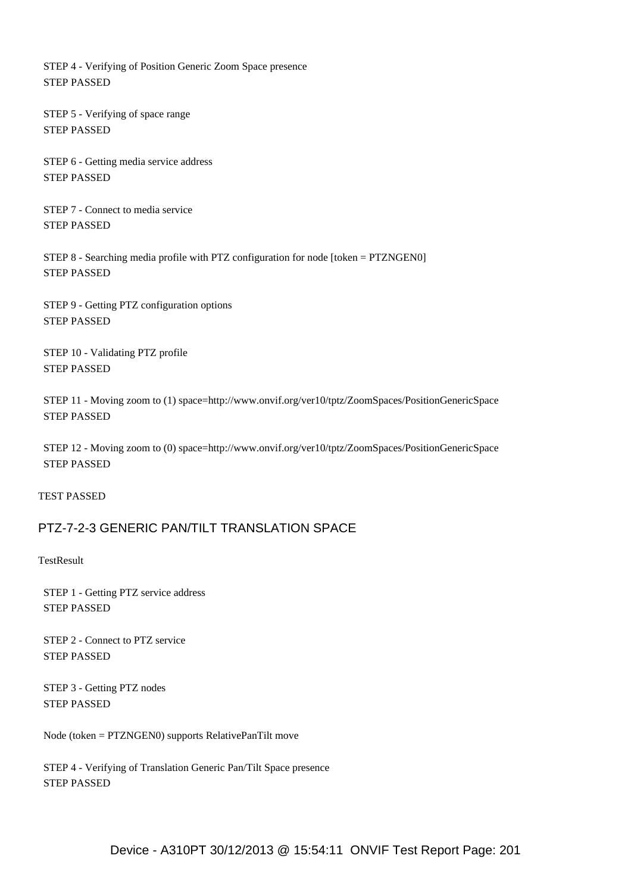STEP 4 - Verifying of Position Generic Zoom Space presence STEP PASSED

 STEP 5 - Verifying of space range STEP PASSED

 STEP 6 - Getting media service address STEP PASSED

 STEP 7 - Connect to media service STEP PASSED

 STEP 8 - Searching media profile with PTZ configuration for node [token = PTZNGEN0] STEP PASSED

 STEP 9 - Getting PTZ configuration options STEP PASSED

 STEP 10 - Validating PTZ profile STEP PASSED

 STEP 11 - Moving zoom to (1) space=http://www.onvif.org/ver10/tptz/ZoomSpaces/PositionGenericSpace STEP PASSED

 STEP 12 - Moving zoom to (0) space=http://www.onvif.org/ver10/tptz/ZoomSpaces/PositionGenericSpace STEP PASSED

TEST PASSED

## PTZ-7-2-3 GENERIC PAN/TILT TRANSLATION SPACE

**TestResult** 

 STEP 1 - Getting PTZ service address STEP PASSED

 STEP 2 - Connect to PTZ service STEP PASSED

 STEP 3 - Getting PTZ nodes STEP PASSED

Node (token = PTZNGEN0) supports RelativePanTilt move

 STEP 4 - Verifying of Translation Generic Pan/Tilt Space presence STEP PASSED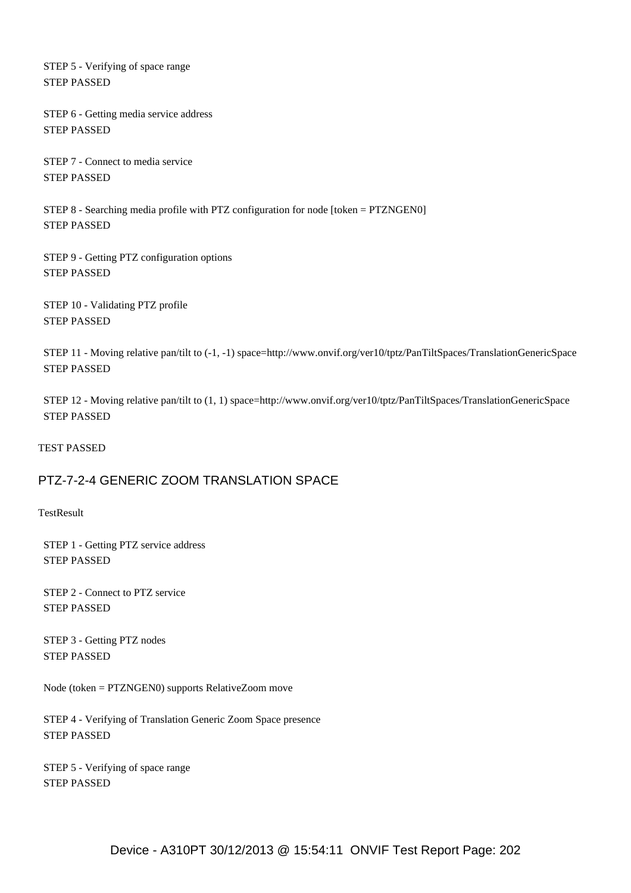STEP 5 - Verifying of space range STEP PASSED

 STEP 6 - Getting media service address STEP PASSED

 STEP 7 - Connect to media service STEP PASSED

 STEP 8 - Searching media profile with PTZ configuration for node [token = PTZNGEN0] STEP PASSED

 STEP 9 - Getting PTZ configuration options STEP PASSED

 STEP 10 - Validating PTZ profile STEP PASSED

 STEP 11 - Moving relative pan/tilt to (-1, -1) space=http://www.onvif.org/ver10/tptz/PanTiltSpaces/TranslationGenericSpace STEP PASSED

 STEP 12 - Moving relative pan/tilt to (1, 1) space=http://www.onvif.org/ver10/tptz/PanTiltSpaces/TranslationGenericSpace STEP PASSED

TEST PASSED

## PTZ-7-2-4 GENERIC ZOOM TRANSLATION SPACE

**TestResult** 

 STEP 1 - Getting PTZ service address STEP PASSED

 STEP 2 - Connect to PTZ service STEP PASSED

 STEP 3 - Getting PTZ nodes STEP PASSED

Node (token = PTZNGEN0) supports RelativeZoom move

 STEP 4 - Verifying of Translation Generic Zoom Space presence STEP PASSED

 STEP 5 - Verifying of space range STEP PASSED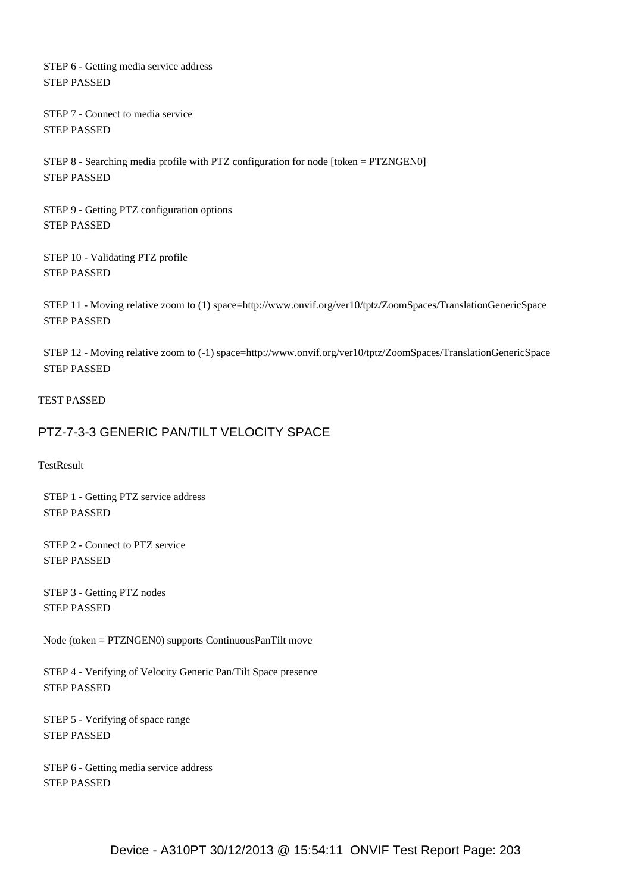STEP 6 - Getting media service address STEP PASSED

 STEP 7 - Connect to media service STEP PASSED

 STEP 8 - Searching media profile with PTZ configuration for node [token = PTZNGEN0] STEP PASSED

 STEP 9 - Getting PTZ configuration options STEP PASSED

 STEP 10 - Validating PTZ profile STEP PASSED

 STEP 11 - Moving relative zoom to (1) space=http://www.onvif.org/ver10/tptz/ZoomSpaces/TranslationGenericSpace STEP PASSED

 STEP 12 - Moving relative zoom to (-1) space=http://www.onvif.org/ver10/tptz/ZoomSpaces/TranslationGenericSpace STEP PASSED

#### TEST PASSED

#### PTZ-7-3-3 GENERIC PAN/TILT VELOCITY SPACE

**TestResult** 

 STEP 1 - Getting PTZ service address STEP PASSED

 STEP 2 - Connect to PTZ service STEP PASSED

 STEP 3 - Getting PTZ nodes STEP PASSED

Node (token = PTZNGEN0) supports ContinuousPanTilt move

 STEP 4 - Verifying of Velocity Generic Pan/Tilt Space presence STEP PASSED

 STEP 5 - Verifying of space range STEP PASSED

 STEP 6 - Getting media service address STEP PASSED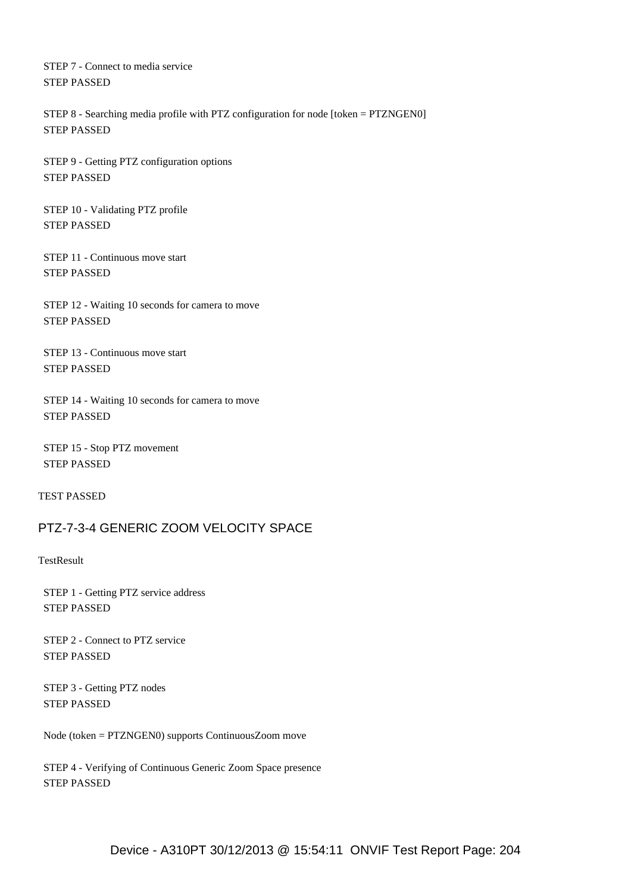STEP 7 - Connect to media service STEP PASSED

 STEP 8 - Searching media profile with PTZ configuration for node [token = PTZNGEN0] STEP PASSED

 STEP 9 - Getting PTZ configuration options STEP PASSED

 STEP 10 - Validating PTZ profile STEP PASSED

 STEP 11 - Continuous move start STEP PASSED

 STEP 12 - Waiting 10 seconds for camera to move STEP PASSED

 STEP 13 - Continuous move start STEP PASSED

 STEP 14 - Waiting 10 seconds for camera to move STEP PASSED

 STEP 15 - Stop PTZ movement STEP PASSED

TEST PASSED

## PTZ-7-3-4 GENERIC ZOOM VELOCITY SPACE

**TestResult** 

 STEP 1 - Getting PTZ service address STEP PASSED

 STEP 2 - Connect to PTZ service STEP PASSED

 STEP 3 - Getting PTZ nodes STEP PASSED

Node (token = PTZNGEN0) supports ContinuousZoom move

 STEP 4 - Verifying of Continuous Generic Zoom Space presence STEP PASSED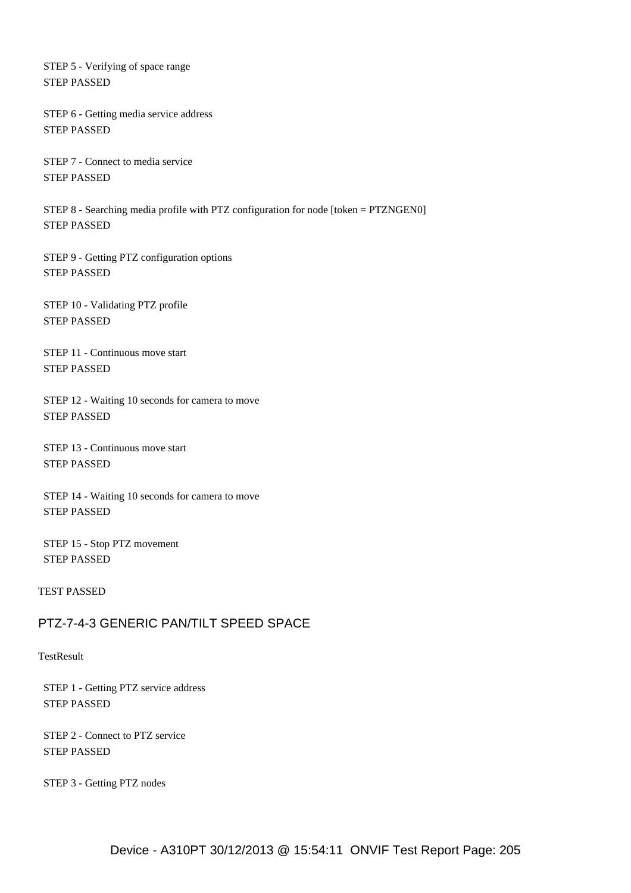STEP 5 - Verifying of space range STEP PASSED

 STEP 6 - Getting media service address STEP PASSED

 STEP 7 - Connect to media service STEP PASSED

 STEP 8 - Searching media profile with PTZ configuration for node [token = PTZNGEN0] STEP PASSED

 STEP 9 - Getting PTZ configuration options STEP PASSED

 STEP 10 - Validating PTZ profile STEP PASSED

 STEP 11 - Continuous move start STEP PASSED

 STEP 12 - Waiting 10 seconds for camera to move STEP PASSED

 STEP 13 - Continuous move start STEP PASSED

 STEP 14 - Waiting 10 seconds for camera to move STEP PASSED

 STEP 15 - Stop PTZ movement STEP PASSED

TEST PASSED

## PTZ-7-4-3 GENERIC PAN/TILT SPEED SPACE

**TestResult** 

 STEP 1 - Getting PTZ service address STEP PASSED

 STEP 2 - Connect to PTZ service STEP PASSED

STEP 3 - Getting PTZ nodes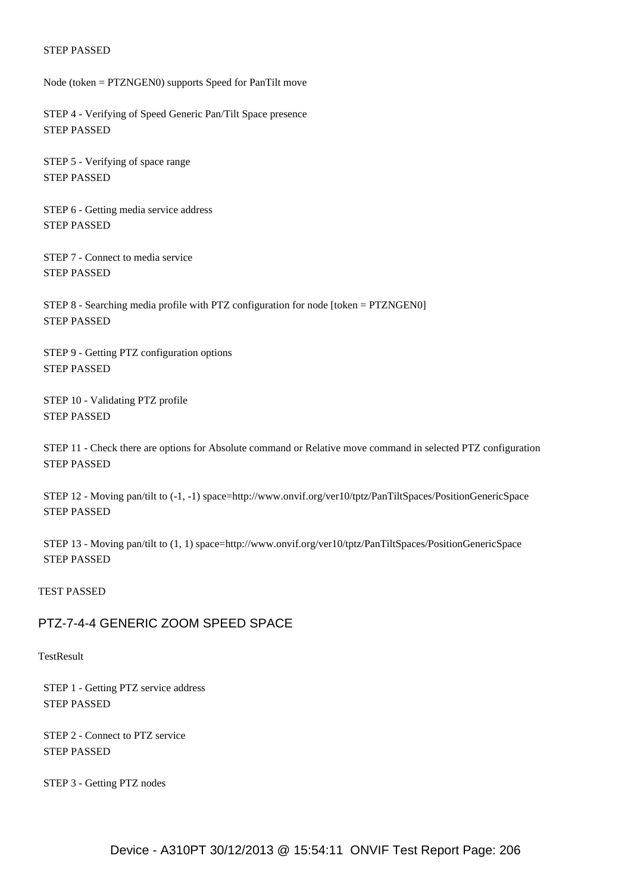Node (token = PTZNGEN0) supports Speed for PanTilt move

 STEP 4 - Verifying of Speed Generic Pan/Tilt Space presence STEP PASSED

 STEP 5 - Verifying of space range STEP PASSED

 STEP 6 - Getting media service address STEP PASSED

 STEP 7 - Connect to media service STEP PASSED

 STEP 8 - Searching media profile with PTZ configuration for node [token = PTZNGEN0] STEP PASSED

 STEP 9 - Getting PTZ configuration options STEP PASSED

 STEP 10 - Validating PTZ profile STEP PASSED

 STEP 11 - Check there are options for Absolute command or Relative move command in selected PTZ configuration STEP PASSED

 STEP 12 - Moving pan/tilt to (-1, -1) space=http://www.onvif.org/ver10/tptz/PanTiltSpaces/PositionGenericSpace STEP PASSED

 STEP 13 - Moving pan/tilt to (1, 1) space=http://www.onvif.org/ver10/tptz/PanTiltSpaces/PositionGenericSpace STEP PASSED

#### TEST PASSED

#### PTZ-7-4-4 GENERIC ZOOM SPEED SPACE

**TestResult** 

 STEP 1 - Getting PTZ service address STEP PASSED

 STEP 2 - Connect to PTZ service STEP PASSED

STEP 3 - Getting PTZ nodes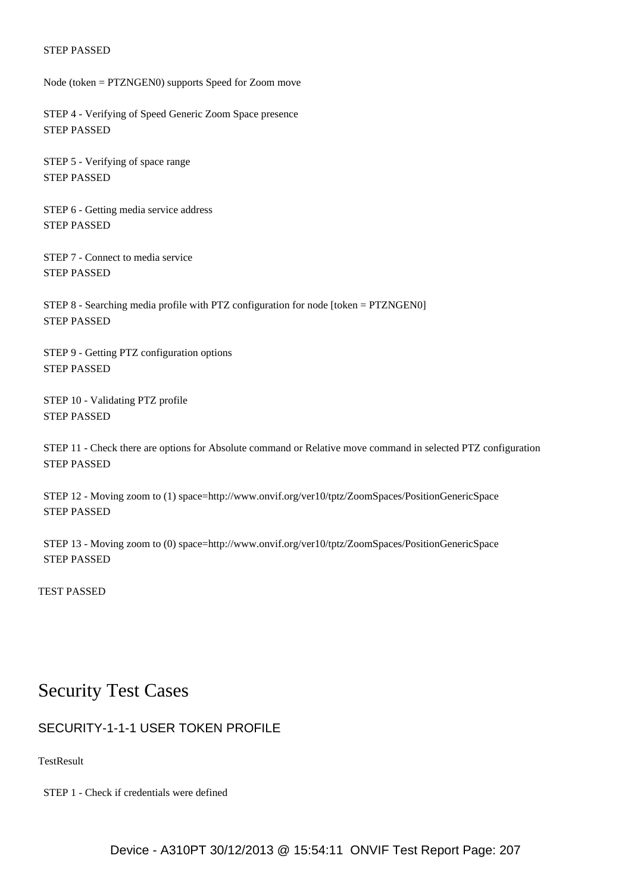Node (token = PTZNGEN0) supports Speed for Zoom move

 STEP 4 - Verifying of Speed Generic Zoom Space presence STEP PASSED

 STEP 5 - Verifying of space range STEP PASSED

 STEP 6 - Getting media service address STEP PASSED

 STEP 7 - Connect to media service STEP PASSED

 STEP 8 - Searching media profile with PTZ configuration for node [token = PTZNGEN0] STEP PASSED

 STEP 9 - Getting PTZ configuration options STEP PASSED

 STEP 10 - Validating PTZ profile STEP PASSED

 STEP 11 - Check there are options for Absolute command or Relative move command in selected PTZ configuration STEP PASSED

 STEP 12 - Moving zoom to (1) space=http://www.onvif.org/ver10/tptz/ZoomSpaces/PositionGenericSpace STEP PASSED

 STEP 13 - Moving zoom to (0) space=http://www.onvif.org/ver10/tptz/ZoomSpaces/PositionGenericSpace STEP PASSED

TEST PASSED

# Security Test Cases

## SECURITY-1-1-1 USER TOKEN PROFILE

**TestResult** 

STEP 1 - Check if credentials were defined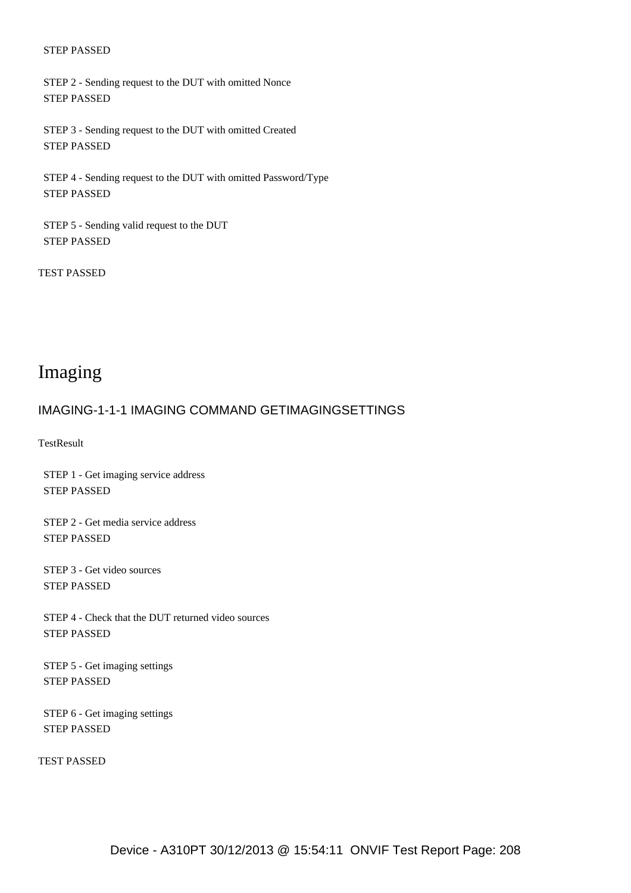STEP 2 - Sending request to the DUT with omitted Nonce STEP PASSED

 STEP 3 - Sending request to the DUT with omitted Created STEP PASSED

 STEP 4 - Sending request to the DUT with omitted Password/Type STEP PASSED

 STEP 5 - Sending valid request to the DUT STEP PASSED

TEST PASSED

# Imaging

#### IMAGING-1-1-1 IMAGING COMMAND GETIMAGINGSETTINGS

**TestResult** 

 STEP 1 - Get imaging service address STEP PASSED

 STEP 2 - Get media service address STEP PASSED

 STEP 3 - Get video sources STEP PASSED

 STEP 4 - Check that the DUT returned video sources STEP PASSED

 STEP 5 - Get imaging settings STEP PASSED

 STEP 6 - Get imaging settings STEP PASSED

TEST PASSED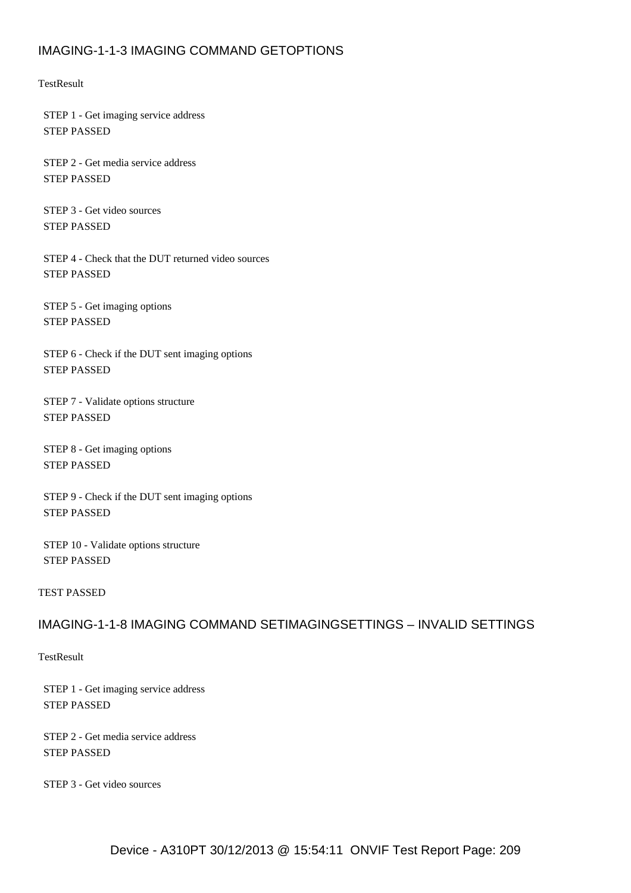## IMAGING-1-1-3 IMAGING COMMAND GETOPTIONS

**TestResult** 

 STEP 1 - Get imaging service address STEP PASSED

 STEP 2 - Get media service address STEP PASSED

 STEP 3 - Get video sources STEP PASSED

 STEP 4 - Check that the DUT returned video sources STEP PASSED

 STEP 5 - Get imaging options STEP PASSED

 STEP 6 - Check if the DUT sent imaging options STEP PASSED

 STEP 7 - Validate options structure STEP PASSED

 STEP 8 - Get imaging options STEP PASSED

 STEP 9 - Check if the DUT sent imaging options STEP PASSED

 STEP 10 - Validate options structure STEP PASSED

#### TEST PASSED

## IMAGING-1-1-8 IMAGING COMMAND SETIMAGINGSETTINGS – INVALID SETTINGS

**TestResult** 

 STEP 1 - Get imaging service address STEP PASSED

 STEP 2 - Get media service address STEP PASSED

STEP 3 - Get video sources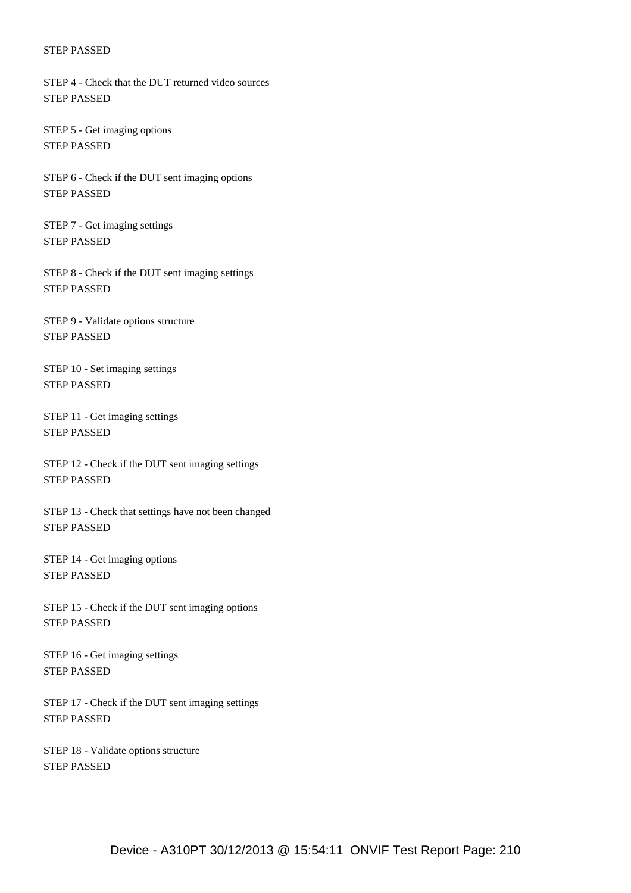STEP 4 - Check that the DUT returned video sources STEP PASSED

 STEP 5 - Get imaging options STEP PASSED

 STEP 6 - Check if the DUT sent imaging options STEP PASSED

 STEP 7 - Get imaging settings STEP PASSED

 STEP 8 - Check if the DUT sent imaging settings STEP PASSED

 STEP 9 - Validate options structure STEP PASSED

 STEP 10 - Set imaging settings STEP PASSED

 STEP 11 - Get imaging settings STEP PASSED

 STEP 12 - Check if the DUT sent imaging settings STEP PASSED

 STEP 13 - Check that settings have not been changed STEP PASSED

 STEP 14 - Get imaging options STEP PASSED

 STEP 15 - Check if the DUT sent imaging options STEP PASSED

 STEP 16 - Get imaging settings STEP PASSED

 STEP 17 - Check if the DUT sent imaging settings STEP PASSED

 STEP 18 - Validate options structure STEP PASSED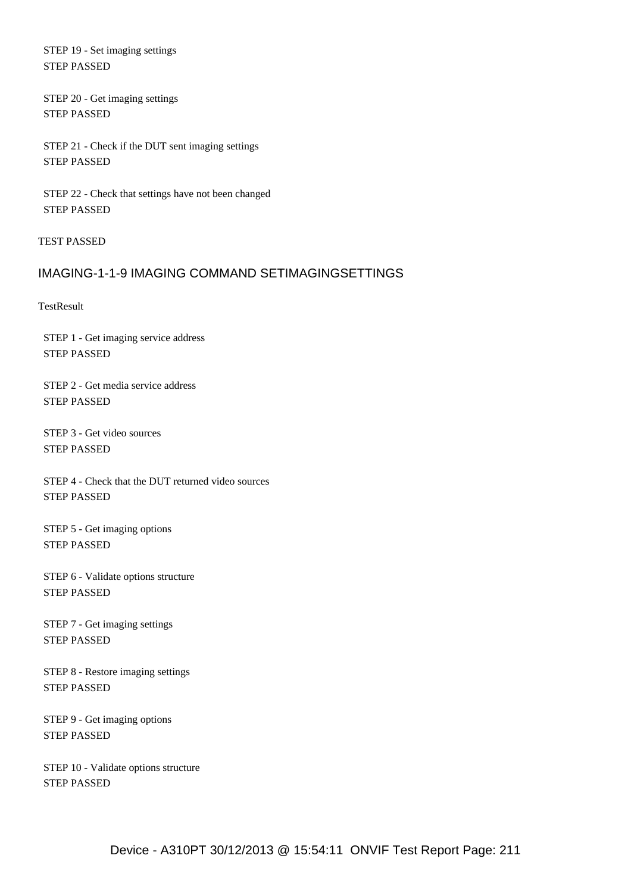STEP 19 - Set imaging settings STEP PASSED

 STEP 20 - Get imaging settings STEP PASSED

 STEP 21 - Check if the DUT sent imaging settings STEP PASSED

 STEP 22 - Check that settings have not been changed STEP PASSED

TEST PASSED

### IMAGING-1-1-9 IMAGING COMMAND SETIMAGINGSETTINGS

**TestResult** 

 STEP 1 - Get imaging service address STEP PASSED

 STEP 2 - Get media service address STEP PASSED

 STEP 3 - Get video sources STEP PASSED

 STEP 4 - Check that the DUT returned video sources STEP PASSED

 STEP 5 - Get imaging options STEP PASSED

 STEP 6 - Validate options structure STEP PASSED

 STEP 7 - Get imaging settings STEP PASSED

 STEP 8 - Restore imaging settings STEP PASSED

 STEP 9 - Get imaging options STEP PASSED

 STEP 10 - Validate options structure STEP PASSED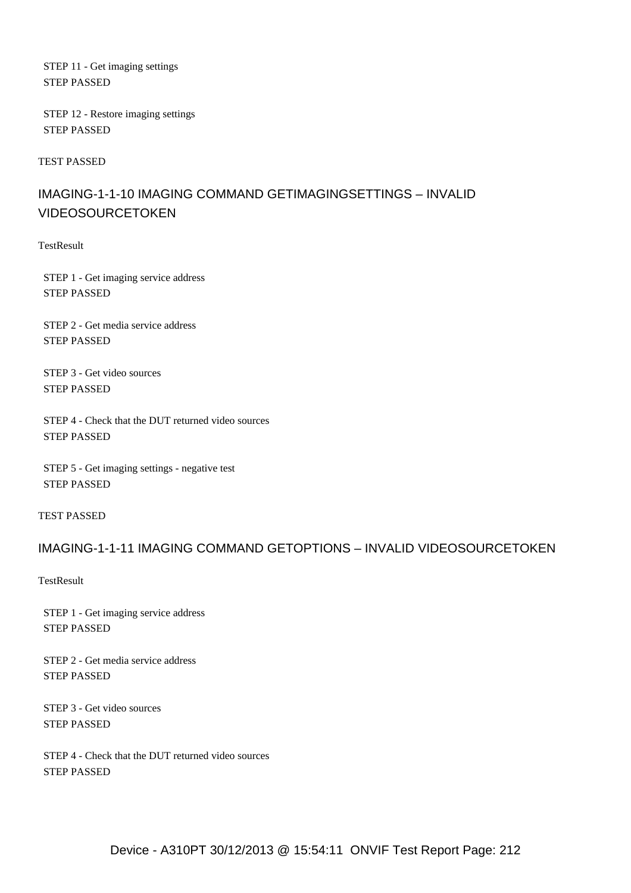STEP 11 - Get imaging settings STEP PASSED

 STEP 12 - Restore imaging settings STEP PASSED

TEST PASSED

## IMAGING-1-1-10 IMAGING COMMAND GETIMAGINGSETTINGS – INVALID VIDEOSOURCETOKEN

**TestResult** 

 STEP 1 - Get imaging service address STEP PASSED

 STEP 2 - Get media service address STEP PASSED

 STEP 3 - Get video sources STEP PASSED

 STEP 4 - Check that the DUT returned video sources STEP PASSED

 STEP 5 - Get imaging settings - negative test STEP PASSED

TEST PASSED

#### IMAGING-1-1-11 IMAGING COMMAND GETOPTIONS – INVALID VIDEOSOURCETOKEN

**TestResult** 

 STEP 1 - Get imaging service address STEP PASSED

 STEP 2 - Get media service address STEP PASSED

 STEP 3 - Get video sources STEP PASSED

 STEP 4 - Check that the DUT returned video sources STEP PASSED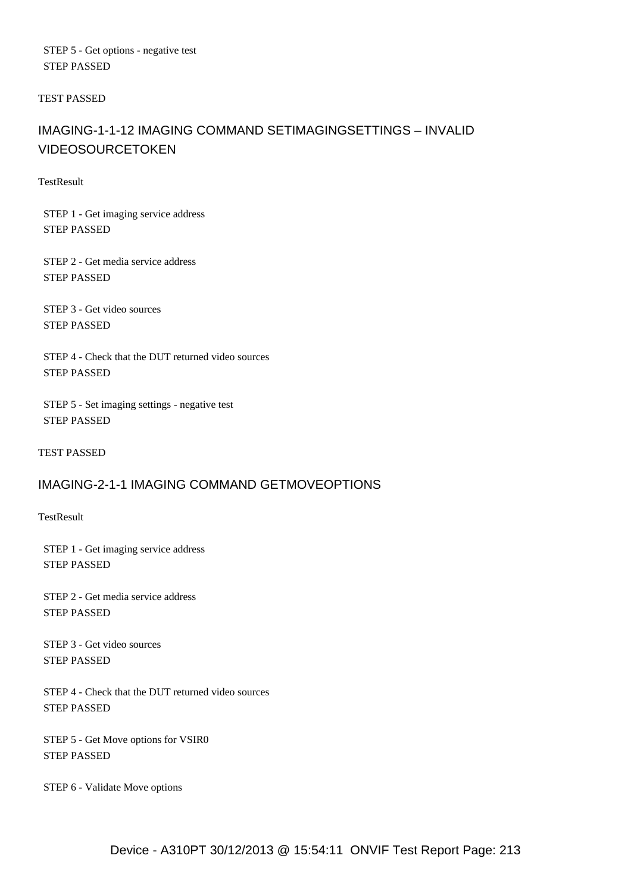STEP 5 - Get options - negative test STEP PASSED

TEST PASSED

## IMAGING-1-1-12 IMAGING COMMAND SETIMAGINGSETTINGS – INVALID VIDEOSOURCETOKEN

**TestResult** 

 STEP 1 - Get imaging service address STEP PASSED

 STEP 2 - Get media service address STEP PASSED

 STEP 3 - Get video sources STEP PASSED

 STEP 4 - Check that the DUT returned video sources STEP PASSED

 STEP 5 - Set imaging settings - negative test STEP PASSED

TEST PASSED

### IMAGING-2-1-1 IMAGING COMMAND GETMOVEOPTIONS

**TestResult** 

 STEP 1 - Get imaging service address STEP PASSED

 STEP 2 - Get media service address STEP PASSED

 STEP 3 - Get video sources STEP PASSED

 STEP 4 - Check that the DUT returned video sources STEP PASSED

 STEP 5 - Get Move options for VSIR0 STEP PASSED

STEP 6 - Validate Move options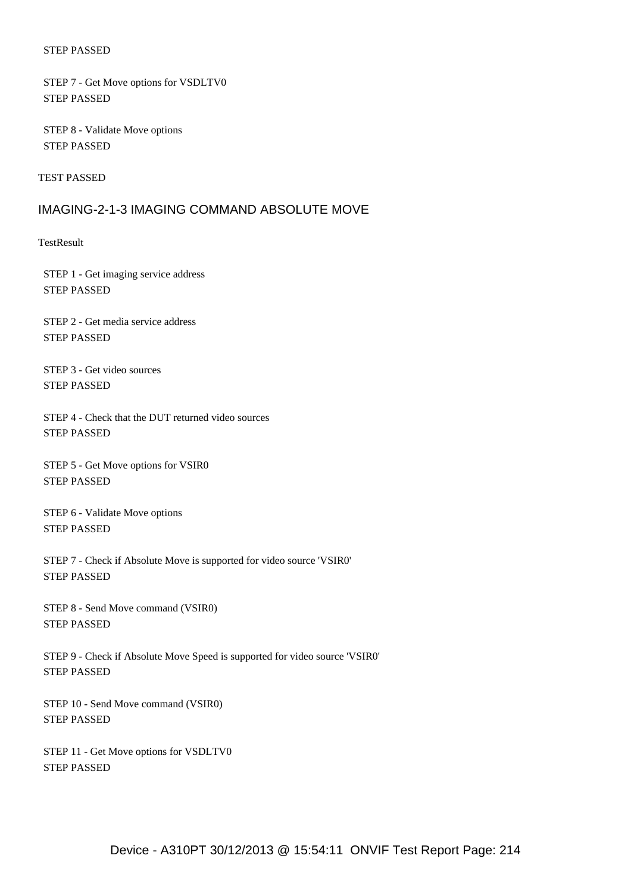STEP 7 - Get Move options for VSDLTV0 STEP PASSED

 STEP 8 - Validate Move options STEP PASSED

TEST PASSED

#### IMAGING-2-1-3 IMAGING COMMAND ABSOLUTE MOVE

**TestResult** 

 STEP 1 - Get imaging service address STEP PASSED

 STEP 2 - Get media service address STEP PASSED

 STEP 3 - Get video sources STEP PASSED

 STEP 4 - Check that the DUT returned video sources STEP PASSED

 STEP 5 - Get Move options for VSIR0 STEP PASSED

 STEP 6 - Validate Move options STEP PASSED

 STEP 7 - Check if Absolute Move is supported for video source 'VSIR0' STEP PASSED

 STEP 8 - Send Move command (VSIR0) STEP PASSED

 STEP 9 - Check if Absolute Move Speed is supported for video source 'VSIR0' STEP PASSED

 STEP 10 - Send Move command (VSIR0) STEP PASSED

 STEP 11 - Get Move options for VSDLTV0 STEP PASSED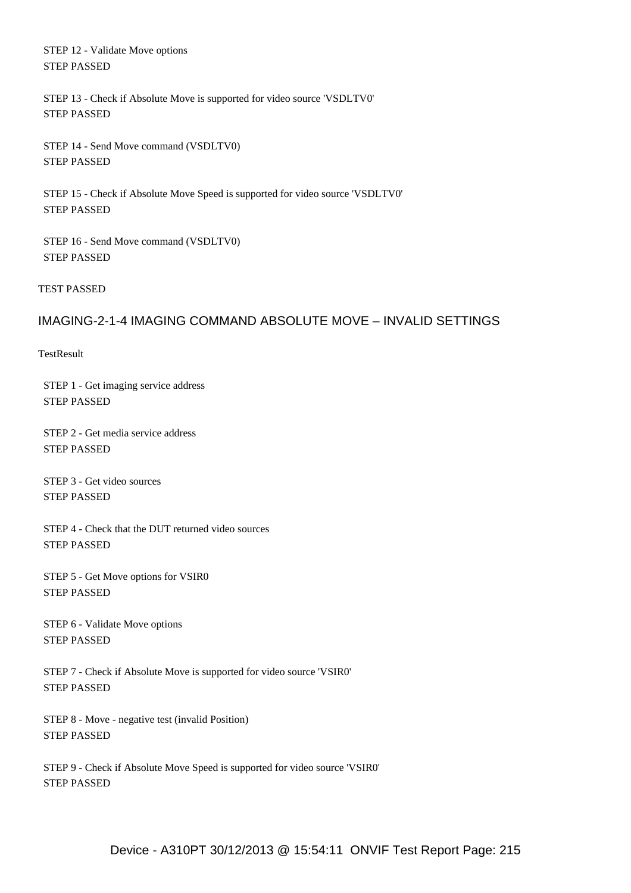STEP 12 - Validate Move options STEP PASSED

 STEP 13 - Check if Absolute Move is supported for video source 'VSDLTV0' STEP PASSED

 STEP 14 - Send Move command (VSDLTV0) STEP PASSED

 STEP 15 - Check if Absolute Move Speed is supported for video source 'VSDLTV0' STEP PASSED

 STEP 16 - Send Move command (VSDLTV0) STEP PASSED

TEST PASSED

## IMAGING-2-1-4 IMAGING COMMAND ABSOLUTE MOVE – INVALID SETTINGS

**TestResult** 

 STEP 1 - Get imaging service address STEP PASSED

 STEP 2 - Get media service address STEP PASSED

 STEP 3 - Get video sources STEP PASSED

 STEP 4 - Check that the DUT returned video sources STEP PASSED

 STEP 5 - Get Move options for VSIR0 STEP PASSED

 STEP 6 - Validate Move options STEP PASSED

 STEP 7 - Check if Absolute Move is supported for video source 'VSIR0' STEP PASSED

 STEP 8 - Move - negative test (invalid Position) STEP PASSED

 STEP 9 - Check if Absolute Move Speed is supported for video source 'VSIR0' STEP PASSED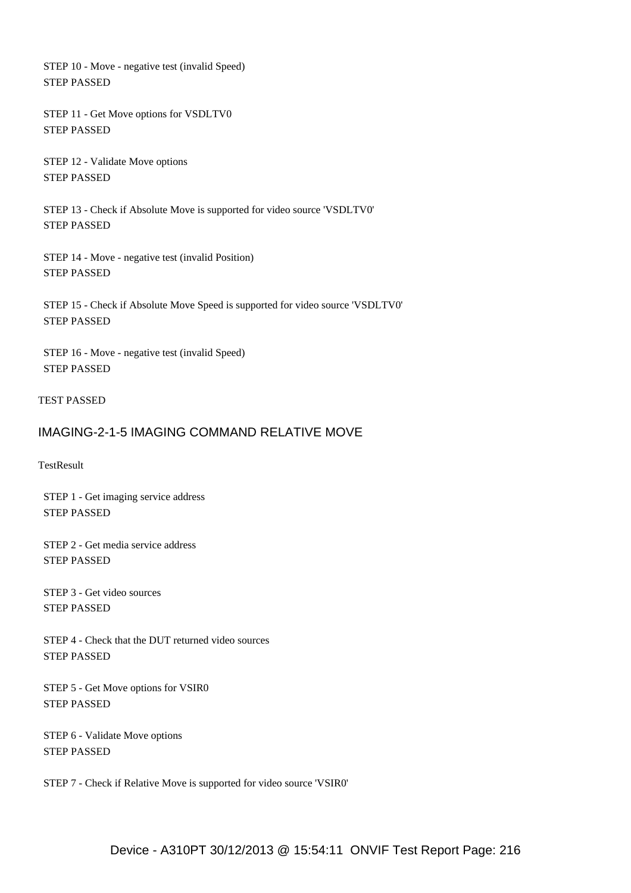STEP 10 - Move - negative test (invalid Speed) STEP PASSED

 STEP 11 - Get Move options for VSDLTV0 STEP PASSED

 STEP 12 - Validate Move options STEP PASSED

 STEP 13 - Check if Absolute Move is supported for video source 'VSDLTV0' STEP PASSED

 STEP 14 - Move - negative test (invalid Position) STEP PASSED

 STEP 15 - Check if Absolute Move Speed is supported for video source 'VSDLTV0' STEP PASSED

 STEP 16 - Move - negative test (invalid Speed) STEP PASSED

#### TEST PASSED

#### IMAGING-2-1-5 IMAGING COMMAND RELATIVE MOVE

TestResult

 STEP 1 - Get imaging service address STEP PASSED

 STEP 2 - Get media service address STEP PASSED

 STEP 3 - Get video sources STEP PASSED

 STEP 4 - Check that the DUT returned video sources STEP PASSED

 STEP 5 - Get Move options for VSIR0 STEP PASSED

 STEP 6 - Validate Move options STEP PASSED

STEP 7 - Check if Relative Move is supported for video source 'VSIR0'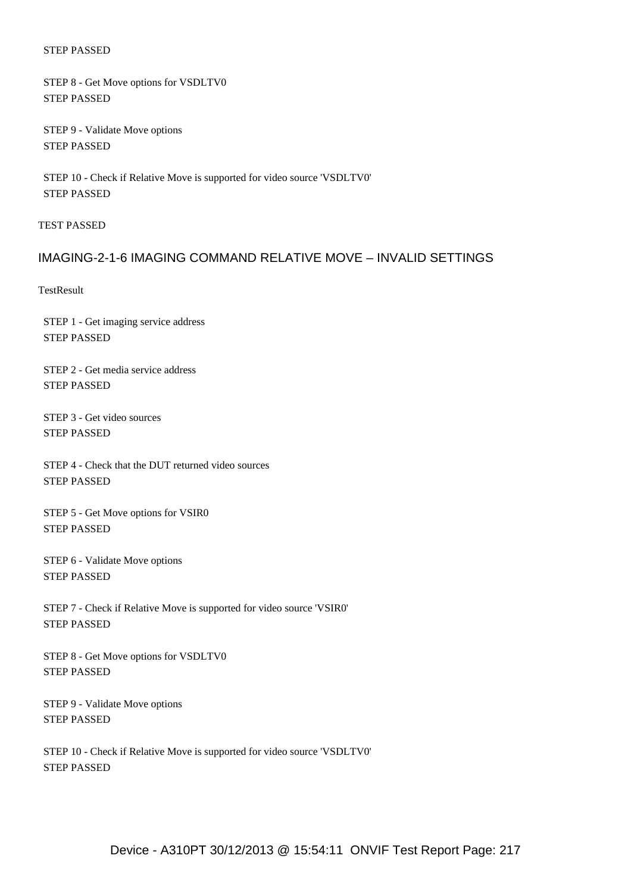#### STEP PASSED

 STEP 8 - Get Move options for VSDLTV0 STEP PASSED

 STEP 9 - Validate Move options STEP PASSED

 STEP 10 - Check if Relative Move is supported for video source 'VSDLTV0' STEP PASSED

TEST PASSED

## IMAGING-2-1-6 IMAGING COMMAND RELATIVE MOVE – INVALID SETTINGS

**TestResult** 

 STEP 1 - Get imaging service address STEP PASSED

 STEP 2 - Get media service address STEP PASSED

 STEP 3 - Get video sources STEP PASSED

 STEP 4 - Check that the DUT returned video sources STEP PASSED

 STEP 5 - Get Move options for VSIR0 STEP PASSED

 STEP 6 - Validate Move options STEP PASSED

 STEP 7 - Check if Relative Move is supported for video source 'VSIR0' STEP PASSED

 STEP 8 - Get Move options for VSDLTV0 STEP PASSED

 STEP 9 - Validate Move options STEP PASSED

 STEP 10 - Check if Relative Move is supported for video source 'VSDLTV0' STEP PASSED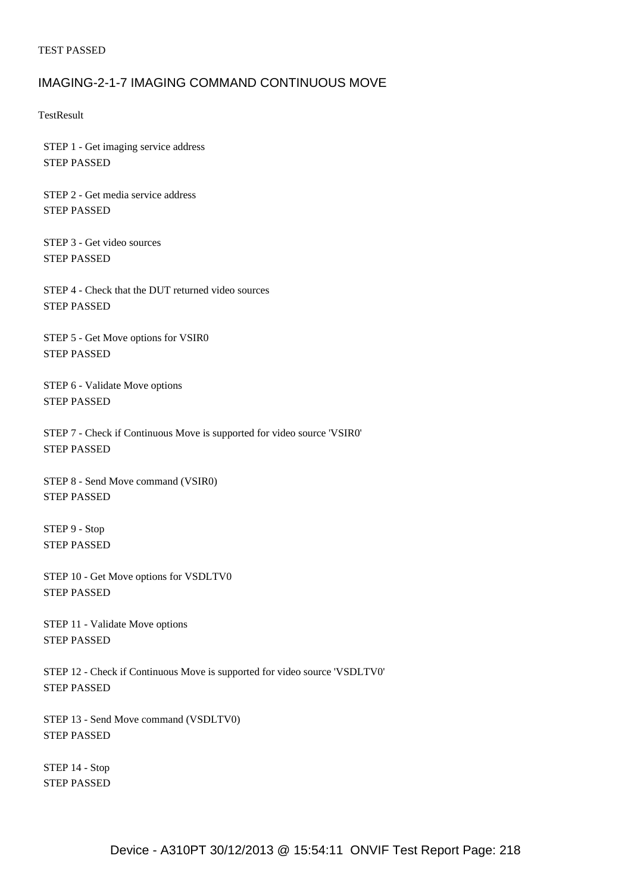#### TEST PASSED

# IMAGING-2-1-7 IMAGING COMMAND CONTINUOUS MOVE

**TestResult** 

 STEP 1 - Get imaging service address STEP PASSED

 STEP 2 - Get media service address STEP PASSED

 STEP 3 - Get video sources STEP PASSED

 STEP 4 - Check that the DUT returned video sources STEP PASSED

 STEP 5 - Get Move options for VSIR0 STEP PASSED

 STEP 6 - Validate Move options STEP PASSED

 STEP 7 - Check if Continuous Move is supported for video source 'VSIR0' STEP PASSED

 STEP 8 - Send Move command (VSIR0) STEP PASSED

 STEP 9 - Stop STEP PASSED

 STEP 10 - Get Move options for VSDLTV0 STEP PASSED

 STEP 11 - Validate Move options STEP PASSED

 STEP 12 - Check if Continuous Move is supported for video source 'VSDLTV0' STEP PASSED

 STEP 13 - Send Move command (VSDLTV0) STEP PASSED

 STEP 14 - Stop STEP PASSED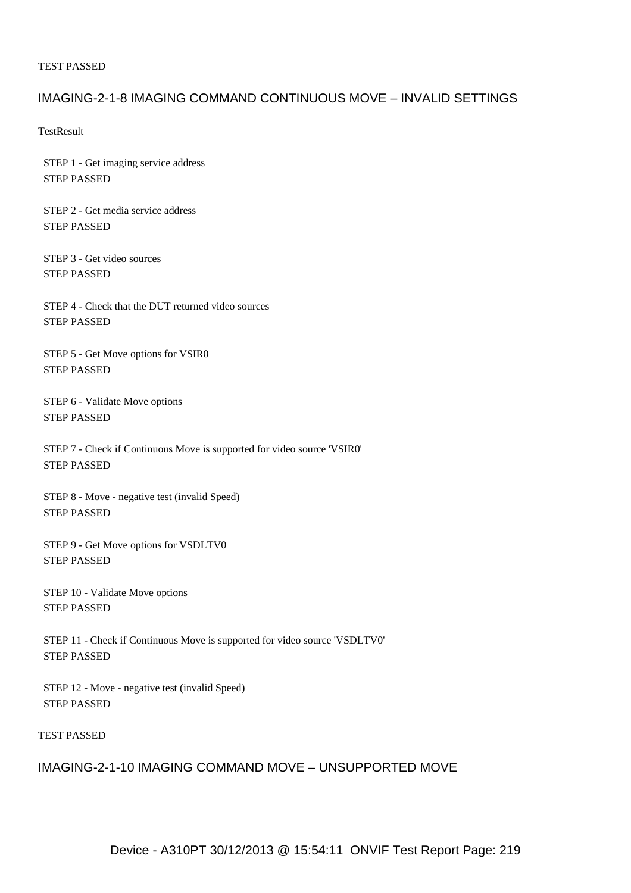#### TEST PASSED

# IMAGING-2-1-8 IMAGING COMMAND CONTINUOUS MOVE – INVALID SETTINGS

**TestResult** 

 STEP 1 - Get imaging service address STEP PASSED

 STEP 2 - Get media service address STEP PASSED

 STEP 3 - Get video sources STEP PASSED

 STEP 4 - Check that the DUT returned video sources STEP PASSED

 STEP 5 - Get Move options for VSIR0 STEP PASSED

 STEP 6 - Validate Move options STEP PASSED

 STEP 7 - Check if Continuous Move is supported for video source 'VSIR0' STEP PASSED

 STEP 8 - Move - negative test (invalid Speed) STEP PASSED

 STEP 9 - Get Move options for VSDLTV0 STEP PASSED

 STEP 10 - Validate Move options STEP PASSED

 STEP 11 - Check if Continuous Move is supported for video source 'VSDLTV0' STEP PASSED

 STEP 12 - Move - negative test (invalid Speed) STEP PASSED

### TEST PASSED

# IMAGING-2-1-10 IMAGING COMMAND MOVE – UNSUPPORTED MOVE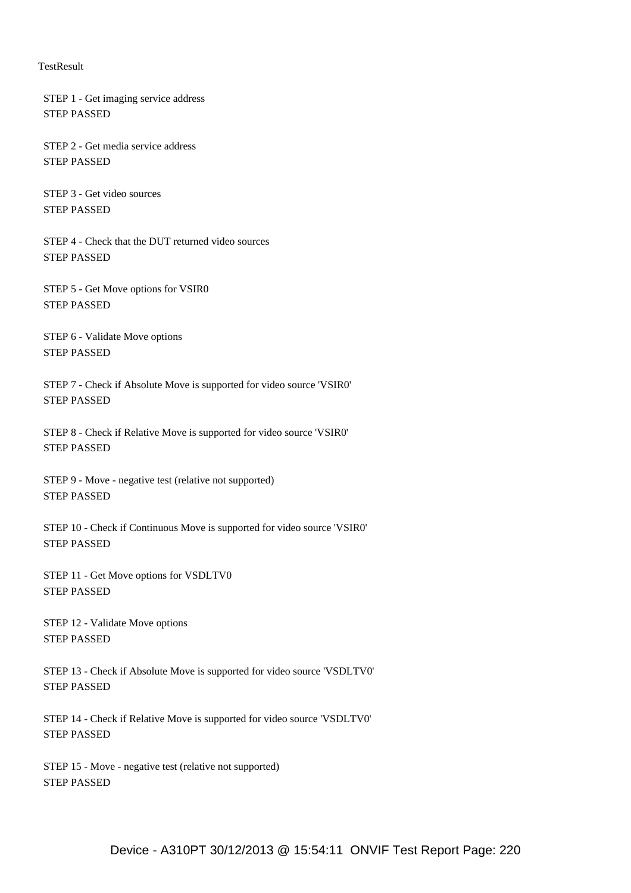#### **TestResult**

 STEP 1 - Get imaging service address STEP PASSED

 STEP 2 - Get media service address STEP PASSED

 STEP 3 - Get video sources STEP PASSED

 STEP 4 - Check that the DUT returned video sources STEP PASSED

 STEP 5 - Get Move options for VSIR0 STEP PASSED

 STEP 6 - Validate Move options STEP PASSED

 STEP 7 - Check if Absolute Move is supported for video source 'VSIR0' STEP PASSED

 STEP 8 - Check if Relative Move is supported for video source 'VSIR0' STEP PASSED

 STEP 9 - Move - negative test (relative not supported) STEP PASSED

 STEP 10 - Check if Continuous Move is supported for video source 'VSIR0' STEP PASSED

 STEP 11 - Get Move options for VSDLTV0 STEP PASSED

 STEP 12 - Validate Move options STEP PASSED

 STEP 13 - Check if Absolute Move is supported for video source 'VSDLTV0' STEP PASSED

 STEP 14 - Check if Relative Move is supported for video source 'VSDLTV0' STEP PASSED

 STEP 15 - Move - negative test (relative not supported) STEP PASSED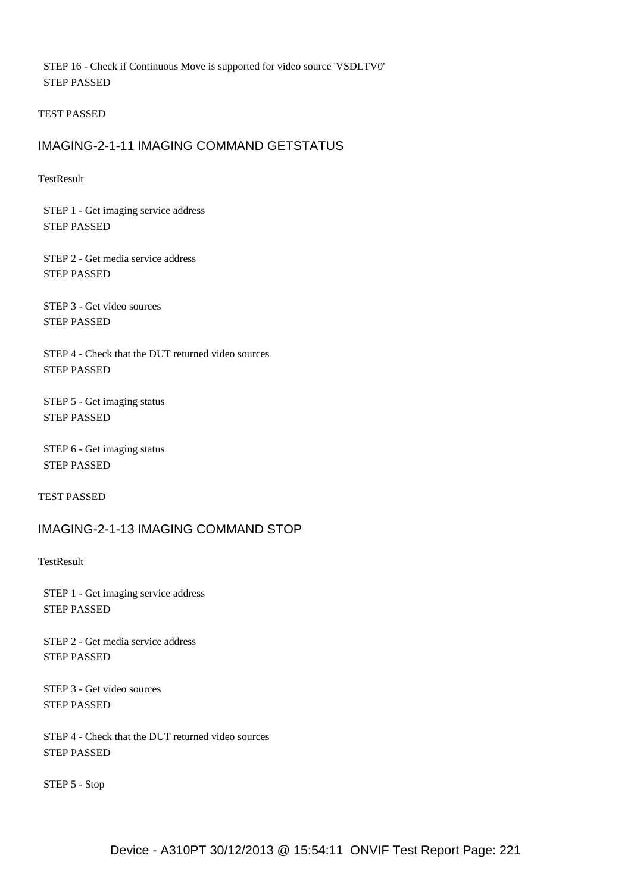STEP 16 - Check if Continuous Move is supported for video source 'VSDLTV0' STEP PASSED

TEST PASSED

## IMAGING-2-1-11 IMAGING COMMAND GETSTATUS

**TestResult** 

 STEP 1 - Get imaging service address STEP PASSED

 STEP 2 - Get media service address STEP PASSED

 STEP 3 - Get video sources STEP PASSED

 STEP 4 - Check that the DUT returned video sources STEP PASSED

 STEP 5 - Get imaging status STEP PASSED

 STEP 6 - Get imaging status STEP PASSED

TEST PASSED

# IMAGING-2-1-13 IMAGING COMMAND STOP

**TestResult** 

 STEP 1 - Get imaging service address STEP PASSED

 STEP 2 - Get media service address STEP PASSED

 STEP 3 - Get video sources STEP PASSED

 STEP 4 - Check that the DUT returned video sources STEP PASSED

STEP 5 - Stop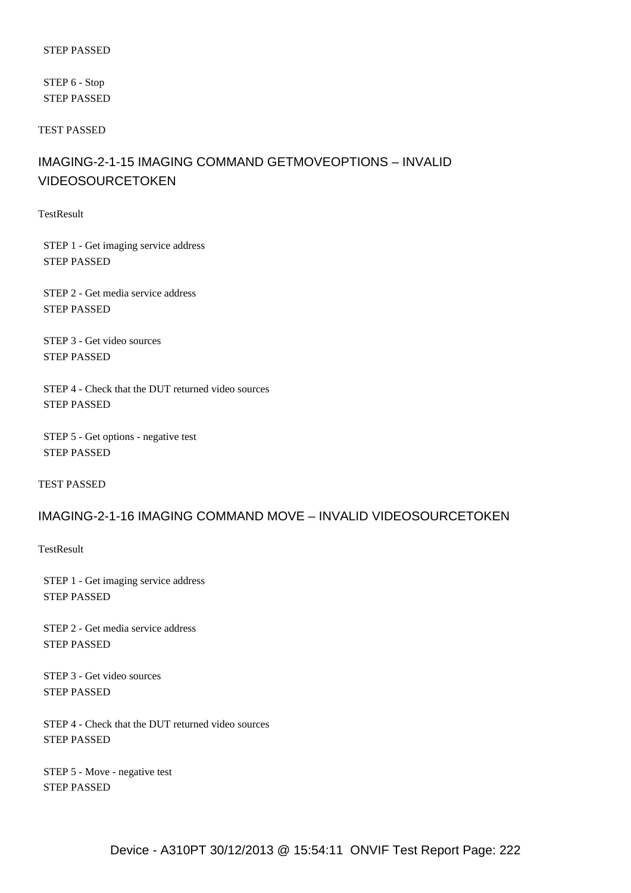#### STEP PASSED

 STEP 6 - Stop STEP PASSED

TEST PASSED

# IMAGING-2-1-15 IMAGING COMMAND GETMOVEOPTIONS – INVALID VIDEOSOURCETOKEN

**TestResult** 

 STEP 1 - Get imaging service address STEP PASSED

 STEP 2 - Get media service address STEP PASSED

 STEP 3 - Get video sources STEP PASSED

 STEP 4 - Check that the DUT returned video sources STEP PASSED

 STEP 5 - Get options - negative test STEP PASSED

TEST PASSED

# IMAGING-2-1-16 IMAGING COMMAND MOVE – INVALID VIDEOSOURCETOKEN

**TestResult** 

 STEP 1 - Get imaging service address STEP PASSED

 STEP 2 - Get media service address STEP PASSED

 STEP 3 - Get video sources STEP PASSED

 STEP 4 - Check that the DUT returned video sources STEP PASSED

 STEP 5 - Move - negative test STEP PASSED